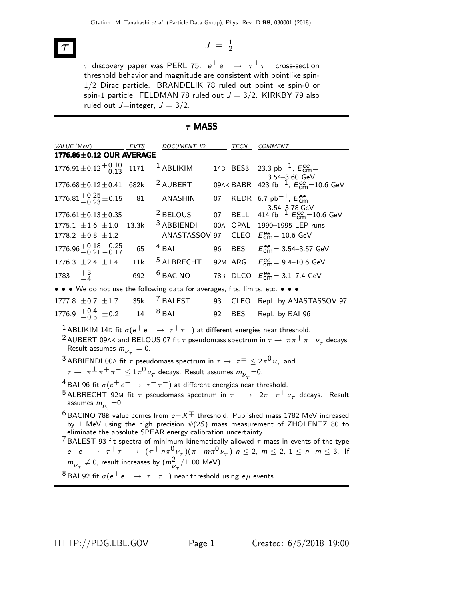$$
\mathcal{T} \qquad \qquad J = \tfrac{1}{2}
$$

 $\tau$  discovery paper was PERL 75.  $\,e^+\,e^-\,\rightarrow\,\,\tau^+\,\tau^-$  cross-section threshold behavior and magnitude are consistent with pointlike spin-1/2 Dirac particle. BRANDELIK 78 ruled out pointlike spin-0 or spin-1 particle. FELDMAN 78 ruled out  $J = 3/2$ . KIRKBY 79 also ruled out  $J=$ integer,  $J = 3/2$ .

## τ MASS

| VALUE (MeV)                                                                                                                                                                                                                                                                                                                                                | EVTS  | <i>DOCUMENT ID</i>    |     | TECN        | <b>COMMENT</b>                                                                                                                              |  |  |
|------------------------------------------------------------------------------------------------------------------------------------------------------------------------------------------------------------------------------------------------------------------------------------------------------------------------------------------------------------|-------|-----------------------|-----|-------------|---------------------------------------------------------------------------------------------------------------------------------------------|--|--|
| 1776.86±0.12 OUR AVERAGE                                                                                                                                                                                                                                                                                                                                   |       |                       |     |             |                                                                                                                                             |  |  |
| $1776.91 \pm 0.12 \pm 0.10$                                                                                                                                                                                                                                                                                                                                | 1171  | <sup>1</sup> ABLIKIM  |     | 14D BES3    | 23.3 pb <sup>-1</sup> , $E_{\text{cm}}^{ee}$                                                                                                |  |  |
| $1776.68 \pm 0.12 \pm 0.41$                                                                                                                                                                                                                                                                                                                                | 682k  | <sup>2</sup> AUBERT   |     | 09AK BABR   | 3.54–3.60 GeV<br>423 fb <sup>-1</sup> , $E_{\text{cm}}^{ee}$ =10.6 GeV                                                                      |  |  |
| 1776.81 $\pm 0.25 \pm 0.15$                                                                                                                                                                                                                                                                                                                                | 81    | <b>ANASHIN</b>        | 07  |             | KEDR 6.7 pb <sup>-1</sup> , $E_{cm}^{ee}$ =<br>3.54-3.78 GeV                                                                                |  |  |
| $1776.61 \pm 0.13 \pm 0.35$                                                                                                                                                                                                                                                                                                                                |       | <sup>2</sup> BELOUS   | 07  | <b>BELL</b> | 414 fb <sup>-1</sup> $E_{\text{cm}}^{ee}$ =10.6 GeV                                                                                         |  |  |
| 1775.1 $\pm 1.6$ $\pm 1.0$                                                                                                                                                                                                                                                                                                                                 | 13.3k | <sup>3</sup> ABBIENDI | 00A | OPAL        | 1990-1995 LEP runs                                                                                                                          |  |  |
| 1778.2 $\pm$ 0.8 $\pm$ 1.2                                                                                                                                                                                                                                                                                                                                 |       | ANASTASSOV 97         |     |             | CLEO $E_{\text{cm}}^{\text{ee}} = 10.6 \text{ GeV}$                                                                                         |  |  |
| $1776.96 + 0.18 + 0.25$<br>$-0.21 - 0.17$                                                                                                                                                                                                                                                                                                                  | 65    | $4$ BAI               | 96  | <b>BES</b>  | $E_{\text{cm}}^{\text{ee}} = 3.54 - 3.57 \text{ GeV}$                                                                                       |  |  |
| 1776.3 $\pm 2.4$ $\pm 1.4$                                                                                                                                                                                                                                                                                                                                 | 11k   | <sup>5</sup> ALBRECHT |     | 92M ARG     | $E_{\text{cm}}^{\text{ee}} = 9.4 - 10.6 \text{ GeV}$                                                                                        |  |  |
| 1783 $+3$ <sub>-4</sub>                                                                                                                                                                                                                                                                                                                                    | 692   | <sup>6</sup> BACINO   |     |             | 78B DLCO $E_{\text{cm}}^{ee} = 3.1 - 7.4 \text{ GeV}$                                                                                       |  |  |
| • • • We do not use the following data for averages, fits, limits, etc. • • •                                                                                                                                                                                                                                                                              |       |                       |     |             |                                                                                                                                             |  |  |
| $1777.8 \pm 0.7 \pm 1.7$                                                                                                                                                                                                                                                                                                                                   | 35k   | <sup>7</sup> BALEST   | 93  |             | CLEO Repl. by ANASTASSOV 97                                                                                                                 |  |  |
| 1776.9 $\frac{+0.4}{-0.5}$ $\pm 0.2$ 14                                                                                                                                                                                                                                                                                                                    |       | $8$ BAI               | 92  | <b>BES</b>  | Repl. by BAI 96                                                                                                                             |  |  |
| $^1$ ABLIKIM 14D fit $\sigma(e^+e^-\to\tau^+\tau^-)$ at different energies near threshold.<br>Result assumes $m_{\nu_{\tau}}=0$ .                                                                                                                                                                                                                          |       |                       |     |             | <sup>2</sup> AUBERT 09AK and BELOUS 07 fit $\tau$ pseudomass spectrum in $\tau \to \pi \pi^+ \pi^- \nu_\tau$ decays.                        |  |  |
| <sup>3</sup> ABBIENDI 00A fit $\tau$ pseudomass spectrum in $\tau \to \pi^{\pm} \leq 2\pi^0 \nu_{\tau}$ and                                                                                                                                                                                                                                                |       |                       |     |             |                                                                                                                                             |  |  |
| $\tau \to \pi^{\pm} \pi^+ \pi^- \leq 1 \pi^0 \nu_{\tau}$ decays. Result assumes $m_{\nu_{\tau}} = 0$ .                                                                                                                                                                                                                                                     |       |                       |     |             |                                                                                                                                             |  |  |
| <sup>4</sup> BAI 96 fit $\sigma(e^+e^- \rightarrow \tau^+\tau^-)$ at different energies near threshold.                                                                                                                                                                                                                                                    |       |                       |     |             |                                                                                                                                             |  |  |
| <sup>5</sup> ALBRECHT 92M fit $\tau$ pseudomass spectrum in $\tau^ \rightarrow$ $2\pi^- \pi^+ \nu_\tau$ decays. Result<br>assumes $m_{\nu_{\tau}} = 0$ .                                                                                                                                                                                                   |       |                       |     |             |                                                                                                                                             |  |  |
| $6$ BACINO 78B value comes from $e^{\pm} X^{\mp}$ threshold. Published mass 1782 MeV increased<br>by 1 MeV using the high precision $\psi(2S)$ mass measurement of ZHOLENTZ 80 to<br>eliminate the absolute SPEAR energy calibration uncertainty.<br><sup>7</sup> BALEST 93 fit spectra of minimum kinematically allowed $\tau$ mass in events of the type |       |                       |     |             |                                                                                                                                             |  |  |
|                                                                                                                                                                                                                                                                                                                                                            |       |                       |     |             | $e^+e^- \rightarrow \tau^+\tau^- \rightarrow (\pi^+\pi\pi^0\nu_\tau)(\pi^-\pi\pi^0\nu_\tau)$ $n \le 2$ , $m \le 2$ , $1 \le n+m \le 3$ . If |  |  |
| $m_{\nu_{\tau}} \neq 0$ , result increases by $(m_{\nu_{\tau}}^2/1100 \text{ MeV}).$                                                                                                                                                                                                                                                                       |       |                       |     |             |                                                                                                                                             |  |  |
| <sup>8</sup> BAI 92 fit $\sigma(e^+e^- \rightarrow \tau^+\tau^-)$ near threshold using $e\mu$ events.                                                                                                                                                                                                                                                      |       |                       |     |             |                                                                                                                                             |  |  |

HTTP://PDG.LBL.GOV Page 1 Created: 6/5/2018 19:00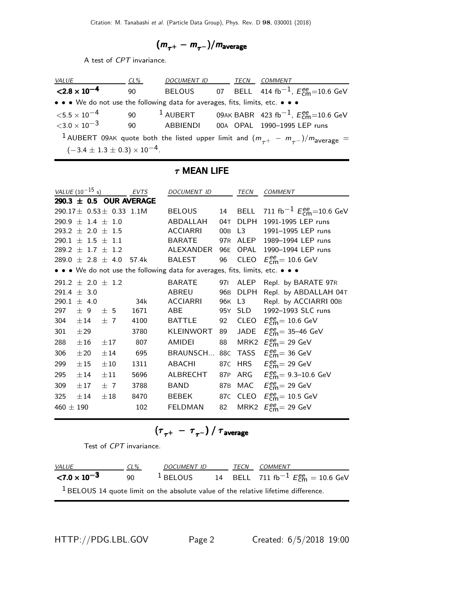$$
(m_{\tau^+}-m_{\tau^-})/m_{\rm average}
$$

A test of CPT invariance.

| <i>VALUE</i>                                                                  | CL% | DOCUMENT ID TECN |  | COMMENT                                                                                                         |
|-------------------------------------------------------------------------------|-----|------------------|--|-----------------------------------------------------------------------------------------------------------------|
| $< 2.8 \times 10^{-4}$                                                        | 90  |                  |  | BELOUS 07 BELL 414 fb <sup>-1</sup> , $E_{cm}^{ee}$ =10.6 GeV                                                   |
| • • • We do not use the following data for averages, fits, limits, etc. • • • |     |                  |  |                                                                                                                 |
| $<$ 5.5 $\times$ 10 $^{-4}$                                                   | 90  | $1$ AUBERT       |  | 09AK BABR 423 fb <sup>-1</sup> , $E_{\rm cm}^{\rm ee}$ =10.6 GeV                                                |
| $<$ 3.0 $\times$ 10 $^{-3}$                                                   | 90  | ABBIFNDI         |  | 00A OPAL 1990-1995 LEP runs                                                                                     |
|                                                                               |     |                  |  | <sup>1</sup> AUBERT 09AK quote both the listed upper limit and $(m_{\tau^+} - m_{\tau^-})/m_{\text{average}} =$ |
| $(-3.4 \pm 1.3 \pm 0.3) \times 10^{-4}$ .                                     |     |                  |  |                                                                                                                 |

## $\tau$  MEAN LIFE

|               | <i>VALUE</i> (10 <sup>-15</sup> s) |                                   | EVTS  | <b>DOCUMENT ID</b>                                                            |     | TECN        | <b>COMMENT</b>                                          |
|---------------|------------------------------------|-----------------------------------|-------|-------------------------------------------------------------------------------|-----|-------------|---------------------------------------------------------|
|               |                                    | 290.3 $\pm$ 0.5 OUR AVERAGE       |       |                                                                               |     |             |                                                         |
|               |                                    | 290.17 $\pm$ 0.53 $\pm$ 0.33 1.1M |       | <b>BELOUS</b>                                                                 | 14  | <b>BELL</b> | 711 fb <sup>-1</sup> $E_{cm}^{ee}$ =10.6 GeV            |
|               | $290.9 \pm 1.4 \pm 1.0$            |                                   |       | ABDALLAH                                                                      | 04T | <b>DLPH</b> | 1991-1995 LEP runs                                      |
|               | 293.2 $\pm$ 2.0 $\pm$ 1.5          |                                   |       | <b>ACCIARRI</b>                                                               |     | 00B L3      | 1991-1995 LEP runs                                      |
|               | $290.1 \pm 1.5 \pm 1.1$            |                                   |       | <b>BARATE</b>                                                                 |     | 97R ALEP    | 1989-1994 LEP runs                                      |
|               | $289.2 \pm 1.7 \pm 1.2$            |                                   |       | ALEXANDER                                                                     | 96E | OPAL        | 1990-1994 LEP runs                                      |
|               | $289.0 \pm 2.8 \pm 4.0$            |                                   | 57.4k | <b>BALEST</b>                                                                 | 96  |             | CLEO $E_{\text{cm}}^{\text{ee}} = 10.6 \text{ GeV}$     |
|               |                                    |                                   |       | • • • We do not use the following data for averages, fits, limits, etc. • • • |     |             |                                                         |
|               | $291.2 \pm 2.0 \pm 1.2$            |                                   |       | <b>BARATE</b>                                                                 | 971 | ALEP        | Repl. by BARATE 97R                                     |
|               | 291.4 $\pm$ 3.0                    |                                   |       | <b>ABREU</b>                                                                  | 96B | DLPH        | Repl. by ABDALLAH 04T                                   |
|               | 290.1 $\pm$ 4.0                    |                                   | 34k   | ACCIARRI                                                                      |     | 96K L3      | Repl. by ACCIARRI 00B                                   |
| 297           |                                    | $\pm$ 9 $\pm$ 5                   | 1671  | ABE                                                                           |     | 95Y SLD     | 1992-1993 SLC runs                                      |
| 304           | $\pm 14$ $\pm 7$                   |                                   | 4100  | <b>BATTLE</b>                                                                 | 92  |             | CLEO $E_{\text{cm}}^{\text{ee}} = 10.6 \text{ GeV}$     |
| 301           | ±29                                |                                   | 3780  | KLEINWORT                                                                     | 89  | JADE        | $E_{\text{cm}}^{\text{ee}} = 35 - 46 \text{ GeV}$       |
| 288           | $\pm 16$                           | $\pm 17$                          | 807   | AMIDEI                                                                        | 88  |             | MRK2 $E_{\text{cm}}^{\text{ee}}$ = 29 GeV               |
| 306           | $\pm 20$                           | ±14                               | 695   | BRAUNSCH                                                                      |     |             | 88C TASS $E_{\text{cm}}^{\text{ee}}$ = 36 GeV           |
| 299           | $\pm 15$                           | $\pm 10$                          | 1311  | <b>ABACHI</b>                                                                 |     |             | 87C HRS $E_{\text{cm}}^{\text{ee}} = 29 \text{ GeV}$    |
| 295           | $\pm 14$                           | $\pm 11$                          | 5696  | ALBRECHT                                                                      | 87P |             | ARG $E_{\text{cm}}^{ee} = 9.3 - 10.6 \text{ GeV}$       |
| 309           | $\pm 17$                           | ±7                                | 3788  | <b>BAND</b>                                                                   |     |             | 87B MAC $E_{\text{cm}}^{\text{ee}} = 29 \text{ GeV}$    |
| 325           | $\pm 14$                           | $\pm 18$                          | 8470  | BEBEK                                                                         |     |             | 87C CLEO $E_{\text{cm}}^{\text{ee}} = 10.5 \text{ GeV}$ |
| 460 $\pm$ 190 |                                    |                                   | 102   | <b>FELDMAN</b>                                                                | 82  |             | MRK2 $E_{\text{cm}}^{\text{ee}}$ = 29 GeV               |

$$
\left(\tau_{\tau^+}~-~\tau_{\tau^-}\right)/~\tau_{\rm average}
$$

Test of CPT invariance.

| <i>VALUE</i>           | $CL\%$ | DOCUMENT ID |  | TECN COMMENT                                                                         |
|------------------------|--------|-------------|--|--------------------------------------------------------------------------------------|
| $< 7.0 \times 10^{-3}$ | 90.    | $1$ BELOUS  |  | 14 BELL 711 fb <sup>-1</sup> $E_{cm}^{ee} = 10.6$ GeV                                |
|                        |        |             |  | $1$ BELOUS 14 quote limit on the absolute value of the relative lifetime difference. |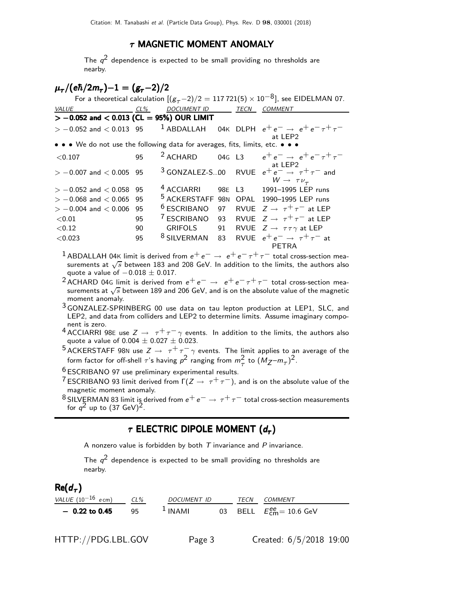## $\tau$  MAGNETIC MOMENT ANOMALY

The  $q^2$  dependence is expected to be small providing no thresholds are nearby.

# $\mu_{\bm{\tau}}/(\bm{e}\hbar/2m_{\bm{\tau}}) – 1 = (\bm{g}_{\bm{\tau}}-2)/2$

|                                                                               |          |                                                      |    |      | For a theoretical calculation $[(g_{\tau}-2)/2 = 117721(5) \times 10^{-8}]$ , see EIDELMAN 07.                     |
|-------------------------------------------------------------------------------|----------|------------------------------------------------------|----|------|--------------------------------------------------------------------------------------------------------------------|
| <i>VALUE</i>                                                                  |          | <u>CL% DOCUMENT ID</u>                               |    | TECN | <b>COMMENT</b>                                                                                                     |
| $> -0.052$ and $< 0.013$ (CL = 95%) OUR LIMIT                                 |          |                                                      |    |      |                                                                                                                    |
|                                                                               |          |                                                      |    |      | $> -0.052$ and $< 0.013$ 95 <sup>1</sup> ABDALLAH 04K DLPH $e^+e^- \rightarrow e^+e^-\tau^+\tau^-$<br>at LEP2      |
| • • • We do not use the following data for averages, fits, limits, etc. • • • |          |                                                      |    |      |                                                                                                                    |
| ${<}0.107$                                                                    | 95       |                                                      |    |      | <sup>2</sup> ACHARD 04G L3 $e^+e^- \rightarrow e^+e^- \tau^+ \tau^-$                                               |
| $> -0.007$ and $< 0.005$ 95                                                   |          |                                                      |    |      | at LEP2<br><sup>3</sup> GONZALEZ-S00 RVUE $e^+e^- \rightarrow \tau^+\tau^-$ and<br>$W \rightarrow \tau \nu_{\tau}$ |
| $> -0.052$ and $< 0.058$<br>$> -0.068$ and $< 0.065$                          | 95<br>95 | <sup>4</sup> ACCIARRI<br><sup>5</sup> ACKERSTAFF 98N |    |      | 98E L3 1991-1995 LEP runs<br>OPAL 1990-1995 LEP runs                                                               |
| $> -0.004$ and $< 0.006$                                                      | 95       | <sup>6</sup> ESCRIBANO                               |    |      | 97 RVUE $Z \rightarrow \tau^+ \tau^-$ at LEP                                                                       |
| < 0.01                                                                        | 95       | <sup>7</sup> ESCRIBANO                               | 93 |      | RVUE $Z \rightarrow \tau^+\tau^-$ at LEP                                                                           |
| ${<}0.12$                                                                     | 90       | <b>GRIFOLS</b>                                       | 91 |      | RVUE $Z \rightarrow \tau \tau \gamma$ at LEP                                                                       |
| < 0.023                                                                       | 95       | $8$ SILVERMAN 83                                     |    |      | RVUE $e^+e^- \rightarrow \tau^+\tau^-$ at<br>PETRA                                                                 |

- <sup>1</sup> ABDALLAH 04K limit is derived from  $e^+e^- \rightarrow e^+e^- \tau^+ \tau^-$  total cross-section measurements at  $\sqrt{s}$  between 183 and 208 GeV. In addition to the limits, the authors also quote a value of  $-0.018 \pm 0.017$ .
- <sup>2</sup> ACHARD 04G limit is derived from  $e^+e^- \rightarrow e^+e^- \tau^+ \tau^-$  total cross-section measurements at  $\sqrt{s}$  between 189 and 206 GeV, and is on the absolute value of the magnetic moment anomaly.
- 3 GONZALEZ-SPRINBERG 00 use data on tau lepton production at LEP1, SLC, and LEP2, and data from colliders and LEP2 to determine limits. Assume imaginary component is zero.
- 4 ACCIARRI 98E use  $Z \rightarrow \tau^+ \tau^- \gamma$  events. In addition to the limits, the authors also quote a value of  $0.004 \pm 0.027 \pm 0.023$ .
- <sup>5</sup> ACKERSTAFF 98N use  $Z \rightarrow \tau^+ \tau^- \gamma$  events. The limit applies to an average of the form factor for off-shell  $\tau$ 's having  $p^2$  ranging from  $m_\tau^2$  to  $(M_Z - m_\tau)^2$ .

6 ESCRIBANO 97 use preliminary experimental results.

- <sup>7</sup> ESCRIBANO 93 limit derived from  $\Gamma(Z \to \tau^+ \tau^-)$ , and is on the absolute value of the magnetic moment anomaly.
- 8 SILVERMAN 83 limit is derived from  $e^+e^- \rightarrow \tau^+\tau^-$  total cross-section measurements for  $q^2$  up to  $(37 \text{ GeV})^2$ .

# $\tau$  electric dipole moment  $(d_{\tau})$

A nonzero value is forbidden by both  $T$  invariance and  $P$  invariance.

The  $q^2$  dependence is expected to be small providing no thresholds are nearby.

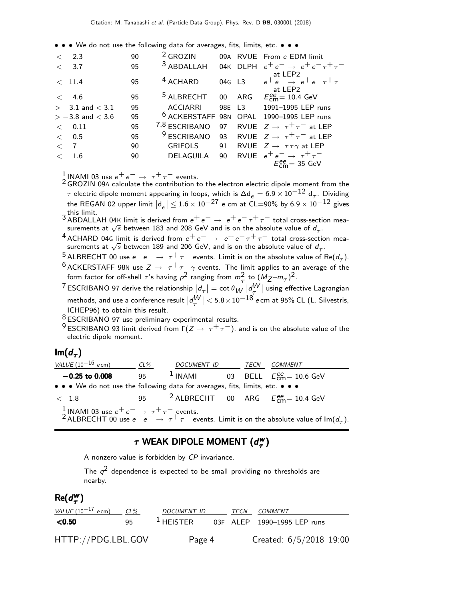• • • We do not use the following data for averages, fits, limits, etc. • • •

| $\langle$ 2.3        | 90 | $2$ GROZIN             |    |        | 09A RVUE From e EDM limit                                                |
|----------------------|----|------------------------|----|--------|--------------------------------------------------------------------------|
| < 3.7                | 95 | $3$ ABDALLAH           |    |        | 04K DLPH $e^+e^- \rightarrow e^+e^- \tau^+\tau^-$                        |
| < 11.4               | 95 | <sup>4</sup> ACHARD    |    | 04G L3 | at LEP2<br>at LEP2<br>$e^+e^- \rightarrow e^+e^-\tau^+\tau^-$<br>at LEP2 |
| $\lt$ 4.6            | 95 | <sup>5</sup> ALBRECHT  |    |        | 00 ARG $E_{\text{cm}}^{ee} = 10.4 \text{ GeV}$                           |
| $> -3.1$ and $< 3.1$ | 95 | <b>ACCIARRI</b>        |    |        | 98E L3 1991-1995 LEP runs                                                |
| $> -3.8$ and $< 3.6$ | 95 |                        |    |        | <sup>6</sup> ACKERSTAFF 98N OPAL 1990-1995 LEP runs                      |
| 0.11<br>$\lt$        | 95 | 7,8 ESCRIBANO          |    |        | 97 RVUE $Z \rightarrow \tau^+\tau^-$ at LEP                              |
| 0.5<br>$\lt$         | 95 | <sup>9</sup> ESCRIBANO |    |        | 93 RVUE $Z \rightarrow \tau^+ \tau^-$ at LEP                             |
| $\langle 7 \rangle$  | 90 | <b>GRIFOLS</b>         | 91 |        | RVUE $Z \rightarrow \tau \tau \gamma$ at LEP                             |
| 1.6                  | 90 | DELAGUILA              | 90 |        | RVUE $e^+e^- \rightarrow \tau^+\tau^-$                                   |
|                      |    |                        |    |        | $E_{\text{cm}}^{\text{ee}}$ = 35 GeV                                     |

1 INAMI 03 use  $e^+e^- \rightarrow \tau^+\tau^-$  events.

2 GROZIN 09<sup>A</sup> calculate the contribution to the electron electric dipole moment from the  $τ$  electric dipole moment appearing in loops, which is  $\Delta \mathsf{d}_e = 6.9 \times 10^{-12} \; \mathsf{d}_τ$ . Dividing the REGAN 02 upper limit  $|d_e| \leq 1.6 \times 10^{-27}$  e cm at CL=90% by  $6.9 \times 10^{-12}$  gives

this limit.<br><sup>3</sup> ABDALLAH 04K limit is derived from e<sup>+</sup> e<sup>−</sup> → e<sup>+</sup> e<sup>−</sup> τ<sup>+</sup> τ<sup>−</sup> total cross-section mea-<br>surements at  $\sqrt{s}$  between 183 and 208 GeV and is on the absolute value of  $d_τ$ .

- <sup>4</sup> ACHARD 04G limit is derived from  $e^+e^-$  →  $e^+e^-\tau^+\tau^-$  total cross-section mea-<br>\_surements at  $\sqrt{s}$  between 189 and 206 GeV, and is on the absolute value of  $d_{\tau}$ .
- <sup>5</sup> ALBRECHT 00 use  $e^+e^- \rightarrow \tau^+\tau^-$  events. Limit is on the absolute value of Re( $d_{\tau}$ ).
- <sup>6</sup> ACKERSTAFF 98N use  $Z \rightarrow \tau^+ \tau^- \gamma$  events. The limit applies to an average of the form factor for off-shell  $\tau$ 's having  $p^2$  ranging from  $m_\tau^2$  to  $(M_Z - m_\tau)^2$ .
- $^7$ ESCRIBANO 97 derive the relationship  $|d_\tau|=\cot\theta_W\left|d_V^W\right|$  using effective Lagrangian methods, and use a conference result  $\left|d_\tau^W\right| < 5.8 \times 10^{-18}$  e cm at 95% CL (L. Silvestris, ICHEP96) to obtain this result.
- $8$  ESCRIBANO 97 use preliminary experimental results.
- <sup>9</sup> ESCRIBANO 93 limit derived from  $\Gamma(Z \to \tau^+ \tau^-)$ , and is on the absolute value of the electric dipole moment.

# lm $(d_\tau)$

| VALUE $(10^{-16}$ ecm)                                                        | CL% | DOCUMENT ID | TECN | <i>COMMENT</i>                                                                                                                                                                                     |
|-------------------------------------------------------------------------------|-----|-------------|------|----------------------------------------------------------------------------------------------------------------------------------------------------------------------------------------------------|
| $-0.25$ to 0.008                                                              | 95  |             |      | <sup>1</sup> INAMI 03 BELL $E_{\text{cm}}^{ee}$ = 10.6 GeV                                                                                                                                         |
| • • • We do not use the following data for averages, fits, limits, etc. • • • |     |             |      |                                                                                                                                                                                                    |
| $<$ 1.8                                                                       |     |             |      | 95 <sup>2</sup> ALBRECHT 00 ARG $E_{cm}^{ee}$ = 10.4 GeV                                                                                                                                           |
|                                                                               |     |             |      | <sup>1</sup> INAMI 03 use $e^+e^-\rightarrow \tau^+\tau^-$ events.<br><sup>2</sup> ALBRECHT 00 use $e^+e^-\rightarrow \tau^+\tau^-$ events. Limit is on the absolute value of Im(d <sub>T</sub> ). |

### $\tau$  WEAK DIPOLE MOMENT  $(d^w_{\tau})$  $\tau$  WEAK DIPOLE MOMENT  $(d^{\mathsf{w}}_{\tau})$

A nonzero value is forbidden by CP invariance.

The  $q^2$  dependence is expected to be small providing no thresholds are nearby.

#### $Re(d_{\tau}^{\mathbf{w}})$ τ )

| VALUE $(10^{-17}$ ecm) CL% |     | DOCUMENT ID |  | TECN COMMENT                            |  |
|----------------------------|-----|-------------|--|-----------------------------------------|--|
| $<$ 0.50                   | 95. |             |  | $1$ HEISTER 03F ALEP 1990-1995 LEP runs |  |
| HTTP://PDG.LBL.GOV         |     | Page 4      |  | Created: 6/5/2018 19:00                 |  |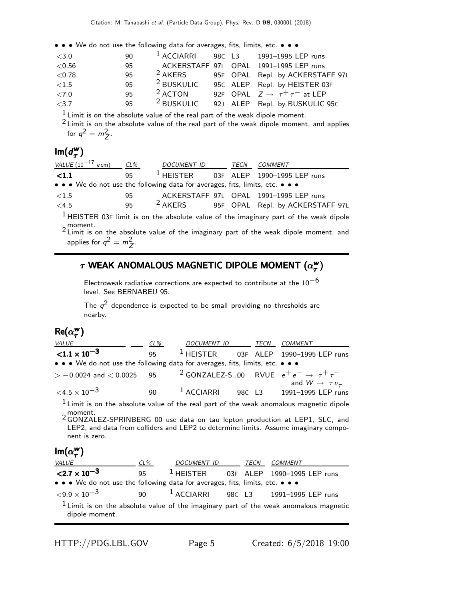• • • We do not use the following data for averages, fits, limits, etc. • • •

| <3.0   | 90 | <sup>1</sup> ACCIARRI | 98C L3 | 1991-1995 LEP runs                            |
|--------|----|-----------------------|--------|-----------------------------------------------|
| < 0.56 | 95 |                       |        | ACKERSTAFF 97L OPAL 1991-1995 LEP runs        |
| < 0.78 | 95 | <sup>2</sup> AKERS    |        | 95F OPAL Repl. by ACKERSTAFF 97L              |
| < 1.5  | 95 | <sup>2</sup> BUSKULIC |        | 95C ALEP Repl. by HEISTER 03F                 |
| <7.0   | 95 | $2$ ACTON             |        | 92F OPAL $Z \rightarrow \tau^+ \tau^-$ at LEP |
| < 3.7  | 95 | <sup>2</sup> BUSKULIC |        | 92J ALEP Repl. by BUSKULIC 95C                |

 $\frac{1}{2}$  Limit is on the absolute value of the real part of the weak dipole moment.

 $2$  Limit is on the absolute value of the real part of the weak dipole moment, and applies for  $q^2 = m_Z^2$ .

#### $Im(d^w_\tau)$  $_{\tau}^{\mathsf{w}})$

| VALUE $(10^{-17}$ ecm)                                                        | $CL\%$ | <i>DOCUMENT ID</i> | TECN | COMMENT                                                                                 |
|-------------------------------------------------------------------------------|--------|--------------------|------|-----------------------------------------------------------------------------------------|
| < 1.1                                                                         | 95     | $1$ HEISTER        |      | 03F ALEP 1990-1995 LEP runs                                                             |
| • • • We do not use the following data for averages, fits, limits, etc. • • • |        |                    |      |                                                                                         |
| ${<}1.5$                                                                      | 95     |                    |      | ACKERSTAFF 97L OPAL 1991-1995 LEP runs                                                  |
| <4.5                                                                          | 95     | <sup>2</sup> AKERS |      | 95F OPAL Repl. by ACKERSTAFF 97L                                                        |
|                                                                               |        |                    |      | $1$ HFISTER 035 limit is on the absolute value of the imaginary part of the weak dingle |

1 HEISTER 03<sup>F</sup> limit is on the absolute value of the imaginary part of the weak dipole moment. <sup>2</sup> Limit is on the absolute value of the imaginary part of the weak dipole moment, and

applies for  $q^2 = m_Z^2$ .

### $\tau$  WEAK ANOMALOUS MAGNETIC DIPOLE MOMENT ( $\alpha^{\rm{w}}_{\tau}$  $\tau$  WEAK ANOMALOUS MAGNETIC DIPOLE MOMENT  $(\alpha_{\bm{\tau}}^{\bm{\mathsf{w}}})$

Electroweak radiative corrections are expected to contribute at the  $10^{-6}$ level. See BERNABEU 95.

The  $q^2$  dependence is expected to be small providing no thresholds are nearby.

#### $Re(\alpha_\tau^w)$ τ )

| <u>VALUE</u>                                                                                                                                  | $CL\%$ |                          |  | DOCUMENT ID TECN COMMENT                                                                                                                                                         |
|-----------------------------------------------------------------------------------------------------------------------------------------------|--------|--------------------------|--|----------------------------------------------------------------------------------------------------------------------------------------------------------------------------------|
| $< 1.1 \times 10^{-3}$                                                                                                                        | 95     |                          |  | <sup>1</sup> HEISTER 03F ALEP 1990-1995 LEP runs                                                                                                                                 |
| • • • We do not use the following data for averages, fits, limits, etc. • • •                                                                 |        |                          |  |                                                                                                                                                                                  |
| $> -0.0024$ and $< 0.0025$ 95                                                                                                                 |        |                          |  | <sup>2</sup> GONZALEZ-S00 RVUE $e^+e^- \rightarrow \tau^+\tau^-$<br>and $W \rightarrow \tau \nu_{\tau}$                                                                          |
| $\leq 4.5 \times 10^{-3}$                                                                                                                     |        |                          |  | 90 <sup>1</sup> ACCIARRI 98C L3 1991-1995 LEP runs                                                                                                                               |
| 2 moment.<br>2 GONZALEZ-SPRINBERG 00 use data on tau lepton production at LEP1, SLC, and<br>nent is zero.<br>$Im(\alpha_{\tau}^{\mathbf{w}})$ |        |                          |  | $1$ Limit is on the absolute value of the real part of the weak anomalous magnetic dipole<br>LEP2, and data from colliders and LEP2 to determine limits. Assume imaginary compo- |
| VALUE                                                                                                                                         | $CL\%$ | DOCUMENT ID TECN COMMENT |  |                                                                                                                                                                                  |
| $< 2.7 \times 10^{-3}$<br>• • • We do not use the following data for averages, fits, limits, etc. • • •                                       |        |                          |  | 95 <sup>1</sup> HEISTER 03F ALEP 1990-1995 LEP runs                                                                                                                              |
| $\leq 9.9 \times 10^{-3}$                                                                                                                     |        |                          |  | 90 <sup>1</sup> ACCIARRI 98C L3 1991-1995 LEP runs                                                                                                                               |
| dipole moment.                                                                                                                                |        |                          |  | $1$ Limit is on the absolute value of the imaginary part of the weak anomalous magnetic                                                                                          |
|                                                                                                                                               |        |                          |  |                                                                                                                                                                                  |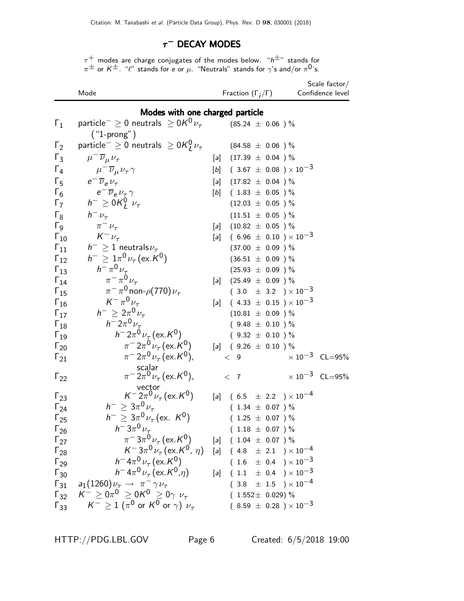## $\tau^-$  Decay modes

 $\tau^+$  modes are charge conjugates of the modes below. " $\mathsf{h}^{\pm}$ " stands for  $\pi^{\pm}$  or  $\kappa^{\pm}$ . " $\ell$ " stands for e or  $\mu$ . "Neutrals" stands for  $\gamma$ 's and/or  $\pi^{0}$ 's.

|                        | Mode                                                                                    |                   | Fraction $(\Gamma_i/\Gamma)$       | Scale factor $/$<br>Confidence level |
|------------------------|-----------------------------------------------------------------------------------------|-------------------|------------------------------------|--------------------------------------|
|                        | Modes with one charged particle                                                         |                   |                                    |                                      |
| $\mathsf{r}_1$         | particle <sup>-</sup> $\geq$ 0 neutrals $\geq$ 0K <sup>0</sup> $\nu_{\tau}$             |                   | $(85.24 \;\pm\; 0.06$ ) $\%$       |                                      |
| $\Gamma_2$             | $("1-prong")$<br>particle $^{-} \geq 0$ neutrals $\geq 0$ K $_{I}^{0} \nu_{\tau}$       |                   | $(84.58 \pm 0.06)$ %               |                                      |
| $\Gamma_3$             |                                                                                         |                   | [a] $(17.39 \pm 0.04)$ %           |                                      |
| $\Gamma_4$             | $\mu^- \overline{\nu}_{\mu} \nu_{\tau}$                                                 | $[b]$             | $(3.67 \pm 0.08) \times 10^{-3}$   |                                      |
| $\Gamma_5$             | $\mu^{-} \overline{\nu}_{\mu} \nu_{\tau} \gamma$<br>$e^{-}\overline{\nu}_{e}\nu_{\tau}$ |                   | $(17.82 \pm 0.04)$ %               |                                      |
| $\Gamma_6$             | $e^{-}\overline{\nu}_{e}\nu_{\tau}\gamma$                                               | [a]<br>[b]        | $(1.83 \pm 0.05)$ %                |                                      |
| $\Gamma_7$             | $h^{-} \geq 0 \mathcal{K}_{I}^{0}$ $\nu_{\tau}$                                         |                   | $(12.03 \pm 0.05)$ %               |                                      |
| $\Gamma_8$             | $h^ \nu_\tau$                                                                           |                   | $(11.51 \pm 0.05)$ %               |                                      |
| $\Gamma$ <sub>9</sub>  | $\pi^{-}\nu_{\tau}$                                                                     |                   | [a] $(10.82 \pm 0.05)$ %           |                                      |
| $\Gamma_{10}$          | $K^-\nu_\tau$                                                                           | $\lceil a \rceil$ | $(6.96 \pm 0.10) \times 10^{-3}$   |                                      |
| $\Gamma_{11}$          | $h^{-} \geq 1$ neutrals $\nu_{\tau}$                                                    |                   | $(37.00 \pm 0.09)$ %               |                                      |
| $\Gamma_{12}$          | $h^{-} \geq 1 \pi^{0} \nu_{\tau} (\text{ex. } K^{0})$                                   |                   | $(36.51 \pm 0.09)$ %               |                                      |
| $\Gamma_{13}$          | $h^{-} \pi^{0} \nu_{\tau}$                                                              |                   | $(25.93 \pm 0.09)$ %               |                                      |
| $\Gamma_{14}$          | $\pi^{-} \pi^{0} \nu_{\tau}$                                                            | $\lceil a \rceil$ | $(25.49 \pm 0.09)$ %               |                                      |
| $\Gamma_{15}$          | $\pi^-\pi^0$ non- $\rho(770)\nu_\tau$                                                   |                   | $(3.0 \pm 3.2) \times 10^{-3}$     |                                      |
| $\Gamma_{16}$          | $K^{-} \pi^{0} \nu_{\tau}$                                                              | [a]               | $(4.33 \pm 0.15) \times 10^{-3}$   |                                      |
| $\Gamma_{17}$          | $h^{-} \geq 2\pi^{0} \nu_{\tau}$                                                        |                   | $(10.81 \pm 0.09)$ %               |                                      |
| $\Gamma_{18}$          | $h = 2\pi^0 \nu_{\tau}$                                                                 |                   | $(9.48 \pm 0.10)$ %                |                                      |
| $\Gamma_{19}$          | $h = 2\pi^0 \nu_\tau (\text{ex. } K^0)$                                                 |                   | $(9.32 \pm 0.10)$ %                |                                      |
| $\Gamma_{20}$          | $\pi^{-}2\pi^{0}\nu_{\tau}$ (ex. K <sup>0</sup> )                                       |                   | [a] $(9.26 \pm 0.10)$ %            |                                      |
| $\Gamma_{21}$          | $\pi^{-}2\pi^{0}\nu_{\tau}$ (ex. K <sup>0</sup> ),                                      |                   | < 9                                | $\times 10^{-3}$ CL=95%              |
| $\Gamma_{22}$          | scalar<br>$\pi^{-}2\pi^{0}\nu_{\tau}$ (ex. K <sup>0</sup> ),                            |                   | < 7                                | $\times 10^{-3}$ CL=95%              |
| $\Gamma_{23}$          | vector<br>$K^{-2}\pi^{0}\nu_{\tau}$ (ex. $K^{0}$ )                                      | [a]               | $(6.5 \pm 2.2) \times 10^{-4}$     |                                      |
| $\Gamma_{24}$          | $h^{-} \geq 3\pi^{0} \nu_{\tau}$                                                        |                   | $(1.34 \pm 0.07)$ %                |                                      |
| $\Gamma_{25}$          | $h^{-} \geq 3\pi^{0} \nu_{\tau}$ (ex. K <sup>0</sup> )                                  |                   | $(1.25 \pm 0.07)$ %                |                                      |
| $\Gamma_{26}$          | $h^- 3\pi^0 \nu_\tau$                                                                   |                   | $(1.18 \pm 0.07)$ %                |                                      |
| $\Gamma_{27}$          | $\pi^{-}3\pi^{0}\nu_{\tau}$ (ex. K <sup>0</sup> )                                       |                   | [a] $(1.04 \pm 0.07)$ %            |                                      |
| $\Gamma_{28}$          | $K^- 3\pi^0 \nu_\tau (\text{ex.} K^0, \eta)$                                            |                   | [a] $(4.8 \pm 2.1) \times 10^{-4}$ |                                      |
| $\Gamma_{29}$          | $h^- 4\pi^0 \nu_\tau (\text{ex.}\, K^0)$                                                |                   | $(1.6 \pm 0.4) \times 10^{-3}$     |                                      |
| $\Gamma_{30}$          | $h^- 4\pi^0 \nu_\tau (\text{ex. } K^0, \eta)$                                           |                   | [a] $(1.1 \pm 0.4) \times 10^{-3}$ |                                      |
| $\mathsf{\Gamma}_{31}$ | $a_1(1260)\nu_\tau \rightarrow \pi^- \gamma \nu_\tau$                                   |                   | $(3.8 \pm 1.5) \times 10^{-4}$     |                                      |
|                        | $\Gamma_{32}$ $K^- \ge 0 \pi^0 \ge 0 K^0 \ge 0 \gamma \nu_{\tau}$                       |                   | $(1.552 \pm 0.029)$ %              |                                      |
| $\Gamma_{33}$          | $\mathcal{K}^-\geq 1$ $(\pi^0$ or $\mathcal{K}^0$ or $\gamma)$ $\nu_\tau$               |                   | $(8.59 \pm 0.28) \times 10^{-3}$   |                                      |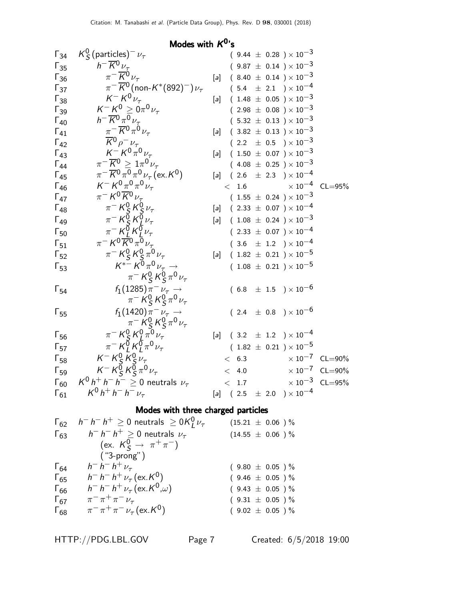|                                      | Modes with $K^0$ 's                                                                                                                                                |                   |       |  |                                                    |                         |
|--------------------------------------|--------------------------------------------------------------------------------------------------------------------------------------------------------------------|-------------------|-------|--|----------------------------------------------------|-------------------------|
| $\Gamma_{34}$                        | $K_S^0$ (particles) <sup>-</sup> $\nu_\tau$                                                                                                                        |                   |       |  | $(9.44 \pm 0.28) \times 10^{-3}$                   |                         |
| $\Gamma_{35}$                        | $h^{-} \overline{K}{}^{0} \nu_{\tau}$                                                                                                                              |                   |       |  | $(9.87 \pm 0.14) \times 10^{-3}$                   |                         |
| $\mathsf{\Gamma}_{36}$               | $\pi^{-} \overline{K}{}^{0} \nu_{\tau}$                                                                                                                            |                   |       |  | [a] $(8.40 \pm 0.14) \times 10^{-3}$               |                         |
| $\Gamma_{37}$                        | $\pi^{-} \overline{K}{}^{0}$ (non-K*(892) <sup>-</sup> ) $\nu_{\tau}$                                                                                              |                   |       |  | $(5.4 \pm 2.1) \times 10^{-4}$                     |                         |
| $\mathsf{F}_{38}$                    | $K^- K^0 \nu_\tau$                                                                                                                                                 |                   |       |  | [a] $(1.48 \pm 0.05) \times 10^{-3}$               |                         |
| $\Gamma_{39}$                        | $K^- K^0 \geq 0 \pi^0 \nu_\tau$                                                                                                                                    |                   |       |  | $(2.98 \pm 0.08) \times 10^{-3}$                   |                         |
| $\Gamma_{40}$                        | $h^{-} \overline{K}^{0} \pi^{0} \nu_{\tau}$                                                                                                                        |                   |       |  | $(5.32 \pm 0.13) \times 10^{-3}$                   |                         |
| $\Gamma_{41}$                        | $\pi^{-} \overline{K}^{0} \pi^0 \nu_{\tau}$                                                                                                                        | $\lceil a \rceil$ |       |  | $(3.82 \pm 0.13) \times 10^{-3}$                   |                         |
| $\Gamma_{42}$                        | $\frac{\overline{K}^0 \rho^- \nu_\tau}{K^- K^0 \pi^0 \nu_\tau}$                                                                                                    |                   |       |  | $(2.2 \pm 0.5) \times 10^{-3}$                     |                         |
| $\Gamma_{43}$                        |                                                                                                                                                                    |                   |       |  | $[a]$ (1.50 $\pm$ 0.07 ) $\times$ 10 <sup>-3</sup> |                         |
| $\Gamma_{44}$                        | $\pi^{-} \overline{K}{}^{0} \geq 1 \pi^{0} \nu_{\tau}$                                                                                                             |                   |       |  | $(4.08 \pm 0.25) \times 10^{-3}$                   |                         |
| $\Gamma_{45}$                        | $\pi^{-} \overline{K}^{0} \pi^{0} \pi^{0} \nu_{\tau}$ (ex. K <sup>0</sup> )                                                                                        |                   |       |  | [a] $(2.6 \pm 2.3) \times 10^{-4}$                 |                         |
| $\Gamma_{46}$                        | $K^- K^0 \pi^0 \pi^0 \nu_\tau$                                                                                                                                     |                   |       |  | $< 1.6$ $\times 10^{-4}$ CL=95%                    |                         |
| $\Gamma_{47}$                        | $\pi^- K^0 \overline{K}{}^0 \nu_\tau$                                                                                                                              |                   |       |  | $(1.55 \pm 0.24) \times 10^{-3}$                   |                         |
| $\Gamma_{48}$                        |                                                                                                                                                                    |                   |       |  | [a] $(2.33 \pm 0.07) \times 10^{-4}$               |                         |
| $\Gamma_{49}$                        | $\begin{array}{r}\n\pi^- K^0_S K^0_S \nu_\tau \\ \pi^- K^0_S K^0_L \nu_\tau \\ \pi^- K^0_L K^0_L \nu_\tau \\ \pi^- K^0 \overline{K}^0 \pi^0 \nu_\tau\n\end{array}$ |                   |       |  | [a] $(1.08 \pm 0.24) \times 10^{-3}$               |                         |
| $\mathsf{F}_{50}$                    |                                                                                                                                                                    |                   |       |  | $(2.33 \pm 0.07) \times 10^{-4}$                   |                         |
| $\mathsf{r}_{\mathsf{s} \mathsf{1}}$ |                                                                                                                                                                    |                   |       |  | $(3.6 \pm 1.2) \times 10^{-4}$                     |                         |
| $\Gamma_{52}$                        | $\begin{array}{c}\pi^-K^0_S K^0_S \pi^0 \nu_\tau\\ K^{*-} K^0 \pi^0 \nu_\tau\to\\ \end{array}$                                                                     |                   |       |  | [a] $(1.82 \pm 0.21) \times 10^{-5}$               |                         |
| $\mathsf{F}_{53}$                    |                                                                                                                                                                    |                   |       |  | $(1.08 \pm 0.21) \times 10^{-5}$                   |                         |
|                                      | $\pi^- K^0_S K^0_S \pi^0 \nu_\tau$                                                                                                                                 |                   |       |  |                                                    |                         |
| $\mathsf{F}_{54}$                    | $f_1(1285) \pi^- \nu_\tau \rightarrow \pi^- K_S^0 K_S^0 \pi^0 \nu_\tau$                                                                                            |                   |       |  | $(6.8 \pm 1.5) \times 10^{-6}$                     |                         |
|                                      |                                                                                                                                                                    |                   |       |  |                                                    |                         |
| $\Gamma_{55}$                        | $f_1(1420)\pi^- \nu_\tau \to$                                                                                                                                      |                   |       |  | $(2.4 \pm 0.8) \times 10^{-6}$                     |                         |
|                                      | $\pi^{-}\underset{\pi^{-}}{\kappa_{S}^{0}}\underset{\kappa_{L}^{0}}{\kappa_{S}^{0}}\underset{\kappa_{L}^{0}}{\kappa_{S}^{0}}\pi^{0}\nu_{\tau}$                     |                   |       |  |                                                    |                         |
| $\mathsf{F}_{56}$                    |                                                                                                                                                                    |                   |       |  | [a] $(3.2 \pm 1.2) \times 10^{-4}$                 |                         |
| $\Gamma_{57}$                        |                                                                                                                                                                    |                   |       |  | $(1.82 \pm 0.21)\times 10^{-5}$                    |                         |
| $\mathsf{F}_{58}$                    |                                                                                                                                                                    |                   | < 6.3 |  |                                                    | $\times 10^{-7}$ CL=90% |
| $\mathsf{F}_{59}$                    | $K^- K^0_S \overline{K^0_S} \overline{\nu_{\tau}}$<br>$K^- K^0_S K^0_S \pi^0 \nu_{\tau}$                                                                           |                   | < 4.0 |  |                                                    | $\times 10^{-7}$ CL=90% |
| $\mathsf{\Gamma}_{60}$               | $K^0 h^+ h^- h^- \geq 0$ neutrals $\nu_{\tau}$                                                                                                                     |                   | < 1.7 |  |                                                    | $\times 10^{-3}$ CL=95% |
| $\Gamma_{61}$                        | $K^0 h^+ h^- h^- \nu_\tau$                                                                                                                                         |                   |       |  | [a] $(2.5 \pm 2.0) \times 10^{-4}$                 |                         |
|                                      |                                                                                                                                                                    |                   |       |  |                                                    |                         |

## Modes with three charged particles

| $\Gamma_{62}$ | $h^- h^- h^+ \geq 0$ neutrals $\geq 0 K_l^0 \nu_\tau$      | $(15.21 \pm 0.06)$ %  |
|---------------|------------------------------------------------------------|-----------------------|
| $\Gamma_{63}$ | $h^- h^- h^+ \geq 0$ neutrals $\nu_\tau$                   | $(14.55 \pm 0.06) \%$ |
|               | (ex. $K_S^0 \to \pi^+ \pi^-$ )                             |                       |
|               | $("3-prong")$                                              |                       |
| $\Gamma_{64}$ | $h^- h^- h^+ \nu_\tau$                                     | $(9.80 \pm 0.05)$ %   |
| $\Gamma_{65}$ | $h^- h^- h^+ \nu_\tau (\text{ex. } K^0)$                   | $(9.46 \pm 0.05) \%$  |
| $\Gamma_{66}$ | $h^- h^- h^+ \nu_\tau (\text{ex. } K^0,\omega)$            | $(9.43 \pm 0.05)$ %   |
| $\Gamma_{67}$ | $\pi^{-} \pi^{+} \pi^{-} \nu_{\tau}$                       | $(9.31 \pm 0.05) \%$  |
| $\Gamma_{68}$ | $\pi^{-} \pi^{+} \pi^{-} \nu_{\tau}$ (ex. K <sup>0</sup> ) | $(9.02 \pm 0.05) \%$  |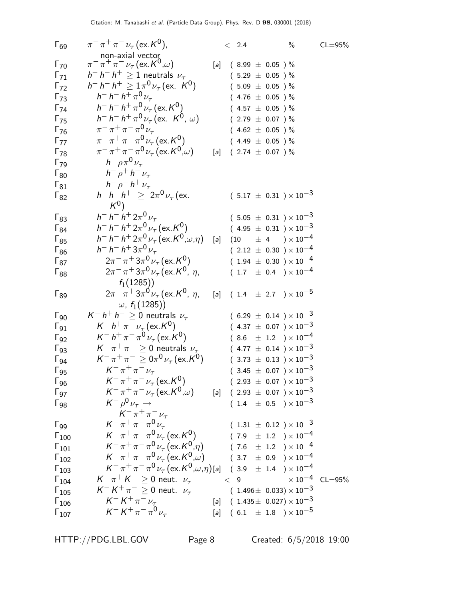| $\pi^{-} \pi^{+} \pi^{-} \nu_{\tau}$ (ex. $K^{0}$ , $\omega$ )<br>$\Gamma_{70}$<br>$(8.99 \pm 0.05)$ %<br>[a]<br>$h^- h^- h^+ \geq 1$ neutrals $\nu_\tau$<br>$\Gamma_{71}$<br>$(5.29 \pm 0.05)$ %<br>$h^- h^- h^+ \geq 1 \pi^0 \nu_\tau (\text{ex. } K^0)$<br>$\Gamma_{72}$<br>$(5.09 \pm 0.05)$ %<br>$h^- h^- h^+ \pi^0 \nu_\tau$<br>$\Gamma_{73}$<br>$(4.76 \pm 0.05)$ %<br>$h^- h^- h^+ \pi^0 \nu_\tau (\text{ex. K}^0)$<br>$(4.57 \pm 0.05)$ %<br>$\Gamma_{74}$<br>$h^- h^- h^+ \pi^0 \nu_\tau (\text{ex. } K^0, \omega)$<br>$\Gamma_{75}$<br>$(2.79 \pm 0.07)$ %<br>$\pi^{-} \pi^{+} \pi^{-} \pi^{0} \nu_{\tau}$<br>$\Gamma_{76}$<br>$(4.62 \pm 0.05)$ %<br>$\pi^{-} \pi^{+} \pi^{-} \pi^{0} \nu_{\tau}$ (ex. K <sup>0</sup> )<br>$\Gamma_{77}$<br>$(4.49 \pm 0.05)$ %<br>$\pi^{-} \pi^{+} \pi^{-} \pi^{0} \nu_{\tau}$ (ex. $K^{0}(\omega)$ )<br>$\Gamma_{78}$<br>$(2.74 \pm 0.07)$ %<br>[a]<br>$h^- \rho \pi^0 \nu_{\tau}$<br>$\Gamma_{79}$<br>$h^ \rho^+$ $h^ \nu_{\tau}$<br>$\Gamma_{80}$<br>$h^ \rho^ h^+$ $\nu_{\tau}$<br>$\Gamma_{81}$<br>$h^- h^- h^+ \geq 2\pi^0 \nu_\tau$ (ex.<br>$(5.17 \pm 0.31) \times 10^{-3}$<br>$\Gamma_{82}$<br>$K^0$<br>$h^- h^- h^+ 2\pi^0 \nu_\tau$<br>$(5.05 \pm 0.31) \times 10^{-3}$<br>$\Gamma_{83}$<br>$h^- h^- h^+ 2\pi^0 \nu_\tau (\text{ex. K}^0)$<br>$(4.95 \pm 0.31) \times 10^{-3}$<br>$\Gamma_{84}$<br>$h^- h^- h^+ 2\pi^0 \nu_\tau (\text{ex.} K^0, \omega, \eta)$<br>$(10 \t\pm 4 \t)\times 10^{-4}$<br>$\Gamma_{85}$<br>[a]<br>$h^- h^- h^+ 3\pi^0 \nu_\tau$<br>$(2.12 \pm 0.30) \times 10^{-4}$<br>$\Gamma_{86}$<br>$2\pi^{-} \pi^{+} 3\pi^{0} \nu_{\tau}$ (ex. K <sup>0</sup> )<br>$(1.94 \pm 0.30) \times 10^{-4}$<br>$\Gamma_{87}$<br>$2\pi^{-} \pi^{+} 3\pi^{0} \nu_{\tau}$ (ex. K <sup>0</sup> , $\eta$ ,<br>$(1.7 \pm 0.4) \times 10^{-4}$<br>$\Gamma_{88}$<br>$f_1(1285)$<br>$2\pi^{-} \pi^{+} 3\pi^{0} \nu_{\tau}$ (ex. K <sup>0</sup> , $\eta$ ,<br>[a] $(1.4 \pm 2.7) \times 10^{-5}$<br>$\Gamma_{89}$<br>$\omega$ , $f_1(1285)$<br>$K^- h^+ h^- \geq 0$ neutrals $\nu_{\tau}$<br>$(6.29 \pm 0.14) \times 10^{-3}$<br>$\Gamma_{90}$<br>$K^- h^+ \pi^- \nu_\tau (\text{ex. } K^0)$<br>$(4.37 \pm 0.07) \times 10^{-3}$<br>$\Gamma_{91}$<br>$K^- h^+ \pi^- \pi^0 \nu_\tau (\text{ex.} K^0)$<br>$(8.6 \pm 1.2) \times 10^{-4}$<br>$\Gamma_{92}$<br>$K^-\pi^+\pi^- \geq 0$ neutrals $\nu_{\tau}$<br>$(4.77 \pm 0.14) \times 10^{-3}$<br>$\Gamma_{93}$<br>$K^-\pi^+\pi^- \ge 0\pi^0\nu_\tau$ (ex. K <sup>0</sup> )<br>$(3.73 \pm 0.13) \times 10^{-3}$<br>$\Gamma_{94}$<br>$K^{-} \pi^{+} \pi^{-} \nu_{\tau}$<br>$(3.45 \pm 0.07) \times 10^{-3}$<br>$\Gamma_{95}$<br>$K^-\pi^+\pi^-\nu_{\tau}$ (ex. $K^0$ )<br>$(2.93 \pm 0.07) \times 10^{-3}$<br>$\Gamma_{96}$<br>$K^{-} \pi^{+} \pi^{-} \nu_{\tau} (\text{ex.} K^{0}, \omega)$<br>$[a]$ ( 2.93 $\pm$ 0.07 ) $\times$ 10 <sup>-3</sup><br>$\Gamma_{97}$<br>$K^- \rho^0 \nu_\tau \rightarrow$<br>$(1.4 \pm 0.5) \times 10^{-3}$<br>$\Gamma_{98}$<br>$K^{-} \pi^{+} \pi^{-} \nu_{\tau}$<br>$K^-\pi^+\pi^-\pi^0\nu_{\tau}$<br>$(1.31 \pm 0.12) \times 10^{-3}$<br>$\Gamma_{99}$<br>$K^-\pi^+\pi^-\pi^0\nu_\tau$ (ex. K <sup>0</sup> )<br>$(7.9 \pm 1.2) \times 10^{-4}$<br>$\Gamma_{100}$<br>$K^-\pi^+\pi^-\pi^0\nu_{\tau}$ (ex. $K^0,\eta$ )<br>$(7.6 \pm 1.2) \times 10^{-4}$<br>$\Gamma_{101}$<br>$K^-\pi^+\pi^-\pi^0\nu_{\tau}$ (ex. $K^0,\omega$ )<br>$(\phantom{-}3.7\phantom{0}\pm\phantom{0}0.9\phantom{0})\times10^{-4}$<br>$\Gamma_{102}$<br>$K^-\pi^+\pi^-\pi^0\nu_\tau$ (ex. $K^0,\omega,\eta$ )[a] (3.9 ± 1.4 ) × 10 <sup>-4</sup><br>$\Gamma_{103}$<br>$K^-\pi^+K^- \geq 0$ neut. $\nu_{\tau}$<br>$\times 10^{-4}$ CL=95%<br>< 9<br>$\Gamma_{104}$<br>$K^- K^+ \pi^- \geq 0$ neut. $\nu_\tau$<br>$(\ \ 1.496 \pm \ \ 0.033) \times 10^{-3}$<br>$\Gamma_{105}$<br>$K^- K^+ \pi^- \nu_\tau$<br>[a] $(1.435 \pm 0.027) \times 10^{-3}$<br>$\Gamma_{106}$<br>$K^- K^+ \pi^- \pi^0 \nu_{\tau}$<br>[a] $(6.1 \pm 1.8) \times 10^{-5}$ | $\Gamma_{69}$  | $\pi^{-} \pi^{+} \pi^{-} \nu_{\tau}$ (ex. K <sup>0</sup> ), | < 2.4 | $\%$ | $CL = 95%$ |
|------------------------------------------------------------------------------------------------------------------------------------------------------------------------------------------------------------------------------------------------------------------------------------------------------------------------------------------------------------------------------------------------------------------------------------------------------------------------------------------------------------------------------------------------------------------------------------------------------------------------------------------------------------------------------------------------------------------------------------------------------------------------------------------------------------------------------------------------------------------------------------------------------------------------------------------------------------------------------------------------------------------------------------------------------------------------------------------------------------------------------------------------------------------------------------------------------------------------------------------------------------------------------------------------------------------------------------------------------------------------------------------------------------------------------------------------------------------------------------------------------------------------------------------------------------------------------------------------------------------------------------------------------------------------------------------------------------------------------------------------------------------------------------------------------------------------------------------------------------------------------------------------------------------------------------------------------------------------------------------------------------------------------------------------------------------------------------------------------------------------------------------------------------------------------------------------------------------------------------------------------------------------------------------------------------------------------------------------------------------------------------------------------------------------------------------------------------------------------------------------------------------------------------------------------------------------------------------------------------------------------------------------------------------------------------------------------------------------------------------------------------------------------------------------------------------------------------------------------------------------------------------------------------------------------------------------------------------------------------------------------------------------------------------------------------------------------------------------------------------------------------------------------------------------------------------------------------------------------------------------------------------------------------------------------------------------------------------------------------------------------------------------------------------------------------------------------------------------------------------------------------------------------------------------------------------------------------------------------------------------------------------------------------------------------------------------------------------------------------------------------------------------------------------------------------------------------------------------------------------------------------------------------------------------------------------------------------|----------------|-------------------------------------------------------------|-------|------|------------|
|                                                                                                                                                                                                                                                                                                                                                                                                                                                                                                                                                                                                                                                                                                                                                                                                                                                                                                                                                                                                                                                                                                                                                                                                                                                                                                                                                                                                                                                                                                                                                                                                                                                                                                                                                                                                                                                                                                                                                                                                                                                                                                                                                                                                                                                                                                                                                                                                                                                                                                                                                                                                                                                                                                                                                                                                                                                                                                                                                                                                                                                                                                                                                                                                                                                                                                                                                                                                                                                                                                                                                                                                                                                                                                                                                                                                                                                                                                                                                            |                | non-axial vector                                            |       |      |            |
|                                                                                                                                                                                                                                                                                                                                                                                                                                                                                                                                                                                                                                                                                                                                                                                                                                                                                                                                                                                                                                                                                                                                                                                                                                                                                                                                                                                                                                                                                                                                                                                                                                                                                                                                                                                                                                                                                                                                                                                                                                                                                                                                                                                                                                                                                                                                                                                                                                                                                                                                                                                                                                                                                                                                                                                                                                                                                                                                                                                                                                                                                                                                                                                                                                                                                                                                                                                                                                                                                                                                                                                                                                                                                                                                                                                                                                                                                                                                                            |                |                                                             |       |      |            |
|                                                                                                                                                                                                                                                                                                                                                                                                                                                                                                                                                                                                                                                                                                                                                                                                                                                                                                                                                                                                                                                                                                                                                                                                                                                                                                                                                                                                                                                                                                                                                                                                                                                                                                                                                                                                                                                                                                                                                                                                                                                                                                                                                                                                                                                                                                                                                                                                                                                                                                                                                                                                                                                                                                                                                                                                                                                                                                                                                                                                                                                                                                                                                                                                                                                                                                                                                                                                                                                                                                                                                                                                                                                                                                                                                                                                                                                                                                                                                            |                |                                                             |       |      |            |
|                                                                                                                                                                                                                                                                                                                                                                                                                                                                                                                                                                                                                                                                                                                                                                                                                                                                                                                                                                                                                                                                                                                                                                                                                                                                                                                                                                                                                                                                                                                                                                                                                                                                                                                                                                                                                                                                                                                                                                                                                                                                                                                                                                                                                                                                                                                                                                                                                                                                                                                                                                                                                                                                                                                                                                                                                                                                                                                                                                                                                                                                                                                                                                                                                                                                                                                                                                                                                                                                                                                                                                                                                                                                                                                                                                                                                                                                                                                                                            |                |                                                             |       |      |            |
|                                                                                                                                                                                                                                                                                                                                                                                                                                                                                                                                                                                                                                                                                                                                                                                                                                                                                                                                                                                                                                                                                                                                                                                                                                                                                                                                                                                                                                                                                                                                                                                                                                                                                                                                                                                                                                                                                                                                                                                                                                                                                                                                                                                                                                                                                                                                                                                                                                                                                                                                                                                                                                                                                                                                                                                                                                                                                                                                                                                                                                                                                                                                                                                                                                                                                                                                                                                                                                                                                                                                                                                                                                                                                                                                                                                                                                                                                                                                                            |                |                                                             |       |      |            |
|                                                                                                                                                                                                                                                                                                                                                                                                                                                                                                                                                                                                                                                                                                                                                                                                                                                                                                                                                                                                                                                                                                                                                                                                                                                                                                                                                                                                                                                                                                                                                                                                                                                                                                                                                                                                                                                                                                                                                                                                                                                                                                                                                                                                                                                                                                                                                                                                                                                                                                                                                                                                                                                                                                                                                                                                                                                                                                                                                                                                                                                                                                                                                                                                                                                                                                                                                                                                                                                                                                                                                                                                                                                                                                                                                                                                                                                                                                                                                            |                |                                                             |       |      |            |
|                                                                                                                                                                                                                                                                                                                                                                                                                                                                                                                                                                                                                                                                                                                                                                                                                                                                                                                                                                                                                                                                                                                                                                                                                                                                                                                                                                                                                                                                                                                                                                                                                                                                                                                                                                                                                                                                                                                                                                                                                                                                                                                                                                                                                                                                                                                                                                                                                                                                                                                                                                                                                                                                                                                                                                                                                                                                                                                                                                                                                                                                                                                                                                                                                                                                                                                                                                                                                                                                                                                                                                                                                                                                                                                                                                                                                                                                                                                                                            |                |                                                             |       |      |            |
|                                                                                                                                                                                                                                                                                                                                                                                                                                                                                                                                                                                                                                                                                                                                                                                                                                                                                                                                                                                                                                                                                                                                                                                                                                                                                                                                                                                                                                                                                                                                                                                                                                                                                                                                                                                                                                                                                                                                                                                                                                                                                                                                                                                                                                                                                                                                                                                                                                                                                                                                                                                                                                                                                                                                                                                                                                                                                                                                                                                                                                                                                                                                                                                                                                                                                                                                                                                                                                                                                                                                                                                                                                                                                                                                                                                                                                                                                                                                                            |                |                                                             |       |      |            |
|                                                                                                                                                                                                                                                                                                                                                                                                                                                                                                                                                                                                                                                                                                                                                                                                                                                                                                                                                                                                                                                                                                                                                                                                                                                                                                                                                                                                                                                                                                                                                                                                                                                                                                                                                                                                                                                                                                                                                                                                                                                                                                                                                                                                                                                                                                                                                                                                                                                                                                                                                                                                                                                                                                                                                                                                                                                                                                                                                                                                                                                                                                                                                                                                                                                                                                                                                                                                                                                                                                                                                                                                                                                                                                                                                                                                                                                                                                                                                            |                |                                                             |       |      |            |
|                                                                                                                                                                                                                                                                                                                                                                                                                                                                                                                                                                                                                                                                                                                                                                                                                                                                                                                                                                                                                                                                                                                                                                                                                                                                                                                                                                                                                                                                                                                                                                                                                                                                                                                                                                                                                                                                                                                                                                                                                                                                                                                                                                                                                                                                                                                                                                                                                                                                                                                                                                                                                                                                                                                                                                                                                                                                                                                                                                                                                                                                                                                                                                                                                                                                                                                                                                                                                                                                                                                                                                                                                                                                                                                                                                                                                                                                                                                                                            |                |                                                             |       |      |            |
|                                                                                                                                                                                                                                                                                                                                                                                                                                                                                                                                                                                                                                                                                                                                                                                                                                                                                                                                                                                                                                                                                                                                                                                                                                                                                                                                                                                                                                                                                                                                                                                                                                                                                                                                                                                                                                                                                                                                                                                                                                                                                                                                                                                                                                                                                                                                                                                                                                                                                                                                                                                                                                                                                                                                                                                                                                                                                                                                                                                                                                                                                                                                                                                                                                                                                                                                                                                                                                                                                                                                                                                                                                                                                                                                                                                                                                                                                                                                                            |                |                                                             |       |      |            |
|                                                                                                                                                                                                                                                                                                                                                                                                                                                                                                                                                                                                                                                                                                                                                                                                                                                                                                                                                                                                                                                                                                                                                                                                                                                                                                                                                                                                                                                                                                                                                                                                                                                                                                                                                                                                                                                                                                                                                                                                                                                                                                                                                                                                                                                                                                                                                                                                                                                                                                                                                                                                                                                                                                                                                                                                                                                                                                                                                                                                                                                                                                                                                                                                                                                                                                                                                                                                                                                                                                                                                                                                                                                                                                                                                                                                                                                                                                                                                            |                |                                                             |       |      |            |
|                                                                                                                                                                                                                                                                                                                                                                                                                                                                                                                                                                                                                                                                                                                                                                                                                                                                                                                                                                                                                                                                                                                                                                                                                                                                                                                                                                                                                                                                                                                                                                                                                                                                                                                                                                                                                                                                                                                                                                                                                                                                                                                                                                                                                                                                                                                                                                                                                                                                                                                                                                                                                                                                                                                                                                                                                                                                                                                                                                                                                                                                                                                                                                                                                                                                                                                                                                                                                                                                                                                                                                                                                                                                                                                                                                                                                                                                                                                                                            |                |                                                             |       |      |            |
|                                                                                                                                                                                                                                                                                                                                                                                                                                                                                                                                                                                                                                                                                                                                                                                                                                                                                                                                                                                                                                                                                                                                                                                                                                                                                                                                                                                                                                                                                                                                                                                                                                                                                                                                                                                                                                                                                                                                                                                                                                                                                                                                                                                                                                                                                                                                                                                                                                                                                                                                                                                                                                                                                                                                                                                                                                                                                                                                                                                                                                                                                                                                                                                                                                                                                                                                                                                                                                                                                                                                                                                                                                                                                                                                                                                                                                                                                                                                                            |                |                                                             |       |      |            |
|                                                                                                                                                                                                                                                                                                                                                                                                                                                                                                                                                                                                                                                                                                                                                                                                                                                                                                                                                                                                                                                                                                                                                                                                                                                                                                                                                                                                                                                                                                                                                                                                                                                                                                                                                                                                                                                                                                                                                                                                                                                                                                                                                                                                                                                                                                                                                                                                                                                                                                                                                                                                                                                                                                                                                                                                                                                                                                                                                                                                                                                                                                                                                                                                                                                                                                                                                                                                                                                                                                                                                                                                                                                                                                                                                                                                                                                                                                                                                            |                |                                                             |       |      |            |
|                                                                                                                                                                                                                                                                                                                                                                                                                                                                                                                                                                                                                                                                                                                                                                                                                                                                                                                                                                                                                                                                                                                                                                                                                                                                                                                                                                                                                                                                                                                                                                                                                                                                                                                                                                                                                                                                                                                                                                                                                                                                                                                                                                                                                                                                                                                                                                                                                                                                                                                                                                                                                                                                                                                                                                                                                                                                                                                                                                                                                                                                                                                                                                                                                                                                                                                                                                                                                                                                                                                                                                                                                                                                                                                                                                                                                                                                                                                                                            |                |                                                             |       |      |            |
|                                                                                                                                                                                                                                                                                                                                                                                                                                                                                                                                                                                                                                                                                                                                                                                                                                                                                                                                                                                                                                                                                                                                                                                                                                                                                                                                                                                                                                                                                                                                                                                                                                                                                                                                                                                                                                                                                                                                                                                                                                                                                                                                                                                                                                                                                                                                                                                                                                                                                                                                                                                                                                                                                                                                                                                                                                                                                                                                                                                                                                                                                                                                                                                                                                                                                                                                                                                                                                                                                                                                                                                                                                                                                                                                                                                                                                                                                                                                                            |                |                                                             |       |      |            |
|                                                                                                                                                                                                                                                                                                                                                                                                                                                                                                                                                                                                                                                                                                                                                                                                                                                                                                                                                                                                                                                                                                                                                                                                                                                                                                                                                                                                                                                                                                                                                                                                                                                                                                                                                                                                                                                                                                                                                                                                                                                                                                                                                                                                                                                                                                                                                                                                                                                                                                                                                                                                                                                                                                                                                                                                                                                                                                                                                                                                                                                                                                                                                                                                                                                                                                                                                                                                                                                                                                                                                                                                                                                                                                                                                                                                                                                                                                                                                            |                |                                                             |       |      |            |
|                                                                                                                                                                                                                                                                                                                                                                                                                                                                                                                                                                                                                                                                                                                                                                                                                                                                                                                                                                                                                                                                                                                                                                                                                                                                                                                                                                                                                                                                                                                                                                                                                                                                                                                                                                                                                                                                                                                                                                                                                                                                                                                                                                                                                                                                                                                                                                                                                                                                                                                                                                                                                                                                                                                                                                                                                                                                                                                                                                                                                                                                                                                                                                                                                                                                                                                                                                                                                                                                                                                                                                                                                                                                                                                                                                                                                                                                                                                                                            |                |                                                             |       |      |            |
|                                                                                                                                                                                                                                                                                                                                                                                                                                                                                                                                                                                                                                                                                                                                                                                                                                                                                                                                                                                                                                                                                                                                                                                                                                                                                                                                                                                                                                                                                                                                                                                                                                                                                                                                                                                                                                                                                                                                                                                                                                                                                                                                                                                                                                                                                                                                                                                                                                                                                                                                                                                                                                                                                                                                                                                                                                                                                                                                                                                                                                                                                                                                                                                                                                                                                                                                                                                                                                                                                                                                                                                                                                                                                                                                                                                                                                                                                                                                                            |                |                                                             |       |      |            |
|                                                                                                                                                                                                                                                                                                                                                                                                                                                                                                                                                                                                                                                                                                                                                                                                                                                                                                                                                                                                                                                                                                                                                                                                                                                                                                                                                                                                                                                                                                                                                                                                                                                                                                                                                                                                                                                                                                                                                                                                                                                                                                                                                                                                                                                                                                                                                                                                                                                                                                                                                                                                                                                                                                                                                                                                                                                                                                                                                                                                                                                                                                                                                                                                                                                                                                                                                                                                                                                                                                                                                                                                                                                                                                                                                                                                                                                                                                                                                            |                |                                                             |       |      |            |
|                                                                                                                                                                                                                                                                                                                                                                                                                                                                                                                                                                                                                                                                                                                                                                                                                                                                                                                                                                                                                                                                                                                                                                                                                                                                                                                                                                                                                                                                                                                                                                                                                                                                                                                                                                                                                                                                                                                                                                                                                                                                                                                                                                                                                                                                                                                                                                                                                                                                                                                                                                                                                                                                                                                                                                                                                                                                                                                                                                                                                                                                                                                                                                                                                                                                                                                                                                                                                                                                                                                                                                                                                                                                                                                                                                                                                                                                                                                                                            |                |                                                             |       |      |            |
|                                                                                                                                                                                                                                                                                                                                                                                                                                                                                                                                                                                                                                                                                                                                                                                                                                                                                                                                                                                                                                                                                                                                                                                                                                                                                                                                                                                                                                                                                                                                                                                                                                                                                                                                                                                                                                                                                                                                                                                                                                                                                                                                                                                                                                                                                                                                                                                                                                                                                                                                                                                                                                                                                                                                                                                                                                                                                                                                                                                                                                                                                                                                                                                                                                                                                                                                                                                                                                                                                                                                                                                                                                                                                                                                                                                                                                                                                                                                                            |                |                                                             |       |      |            |
|                                                                                                                                                                                                                                                                                                                                                                                                                                                                                                                                                                                                                                                                                                                                                                                                                                                                                                                                                                                                                                                                                                                                                                                                                                                                                                                                                                                                                                                                                                                                                                                                                                                                                                                                                                                                                                                                                                                                                                                                                                                                                                                                                                                                                                                                                                                                                                                                                                                                                                                                                                                                                                                                                                                                                                                                                                                                                                                                                                                                                                                                                                                                                                                                                                                                                                                                                                                                                                                                                                                                                                                                                                                                                                                                                                                                                                                                                                                                                            |                |                                                             |       |      |            |
|                                                                                                                                                                                                                                                                                                                                                                                                                                                                                                                                                                                                                                                                                                                                                                                                                                                                                                                                                                                                                                                                                                                                                                                                                                                                                                                                                                                                                                                                                                                                                                                                                                                                                                                                                                                                                                                                                                                                                                                                                                                                                                                                                                                                                                                                                                                                                                                                                                                                                                                                                                                                                                                                                                                                                                                                                                                                                                                                                                                                                                                                                                                                                                                                                                                                                                                                                                                                                                                                                                                                                                                                                                                                                                                                                                                                                                                                                                                                                            |                |                                                             |       |      |            |
|                                                                                                                                                                                                                                                                                                                                                                                                                                                                                                                                                                                                                                                                                                                                                                                                                                                                                                                                                                                                                                                                                                                                                                                                                                                                                                                                                                                                                                                                                                                                                                                                                                                                                                                                                                                                                                                                                                                                                                                                                                                                                                                                                                                                                                                                                                                                                                                                                                                                                                                                                                                                                                                                                                                                                                                                                                                                                                                                                                                                                                                                                                                                                                                                                                                                                                                                                                                                                                                                                                                                                                                                                                                                                                                                                                                                                                                                                                                                                            |                |                                                             |       |      |            |
|                                                                                                                                                                                                                                                                                                                                                                                                                                                                                                                                                                                                                                                                                                                                                                                                                                                                                                                                                                                                                                                                                                                                                                                                                                                                                                                                                                                                                                                                                                                                                                                                                                                                                                                                                                                                                                                                                                                                                                                                                                                                                                                                                                                                                                                                                                                                                                                                                                                                                                                                                                                                                                                                                                                                                                                                                                                                                                                                                                                                                                                                                                                                                                                                                                                                                                                                                                                                                                                                                                                                                                                                                                                                                                                                                                                                                                                                                                                                                            |                |                                                             |       |      |            |
|                                                                                                                                                                                                                                                                                                                                                                                                                                                                                                                                                                                                                                                                                                                                                                                                                                                                                                                                                                                                                                                                                                                                                                                                                                                                                                                                                                                                                                                                                                                                                                                                                                                                                                                                                                                                                                                                                                                                                                                                                                                                                                                                                                                                                                                                                                                                                                                                                                                                                                                                                                                                                                                                                                                                                                                                                                                                                                                                                                                                                                                                                                                                                                                                                                                                                                                                                                                                                                                                                                                                                                                                                                                                                                                                                                                                                                                                                                                                                            |                |                                                             |       |      |            |
|                                                                                                                                                                                                                                                                                                                                                                                                                                                                                                                                                                                                                                                                                                                                                                                                                                                                                                                                                                                                                                                                                                                                                                                                                                                                                                                                                                                                                                                                                                                                                                                                                                                                                                                                                                                                                                                                                                                                                                                                                                                                                                                                                                                                                                                                                                                                                                                                                                                                                                                                                                                                                                                                                                                                                                                                                                                                                                                                                                                                                                                                                                                                                                                                                                                                                                                                                                                                                                                                                                                                                                                                                                                                                                                                                                                                                                                                                                                                                            |                |                                                             |       |      |            |
|                                                                                                                                                                                                                                                                                                                                                                                                                                                                                                                                                                                                                                                                                                                                                                                                                                                                                                                                                                                                                                                                                                                                                                                                                                                                                                                                                                                                                                                                                                                                                                                                                                                                                                                                                                                                                                                                                                                                                                                                                                                                                                                                                                                                                                                                                                                                                                                                                                                                                                                                                                                                                                                                                                                                                                                                                                                                                                                                                                                                                                                                                                                                                                                                                                                                                                                                                                                                                                                                                                                                                                                                                                                                                                                                                                                                                                                                                                                                                            |                |                                                             |       |      |            |
|                                                                                                                                                                                                                                                                                                                                                                                                                                                                                                                                                                                                                                                                                                                                                                                                                                                                                                                                                                                                                                                                                                                                                                                                                                                                                                                                                                                                                                                                                                                                                                                                                                                                                                                                                                                                                                                                                                                                                                                                                                                                                                                                                                                                                                                                                                                                                                                                                                                                                                                                                                                                                                                                                                                                                                                                                                                                                                                                                                                                                                                                                                                                                                                                                                                                                                                                                                                                                                                                                                                                                                                                                                                                                                                                                                                                                                                                                                                                                            |                |                                                             |       |      |            |
|                                                                                                                                                                                                                                                                                                                                                                                                                                                                                                                                                                                                                                                                                                                                                                                                                                                                                                                                                                                                                                                                                                                                                                                                                                                                                                                                                                                                                                                                                                                                                                                                                                                                                                                                                                                                                                                                                                                                                                                                                                                                                                                                                                                                                                                                                                                                                                                                                                                                                                                                                                                                                                                                                                                                                                                                                                                                                                                                                                                                                                                                                                                                                                                                                                                                                                                                                                                                                                                                                                                                                                                                                                                                                                                                                                                                                                                                                                                                                            |                |                                                             |       |      |            |
|                                                                                                                                                                                                                                                                                                                                                                                                                                                                                                                                                                                                                                                                                                                                                                                                                                                                                                                                                                                                                                                                                                                                                                                                                                                                                                                                                                                                                                                                                                                                                                                                                                                                                                                                                                                                                                                                                                                                                                                                                                                                                                                                                                                                                                                                                                                                                                                                                                                                                                                                                                                                                                                                                                                                                                                                                                                                                                                                                                                                                                                                                                                                                                                                                                                                                                                                                                                                                                                                                                                                                                                                                                                                                                                                                                                                                                                                                                                                                            |                |                                                             |       |      |            |
|                                                                                                                                                                                                                                                                                                                                                                                                                                                                                                                                                                                                                                                                                                                                                                                                                                                                                                                                                                                                                                                                                                                                                                                                                                                                                                                                                                                                                                                                                                                                                                                                                                                                                                                                                                                                                                                                                                                                                                                                                                                                                                                                                                                                                                                                                                                                                                                                                                                                                                                                                                                                                                                                                                                                                                                                                                                                                                                                                                                                                                                                                                                                                                                                                                                                                                                                                                                                                                                                                                                                                                                                                                                                                                                                                                                                                                                                                                                                                            |                |                                                             |       |      |            |
|                                                                                                                                                                                                                                                                                                                                                                                                                                                                                                                                                                                                                                                                                                                                                                                                                                                                                                                                                                                                                                                                                                                                                                                                                                                                                                                                                                                                                                                                                                                                                                                                                                                                                                                                                                                                                                                                                                                                                                                                                                                                                                                                                                                                                                                                                                                                                                                                                                                                                                                                                                                                                                                                                                                                                                                                                                                                                                                                                                                                                                                                                                                                                                                                                                                                                                                                                                                                                                                                                                                                                                                                                                                                                                                                                                                                                                                                                                                                                            |                |                                                             |       |      |            |
|                                                                                                                                                                                                                                                                                                                                                                                                                                                                                                                                                                                                                                                                                                                                                                                                                                                                                                                                                                                                                                                                                                                                                                                                                                                                                                                                                                                                                                                                                                                                                                                                                                                                                                                                                                                                                                                                                                                                                                                                                                                                                                                                                                                                                                                                                                                                                                                                                                                                                                                                                                                                                                                                                                                                                                                                                                                                                                                                                                                                                                                                                                                                                                                                                                                                                                                                                                                                                                                                                                                                                                                                                                                                                                                                                                                                                                                                                                                                                            |                |                                                             |       |      |            |
|                                                                                                                                                                                                                                                                                                                                                                                                                                                                                                                                                                                                                                                                                                                                                                                                                                                                                                                                                                                                                                                                                                                                                                                                                                                                                                                                                                                                                                                                                                                                                                                                                                                                                                                                                                                                                                                                                                                                                                                                                                                                                                                                                                                                                                                                                                                                                                                                                                                                                                                                                                                                                                                                                                                                                                                                                                                                                                                                                                                                                                                                                                                                                                                                                                                                                                                                                                                                                                                                                                                                                                                                                                                                                                                                                                                                                                                                                                                                                            |                |                                                             |       |      |            |
|                                                                                                                                                                                                                                                                                                                                                                                                                                                                                                                                                                                                                                                                                                                                                                                                                                                                                                                                                                                                                                                                                                                                                                                                                                                                                                                                                                                                                                                                                                                                                                                                                                                                                                                                                                                                                                                                                                                                                                                                                                                                                                                                                                                                                                                                                                                                                                                                                                                                                                                                                                                                                                                                                                                                                                                                                                                                                                                                                                                                                                                                                                                                                                                                                                                                                                                                                                                                                                                                                                                                                                                                                                                                                                                                                                                                                                                                                                                                                            |                |                                                             |       |      |            |
|                                                                                                                                                                                                                                                                                                                                                                                                                                                                                                                                                                                                                                                                                                                                                                                                                                                                                                                                                                                                                                                                                                                                                                                                                                                                                                                                                                                                                                                                                                                                                                                                                                                                                                                                                                                                                                                                                                                                                                                                                                                                                                                                                                                                                                                                                                                                                                                                                                                                                                                                                                                                                                                                                                                                                                                                                                                                                                                                                                                                                                                                                                                                                                                                                                                                                                                                                                                                                                                                                                                                                                                                                                                                                                                                                                                                                                                                                                                                                            |                |                                                             |       |      |            |
|                                                                                                                                                                                                                                                                                                                                                                                                                                                                                                                                                                                                                                                                                                                                                                                                                                                                                                                                                                                                                                                                                                                                                                                                                                                                                                                                                                                                                                                                                                                                                                                                                                                                                                                                                                                                                                                                                                                                                                                                                                                                                                                                                                                                                                                                                                                                                                                                                                                                                                                                                                                                                                                                                                                                                                                                                                                                                                                                                                                                                                                                                                                                                                                                                                                                                                                                                                                                                                                                                                                                                                                                                                                                                                                                                                                                                                                                                                                                                            |                |                                                             |       |      |            |
|                                                                                                                                                                                                                                                                                                                                                                                                                                                                                                                                                                                                                                                                                                                                                                                                                                                                                                                                                                                                                                                                                                                                                                                                                                                                                                                                                                                                                                                                                                                                                                                                                                                                                                                                                                                                                                                                                                                                                                                                                                                                                                                                                                                                                                                                                                                                                                                                                                                                                                                                                                                                                                                                                                                                                                                                                                                                                                                                                                                                                                                                                                                                                                                                                                                                                                                                                                                                                                                                                                                                                                                                                                                                                                                                                                                                                                                                                                                                                            |                |                                                             |       |      |            |
|                                                                                                                                                                                                                                                                                                                                                                                                                                                                                                                                                                                                                                                                                                                                                                                                                                                                                                                                                                                                                                                                                                                                                                                                                                                                                                                                                                                                                                                                                                                                                                                                                                                                                                                                                                                                                                                                                                                                                                                                                                                                                                                                                                                                                                                                                                                                                                                                                                                                                                                                                                                                                                                                                                                                                                                                                                                                                                                                                                                                                                                                                                                                                                                                                                                                                                                                                                                                                                                                                                                                                                                                                                                                                                                                                                                                                                                                                                                                                            |                |                                                             |       |      |            |
|                                                                                                                                                                                                                                                                                                                                                                                                                                                                                                                                                                                                                                                                                                                                                                                                                                                                                                                                                                                                                                                                                                                                                                                                                                                                                                                                                                                                                                                                                                                                                                                                                                                                                                                                                                                                                                                                                                                                                                                                                                                                                                                                                                                                                                                                                                                                                                                                                                                                                                                                                                                                                                                                                                                                                                                                                                                                                                                                                                                                                                                                                                                                                                                                                                                                                                                                                                                                                                                                                                                                                                                                                                                                                                                                                                                                                                                                                                                                                            |                |                                                             |       |      |            |
|                                                                                                                                                                                                                                                                                                                                                                                                                                                                                                                                                                                                                                                                                                                                                                                                                                                                                                                                                                                                                                                                                                                                                                                                                                                                                                                                                                                                                                                                                                                                                                                                                                                                                                                                                                                                                                                                                                                                                                                                                                                                                                                                                                                                                                                                                                                                                                                                                                                                                                                                                                                                                                                                                                                                                                                                                                                                                                                                                                                                                                                                                                                                                                                                                                                                                                                                                                                                                                                                                                                                                                                                                                                                                                                                                                                                                                                                                                                                                            | $\Gamma_{107}$ |                                                             |       |      |            |

HTTP://PDG.LBL.GOV Page 8 Created: 6/5/2018 19:00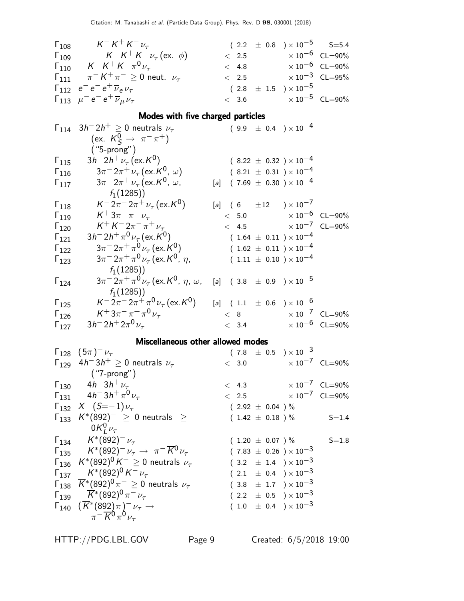| $\Gamma_{108}$ | $K^- K^+ K^- \nu_\tau$                                       |       | $(2.2 \pm 0.8) \times 10^{-5}$ S=5.4    |                                  |
|----------------|--------------------------------------------------------------|-------|-----------------------------------------|----------------------------------|
| $\Gamma_{109}$ | $K^- K^+ K^- \nu_\tau (\text{ex. } \phi)$                    | < 2.5 |                                         | $\times$ 10 $^{-6}$ CL=90%       |
| $\Gamma_{110}$ | $K^- K^+ K^- \pi^0 \nu_\tau$                                 | < 4.8 | $\times$ 10 $^{-6}$ $\,$ CL $=$ 90 $\%$ |                                  |
|                | $\Gamma_{111}$ $\pi^- K^+ \pi^- \geq 0$ neut. $\nu_\tau$     | < 2.5 |                                         | $\times$ 10 <sup>-3</sup> CL=95% |
|                | $\Gamma_{112}$ $e^{-}e^{-}e^{+}\overline{\nu}_{e}\nu_{\tau}$ |       | $(2.8\ \pm\ 1.5\ \ ) \times 10^{-5}$    |                                  |
|                | $\Gamma_{113}$ $\mu^- e^- e^+ \overline{\nu}_\mu \nu_\tau$   |       | $< 3.6$ $\times 10^{-5}$ CL=90%         |                                  |

# Modes with five charged particles

|                | $\Gamma_{114}$ $3h^-2h^+ \geq 0$ neutrals $\nu_{\tau}$                        | $(9.9 \pm 0.4) \times 10^{-4}$           |  |
|----------------|-------------------------------------------------------------------------------|------------------------------------------|--|
|                | (ex. $K^0$ $\rightarrow \pi^- \pi^+$ )                                        |                                          |  |
|                | $('5-prong")$                                                                 |                                          |  |
| $\Gamma_{115}$ | $3h^{-}2h^{+}\nu_{\tau}$ (ex. K <sup>0</sup> )                                | $(8.22 \pm 0.32) \times 10^{-4}$         |  |
| $\Gamma_{116}$ | $3\pi^{-}2\pi^{+}\nu_{\tau}$ (ex. $K^{0}$ , $\omega$ )                        | $(8.21 \pm 0.31) \times 10^{-4}$         |  |
| $\Gamma_{117}$ | $3\pi^{-}2\pi^{+}\nu_{\tau}$ (ex. K <sup>0</sup> , $\omega$ ,                 | $(7.69 \pm 0.30) \times 10^{-4}$<br>[a]  |  |
|                | $f_1(1285)$                                                                   |                                          |  |
| $\Gamma_{118}$ | $K^- 2\pi^- 2\pi^+ \nu_\tau (\text{ex. } K^0)$                                | [a] $(6 \pm 12) \times 10^{-7}$          |  |
| $\Gamma_{119}$ | $K^+ 3\pi^- \pi^+ \nu_\tau$                                                   | $< 5.0$ $\times 10^{-6}$ CL=90%          |  |
| $\Gamma_{120}$ | $K^+ K^- 2\pi^- \pi^+ \nu_\tau$                                               | $< 4.5$ $\times 10^{-7}$ CL=90%          |  |
| $\Gamma_{121}$ | $3h^{-} 2h^{+} \pi^{0} \nu_{\tau}$ (ex. K <sup>0</sup> )                      | $(1.64 \pm 0.11) \times 10^{-4}$         |  |
| $\Gamma_{122}$ | $3\pi^{-}2\pi^{+}\pi^{0}\nu_{\tau}$ (ex. K <sup>0</sup> )                     | $(1.62 \pm 0.11) \times 10^{-4}$         |  |
| $\Gamma_{123}$ | $3\pi^{-}2\pi^{+}\pi^{0}\nu_{\tau}$ (ex. K <sup>0</sup> , $\eta$ ,            | $(1.11 \pm 0.10) \times 10^{-4}$         |  |
|                | $f_1(1285)$                                                                   |                                          |  |
| $\Gamma_{124}$ | $3\pi^{-}2\pi^{+}\pi^{0}\nu_{\tau}$ (ex. K <sup>0</sup> , $\eta$ , $\omega$ , | [a] $(3.8 \pm 0.9) \times 10^{-5}$       |  |
|                | $f_1(1285)$                                                                   |                                          |  |
| $\Gamma_{125}$ | $K^- 2\pi^- 2\pi^+ \pi^0 \nu_\tau (\text{ex. } K^0)$                          | [a] $(1.1 \pm 0.6) \times 10^{-6}$       |  |
| $\Gamma_{126}$ | $K^+ 3\pi^- \pi^+ \pi^0 \nu_\tau$                                             | $\times 10^{-7}$ CL=90%<br>< 8           |  |
| $\Gamma_{127}$ | $3h^{-}2h^{+}2\pi^{0}\nu_{\tau}$                                              | $< 3.4 \times 10^{-6} \text{ CL} = 90\%$ |  |

# Miscellaneous other allowed modes

| $\Gamma_{128}$ $(5\pi)^{-1}$                                                                      | $(7.8 \pm 0.5) \times 10^{-3}$   |           |
|---------------------------------------------------------------------------------------------------|----------------------------------|-----------|
| $\Gamma_{129}$ 4h <sup>-</sup> 3h <sup>+</sup> $\geq$ 0 neutrals $\nu_{\tau}$                     | $< 3.0$ $\times 10^{-7}$ CL=90%  |           |
| $(''7-prong'')$                                                                                   |                                  |           |
| $\Gamma_{130}$ 4h <sup>-</sup> 3h <sup>+</sup> $\nu_{\tau}$                                       | $< 4.3 \times 10^{-7}$ CL=90%    |           |
| $\Gamma_{131}$ 4h <sup>-</sup> 3h <sup>+</sup> $\pi^{0}$ <sub>V<sup><math>\tau</math></sup></sub> | $< 2.5$ $\times 10^{-7}$ CL=90%  |           |
| $\Gamma_{132}$ $X^{-}$ $(S=-1)\nu_{\tau}$                                                         | $(2.92 \pm 0.04) \%$             |           |
| $\Gamma_{133}$ $K^*(892)^- \geq 0$ neutrals $\geq$                                                | $(1.42 \pm 0.18) \%$             | $S = 1.4$ |
| $0K_l^0\nu_\tau$                                                                                  |                                  |           |
| $\Gamma_{134}$ $K^*(892)^- \nu_{\tau}$                                                            | $(1.20 \pm 0.07) \%$             | $S = 1.8$ |
| $\Gamma_{135}$ $K^*(892)^- \nu_\tau \to \pi^- \overline{K^0} \nu_\tau$                            | $(7.83 \pm 0.26) \times 10^{-3}$ |           |
| $\Gamma_{136}$ $K^*(892)^0 K^- \geq 0$ neutrals $\nu_{\tau}$                                      | $(3.2 \pm 1.4) \times 10^{-3}$   |           |
| $\Gamma_{137}$ $K^*(892)^0 K^- \nu_\tau$                                                          | $(2.1 \pm 0.4) \times 10^{-3}$   |           |
| $\Gamma_{138}$ $\overline{K}$ *(892) <sup>0</sup> $\pi^- \geq 0$ neutrals $\nu_\tau$              | $(3.8 \pm 1.7) \times 10^{-3}$   |           |
| $\Gamma_{139}$ $\overline{K}$ *(892) <sup>0</sup> $\pi$ <sup>-</sup> $\nu_{\tau}$                 | $(2.2 \pm 0.5) \times 10^{-3}$   |           |
| $\Gamma_{140}$ $(\overline{K}^*(892)\pi)^{-1}\nu_{\tau} \rightarrow$                              | $(1.0 \pm 0.4) \times 10^{-3}$   |           |
| $\pi^{-} \overline{K}{}^{0} \pi^{0} \nu_{\tau}$                                                   |                                  |           |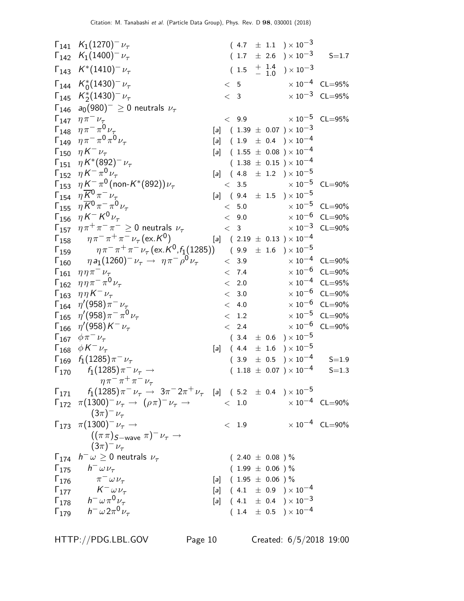$\Gamma_{141}$  K<sub>1</sub>(1270)<sup>-</sup>  $\nu_{\tau}$  $(4.7 \pm 1.1) \times 10^{-3}$  $\Gamma_{142}$  K<sub>1</sub>(1400)<sup>-</sup>  $\nu_{\tau}$  $(1.7 \pm 2.6) \times 10^{-3}$  S=1.7  $\Gamma_{143}$   $K^*(1410)^ \nu_{\tau}$  $(1.5 \tfrac{+1.4}{-1.0})$  $^+_{-}~^{1.4}_{1.0}~$   $)\times 10^{-3}$  $Γ_{144}$   $K_0^*$  $(1430)^- \nu_\tau$   $<$  5  $\times 10^{-4}$  CL=95%  $Γ_{145}$   $K_2^*$  $(1430)^{-}\nu_{\tau}$  < 3  $\times 10^{-3}$  CL=95%  $Γ<sub>146</sub> a<sub>0</sub>(980)<sup>-</sup> ≥ 0$  neutrals  $ν<sub>τ</sub>$  $<$  9.9  $\times 10^{-5}$  CL=95%  $\Gamma_{148}$   $\eta \pi^- \pi^0 \nu_\tau$  $[a]$  ( 1.39  $\pm$  0.07 )  $\times$  10<sup>-3</sup>  $Γ_{149}$   $ηπ<sup>-</sup> π<sup>0</sup>π<sup>0</sup>ν<sub>τ</sub>$  $[a]$  ( 1.9  $\pm$  0.4 ) × 10<sup>-4</sup>  $Γ_{150}$  η  $K^ \nu_{\tau}$  $[a]$  ( 1.55  $\pm$  0.08 ) × 10<sup>-4</sup>  $\Gamma_{151}$  η  $K^*(892)^ \nu_\tau$  $(\hskip.08in 1.38 \hskip.08in \pm \hskip.08in 0.15 \hskip.08in ) \times 10^{-4}$  $\Gamma_{152}$  η Κ<sup>-</sup> π<sup>0</sup>ν<sub>τ</sub>  $[a]$  ( 4.8  $\pm$  1.2 ) × 10<sup>-5</sup>  $\Gamma_{153}$   $η K^-_{27}π^0$  (non-K<sup>\*</sup>  $<$  3.5  $\times 10^{-5}$  CL=90%  $\Gamma_{154}$   $\eta \overline{K^0} \pi^- \nu_\tau$  $[a]$  ( 9.4  $\pm$  1.5 ) × 10<sup>-5</sup>  $\Gamma_{155}$   $\eta \overline{K^0} \pi^- \pi$  $< 5.0 \qquad \qquad \times 10^{-5} \quad {\sf CL}{=}90\% \nonumber \ < \; 9.0 \qquad \qquad \times 10^{-6} \quad {\sf CL}{=}90\%$  $Γ_{156}$  η $K^-K$  $< 9.0 \qquad \qquad \times 10^{-6} \quad {\sf CL}{=}90\% \nonumber \ < \ \ 3 \qquad \qquad \times 10^{-3} \quad {\sf CL}{=}90\%$  $\Gamma_{157}$   $\eta \pi^+ \pi^- \pi^- \ge 0$  neutrals  $\nu_{\tau}$   $\le 3$   $\times 10^{-3}$  CL=90%  $\mathsf{\Gamma}_{158}$   $\eta\pi^-\pi^+\pi^-\nu_\tau$  (ex.  $\mathsf{\kappa}^0$  $[a]$  ( 2.19  $\pm$  0.13 )  $\times$  10<sup>-4</sup>  $\Gamma_{159}$   $\eta \pi^- \pi^+ \pi^- \nu_\tau (\text{ex.} K^0, f_1(1285))$  (9.9  $\pm$  1.6 )  $\times$  10<sup>-5</sup>  $Γ_{160}$  η a<sub>1</sub>(1260)<sup>-</sup> ν<sub>τ</sub> → ηπ<sup>-</sup>ρ  $^{0}V_{\tau}$  < 3.9  $\times 10^{-4}$  CL=90%  $\Gamma_{161}$   $\eta \eta \pi^- \nu_{\tau}$   $\langle 7.4 \rangle$   $\times 10^{-6}$  CL=90%  $Γ_{162}$   $ηηπ<sup>-</sup>π<sup>0</sup>ν<sub>τ</sub>$  $^{0}V_{\tau}$   $\times$  2.0  $\times 10^{-4}$  CL=95%  $Γ_{163}$   $ηη$   $K^ \nu_\tau$  $-\nu_{\tau}$   $\times$  3.0  $\times 10^{-6}$  CL=90%  $\Gamma_{164}$  η'(958)π  $-\nu_{\tau}$   $\times$  4.0  $\times 10^{-6}$  CL=90%  $\Gamma_{165}$  η'(958) $\pi^{-} \pi^{0}$  $v_{\tau}$   $\times$  1.2  $\times$  10<sup>-5</sup> CL=90%  $\Gamma_{166}$  η $^{\prime}$ (958) $\kappa$  $-\nu_{\tau}$   $\times$  2.4  $\times 10^{-6}$  CL=90% Γ<sub>167</sub>  $\phi \pi^- \nu_\tau$  $(\phantom{-}3.4\phantom{0}\pm\phantom{0}0.6\phantom{0})\times 10^{-5}$  $\Gamma_{168}$   $\phi K^{-} \nu_{\tau}$  $[a]$  ( 4.4  $\pm$  1.6 ) × 10<sup>-5</sup>  $\Gamma_{169}$   $f_1(1285)\pi^ \nu_\tau$  $(\begin{array}{cc} 3.9 & \pm \end{array} \begin{array}{ll} \pm \end{array} \begin{array}{ll} 0.5 \end{array} )\times 10^{-4} \end{array} \begin{array}{ll} \text{S=1.9} \end{array}$  $\Gamma_{170}$   $f_1(1285) \pi^- \nu_\tau \to$  $\eta \pi^- \pi^+ \pi^- \nu_\tau$  $( \hspace{.1cm} 1.18 \hspace{.1cm} \pm \hspace{.1cm} 0.07 \hspace{.1cm} ) \times 10^{-4} \hspace{.6cm} \hspace{.6cm} S\hspace{-.1cm} = \hspace{-.1cm} 1.3$  $\Gamma_{171}$   $f_1(1285)\,\pi^-\,\nu_\tau\,\rightarrow\,3\pi^-\,2\pi^+\,\nu_\tau$  [a] (5.2  $\pm$  0.4 ) $\times\,10^{-5}$  $\Gamma_{172}$   $\pi(1300)^{-}\nu_{\tau} \rightarrow (\rho\pi)^{-}\nu_{\tau} \rightarrow$  < 1.0  $\times 10^{-4}$  CL=90%  $(3\pi)^-\nu_\tau$  $\Gamma_{173}$  π(1300)<sup>-</sup> ν<sub>τ</sub> →  $((\pi \pi)S$  – wave  $\pi)^{-} \nu_{\tau} \rightarrow$  $(3\pi)^-\nu_\tau$  $<$  1.9  $\times 10^{-4}$  CL=90%  $\mathsf{\Gamma}_{174}$   $h^-\omega\geq 0$  neutrals  $\nu_\tau$  $($  2.40  $\pm$  0.08  $)\,\%$  $\Gamma_{175}$   $h^- \omega \nu_{\tau}$  $(1.99 \pm 0.06)$ %  $\Gamma_{176}$   $\pi^{-} \omega \nu_{\tau}$  $[a]$  ( 1.95  $\pm$  0.06 ) %  $Γ_{177}$   $K^ \omega \nu_{\tau}$  $[a]$  ( 4.1  $\pm$  0.9 ) × 10<sup>-4</sup>  $\Gamma_{178}$   $h^-$  ωπ<sup>0</sup> ν<sub>τ</sub>  $[a]$  ( 4.1  $\pm$  0.4 )  $\times$  10<sup>-3</sup>  $\Gamma_{179}$   $h^-$  ω $2\pi^0$   $\nu_\tau$  $(1.4 \pm 0.5) \times 10^{-4}$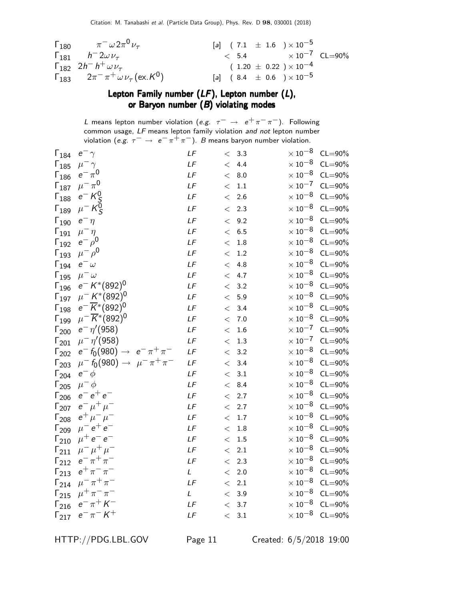| $\Gamma_{180}$ $\pi^{-} \omega 2 \pi^{0} \nu_{\tau}$                   | [a] $(7.1 \pm 1.6) \times 10^{-5}$       |  |
|------------------------------------------------------------------------|------------------------------------------|--|
| $\Gamma_{181}$ $h^- 2\omega \nu_\tau$                                  | $< 5.4 \times 10^{-7} \text{ CL} = 90\%$ |  |
| $\Gamma_{182}$ $2h^- h^+ \omega \nu_{\tau}$                            | $(1.20 \pm 0.22) \times 10^{-4}$         |  |
| $\Gamma_{183}$ $2\pi^{-} \pi^{+} \omega \nu_{\tau} (\text{ex. K}^{0})$ | [a] $(8.4 \pm 0.6) \times 10^{-5}$       |  |

# Lepton Family number (LF), Lepton number (L), or Baryon number  $(B)$  violating modes

L means lepton number violation (e.g.  $\tau^-\,\rightarrow\,\,e^+\pi^-\pi^-)$ . Following common usage, LF means lepton family violation and not lepton number violation (e.g.  $\tau^- \to e^- \pi^+ \pi^-$ ). B means baryon number violation.

| $e^ \gamma$                              | LF                                                                                                                                                                                                                                                                                                                                                    |                         | 3.3     | $\times$ $10^{-8}$                                                                         | $CL = 90\%$                                                                                                                                                                                                                                   |
|------------------------------------------|-------------------------------------------------------------------------------------------------------------------------------------------------------------------------------------------------------------------------------------------------------------------------------------------------------------------------------------------------------|-------------------------|---------|--------------------------------------------------------------------------------------------|-----------------------------------------------------------------------------------------------------------------------------------------------------------------------------------------------------------------------------------------------|
| $\mu^-\gamma$                            | LF                                                                                                                                                                                                                                                                                                                                                    |                         | 4.4     |                                                                                            | $CL = 90\%$                                                                                                                                                                                                                                   |
|                                          | LF                                                                                                                                                                                                                                                                                                                                                    |                         | 8.0     |                                                                                            | $CL = 90\%$                                                                                                                                                                                                                                   |
|                                          | $L\digamma$                                                                                                                                                                                                                                                                                                                                           | $\lt$                   | $1.1\,$ |                                                                                            | $CL = 90\%$                                                                                                                                                                                                                                   |
| $e^- K_S^0$                              | LF                                                                                                                                                                                                                                                                                                                                                    | $\lt$                   | 2.6     |                                                                                            | $CL = 90\%$                                                                                                                                                                                                                                   |
|                                          | LF                                                                                                                                                                                                                                                                                                                                                    | $\lt$                   | 2.3     | $\times\,10^{-8}$                                                                          | $CL = 90\%$                                                                                                                                                                                                                                   |
| $e^-\eta$                                | LF                                                                                                                                                                                                                                                                                                                                                    | $\lt$                   | 9.2     |                                                                                            | $CL = 90\%$                                                                                                                                                                                                                                   |
| $\mu^-\eta$                              | LF                                                                                                                                                                                                                                                                                                                                                    | $\lt$                   | 6.5     |                                                                                            | $CL = 90\%$                                                                                                                                                                                                                                   |
|                                          | LF                                                                                                                                                                                                                                                                                                                                                    | $\lt$                   | 1.8     |                                                                                            | $CL = 90\%$                                                                                                                                                                                                                                   |
|                                          | LF                                                                                                                                                                                                                                                                                                                                                    | $\lt$                   | 1.2     | $\times\,10^{-8}$                                                                          | $CL = 90\%$                                                                                                                                                                                                                                   |
| $e^ \omega$                              | LF                                                                                                                                                                                                                                                                                                                                                    |                         | 4.8     | $\times$ 10 $^{-8}$                                                                        | $CL = 90\%$                                                                                                                                                                                                                                   |
| $\mu^-\omega$                            | LF                                                                                                                                                                                                                                                                                                                                                    |                         | 4.7     | $\times$ 10 $^{-8}$                                                                        | $CL = 90\%$                                                                                                                                                                                                                                   |
| $e^- K^{*}(892)^{0}$                     | LF                                                                                                                                                                                                                                                                                                                                                    |                         | 3.2     | $\times$ 10 $^{-8}$                                                                        | $CL = 90\%$                                                                                                                                                                                                                                   |
|                                          | LF                                                                                                                                                                                                                                                                                                                                                    | $\lt$                   | 5.9     | $\times$ 10 $^{-8}$                                                                        | $CL = 90\%$                                                                                                                                                                                                                                   |
| $e^{-} \overline{K}$ *(892) <sup>0</sup> | LF                                                                                                                                                                                                                                                                                                                                                    | $\lt$                   | 3.4     | $\times\,10^{-8}$                                                                          | $CL = 90\%$                                                                                                                                                                                                                                   |
|                                          | LF                                                                                                                                                                                                                                                                                                                                                    | $\lt$                   | 7.0     | $\times\,10^{-8}$                                                                          | $CL = 90\%$                                                                                                                                                                                                                                   |
|                                          | LF                                                                                                                                                                                                                                                                                                                                                    | $\lt$                   | 1.6     | $\times\,10^{-7}$                                                                          | $CL = 90\%$                                                                                                                                                                                                                                   |
| $\mu^{-} \eta' (958)$                    | LF                                                                                                                                                                                                                                                                                                                                                    | $\lt$                   | 1.3     | $\times\,10^{-7}$                                                                          | $CL = 90\%$                                                                                                                                                                                                                                   |
|                                          | LF                                                                                                                                                                                                                                                                                                                                                    | $\lt$                   | 3.2     |                                                                                            | $CL = 90\%$                                                                                                                                                                                                                                   |
|                                          | LF                                                                                                                                                                                                                                                                                                                                                    | $\lt$                   | 3.4     | $\times\,10^{-8}$                                                                          | $CL = 90\%$                                                                                                                                                                                                                                   |
| $e^ \phi$                                | LF                                                                                                                                                                                                                                                                                                                                                    | $\overline{\mathbf{<}}$ | 3.1     | $\times$ 10 $^{-8}$                                                                        | $CL = 90\%$                                                                                                                                                                                                                                   |
| $\mu^- \phi$                             | LF                                                                                                                                                                                                                                                                                                                                                    | $\lt$                   | 8.4     | $\times$ 10 $^{-8}$                                                                        | $CL = 90\%$                                                                                                                                                                                                                                   |
| $e^-e^+e^-$                              | LF                                                                                                                                                                                                                                                                                                                                                    |                         | 2.7     | $\times$ 10 $^{-8}$                                                                        | $CL = 90\%$                                                                                                                                                                                                                                   |
|                                          | LF                                                                                                                                                                                                                                                                                                                                                    |                         | 2.7     | $\times$ 10 $^{-8}$                                                                        | $CL = 90\%$                                                                                                                                                                                                                                   |
|                                          | LF                                                                                                                                                                                                                                                                                                                                                    | $\lt$                   | $1.7\,$ |                                                                                            | $CL = 90\%$                                                                                                                                                                                                                                   |
| $\mu^{-} e^{+} e^{-}$                    | LF                                                                                                                                                                                                                                                                                                                                                    | $\lt$                   | $1.8\,$ |                                                                                            | $CL = 90\%$                                                                                                                                                                                                                                   |
| $\mu^+ e^- e^-$                          | LF                                                                                                                                                                                                                                                                                                                                                    | $\lt$                   | 1.5     | $\times\,10^{-8}$                                                                          | $CL = 90\%$                                                                                                                                                                                                                                   |
| $\mu^{-} \mu^{+} \mu^{-}$                | LF                                                                                                                                                                                                                                                                                                                                                    | $\lt$                   | $2.1\,$ | $\times$ 10 $^{-8}$                                                                        | $CL = 90\%$                                                                                                                                                                                                                                   |
| $e^- \pi^+ \pi^-$                        | LF                                                                                                                                                                                                                                                                                                                                                    | $\lt$                   | 2.3     | $\times\,10^{-8}$                                                                          | $CL = 90\%$                                                                                                                                                                                                                                   |
| $e^+ \pi^- \pi^-$                        | L                                                                                                                                                                                                                                                                                                                                                     | $\lt$                   | 2.0     | $\times$ 10 $^{-8}$                                                                        | $CL = 90\%$                                                                                                                                                                                                                                   |
| $\mu^{-} \pi^{+} \pi^{-}$                | LF                                                                                                                                                                                                                                                                                                                                                    | $\lt$                   | 2.1     |                                                                                            | $CL = 90\%$                                                                                                                                                                                                                                   |
| $\mu^+ \pi^- \pi^-$                      | L                                                                                                                                                                                                                                                                                                                                                     |                         | 3.9     | $\times\,10^{-8}$                                                                          | $CL = 90\%$                                                                                                                                                                                                                                   |
| $e^- \pi^+ K^-$                          | LF                                                                                                                                                                                                                                                                                                                                                    | $\lt$                   | 3.7     | $\times$ 10 $^{-8}$                                                                        | $CL = 90\%$                                                                                                                                                                                                                                   |
| $e^- \pi^- K^+$                          | LF                                                                                                                                                                                                                                                                                                                                                    |                         | 3.1     | $\times\,10^{-8}$                                                                          | $CL = 90\%$                                                                                                                                                                                                                                   |
|                                          | $e^{-\pi^{0}}$<br>$\mu^-\pi^0$<br>$\mu^- K^{\bar{0}}_S$<br>$e^ \rho^0$<br>$\mu^- \rho^0$<br>$\mu^- K^{*}(892)^{0}$<br>$\mu^{-}\overline{K}^{*}(892)^{0}$<br>$e^ \eta'$ (958)<br>$e^- f_0(980) \rightarrow e^- \pi^+ \pi^-$<br>$\mu^{-} \pi^{+} \pi^{-}$<br>$\mu^-$ f <sub>0</sub> (980) $\rightarrow$<br>$e^{-} \mu^{+} \mu^{-}$<br>$e^+ \mu^- \mu^-$ |                         |         | $\lt$<br>$\leq$<br>$\leq$<br>$\lt$<br>$\leq$<br>$\lt$<br>$\lt$<br>$\lt$<br>$\lt$<br>$\leq$ | $\times$ $10^{-8}$<br>$\times$ 10 $^{-8}$<br>$\times$ 10 $^{-7}$<br>$\times\,10^{-8}$<br>$\times$ 10 $^{-8}$<br>$\times$ $10^{-8}$<br>$\times\,10^{-8}$<br>$\times$ 10 $^{-8}$<br>$\times\,10^{-8}$<br>$\times\,10^{-8}$<br>$\times\,10^{-8}$ |

HTTP://PDG.LBL.GOV Page 11 Created: 6/5/2018 19:00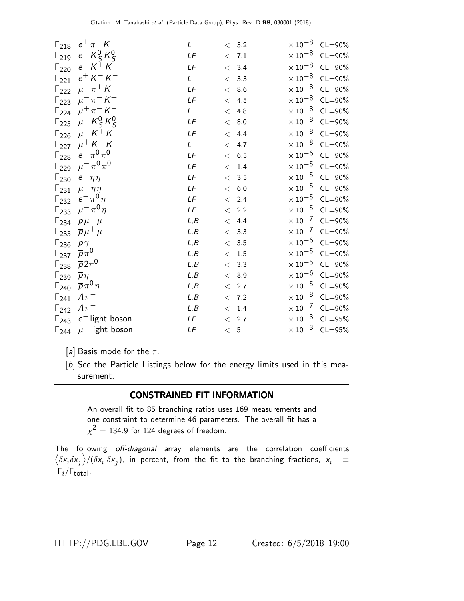| $\Gamma_{218}$          | $e^+\pi^-$ K $^-$                       | L            |           | < 3.2 | $\times$ 10 $^{-8}$ | $CL = 90\%$                      |
|-------------------------|-----------------------------------------|--------------|-----------|-------|---------------------|----------------------------------|
| $\mathsf{\Gamma}_{219}$ | $e^- K^0_S K^0_S$                       | LF           |           | < 7.1 | $\times$ 10 $^{-8}$ | $CL = 90\%$                      |
| $\Gamma_{220}$          | $e^- K^+ K^-$                           | LF           |           | < 3.4 | $\times$ 10 $^{-8}$ | $CL = 90\%$                      |
| $\mathsf{\Gamma}_{221}$ | $e^{+}$ K $^{-}$ K $^{-}$               | $\mathsf{L}$ |           | < 3.3 | $\times$ 10 $^{-8}$ | $CL = 90\%$                      |
| $\Gamma_{222}$          | $\mu^{-} \pi^{+} K^{-}$                 | LF           |           | < 8.6 | $\times$ 10 $^{-8}$ | $CL = 90\%$                      |
|                         | $\Gamma_{223}$ $\mu^- \pi^- K^+$        | LF           |           | < 4.5 | $\times$ 10 $^{-8}$ | $CL = 90\%$                      |
| $\Gamma_{224}$          | $\mu^{+} \pi^{-} K^{-}$                 | L            |           | < 4.8 | $\times$ 10 $^{-8}$ | $CL = 90\%$                      |
| $\Gamma_{225}$          | $\mu^- K^0_S K^0_S$                     | LF           |           | < 8.0 | $\times$ 10 $^{-8}$ | $CL = 90\%$                      |
|                         | $\Gamma_{226}$ $\mu^- K^+ K^-$          | LF           |           | < 4.4 | $\times$ 10 $^{-8}$ | $CL = 90\%$                      |
| $\Gamma_{227}$          | $\mu^{+}$ K <sup>-</sup> K <sup>-</sup> | L            |           | < 4.7 | $\times$ 10 $^{-8}$ | $CL = 90\%$                      |
| $\Gamma_{228}$          | $e^-\pi^0\pi^0$                         | LF           |           | < 6.5 | $\times$ 10 $^{-6}$ | $CL = 90\%$                      |
| $\Gamma_{229}$          | $\mu^{-} \pi^{0} \pi^{0}$               | LF           |           | < 1.4 | $\times$ 10 $^{-5}$ | $CL = 90\%$                      |
| $\Gamma_{230}$          | $e^-\eta\eta$                           | LF           |           | < 3.5 | $\times$ 10 $^{-5}$ | $CL = 90\%$                      |
| $\Gamma_{231}$          | $\mu^-\eta\eta$                         | LF           |           | < 6.0 | $\times$ 10 $^{-5}$ | $CL = 90\%$                      |
| $\Gamma_{232}$          | $e^-\pi^0\eta$                          | LF           |           | < 2.4 | $\times$ 10 $^{-5}$ | $CL = 90\%$                      |
| $\Gamma_{233}$          | $\mu^{-} \pi^{0} \eta$                  | LF           |           | < 2.2 | $\times$ 10 $^{-5}$ | $CL = 90\%$                      |
| $\Gamma_{234}$          | $p\mu^-\mu^-$                           | L, B         |           | < 4.4 | $\times$ 10 $^{-7}$ | $CL = 90\%$                      |
| $\Gamma_{235}$          | $\overline{p}\mu^+\mu^-$                | L, B         |           | < 3.3 | $\times\,10^{-7}$   | $CL = 90\%$                      |
| $\Gamma_{236}$          | $\overline{p}\gamma$                    | L, B         |           | < 3.5 | $\times$ 10 $^{-6}$ | $CL = 90\%$                      |
| $\Gamma_{237}$          | $\overline{p}\pi^0$                     | L, B         |           | < 1.5 | $\times$ 10 $^{-5}$ | $CL = 90\%$                      |
| $\Gamma_{238}$          | $\overline{p}2\pi^0$                    | L, B         |           | < 3.3 | $\times$ 10 $^{-5}$ | $CL = 90\%$                      |
| $\Gamma_{239}$          | $\overline{p}\eta$                      | L, B         |           | < 8.9 | $\times$ 10 $^{-6}$ | $CL = 90\%$                      |
| $\Gamma_{240}$          | $\overline{p}\pi^0\eta$                 | L, B         |           | < 2.7 | $\times$ 10 $^{-5}$ | $CL = 90\%$                      |
| $\Gamma_{241}$          | $\Lambda \pi^-$                         | L, B         |           | < 7.2 | $\times$ 10 $^{-8}$ | $CL = 90\%$                      |
| $\Gamma_{242}$          | $\Lambda\pi^-$                          | L, B         |           | < 1.4 |                     | $\times 10^{-7}$ CL=90%          |
| $\Gamma_{243}$          | $e^-$ light boson                       | LF           |           | < 2.7 | $\times$ 10 $^{-3}$ | $CL = 95%$                       |
| $\Gamma_{244}$          | $\mu$ <sup>-</sup> light boson          | LF           | $\,<\,$ 5 |       |                     | $\times$ 10 <sup>-3</sup> CL=95% |

[a] Basis mode for the  $\tau$ .

[b] See the Particle Listings below for the energy limits used in this measurement.

# CONSTRAINED FIT INFORMATION

An overall fit to 85 branching ratios uses 169 measurements and one constraint to determine 46 parameters. The overall fit has a  $\chi^2=1$ 34.9 for 124 degrees of freedom.

The following off-diagonal array elements are the correlation coefficients  $\left<\delta x_i\delta x_j\right>$ /( $\delta x_i\cdot\delta x_j$ ), in percent, from the fit to the branching fractions,  $x_i$   $\equiv$  $Γ_i/Γ_{total}.$ 

HTTP://PDG.LBL.GOV Page 12 Created: 6/5/2018 19:00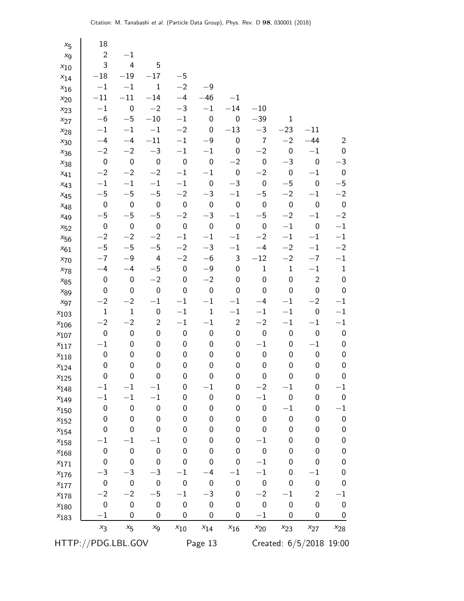| $x_{5}$       | 18                          |                  |                             |                       |                       |                  |                          |                                      |                         |                  |
|---------------|-----------------------------|------------------|-----------------------------|-----------------------|-----------------------|------------------|--------------------------|--------------------------------------|-------------------------|------------------|
| $x_{9}$       | $\overline{2}$              | $-1$             |                             |                       |                       |                  |                          |                                      |                         |                  |
| $x_{10}$      | 3                           | $\overline{4}$   | 5                           |                       |                       |                  |                          |                                      |                         |                  |
| $x_{14}$      | $-18\,$                     | $-19$            | $-17$                       | $-5$                  |                       |                  |                          |                                      |                         |                  |
| $x_{16}$      | $-1\,$                      | $-1$             | $\mathbf{1}$                | $-2$                  | $-9$                  |                  |                          |                                      |                         |                  |
| $x_{20}$      | $-11$                       | $-11$            | $-14$                       | $-4$                  | $-46$                 | $-1$             |                          |                                      |                         |                  |
| $x_{23}$      | $-1$                        | $\boldsymbol{0}$ | $-2$                        | $-3$                  | $-1$                  | $-14$            | $-10\,$                  |                                      |                         |                  |
| $x_{27}$      | $-6$                        | $-5$             | $-10\,$                     | $-1$                  | $\boldsymbol{0}$      | $\boldsymbol{0}$ | $-39$                    | $\mathbf 1$                          |                         |                  |
| $x_{28}$      | $-1$                        | $-1$             | $-1\,$                      | $-2$                  | $\boldsymbol{0}$      | $-13$            | $-3$                     | $-23$                                | $-11$                   |                  |
| $x_{30}$      | $-4$                        | $-4$             | $-11$                       | $-1$                  | $-9$                  | $\boldsymbol{0}$ | $\overline{7}$           | $-2$                                 | $-44$                   | $\overline{2}$   |
| $x_{36}$      | $-2$                        | $-2$             | $-3$                        | $-1$                  | $-1$                  | 0                | $-2$                     | $\boldsymbol{0}$                     | $-1\,$                  | $\pmb{0}$        |
| $x_{38}$      | $\boldsymbol{0}$            | $\pmb{0}$        | $\boldsymbol{0}$            | $\boldsymbol{0}$      | $\boldsymbol{0}$      | $-2$             | $\boldsymbol{0}$         | $-3$                                 | $\boldsymbol{0}$        | $-3$             |
| $x_{41}$      | $-2$                        | $-2$             | $-2$                        | $-1$                  | $-1$                  | $\boldsymbol{0}$ | $-2$                     | $\pmb{0}$                            | $-1$                    | $\pmb{0}$        |
| $x_{43}$      | $-1$                        | $-1$             | $-1$                        | $-1$                  | $\boldsymbol{0}$      | $-3$             | $\boldsymbol{0}$         | $-5$                                 | $\boldsymbol{0}$        | $-5$             |
| $x_{45}$      | $-5$                        | $-5$             | $-5$                        | $-2$                  | $-3$                  | $-1$             | $-5$                     | $-2$                                 | $-1$                    | $-2$             |
| $x_{48}$      | $\boldsymbol{0}$            | $\boldsymbol{0}$ | $\boldsymbol{0}$            | $\boldsymbol{0}$      | $\boldsymbol{0}$      | $\boldsymbol{0}$ | $\boldsymbol{0}$         | $\boldsymbol{0}$                     | $\boldsymbol{0}$        | $\boldsymbol{0}$ |
| $x_{49}$      | $-5$                        | $-5$             | $-5$                        | $-2$                  | $-3$                  | $-1$             | $-5$                     | $-2$                                 | $-1$                    | $-2$             |
| $x_{52}$      | $\pmb{0}$                   | $\pmb{0}$        | $\boldsymbol{0}$            | $\boldsymbol{0}$      | $\boldsymbol{0}$      | $\boldsymbol{0}$ | $\boldsymbol{0}$         | $-1$                                 | $\boldsymbol{0}$        | $-1$             |
| $x_{56}$      | $-2$                        | $-2$             | $-2$                        | $-1$                  | $-1$                  | $-1\,$           | $-2$                     | $-1$                                 | $-1\,$                  | $-1$             |
| $x_{61}$      | $-5$                        | $-5$             | $-5$                        | $-2$                  | $-3$                  | $-1$             | $-4$                     | $-2$                                 | $-1$                    | $-2$             |
| $x_{70}$      | $-7$                        | $-9$             | $\overline{\mathbf{4}}$     | $-2$                  | $-6$                  | 3                | $-12$                    | $-2$                                 | $-7$                    | $-1$             |
| $x_{78}$      | $-4$                        | $-4$             | $-5$                        | $\boldsymbol{0}$      | $-9$                  | 0                | $\mathbf 1$              | $\mathbf 1$                          | $-1$                    | $\mathbf 1$      |
| $x_{85}$      | $\boldsymbol{0}$            | $\boldsymbol{0}$ | $-2$                        | 0                     | $-2$                  | $\pmb{0}$        | $\boldsymbol{0}$         | $\boldsymbol{0}$                     | $\overline{2}$          | $\pmb{0}$        |
| $x_{89}$      | $\boldsymbol{0}$            | $\pmb{0}$        | $\boldsymbol{0}$            | $\boldsymbol{0}$      | $\boldsymbol{0}$      | $\boldsymbol{0}$ | $\boldsymbol{0}$         | $\boldsymbol{0}$                     | $\boldsymbol{0}$        | $\pmb{0}$        |
| $x_{97}$      | $-2$                        | $-2$             | $-1\,$                      | $-1$                  | $-1$                  | $-1$             | $-4$                     | $-1$                                 | $-2$                    | $-1$             |
| $x_{103}$     | $\mathbf 1$                 | $\mathbf 1$      | $\pmb{0}$                   | $-1$                  | $\mathbf 1$           | $^{\rm -1}$      | $-1$                     | $-1$                                 | $\boldsymbol{0}$        | $-1$             |
| $x_{106}$     | $-2$                        | $-2$             | 2                           | $-1$                  | $-1$                  | $\mathbf{2}$     | $-2$                     | $-1$                                 | $-1$                    | $^{-1}$          |
| $x_{107}$     | $\boldsymbol{0}$            | $\boldsymbol{0}$ | $\boldsymbol{0}$            | 0                     | $\boldsymbol{0}$      | $\boldsymbol{0}$ | $\boldsymbol{0}$         | $\boldsymbol{0}$                     | $\boldsymbol{0}$        | $\pmb{0}$        |
| $x_{117}$     | $-1$                        | $\boldsymbol{0}$ | $\boldsymbol{0}$            | 0                     | $\pmb{0}$             | $\pmb{0}$        | $-1$                     | $\boldsymbol{0}$                     | $-1$                    | $\pmb{0}$        |
| $x_{118}$     | $\boldsymbol{0}$            | 0                | 0                           | 0                     | $\boldsymbol{0}$      | 0                | $\boldsymbol{0}$         | 0                                    | $\boldsymbol{0}$        | 0                |
| $x_{124}$     | $\boldsymbol{0}$            | 0                | $\pmb{0}$                   | 0                     | $\boldsymbol{0}$      | $\boldsymbol{0}$ | $\boldsymbol{0}$         | $\pmb{0}$                            | $\boldsymbol{0}$        | $\boldsymbol{0}$ |
| $x_{125}$     | $\boldsymbol{0}$            | $\boldsymbol{0}$ | $\boldsymbol{0}$            | $\boldsymbol{0}$      | $\pmb{0}$             | $\pmb{0}$        | $\boldsymbol{0}$         | $\boldsymbol{0}$                     | $\pmb{0}$               | $\pmb{0}$        |
| $x_{148}$     | $^{-1}$                     | $^{-1}$          | $^{-1}$                     | $\boldsymbol{0}$      | $^{-1}$               | 0                | $-2$                     | $^{-1}$                              | 0                       | $^{-1}$          |
| $x_{149}$     | $-1$                        | $-1$             | $-1$                        | 0                     | $\pmb{0}$             | 0                | $-1$                     | $\boldsymbol{0}$                     | $\mathbf 0$             | 0                |
| $x_{150}$     | $\boldsymbol{0}$            | 0                | $\boldsymbol{0}$            | 0                     | 0                     | 0                | $\boldsymbol{0}$         | $-1$                                 | 0                       | $^{-1}$          |
| $x_{152}$     | 0<br>$\mathbf 0$            | 0<br>0           | 0<br>0                      | 0                     | 0                     | 0<br>0           | 0<br>0                   | $\boldsymbol{0}$                     | 0<br>0                  | 0                |
| $x_{154}$     |                             |                  |                             | 0                     | 0                     |                  |                          | 0                                    |                         | 0                |
| $x_{158}$     | $-1$<br>$\boldsymbol{0}$    | $^{-1}$          | $^{-1}$<br>$\boldsymbol{0}$ | 0<br>0                | 0                     | 0<br>0           | $-1$<br>$\boldsymbol{0}$ | 0                                    | 0<br>0                  | 0                |
| $x_{168}$     | 0                           | $\pmb{0}$<br>0   | 0                           | 0                     | 0<br>0                | $\boldsymbol{0}$ |                          | 0<br>0                               | 0                       | 0<br>$\mathbf 0$ |
| $x_{171}$     | -3                          | $^{-3}$          | $-3$                        | $^{-1}$               | $-4$                  | $-1$             | $^{-1}$<br>$^{-1}$       |                                      | $^{-1}$                 | 0                |
| $x_{176}$     | $\boldsymbol{0}$            | $\boldsymbol{0}$ | $\mathbf 0$                 | $\boldsymbol{0}$      | $\boldsymbol{0}$      | $\boldsymbol{0}$ | $\boldsymbol{0}$         | 0<br>0                               | $\mathbf 0$             | 0                |
| $x_{\rm 177}$ | $-2$                        | $-2$             |                             | $-1$                  | $^{-3}$               | 0                | $^{-2}$                  |                                      | $\overline{c}$          |                  |
| $x_{178}$     |                             |                  | $-5$                        |                       |                       |                  |                          | $^{-1}$                              |                         | $^{-1}$          |
| $x_{180}$     | $\boldsymbol{0}$<br>$^{-1}$ | $\pmb{0}$<br>0   | $\pmb{0}$<br>0              | $\boldsymbol{0}$<br>0 | $\boldsymbol{0}$<br>0 | 0<br>0           | $\boldsymbol{0}$<br>$-1$ | $\boldsymbol{0}$<br>$\boldsymbol{0}$ | 0<br>0                  | 0<br>0           |
| $x_{183}$     |                             |                  |                             |                       |                       |                  |                          |                                      |                         |                  |
|               | $x_3$                       | $x_{5}$          | X9                          | $x_{10}$              | $x_{14}$              | $x_{16}$         | $x_{20}$                 | $x_{23}$                             | $x_{27}$                | $x_{28}$         |
|               | HTTP://PDG.LBL.GOV          |                  |                             |                       | Page 13               |                  |                          |                                      | Created: 6/5/2018 19:00 |                  |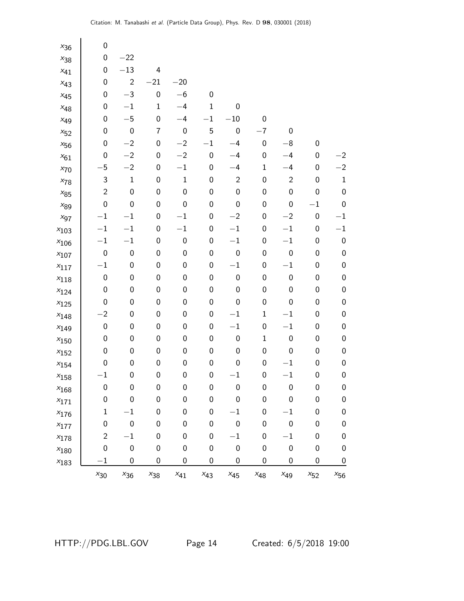| $x_{36}$  | 0              |                  |                  |                  |                  |                  |                  |                  |                  |                  |
|-----------|----------------|------------------|------------------|------------------|------------------|------------------|------------------|------------------|------------------|------------------|
| $x_{38}$  | 0              | $-22$            |                  |                  |                  |                  |                  |                  |                  |                  |
| $x_{41}$  | 0              | $-13$            | 4                |                  |                  |                  |                  |                  |                  |                  |
| $x_{43}$  | 0              | $\overline{2}$   | $-21$            | $-20$            |                  |                  |                  |                  |                  |                  |
| $x_{45}$  | 0              | $-3$             | $\mathbf 0$      | $-6$             | $\pmb{0}$        |                  |                  |                  |                  |                  |
| $x_{48}$  | 0              | $-1$             | $\mathbf 1$      | $-4$             | $\mathbf 1$      | 0                |                  |                  |                  |                  |
| $x_{49}$  | 0              | $-5$             | 0                | $-4$             | $-1$             | $-10$            | $\boldsymbol{0}$ |                  |                  |                  |
| $x_{52}$  | 0              | $\boldsymbol{0}$ | 7                | $\boldsymbol{0}$ | 5                | $\boldsymbol{0}$ | $-7$             | 0                |                  |                  |
| $x_{56}$  | 0              | $-2$             | 0                | $-2$             | $-1$             | $-4$             | $\boldsymbol{0}$ | $-\bf{8}$        | 0                |                  |
| $x_{61}$  | 0              | $-2$             | 0                | $-2$             | $\pmb{0}$        | $-4$             | $\boldsymbol{0}$ | $-4$             | 0                | $^{-2}$          |
| $x_{70}$  | 5              | $-2$             | 0                | $-1$             | $\boldsymbol{0}$ | $-4$             | $\mathbf 1$      | $-4$             | 0                | $-2$             |
| $x_{78}$  | 3              | $\mathbf 1$      | $\boldsymbol{0}$ | $\mathbf{1}$     | $\boldsymbol{0}$ | $\mathbf{2}$     | $\boldsymbol{0}$ | $\overline{c}$   | $\boldsymbol{0}$ | $\mathbf 1$      |
| $x_{85}$  | $\overline{c}$ | 0                | $\pmb{0}$        | $\boldsymbol{0}$ | $\pmb{0}$        | $\boldsymbol{0}$ | $\boldsymbol{0}$ | 0                | 0                | $\boldsymbol{0}$ |
| $x_{89}$  | 0              | $\boldsymbol{0}$ | $\pmb{0}$        | $\boldsymbol{0}$ | $\pmb{0}$        | $\boldsymbol{0}$ | $\boldsymbol{0}$ | 0                | $-1$             | $\mathbf 0$      |
| $x_{97}$  | $-1$           | $-1$             | $\boldsymbol{0}$ | $-1$             | $\pmb{0}$        | $-2$             | $\boldsymbol{0}$ | $-2$             | $\boldsymbol{0}$ | $^{-1}$          |
| $x_{103}$ | $-1$           | $-1$             | 0                | $-1$             | $\pmb{0}$        | $-1$             | 0                | $-1$             | 0                | $^{-1}$          |
| $x_{106}$ | $-1$           | $-1$             | 0                | $\boldsymbol{0}$ | $\pmb{0}$        | $-1$             | $\boldsymbol{0}$ | $-1$             | 0                | $\pmb{0}$        |
| $x_{107}$ | $\pmb{0}$      | $\boldsymbol{0}$ | $\boldsymbol{0}$ | $\boldsymbol{0}$ | $\boldsymbol{0}$ | $\boldsymbol{0}$ | $\boldsymbol{0}$ | $\boldsymbol{0}$ | 0                | $\pmb{0}$        |
| $x_{117}$ | $-1$           | 0                | 0                | $\boldsymbol{0}$ | $\pmb{0}$        | $-1$             | 0                | $-1$             | 0                | $\boldsymbol{0}$ |
| $x_{118}$ | 0              | 0                | $\pmb{0}$        | $\boldsymbol{0}$ | $\pmb{0}$        | $\boldsymbol{0}$ | $\boldsymbol{0}$ | $\boldsymbol{0}$ | $\boldsymbol{0}$ | $\pmb{0}$        |
| $x_{124}$ | 0              | 0                | $\boldsymbol{0}$ | $\boldsymbol{0}$ | $\boldsymbol{0}$ | $\boldsymbol{0}$ | $\boldsymbol{0}$ | 0                | 0                | $\pmb{0}$        |
| $x_{125}$ | 0              | 0                | 0                | $\boldsymbol{0}$ | $\pmb{0}$        | $\boldsymbol{0}$ | $\boldsymbol{0}$ | 0                | 0                | $\boldsymbol{0}$ |
| $x_{148}$ | $-2$           | 0                | 0                | $\boldsymbol{0}$ | $\pmb{0}$        | $-1\,$           | $\mathbf 1$      | $-1$             | $\boldsymbol{0}$ | $\mathbf 0$      |
| $x_{149}$ | $\pmb{0}$      | 0                | $\boldsymbol{0}$ | $\boldsymbol{0}$ | $\boldsymbol{0}$ | $-1$             | $\boldsymbol{0}$ | $-1$             | 0                | $\boldsymbol{0}$ |
| $x_{150}$ | 0              | 0                | $\pmb{0}$        | $\boldsymbol{0}$ | $\pmb{0}$        | $\pmb{0}$        | $\mathbf 1$      | $\pmb{0}$        | 0                | $\boldsymbol{0}$ |
| $x_{152}$ | 0              | $\boldsymbol{0}$ | $\pmb{0}$        | $\boldsymbol{0}$ | $\pmb{0}$        | $\boldsymbol{0}$ | 0                | $\pmb{0}$        | $\boldsymbol{0}$ | $\pmb{0}$        |
| $x_{154}$ | 0              | 0                | $\pmb{0}$        | $\boldsymbol{0}$ | $\boldsymbol{0}$ | $\boldsymbol{0}$ | $\boldsymbol{0}$ | $-1$             | 0                | $\boldsymbol{0}$ |
| $x_{158}$ | $-1$           | 0                | $\mathbf 0$      | $\pmb{0}$        | $\boldsymbol{0}$ | $-1$             | $\pmb{0}$        | $-1$             | $\pmb{0}$        | $\boldsymbol{0}$ |
| $x_{168}$ | 0              | 0                | $\boldsymbol{0}$ | $\boldsymbol{0}$ | $\boldsymbol{0}$ | $\boldsymbol{0}$ | $\boldsymbol{0}$ | 0                | 0                | 0                |
| $x_{171}$ | 0              | 0                | $\boldsymbol{0}$ | $\boldsymbol{0}$ | $\boldsymbol{0}$ | 0                | $\boldsymbol{0}$ | 0                | 0                | $\boldsymbol{0}$ |
| $x_{176}$ | $\mathbf 1$    | $^{-1}$          | $\boldsymbol{0}$ | $\boldsymbol{0}$ | $\boldsymbol{0}$ | $^{-1}$          | $\boldsymbol{0}$ | $^{-1}$          | 0                | $\mathbf 0$      |
| $x_{177}$ | 0              | 0                | $\boldsymbol{0}$ | $\boldsymbol{0}$ | $\boldsymbol{0}$ | $\boldsymbol{0}$ | $\boldsymbol{0}$ | $\pmb{0}$        | 0                | $\boldsymbol{0}$ |
| $x_{178}$ | $\overline{c}$ | $-1$             | $\boldsymbol{0}$ | $\mathbf 0$      | $\pmb{0}$        | $-1$             | $\boldsymbol{0}$ | $^{-1}$          | 0                | $\mathbf 0$      |
| $x_{180}$ | 0              | $\boldsymbol{0}$ | $\boldsymbol{0}$ | $\boldsymbol{0}$ | $\boldsymbol{0}$ | $\pmb{0}$        | $\boldsymbol{0}$ | $\pmb{0}$        | $\boldsymbol{0}$ | $\boldsymbol{0}$ |
| $x_{183}$ | $^{-1}$        | 0                | 0                | 0                | $\mathbf 0$      | 0                | 0                | 0                | 0                | $\boldsymbol{0}$ |
|           | $x_{30}$       | $x_{36}$         | $x_{38}$         | $x_{41}$         | $x_{43}$         | $x_{45}$         | $x_{48}$         | $x_{49}$         | $x_{52}$         | $x_{56}$         |

HTTP://PDG.LBL.GOV Page 14 Created: 6/5/2018 19:00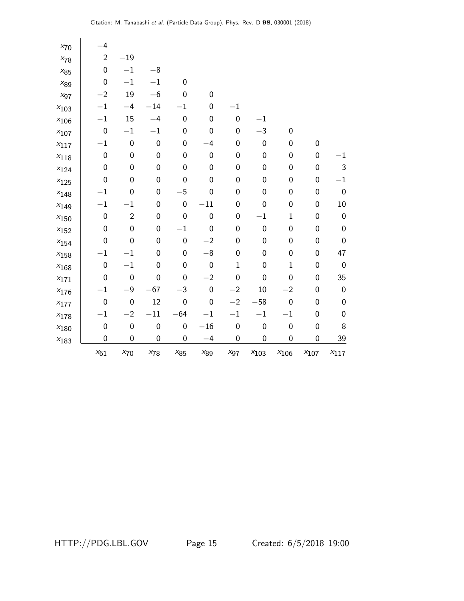| $x_{70}$      | $-4$             |                  |                  |                  |                  |                  |                  |             |                  |                  |
|---------------|------------------|------------------|------------------|------------------|------------------|------------------|------------------|-------------|------------------|------------------|
| $x_{78}$      | $\overline{c}$   | $-19$            |                  |                  |                  |                  |                  |             |                  |                  |
| $x_{85}$      | $\boldsymbol{0}$ | $-1$             | $^{-8}$          |                  |                  |                  |                  |             |                  |                  |
| $x_{89}$      | $\boldsymbol{0}$ | $-1$             | $-1\,$           | $\mathbf 0$      |                  |                  |                  |             |                  |                  |
| $x_{97}$      | $-2$             | 19               | $-6$             | $\boldsymbol{0}$ | $\boldsymbol{0}$ |                  |                  |             |                  |                  |
| $x_{103}$     | $-1$             | $-4$             | $-14$            | $-1$             | $\pmb{0}$        | $-1$             |                  |             |                  |                  |
| $x_{106}$     | $-1$             | 15               | $-4$             | $\mathbf 0$      | $\boldsymbol{0}$ | $\boldsymbol{0}$ | $-1$             |             |                  |                  |
| $x_{107}$     | $\boldsymbol{0}$ | $-1$             | $^{-1}$          | $\boldsymbol{0}$ | $\boldsymbol{0}$ | 0                | $-3$             | 0           |                  |                  |
| $x_{117}$     | $-1$             | $\pmb{0}$        | $\pmb{0}$        | $\boldsymbol{0}$ | $-4$             | 0                | $\boldsymbol{0}$ | 0           | $\boldsymbol{0}$ |                  |
| $x_{118}$     | $\boldsymbol{0}$ | $\boldsymbol{0}$ | $\boldsymbol{0}$ | $\mathbf 0$      | $\boldsymbol{0}$ | 0                | 0                | 0           | $\mathbf 0$      | $^{-1}$          |
| $x_{124}$     | $\boldsymbol{0}$ | $\mathbf 0$      | $\pmb{0}$        | $\mathbf 0$      | $\pmb{0}$        | 0                | 0                | 0           | $\boldsymbol{0}$ | $\mathsf{3}$     |
| $x_{125}$     | $\boldsymbol{0}$ | $\mathbf 0$      | $\boldsymbol{0}$ | $\boldsymbol{0}$ | $\boldsymbol{0}$ | 0                | 0                | 0           | $\boldsymbol{0}$ | $-1$             |
| $x_{148}$     | $-1$             | $\boldsymbol{0}$ | $\mathbf 0$      | $-5$             | $\boldsymbol{0}$ | 0                | 0                | 0           | 0                | $\boldsymbol{0}$ |
| $x_{149}$     | $-1$             | $-1$             | $\boldsymbol{0}$ | $\boldsymbol{0}$ | $-11$            | 0                | 0                | 0           | 0                | $10\,$           |
| $x_{150}$     | $\boldsymbol{0}$ | $\mathbf{2}$     | $\boldsymbol{0}$ | $\mathbf 0$      | $\pmb{0}$        | 0                | $-1$             | $\mathbf 1$ | $\boldsymbol{0}$ | $\pmb{0}$        |
| $x_{152}$     | $\boldsymbol{0}$ | $\boldsymbol{0}$ | $\boldsymbol{0}$ | $-1$             | $\mathbf 0$      | 0                | 0                | 0           | $\boldsymbol{0}$ | $\mathbf 0$      |
| $x_{154}$     | $\boldsymbol{0}$ | 0                | $\boldsymbol{0}$ | $\boldsymbol{0}$ | $-2$             | 0                | 0                | 0           | 0                | $\boldsymbol{0}$ |
| $x_{158}$     | $-1$             | $-1$             | $\mathbf 0$      | $\mathbf 0$      | $-\bf{8}$        | $\boldsymbol{0}$ | 0                | 0           | 0                | 47               |
| $x_{168}$     | $\boldsymbol{0}$ | $-1$             | $\boldsymbol{0}$ | $\mathbf 0$      | $\boldsymbol{0}$ | $\mathbf{1}$     | 0                | $1\,$       | $\boldsymbol{0}$ | $\boldsymbol{0}$ |
| $x_{171}$     | $\boldsymbol{0}$ | $\boldsymbol{0}$ | $\pmb{0}$        | $\boldsymbol{0}$ | $-2$             | $\boldsymbol{0}$ | 0                | $\pmb{0}$   | $\boldsymbol{0}$ | 35               |
| $x_{176}$     | $-1$             | $-9$             | $-67$            | $-3$             | $\boldsymbol{0}$ | $-2$             | 10               | $-2$        | 0                | $\mathbf 0$      |
| $x_{177}$     | $\boldsymbol{0}$ | $\boldsymbol{0}$ | 12               | $\boldsymbol{0}$ | $\boldsymbol{0}$ | $-2$             | $-58$            | $\pmb{0}$   | 0                | $\mathbf 0$      |
| $x_{178}$     | $-1$             | $-2$             | $-11$            | $-64$            | $-1$             | $-1\,$           | $-1$             | $-1$        | 0                | $\mathbf 0$      |
| $x_{\rm 180}$ | $\boldsymbol{0}$ | $\boldsymbol{0}$ | $\mathbf 0$      | $\mathbf 0$      | $-16$            | $\boldsymbol{0}$ | $\boldsymbol{0}$ | $\pmb{0}$   | $\boldsymbol{0}$ | $\bf 8$          |
| $x_{183}$     | 0                | $\boldsymbol{0}$ | $\boldsymbol{0}$ | 0                | $-4$             | 0                | 0                | 0           | 0                | <u>39</u>        |
|               | $x_{61}$         | $x_{70}$         | $x_{78}$         | $x_{85}$         | $x_{89}$         | $x_{97}$         | $x_{103}$        | $x_{106}$   | $x_{107}$        | $x_{117}$        |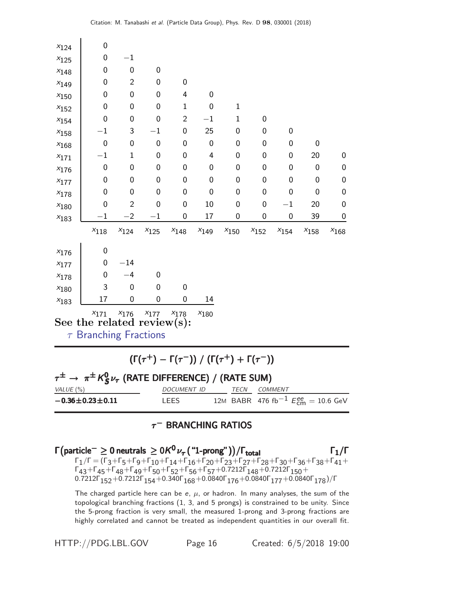| $x_{124}$ | 0                                                                                                                                                             |                  |                  |                  |                         |                  |                  |                  |                                                                   |                  |  |
|-----------|---------------------------------------------------------------------------------------------------------------------------------------------------------------|------------------|------------------|------------------|-------------------------|------------------|------------------|------------------|-------------------------------------------------------------------|------------------|--|
| $x_{125}$ | $\boldsymbol{0}$                                                                                                                                              | $-1$             |                  |                  |                         |                  |                  |                  |                                                                   |                  |  |
| $x_{148}$ | $\boldsymbol{0}$                                                                                                                                              | $\boldsymbol{0}$ | 0                |                  |                         |                  |                  |                  |                                                                   |                  |  |
| $x_{149}$ | $\mathbf 0$                                                                                                                                                   | $\overline{2}$   | 0                | 0                |                         |                  |                  |                  |                                                                   |                  |  |
| $x_{150}$ | $\boldsymbol{0}$                                                                                                                                              | 0                | 0                | 4                | $\mathbf 0$             |                  |                  |                  |                                                                   |                  |  |
| $x_{152}$ | $\boldsymbol{0}$                                                                                                                                              | 0                | 0                | $\mathbf{1}$     | $\boldsymbol{0}$        | $\mathbf 1$      |                  |                  |                                                                   |                  |  |
| $x_{154}$ | $\mathbf 0$                                                                                                                                                   | 0                | $\mathbf 0$      | $\overline{2}$   | $-1$                    | $\mathbf{1}$     | $\boldsymbol{0}$ |                  |                                                                   |                  |  |
| $x_{158}$ | $-1$                                                                                                                                                          | 3                | $-1$             | $\boldsymbol{0}$ | 25                      | $\mathbf 0$      | $\boldsymbol{0}$ | $\boldsymbol{0}$ |                                                                   |                  |  |
| $x_{168}$ | $\mathbf 0$                                                                                                                                                   | 0                | $\boldsymbol{0}$ | $\mathbf 0$      | $\mathbf 0$             | $\mathbf 0$      | $\mathbf 0$      | 0                | $\mathbf 0$                                                       |                  |  |
| $x_{171}$ | $-1$                                                                                                                                                          | $\mathbf{1}$     | 0                | 0                | $\overline{\mathbf{4}}$ | $\mathbf 0$      | $\mathbf 0$      | 0                | 20                                                                | $\boldsymbol{0}$ |  |
| $x_{176}$ | $\boldsymbol{0}$                                                                                                                                              | 0                | 0                | $\boldsymbol{0}$ | 0                       | $\mathbf 0$      | 0                | 0                | $\mathbf 0$                                                       | $\pmb{0}$        |  |
| $x_{177}$ | $\mathbf 0$                                                                                                                                                   | $\mathbf 0$      | $\mathbf 0$      | $\mathbf 0$      | $\mathbf 0$             | $\mathbf 0$      | $\mathbf 0$      | 0                | $\mathbf 0$                                                       | $\boldsymbol{0}$ |  |
| $x_{178}$ | $\boldsymbol{0}$                                                                                                                                              | 0                | $\boldsymbol{0}$ | 0                | $\mathbf 0$             | $\boldsymbol{0}$ | $\mathbf 0$      | 0                | $\mathbf 0$                                                       | $\boldsymbol{0}$ |  |
| $x_{180}$ | $\overline{0}$                                                                                                                                                | $\overline{2}$   | $\mathbf 0$      | $\mathbf 0$      | 10                      | $\mathbf 0$      | $\mathbf 0$      | $-1$             | 20                                                                | $\mathbf 0$      |  |
| $x_{183}$ | $^{-1}$                                                                                                                                                       | $-2$             | $^{-1}$          | $\boldsymbol{0}$ | 17                      | 0                | $\boldsymbol{0}$ | $\mathbf 0$      | 39                                                                | $\mathbf 0$      |  |
|           | $x_{118}$                                                                                                                                                     | $x_{124}$        | $x_{125}$        | $x_{148}$        | $x_{149}$               | $x_{150}$        | $x_{152}$        | $x_{154}$        | $x_{158}$                                                         | $x_{\rm 168}$    |  |
| $x_{176}$ | $\boldsymbol{0}$                                                                                                                                              |                  |                  |                  |                         |                  |                  |                  |                                                                   |                  |  |
| $x_{177}$ | 0                                                                                                                                                             | $-14$            |                  |                  |                         |                  |                  |                  |                                                                   |                  |  |
| $x_{178}$ | $\boldsymbol{0}$                                                                                                                                              | $-4$             | $\mathbf 0$      |                  |                         |                  |                  |                  |                                                                   |                  |  |
| $x_{180}$ | 3                                                                                                                                                             | $\mathbf 0$      | $\mathbf 0$      | $\mathbf 0$      |                         |                  |                  |                  |                                                                   |                  |  |
| $x_{183}$ | 17                                                                                                                                                            | $\mathbf 0$      | $\boldsymbol{0}$ | $\mathbf 0$      | 14                      |                  |                  |                  |                                                                   |                  |  |
|           | $x_{171}$<br>See the related review(s):<br>$\tau$ Branching Fractions                                                                                         | $x_{176}$        | $x_{177}$        | $x_{178}$        | $x_{180}$               |                  |                  |                  |                                                                   |                  |  |
|           | $(\Gamma(\tau^+) - \Gamma(\tau^-)) / (\Gamma(\tau^+) + \Gamma(\tau^-))$<br>$\tau^{\pm} \rightarrow \pi^{\pm} K_S^0 \nu_{\tau}$ (RATE DIFFERENCE) / (RATE SUM) |                  |                  |                  |                         |                  |                  |                  |                                                                   |                  |  |
| VALUE (%) |                                                                                                                                                               |                  |                  | DOCUMENT ID      |                         |                  | TECN COMMENT     |                  |                                                                   |                  |  |
|           | $-0.36 \pm 0.23 \pm 0.11$                                                                                                                                     |                  |                  | LEES             |                         | 12M              |                  |                  | BABR 476 fb <sup>-1</sup> $E_{\text{cm}}^{ee} = 10.6 \text{ GeV}$ |                  |  |

## $\tau^-$  Branching ratios

Γ ¡ particle− ≥ 0 neutrals ≥ 0K <sup>0</sup> ν<sup>τ</sup> ("1-prong")¢ Γ /Γtotal Γ1/Γ particle<sup>−</sup> 0 neutrals 0K <sup>0</sup> ν<sup>τ</sup> ("1-prong")Γ /Γtotal Γ1/Γ ¡ particle− ≥ 0 neutrals ≥ K <sup>0</sup>ντ¢ Γ /ΓΓ1/Γ particle<sup>−</sup> 0 neutrals K <sup>0</sup>ντ/ΓΓ1/Γ  $\Gamma_1/\Gamma = (\Gamma_3 + \Gamma_5 + \Gamma_9 + \Gamma_{10} + \Gamma_{14} + \Gamma_{16} + \Gamma_{20} + \Gamma_{23} + \Gamma_{27} + \Gamma_{28} + \Gamma_{30} + \Gamma_{36} + \Gamma_{38} + \Gamma_{41} +$  $\Gamma_{43}$ +Γ $_{45}$ +Γ $_{48}$ +Γ $_{49}$ +Γ $_{50}$ +Γ $_{52}$ +Γ $_{56}$ +Γ $_{57}$ +0.7212Γ $_{148}$ +0.7212Γ $_{150}$ + 0.7212Γ $_{152}$ +0.7212Γ $_{154}$ +0.340Γ $_{168}$ +0.0840Γ $_{176}$ +0.0840Γ $_{177}$ +0.0840Γ $_{178})$ /Γ

The charged particle here can be e,  $\mu$ , or hadron. In many analyses, the sum of the topological branching fractions (1, 3, and 5 prongs) is constrained to be unity. Since the 5-prong fraction is very small, the measured 1-prong and 3-prong fractions are highly correlated and cannot be treated as independent quantities in our overall fit.

HTTP://PDG.LBL.GOV Page 16 Created: 6/5/2018 19:00

 $\blacksquare$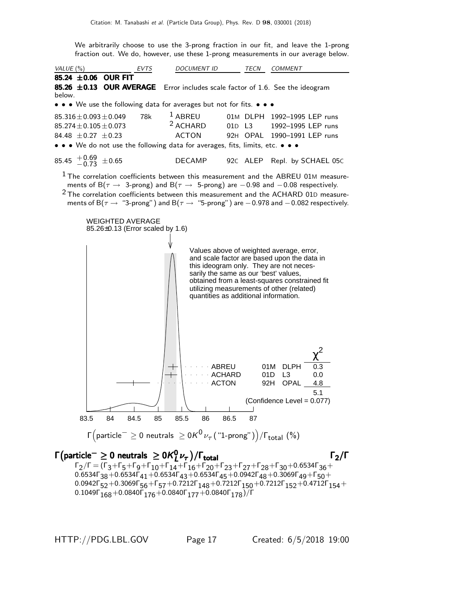We arbitrarily choose to use the 3-prong fraction in our fit, and leave the 1-prong fraction out. We do, however, use these 1-prong measurements in our average below.

VALUE (%) **EVTS** DOCUMENT ID TECN COMMENT 85.24  $\pm 0.06$  OUR FIT 85.26  $\pm$ 0.13 OUR AVERAGE Error includes scale factor of 1.6. See the ideogram below. • • • We use the following data for averages but not for fits. • • •  $85.316 \pm 0.093 \pm 0.049$  78k  $1$  ABREU 01M DLPH 1  $85.316 \pm 0.093 \pm 0.049$  78k <sup>1</sup> ABREU 01M DLPH 1992-1995 LEP runs<br> $85.274 \pm 0.105 \pm 0.073$  <sup>2</sup> ACHARD 01D L3 1992-1995 LEP runs  $85.274 \pm 0.105 \pm 0.073$   $2$  ACHARD  $84.48 \pm 0.27 \pm 0.23$  ACTON 92H OPAL 1990-1991 LEP runs • • • We do not use the following data for averages, fits, limits, etc. • • •  $85.45$   $+0.69$   $\pm 0.65$ <sup>−</sup>0.<sup>73</sup> <sup>±</sup>0.65 DECAMP 92<sup>C</sup> ALEP Repl. by SCHAEL 05<sup>C</sup>  $1$  The correlation coefficients between this measurement and the ABREU 01M measurements of B( $\tau$  → 3-prong) and B( $\tau$  → 5-prong) are -0.98 and -0.08 respectively.  $2$  The correlation coefficients between this measurement and the ACHARD 01D measurements of B( $\tau \rightarrow$  "3-prong") and B( $\tau \rightarrow$  "5-prong") are −0.978 and −0.082 respectively. WEIGHTED AVERAGE 85.26±0.13 (Error scaled by 1.6) Values above of weighted average, error, and scale factor are based upon the data in this ideogram only. They are not necessarily the same as our 'best' values, obtained from a least-squares constrained fit utilizing measurements of other (related) quantities as additional information. ACTON 92H OPAL 4.8 ACHARD 01D L3 0.0 ABREU 01M DLPH 0.3 χ 2 5.1 (Confidence Level = 0.077) 83.5 84 84.5 85 85.5 86 86.5 87

$$
\Gamma\Big(\text{particle}^-\geq 0\text{ neutrals }\geq 0 K^0\nu_\tau\big(\text{``1-prong''}\big)\Big)/\Gamma_{\text{total}}\text{ (%)}
$$

 $Γ$ (particle $^− \geq 0$  neutrals  $\geq 0$   $K_I^0$  $\Gamma$ (particle $^-\geq 0$  neutrals  $\geq 0$ K $^0_L\nu_{\tau}$ )/ $\Gamma_{\text{total}}$   $\Gamma_{\text{2}}$   $\Gamma_{\text{2}}$  $\Gamma_2/\Gamma = (\Gamma_3 + \Gamma_5 + \Gamma_9 + \Gamma_{10} + \Gamma_{14} + \Gamma_{16} + \Gamma_{20} + \Gamma_{23} + \Gamma_{27} + \Gamma_{28} + \Gamma_{30} + 0.6534 \Gamma_{36} +$ 0.6534Γ $_{38}+$ 0.6534Γ $_{41}+$ 0.6534Γ $_{43}+$ 0.6534Γ $_{45}+$ 0.0942Γ $_{48}+$ 0.3069Γ $_{49}+$ Γ $_{50}+$ 0.0942 $\Gamma_{52}$ +0.3069 $\Gamma_{56}$ + $\Gamma_{57}$ +0.7212 $\Gamma_{148}$ +0.7212 $\Gamma_{150}$ +0.7212 $\Gamma_{152}$ +0.4712 $\Gamma_{154}$ +  $0.1049\Gamma_{168} + 0.0840\Gamma_{176} + 0.0840\Gamma_{177} + 0.0840\Gamma_{178})/\Gamma$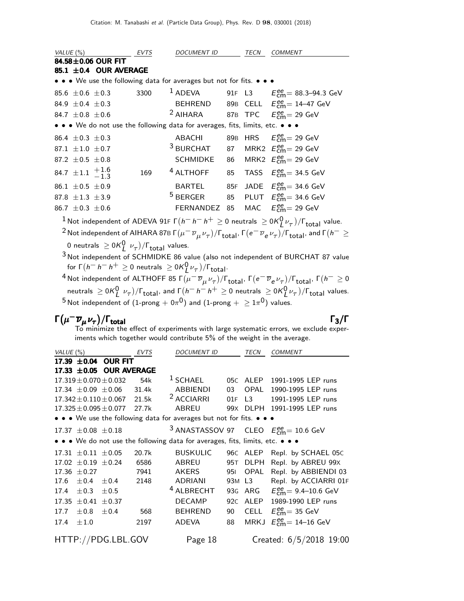| VALUE (%)                |                                 | EVTS                       | <i>DOCUMENT ID</i>                                                            | TECN | <b>COMMENT</b>                                                 |
|--------------------------|---------------------------------|----------------------------|-------------------------------------------------------------------------------|------|----------------------------------------------------------------|
|                          | 84.58 $\pm$ 0.06 OUR FIT        |                            |                                                                               |      |                                                                |
|                          |                                 | 85.1 $\pm$ 0.4 OUR AVERAGE |                                                                               |      |                                                                |
|                          |                                 |                            | • • • We use the following data for averages but not for fits. • • •          |      |                                                                |
| $85.6 \pm 0.6 \pm 0.3$   |                                 | 3300                       |                                                                               |      | <sup>1</sup> ADEVA 91F L3 $E_{\text{cm}}^{ee}$ = 88.3–94.3 GeV |
| 84.9 $\pm$ 0.4 $\pm$ 0.3 |                                 |                            | BEHREND                                                                       |      | 89B CELL $E_{\text{cm}}^{ee} = 14-47 \text{ GeV}$              |
| 84.7 $\pm$ 0.8 $\pm$ 0.6 |                                 |                            | <sup>2</sup> AIHARA 87B TPC $E_{cm}^{ee}$ = 29 GeV                            |      |                                                                |
|                          |                                 |                            | • • • We do not use the following data for averages, fits, limits, etc. • • • |      |                                                                |
| 86.4 $\pm$ 0.3 $\pm$ 0.3 |                                 |                            | ABACHI                                                                        |      | 89B HRS $E_{\text{cm}}^{\text{ee}} = 29 \text{ GeV}$           |
| 87.1 $\pm 1.0$ $\pm 0.7$ |                                 |                            | $^3$ BURCHAT                                                                  |      | 87 MRK2 $E_{\text{cm}}^{\text{ee}}$ = 29 GeV                   |
| 87.2 $\pm$ 0.5 $\pm$ 0.8 |                                 |                            | <b>SCHMIDKE</b>                                                               |      | 86 MRK2 $E_{\text{cm}}^{\text{ee}}$ = 29 GeV                   |
|                          | 84.7 $\pm 1.1$ $^{+1.6}_{-1.3}$ | 169                        | <sup>4</sup> ALTHOFF                                                          |      | 85 TASS $E_{cm}^{ee}$ = 34.5 GeV                               |
| 86.1 $\pm$ 0.5 $\pm$ 0.9 |                                 |                            | BARTEL                                                                        |      | 85F JADE $E_{cm}^{ee}$ = 34.6 GeV                              |
| 87.8 $\pm 1.3$ $\pm 3.9$ |                                 |                            | $^5$ BERGER                                                                   |      | 85 PLUT $E_{cm}^{ee}$ = 34.6 GeV                               |
| 86.7 $\pm$ 0.3 $\pm$ 0.6 |                                 |                            | FERNANDEZ 85                                                                  |      | MAC $E_{\text{cm}}^{\text{ee}} = 29 \text{ GeV}$               |
|                          |                                 |                            |                                                                               |      |                                                                |

 $^1$ Not independent of ADEVA 91F Г $(h^- \, h^- \, h^+ \geq 0$  neutrals  $\geq$  0K $^0_L \nu_\tau)/\Gamma_{\rm total}$  value. Not independent of AIHARA 87B  $\Gamma(\mu^- \overline{\nu}_{\mu} \nu_{\tau})/\Gamma_{\text{total}}$ ,  $\Gamma(e^- \overline{\nu}_e \nu_{\tau})/\Gamma_{\text{total}}$ , and  $\Gamma(h^- \geq 2)$ 

- 0 neutrals  $\geq$  0K $\left(\begin{smallmatrix}0&\nu_{\mathcal{T}}\end{smallmatrix}\right)$ / $\Gamma_{\text{total}}$  values.
- $\frac{3}{3}$  Not independent of SCHMIDKE 86 value (also not independent of BURCHAT 87 value for Γ $(h^- h^- h^+ \ge 0$  neutrals  $\ge 0$ Κ $_{L}^{0}$ ν $_{\tau}$ )/Γ<sub>total</sub>.

 $^4$ Not independent of ALTHOFF 85 Γ $(\mu^-\,\overline{\nu}_\mu\,\nu_\tau)/$ Γ $_{\rm total}$ , Γ $(e^-\,\overline{\nu}_e\,\nu_\tau)/$ Γ $_{\rm total}$ , Γ $(h^-\geq 0$ neutrals  $\ge 0$ K $^0_L$   $\nu_\tau)$ / $\Gamma_{\rm total}$ , and  $\Gamma(h^- \, h^- \, h^+ \ge 0$  neutrals  $\ge 0$ K $^0_L$  $\nu_\tau)$ / $\Gamma_{\rm total}$  values.  $^5$ Not independent of  $(1\text{-prong} + \text{O}\pi^0)$  and  $(1\text{-prong} + 2\text{O}\pi^0)$  values.

# $\Gamma(\mu^-\overline{\nu}_\mu \nu_\tau)/\Gamma_{\rm total}$  Γ<sub>3</sub>/Γ

To minimize the effect of experiments with large systematic errors, we exclude experiments which together would contribute 5% of the weight in the average.

| VALUE $(\%)$ |                             | <b>EVTS</b>                        | <b>DOCUMENT ID</b> |                                                                               | TECN            | <b>COMMENT</b> |                                                          |
|--------------|-----------------------------|------------------------------------|--------------------|-------------------------------------------------------------------------------|-----------------|----------------|----------------------------------------------------------|
|              |                             | 17.39 ±0.04 OUR FIT                |                    |                                                                               |                 |                |                                                          |
|              |                             | 17.33 ±0.05 OUR AVERAGE            |                    |                                                                               |                 |                |                                                          |
|              |                             | $17.319 \pm 0.070 \pm 0.032$       | 54k                | $1$ SCHAEL                                                                    |                 | 05C ALEP       | 1991-1995 LEP runs                                       |
|              |                             | $17.34 \pm 0.09 \pm 0.06$          | 31.4k              | ABBIENDI                                                                      | 03              | OPAL           | 1990-1995 LEP runs                                       |
|              |                             | $17.342 \pm 0.110 \pm 0.067$ 21.5k |                    | <sup>2</sup> ACCIARRI                                                         | 01F             | L3             | 1991-1995 LEP runs                                       |
|              |                             | $17.325 \pm 0.095 \pm 0.077$       | 27.7k              | <b>ABREU</b>                                                                  |                 |                | 99X DLPH 1991-1995 LEP runs                              |
|              |                             |                                    |                    | • • • We use the following data for averages but not for fits. • • •          |                 |                |                                                          |
|              | 17.37 $\pm 0.08 \pm 0.18$   |                                    |                    |                                                                               |                 |                | <sup>3</sup> ANASTASSOV 97 CLEO $E_{cm}^{ee}$ = 10.6 GeV |
|              |                             |                                    |                    | • • • We do not use the following data for averages, fits, limits, etc. • • • |                 |                |                                                          |
|              | $17.31 \pm 0.11 \pm 0.05$   |                                    | 20.7k              | <b>BUSKULIC</b>                                                               |                 | 96C ALEP       | Repl. by SCHAEL 05C                                      |
|              | $17.02 \pm 0.19 \pm 0.24$   |                                    | 6586               | ABREU                                                                         | 95T             | DLPH           | Repl. by ABREU 99X                                       |
|              | 17.36 $\pm$ 0.27            |                                    | 7941               | <b>AKERS</b>                                                                  | 951             | OPAL           | Repl. by ABBIENDI 03                                     |
| 17.6         | $\pm$ 0.4                   | ±0.4                               | 2148               | ADRIANI                                                                       |                 | 93M L3         | Repl. by ACCIARRI 01F                                    |
| 17.4         | $\pm 0.3$                   | $\pm 0.5$                          |                    | <sup>4</sup> ALBRECHT                                                         | 93 <sub>G</sub> |                | ARG $E_{cm}^{ee} = 9.4 - 10.6$ GeV                       |
|              | 17.35 $\pm$ 0.41 $\pm$ 0.37 |                                    |                    | <b>DECAMP</b>                                                                 | 92C             | ALEP           | 1989-1990 LEP runs                                       |
| 17.7         | $\pm 0.8$                   | $\pm 0.4$                          | 568                | <b>BEHREND</b>                                                                | 90              | <b>CELL</b>    | $E_{cm}^{ee}$ = 35 GeV                                   |
| 17.4         | $\pm 1.0$                   |                                    | 2197               | <b>ADEVA</b>                                                                  | 88              | MRKJ           | $E_{cm}^{ee}$ = 14-16 GeV                                |
|              |                             | HTTP://PDG.LBL.GOV                 |                    | Page 18                                                                       |                 |                | Created: 6/5/2018 19:00                                  |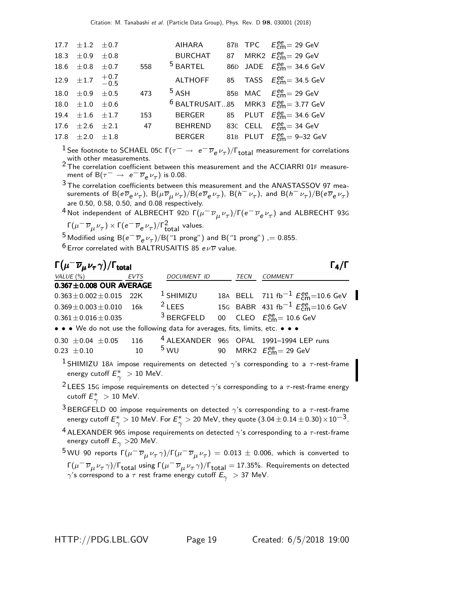| 17.7 $\pm 1.2$ $\pm 0.7$        |     | AIHARA         |  | 87B TPC $E_{\text{cm}}^{ee} = 29 \text{ GeV}$                  |
|---------------------------------|-----|----------------|--|----------------------------------------------------------------|
| 18.3 $\pm 0.9$ $\pm 0.8$        |     | <b>BURCHAT</b> |  | 87 MRK2 $E_{\text{cm}}^{ee}$ = 29 GeV                          |
| 18.6 $\pm 0.8$ $\pm 0.7$        | 558 | $5$ BARTEL     |  | 86D JADE $E_{\text{cm}}^{ee}$ = 34.6 GeV                       |
| 12.9 $\pm 1.7$ $^{+0.7}_{-0.5}$ |     |                |  | ALTHOFF 85 TASS $E_{cm}^{ee}$ = 34.5 GeV                       |
| 18.0 $\pm 0.9$ $\pm 0.5$        | 473 | 5 ASH          |  | 85B MAC $E_{cm}^{ee} = 29$ GeV                                 |
| 18.0 $\pm 1.0$ $\pm 0.6$        |     |                |  | <sup>6</sup> BALTRUSAIT85 MRK3 $E_{\text{cm}}^{ee}$ = 3.77 GeV |
| 19.4 $\pm 1.6$ $\pm 1.7$        | 153 | <b>BERGER</b>  |  | 85 PLUT $E_{cm}^{ee}$ = 34.6 GeV                               |
| 17.6 $\pm 2.6$ $\pm 2.1$        | 47  |                |  | BEHREND 83C CELL $E_{cm}^{ee}$ = 34 GeV                        |
| 17.8 $\pm 2.0$ $\pm 1.8$        |     | BERGER         |  | 81B PLUT $E_{cm}^{ee} = 9-32$ GeV                              |
|                                 |     |                |  |                                                                |

<sup>1</sup> See footnote to SCHAEL 05C  $\Gamma(\tau^- \to e^- \overline{\nu}_e \nu_\tau)/\Gamma_{\text{total}}$  measurement for correlations with other measurements.

2 The correlation coefficient between this measurement and the ACCIARRI 01F measurement of B( $\tau^- \to e^- \overline{\nu}_e \nu_\tau$ ) is 0.08.

 $3$  The correlation coefficients between this measurement and the ANASTASSOV 97 measurements of  ${\sf B}(e\overline\nu_e\nu_\tau)$ ,  ${\sf B}(\mu\overline\nu_\mu\nu_\tau)/{\sf B}(e\overline\nu_e\nu_\tau)$ ,  ${\sf B}(h^-\nu_\tau)$ , and  ${\sf B}(h^-\nu_\tau)/{\sf B}(e\overline\nu_e\nu_\tau)$ are 0.50, 0.58, 0.50, and 0.08 respectively.

 $^4$ Not independent of ALBRECHT 92D Γ $(\mu^-\overline{\nu}_\mu \nu_\tau)/$ Γ $(e^-\overline{\nu}_e \nu_\tau)$  and ALBRECHT 93G Γ $(\mu^- \overline{\nu}_{\mu} \nu_{\tau}) \times \Gamma(e^- \overline{\nu}_{e} \nu_{\tau})/\Gamma_{total}^2$  values.

<sup>5</sup> Modified using B $(e^- \overline{\nu}_e \nu_\tau)/B$ ("1 prong") and B("1 prong") ,= 0.855.  $6$  Error correlated with BALTRUSAITIS 85  $e\nu\overline{\nu}$  value.

 $\Gamma(\mu^- \overline{\nu}_\mu \nu_\tau \gamma)/\Gamma_{\rm total}$  Γ<sub>4</sub>/Γ total and the contract of the contract of  $\mathbf{1}_{4}/\mathbf{1}_{4}$ VALUE (%) EVTS DOCUMENT ID TECN COMMENT **0.367±0.008 OUR AVERAGE**  $0.363 \pm 0.002 \pm 0.015$  22K 0.363±0.002±0.015 22K 1 SHIMIZU 18A BELL 711 fb<sup>-1</sup>  $E_{\text{cm}}^{\text{ee}}$ =10.6 GeV  $0.369 \pm 0.003 \pm 0.010$  16k  $^2$  LEES 15G BABR 431 fb $^{-1}$   $E_{\text{cm}}^{\text{ee}}$ =10.6 GeV  $0.361 \pm 0.016 \pm 0.035$   $3$  BERGFELD 00 CLEO  $E_{\text{cm}}^{ee} = 10.6$  GeV • • • We do not use the following data for averages, fits, limits, etc. • • • 0.30  $\pm$  0.04  $\pm$  0.05 116 <sup>4</sup> ALEXANDER 96s OPAL 1991–1994 LEP runs<br>0.23  $\pm$  0.10 <sup>5</sup> WU 90 MRK2  $E_{\text{em}}^{\text{gen}} = 29$  GeV 0.23  $\pm$  0.10 10 <sup>5</sup> WU 90 MRK2  $E_{\text{cm}}^{\text{ee}}$  = 29 GeV

- <sup>1</sup> SHIMIZU 18A impose requirements on detected  $\gamma$ 's corresponding to a  $\tau$ -rest-frame energy cutoff  $E_\gamma^*>10$  MeV.
- <sup>2</sup> LEES 15G impose requirements on detected  $\gamma$ 's corresponding to a  $\tau$ -rest-frame energy cutoff  $E_\gamma^*>10$  MeV.
- <sup>3</sup> BERGFELD 00 impose requirements on detected  $\gamma$ 's corresponding to a  $\tau$ -rest-frame energy cutoff  $E_\gamma^*>10$  MeV. For  $E_\gamma^*>20$  MeV, they quote  $(3.04\pm 0.14\pm 0.30)\!\times\!10^{-3}$ .

<sup>4</sup> ALEXANDER 96S impose requirements on detected  $\gamma$ 's corresponding to a  $\tau$ -rest-frame energy cutoff  $E_{\gamma} > 20$  MeV.

 $^5$ WU 90 reports  $\Gamma(\mu^-\,\overline{\nu}_\mu\,\nu_\tau\,\gamma)/\Gamma(\mu^-\,\overline{\nu}_\mu\,\nu_\tau)\,=\,0.013\,\pm\,0.006,$  which is converted to Γ( $\mu^-\overline{\nu}_\mu$ ν $_\tau$   $\gamma)$ /Γ<sub>total</sub> using Γ( $\mu^-\overline{\nu}_\mu$ ν $_\tau$   $\gamma$ )/Γ<sub>total</sub> = 17.35%. Requirements on detected  $\gamma$ 's correspond to a  $\tau$  rest frame energy cutoff  $E_{\gamma} > 37$  MeV.

HTTP://PDG.LBL.GOV Page 19 Created: 6/5/2018 19:00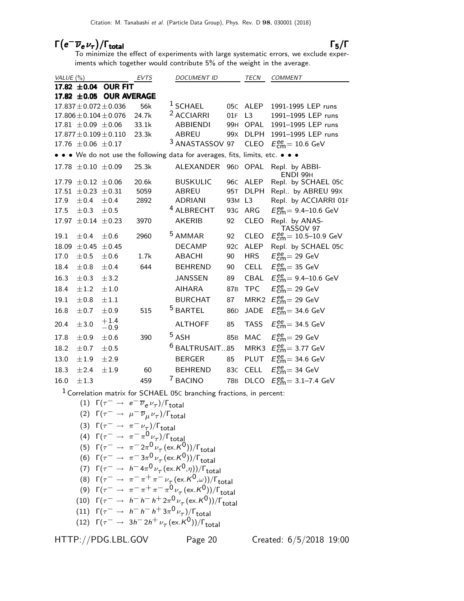# $\Gamma(e^-\overline{\nu}_e \nu_\tau)/\Gamma_{\rm total}$  Γ<sub>5</sub>/Γ

To minimize the effect of experiments with large systematic errors, we exclude experiments which together would contribute 5% of the weight in the average.

| VALUE $(\%)$ |                             |                              | EVTS  | <b>DOCUMENT ID</b>                                                            |                 | <b>TECN</b>      | <b>COMMENT</b>                                                |
|--------------|-----------------------------|------------------------------|-------|-------------------------------------------------------------------------------|-----------------|------------------|---------------------------------------------------------------|
|              | 17.82 $\pm 0.04$            | <b>OUR FIT</b>               |       |                                                                               |                 |                  |                                                               |
|              |                             | 17.82 ±0.05 OUR AVERAGE      |       |                                                                               |                 |                  |                                                               |
|              |                             | $17.837 \pm 0.072 \pm 0.036$ | 56k   | $1$ SCHAEL                                                                    | 05 <sub>C</sub> | <b>ALEP</b>      | 1991-1995 LEP runs                                            |
|              |                             | $17.806 \pm 0.104 \pm 0.076$ | 24.7k | <sup>2</sup> ACCIARRI                                                         | 01F             | L <sub>3</sub>   | 1991-1995 LEP runs                                            |
|              | 17.81 $\pm$ 0.09 $\pm$ 0.06 |                              | 33.1k | <b>ABBIENDI</b>                                                               | 99H             | OPAL             | 1991-1995 LEP runs                                            |
|              |                             | $17.877 \pm 0.109 \pm 0.110$ | 23.3k | <b>ABREU</b>                                                                  | 99x             | <b>DLPH</b>      | 1991-1995 LEP runs                                            |
|              | 17.76 $\pm 0.06 \pm 0.17$   |                              |       | <sup>3</sup> ANASTASSOV 97                                                    |                 | <b>CLEO</b>      | $E_{\text{cm}}^{\text{ee}}$ = 10.6 GeV                        |
|              |                             |                              |       | • • • We do not use the following data for averages, fits, limits, etc. • • • |                 |                  |                                                               |
|              | $17.78 \pm 0.10 \pm 0.09$   |                              | 25.3k | ALEXANDER                                                                     | 96 <sub>D</sub> | OPAL             | Repl. by ABBI-<br>ENDI 99H                                    |
| 17.79        | $\pm 0.12 \pm 0.06$         |                              | 20.6k | <b>BUSKULIC</b>                                                               | 96C             | <b>ALEP</b>      | Repl. by SCHAEL 05C                                           |
| 17.51        | $\pm$ 0.23                  | $\pm 0.31$                   | 5059  | <b>ABREU</b>                                                                  | 95T             | <b>DLPH</b>      | Repl by ABREU 99X                                             |
| 17.9         | ±0.4                        | ±0.4                         | 2892  | <b>ADRIANI</b>                                                                | 93M             | L <sub>3</sub>   | Repl. by ACCIARRI 01F                                         |
| 17.5         | ±0.3                        | ±0.5                         |       | <sup>4</sup> ALBRECHT                                                         | 93G             | ARG              | $E_{cm}^{ee}$ = 9.4–10.6 GeV                                  |
| 17.97        | $\pm 0.14 \pm 0.23$         |                              | 3970  | <b>AKERIB</b>                                                                 | 92              | <b>CLEO</b>      | Repl. by ANAS-<br>TASSOV 97                                   |
| 19.1         | ±0.4                        | $\pm 0.6$                    | 2960  | <sup>5</sup> AMMAR                                                            | 92              | <b>CLEO</b>      | $E_{\text{cm}}^{\text{ee}} = 10.5 \text{--} 10.9 \text{ GeV}$ |
| 18.09        | ±0.45                       | ±0.45                        |       | <b>DECAMP</b>                                                                 | 92 <sub>C</sub> | <b>ALEP</b>      | Repl. by SCHAEL 05C                                           |
| 17.0         | ±0.5                        | ±0.6                         | 1.7k  | <b>ABACHI</b>                                                                 | 90              | <b>HRS</b>       | $E_{\text{cm}}^{\text{ee}}$ = 29 GeV                          |
| 18.4         | ±0.8                        | ±0.4                         | 644   | <b>BEHREND</b>                                                                | 90              | <b>CELL</b>      | $E_{\text{cm}}^{\text{ee}}$ = 35 GeV                          |
| 16.3         | $\pm 0.3$                   | ± 3.2                        |       | <b>JANSSEN</b>                                                                | 89              | CBAL             | $E_{cm}^{ee}$ = 9.4–10.6 GeV                                  |
| 18.4         | $\pm 1.2$                   | ±1.0                         |       | <b>AIHARA</b>                                                                 | 87 <sub>B</sub> | <b>TPC</b>       | $E_{\text{cm}}^{\text{ee}}$ = 29 GeV                          |
| 19.1         | $\pm 0.8$                   | $\pm 1.1$                    |       | <b>BURCHAT</b>                                                                | 87              | MRK <sub>2</sub> | $E_{\text{cm}}^{\text{ee}}$ = 29 GeV                          |
| 16.8         | ±0.7                        | ±0.9                         | 515   | <sup>5</sup> BARTEL                                                           | 86 <sub>D</sub> | <b>JADE</b>      | $E_{\text{cm}}^{\text{ee}}$ = 34.6 GeV                        |
| 20.4         | ±3.0                        | $+1.4$<br>$-0.9$             |       | <b>ALTHOFF</b>                                                                | 85              | <b>TASS</b>      | $E_{\text{cm}}^{\text{ee}}$ = 34.5 GeV                        |
| 17.8         | ±0.9                        | ±0.6                         | 390   | 5ASH                                                                          | 85 <sub>B</sub> | MAC              | $E_{\text{cm}}^{\text{ee}}$ = 29 GeV                          |
| 18.2         | ±0.7                        | ±0.5                         |       | 6<br>BALTRUSAIT85                                                             |                 | MRK3             | $E_{\text{cm}}^{\text{ee}}$ = 3.77 GeV                        |
| 13.0         | ±1.9                        | ±2.9                         |       | <b>BERGER</b>                                                                 | 85              | PLUT             | $E_{\text{cm}}^{\text{ee}}$ = 34.6 GeV                        |
| 18.3         | ±2.4                        | ±1.9                         | 60    | <b>BEHREND</b>                                                                | 83C             | <b>CELL</b>      | $E_{\text{cm}}^{\text{ee}}$ = 34 GeV                          |
| 16.0         | ±1.3                        |                              | 459   | <sup>7</sup> BACINO                                                           | <b>78B</b>      | <b>DLCO</b>      | $E_{\text{cm}}^{\text{ee}} = 3.1 - 7.4 \text{ GeV}$           |

1 Correlation matrix for SCHAEL 05<sup>C</sup> branching fractions, in percent:

- (1)  $Γ(τ<sup>-</sup> → e<sup>-</sup>ν<sub>e</sub>ν<sub>τ</sub>)/Γ<sub>total</sub>$
- (2) Γ( $\tau^-\to~\mu^-\overline{\nu}_\mu{} \nu_\tau)$ /Γ<sub>total</sub>
- (3)  $\Gamma(\tau^- \to \pi^- \nu_\tau)/\Gamma_{\text{total}}$
- (4)  $\Gamma(\tau^- \to \pi^- \pi^0 \nu_\tau)/\Gamma_{\text{total}}$

(5) 
$$
\Gamma(\tau^- \to \pi^- 2\pi^0 \nu_\tau (\text{ex.} K^0)) / \Gamma_{\text{total}}
$$

(6) 
$$
\Gamma(\tau^- \to \pi^- 3\pi^0 \nu_\tau (\text{ex.} K^0)) / \Gamma_{\text{total}}
$$

(7) 
$$
\Gamma(\tau^- \to h^- 4\pi^0 \nu_\tau (\text{ex.} K^0, \eta))/\Gamma_{\text{total}}
$$

- (8)  $\Gamma(\tau^- \to \pi^-\pi^+\pi^-\nu_{\tau}^{\varepsilon}(\text{ex.}\kappa^0,\omega))/\Gamma_{\text{total}}$
- (9)  $\Gamma(\tau^- \to \pi^-\pi^+\pi^-\pi^0\nu_\tau(\text{ex.}K^0))/\Gamma_{\text{total}}$
- (10)  $Γ(τ<sup>-</sup> → h<sup>-</sup> h<sup>-</sup> h<sup>+</sup> 2π<sup>0</sup> ψ<sub>τ</sub> (ex.K<sup>0</sup>))/Γ<sub>total</sub>$

(11) 
$$
\Gamma(\tau^- \rightarrow h^- h^- h^+ 3\pi^0 \nu_\tau)/\Gamma_{\text{total}}
$$

(12) 
$$
\Gamma(\tau^- \to 3h^- 2h^+ \nu_\tau (\text{ex.} K^0))/\Gamma_{\text{total}}
$$

HTTP://PDG.LBL.GOV Page 20 Created: 6/5/2018 19:00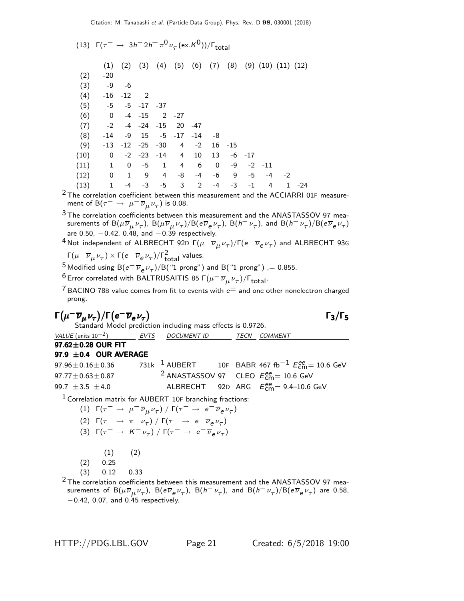|      | (13) $\Gamma(\tau^- \to 3h^- 2h^+ \pi^0 \nu_\tau (\text{ex. K}^0))/\Gamma_{\text{total}}$ |                          |                   |              |                |                |      |      |            |            |                            |       |
|------|-------------------------------------------------------------------------------------------|--------------------------|-------------------|--------------|----------------|----------------|------|------|------------|------------|----------------------------|-------|
|      | (1)                                                                                       | (2)                      | (3)               | (4)          |                | $(5)$ $(6)$    | (7)  | (8)  |            |            | $(9)$ $(10)$ $(11)$ $(12)$ |       |
| (2)  | $-20$                                                                                     |                          |                   |              |                |                |      |      |            |            |                            |       |
| (3)  | -9                                                                                        | -6                       |                   |              |                |                |      |      |            |            |                            |       |
| (4)  | -16                                                                                       | $-12$ 2                  |                   |              |                |                |      |      |            |            |                            |       |
| (5)  | $-5$                                                                                      |                          | $-5$ $-17$ $-37$  |              |                |                |      |      |            |            |                            |       |
| (6)  | $\overline{0}$                                                                            |                          | $-4 - 15$         | $2 - 27$     |                |                |      |      |            |            |                            |       |
| (7)  | $-2$                                                                                      |                          | $-4$ $-24$ $-15$  |              | 20             | -47            |      |      |            |            |                            |       |
| (8)  | -14                                                                                       | -9                       | - 15              |              | $-5$ $-17$     | -14            | -8   |      |            |            |                            |       |
| (9)  | $-13$                                                                                     |                          | $-12$ $-25$ $-30$ |              | $\overline{4}$ | $-2$           | 16   | -15  |            |            |                            |       |
| (10) | $\mathbf 0$                                                                               |                          | $-2$ $-23$ $-14$  |              | $\overline{4}$ | 10             | 13   |      | $-6$ $-17$ |            |                            |       |
| (11) | $\mathbf{1}$                                                                              | 0                        | $-5$              | <sup>1</sup> | $\overline{4}$ | 6              | 0    | -9   |            | $-2$ $-11$ |                            |       |
| (12) | $\overline{0}$                                                                            | $\overline{\phantom{a}}$ | - 9               | 4            | -8             | $-4$           | $-6$ | - 9  | -5         |            | $-4 -2$                    |       |
| (13) | $\mathbf{1}$                                                                              | $-4$                     | $-3$              | $-5$         | $\mathbf{3}$   | $\overline{2}$ | $-4$ | $-3$ | $-1$       | 4          | 1                          | $-24$ |

 $2$  The correlation coefficient between this measurement and the ACCIARRI 01F measurement of B $(\tau^-\rightarrow\ \mu^-\overline{\nu}_{\mu}\nu_{\tau})$  is 0.08.

 $3$  The correlation coefficients between this measurement and the ANASTASSOV 97 measurements of  ${\sf B}(\mu\overline\nu_\mu\nu_\tau)$ ,  ${\sf B}(\mu\overline\nu_\mu\nu_\tau)/{\sf B}$ (e $\overline\nu_e\nu_\tau)$ ,  ${\sf B}(h^-\nu_\tau)$ , and  ${\sf B}(h^-\nu_\tau)/{\sf B}(e\overline\nu_e\nu_\tau)$ are 0.50,  $-0.42$ , 0.48, and  $-0.39$  respectively.

<sup>4</sup> Not independent of ALBRECHT 92D 
$$
\Gamma(\mu^- \overline{\nu}_{\mu} \nu_{\tau})/\Gamma(e^- \overline{\nu}_{e} \nu_{\tau})
$$
 and ALBRECHT 93G

$$
\Gamma(\mu^- \overline{\nu}_{\mu} \nu_{\tau}) \times \Gamma(e^- \overline{\nu}_e \nu_{\tau})/\Gamma_{\text{total}}^2 \text{ values.}
$$

<sup>5</sup> Modified using B $(e^- \overline{\nu}_e \nu_\tau)/B$ ("1 prong") and B("1 prong") ,= 0.855.

 $^6$ Error correlated with BALTRUSAITIS 85 Γ $(\mu^-\,\overline{\nu}_\mu\,\nu_\tau)/$ Γ $_{\rm total}$ .

<sup>7</sup> BACINO 78B value comes from fit to events with  $e^{\pm}$  and one other nonelectron charged prong.

$$
\Gamma(\mu^- \overline{\nu}_{\mu} \nu_{\tau}) / \Gamma(e^- \overline{\nu}_{e} \nu_{\tau})
$$

Standard Model prediction including mass effects is 0.9726. VALUE (units  $10^{-2}$ ) EVTS DOCUMENT ID TECN COMMENT  $97.62 \pm 0.28$  OUR FIT **97.9**  $\pm$ **0.4 OUR AVERAGE**<br>97.96 $\pm$ 0.16 $\pm$ 0.36 731k  $^1$  AUBERT 97.96 $\pm$ 0.16 $\pm$ 0.36 731k 1 AUBERT 10F BABR 467 fb $^{-1}$   $E_{\mathsf{cm}}^{ee}$ = 10.6 GeV 97.77 $\pm$ 0.63 $\pm$ 0.87 <sup>2</sup> ANASTASSOV 97 CLEO  $E_{\textsf{cm}}^{ee}$  = 10.6 GeV 99.7  $\pm 3.5 \pm 4.0$  ALBRECHT  $_{cm}^{ee}$  = 9.4–10.6 GeV

 $1$  Correlation matrix for AUBERT 10F branching fractions:

$$
(1) \Gamma(\tau^- \to \mu^- \overline{\nu}_{\mu} \nu_{\tau}) / \Gamma(\tau^- \to e^- \overline{\nu}_{e} \nu_{\tau})
$$
  

$$
(2) \Gamma(\tau^- \to \pi^- \nu_{\tau}) / \Gamma(\tau^- \to e^- \overline{\nu}_{e} \nu_{\tau})
$$

(3)  $\Gamma(\tau^- \to K^- \nu_\tau) / \Gamma(\tau^- \to e^- \overline{\nu}_e \nu_\tau)$ 

 $(2)$ 

$$
(1)
$$

$$
(2) \qquad 0.25
$$

(3) 0.12 0.33

 $2$  The correlation coefficients between this measurement and the ANASTASSOV 97 measurements of  ${\sf B}(\mu\overline{\nu}_\mu\nu_\tau)$ ,  ${\sf B}({\sf e}\overline{\nu}_{\sf e}\nu_\tau)$ ,  ${\sf B}(h^-\nu_\tau)$ , and  ${\sf B}(h^-\nu_\tau)/{\sf B}({\sf e}\overline{\nu}_{\sf e}\nu_\tau)$  are 0.58, −0.42, 0.07, and 0.45 respectively.

HTTP://PDG.LBL.GOV Page 21 Created: 6/5/2018 19:00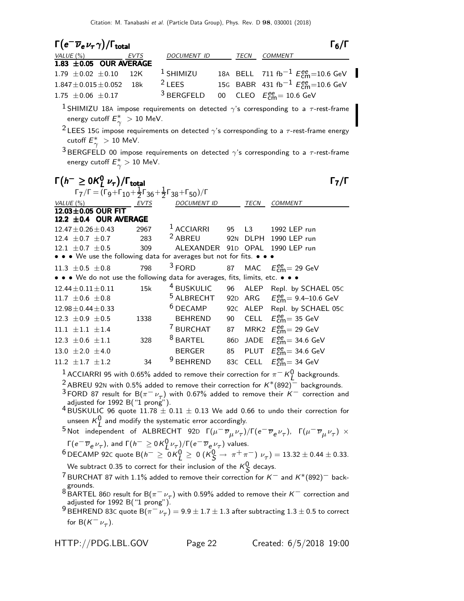| $\Gamma(e^{-}\overline{\nu}_{e}\nu_{\tau}\gamma)/\Gamma_{\mathrm{total}}$                                           |      |                       |                 |                                | $\Gamma_6/\Gamma$                                                                                                                                                                                   |
|---------------------------------------------------------------------------------------------------------------------|------|-----------------------|-----------------|--------------------------------|-----------------------------------------------------------------------------------------------------------------------------------------------------------------------------------------------------|
|                                                                                                                     |      | DOCUMENT ID           |                 | <b>TECN</b>                    | COMMENT                                                                                                                                                                                             |
| $\frac{\textit{VALUE (%)}}{1.83 \pm 0.05} \frac{\textit{EVTS}}{\text{OUR AVERAGE}}$                                 |      |                       |                 |                                |                                                                                                                                                                                                     |
| $1.79 \pm 0.02 \pm 0.10$                                                                                            | 12K  | <sup>1</sup> SHIMIZU  |                 |                                | 18A BELL 711 fb <sup>-1</sup> $E_{\text{cm}}^{ee}$ =10.6 GeV                                                                                                                                        |
| $1.847 \pm 0.015 \pm 0.052$                                                                                         | 18k  | $2$ LEES              |                 |                                | 15G BABR 431 fb <sup>-1</sup> $E_{cm}^{ee}$ =10.6 GeV                                                                                                                                               |
| $1.75 \pm 0.06 \pm 0.17$                                                                                            |      | <sup>3</sup> BERGFELD | $00\,$          |                                | CLEO $E_{\text{cm}}^{ee} = 10.6 \text{ GeV}$                                                                                                                                                        |
| energy cutoff $E^*_{\gamma} > 10$ MeV.                                                                              |      |                       |                 |                                | <sup>1</sup> SHIMIZU 18A impose requirements on detected $\gamma$ 's corresponding to a $\tau$ -rest-frame                                                                                          |
| cutoff $E^*_{\sim} > 10$ MeV.                                                                                       |      |                       |                 |                                | <sup>2</sup> LEES 15G impose requirements on detected $\gamma$ 's corresponding to a $\tau$ -rest-frame energy                                                                                      |
|                                                                                                                     |      |                       |                 |                                | $^3$ BERGFELD 00 impose requirements on detected $\gamma$ 's corresponding to a $\tau$ -rest-frame                                                                                                  |
| energy cutoff $E^*_{\gamma} > 10$ MeV.                                                                              |      |                       |                 |                                |                                                                                                                                                                                                     |
| $\Gamma(h^{-} \geq 0 \mathcal{K}_{I}^{0} \nu_{\tau})/\Gamma_{\text{total}}$                                         |      |                       |                 |                                | $\mathsf{\Gamma}_7/\mathsf{\Gamma}$                                                                                                                                                                 |
| $\Gamma_7/\Gamma = (\Gamma_9 + \Gamma_{10} + \frac{1}{2}\Gamma_{36} + \frac{1}{2}\Gamma_{38} + \Gamma_{50})/\Gamma$ |      |                       |                 |                                |                                                                                                                                                                                                     |
| VALUE (%)                                                                                                           | EVTS | <b>DOCUMENT ID</b>    |                 | TECN                           | COMMENT                                                                                                                                                                                             |
| 12.03±0.05 OUR FIT                                                                                                  |      |                       |                 |                                |                                                                                                                                                                                                     |
| 12.2 ±0.4 OUR AVERAGE                                                                                               |      |                       |                 |                                |                                                                                                                                                                                                     |
| $12.47 \pm 0.26 \pm 0.43$                                                                                           | 2967 | <sup>1</sup> ACCIARRI | 95              | L3                             | 1992 LEP run                                                                                                                                                                                        |
| 12.4 $\pm$ 0.7 $\pm$ 0.7                                                                                            | 283  | <sup>2</sup> ABREU    |                 | 92 <sub>N</sub><br><b>DLPH</b> | 1990 LEP run                                                                                                                                                                                        |
| 12.1 $\pm$ 0.7 $\pm$ 0.5                                                                                            | 309  | ALEXANDER             | 91 <sub>D</sub> | <b>OPAL</b>                    | 1990 LEP run                                                                                                                                                                                        |
| • • We use the following data for averages but not for fits. •                                                      |      |                       |                 |                                |                                                                                                                                                                                                     |
| 11.3 $\pm$ 0.5 $\pm$ 0.8                                                                                            | 798  | $3$ FORD              | 87              | MAC                            | $E_{cm}^{ee}$ = 29 GeV                                                                                                                                                                              |
| • • • We do not use the following data for averages, fits, limits, etc. • • •                                       |      |                       |                 |                                |                                                                                                                                                                                                     |
| $12.44 \pm 0.11 \pm 0.11$                                                                                           | 15k  | <sup>4</sup> BUSKULIC |                 | 96                             | ALEP Repl. by SCHAEL 05C                                                                                                                                                                            |
| 11.7 $\pm 0.6 \pm 0.8$                                                                                              |      | <sup>5</sup> ALBRECHT |                 |                                | 92D ARG $E_{\text{cm}}^{ee} = 9.4 - 10.6 \text{ GeV}$                                                                                                                                               |
| $12.98 \pm 0.44 \pm 0.33$                                                                                           |      | <sup>6</sup> DECAMP   |                 | 92C ALEP                       | Repl. by SCHAEL 05C                                                                                                                                                                                 |
| 12.3 $\pm 0.9 \pm 0.5$                                                                                              | 1338 | <b>BEHREND</b>        | 90              | CELL                           | $E_{\text{cm}}^{\text{ee}}$ 35 GeV                                                                                                                                                                  |
| $11.1 \pm 1.1 \pm 1.4$                                                                                              |      | <sup>7</sup> BURCHAT  |                 | 87                             | MRK2 $E_{\text{cm}}^{\text{ee}}$ = 29 GeV                                                                                                                                                           |
| 12.3 $\pm 0.6 \pm 1.1$                                                                                              | 328  | <sup>8</sup> BARTEL   |                 | 86 <sub>D</sub>                | JADE $E_{\text{cm}}^{ee}$ = 34.6 GeV                                                                                                                                                                |
| 13.0 $\pm 2.0 \pm 4.0$                                                                                              |      | <b>BERGER</b>         | 85              |                                | PLUT $E_{cm}^{ee}$ = 34.6 GeV                                                                                                                                                                       |
| 11.2 $\pm$ 1.7 $\pm$ 1.2                                                                                            | 34   | <sup>9</sup> BEHREND  |                 |                                | 83C CELL $E_{cm}^{ee}$ = 34 GeV                                                                                                                                                                     |
|                                                                                                                     |      |                       |                 |                                | $^1$ ACCIARRI 95 with 0.65% added to remove their correction for $\pi^-$ K $^0_I$ backgrounds.<br>$2$ ARRELL 02N with 0.5% added to remove their correction for $K^*(802)$ <sup>-</sup> backgrounds |

with 0.5% added to remove their correction for  $\mathsf{K}^{*}(892)^{+}$  backgrounds. <sup>3</sup> FORD 87 result for B( $\pi^- \nu_{\tau}$ ) with 0.67% added to remove their K<sup>-</sup> correction and adjusted for 1992 B("1 prong").

 $^{4}$ BUSKULIC 96 quote 11.78  $\pm$  0.11  $\pm$  0.13 We add 0.66 to undo their correction for unseen  $K^0_L$  and modify the systematic error accordingly.

<sup>5</sup> Not independent of ALBRECHT 92D  $\Gamma(\mu^- \overline{\nu}_\mu \nu_\tau)/\Gamma(e^- \overline{\nu}_e \nu_\tau)$ ,  $\Gamma(\mu^- \overline{\nu}_\mu \nu_\tau) \times$ Γ $(e^- \overline{\nu}_e \nu_\tau)$ , and Γ $(h^- \ge 0 \, \mathsf{K}^0_L \nu_\tau)$ /Γ $(e^- \overline{\nu}_e \nu_\tau)$  values.

 $^{6}$  DECAMP 92c quote B( $h^ \geq$  0K $^0_L$   $\geq$  0(K $^0_S$   $\to \pi^+\pi^-$ )  $\nu_{\tau}$ ) = 13.32  $\pm$  0.44  $\pm$  0.33. We subtract 0.35 to correct for their inclusion of the  $\kappa^0_{\cal S}$  decays.

<sup>7</sup> BURCHAT 87 with 1.1% added to remove their correction for  $K^-$  and  $K^*(892)^-$  back-

grounds.<br><sup>8</sup> BARTEL 86D result for B( $\pi^{-}\nu_{\tau}$ ) with 0.59% added to remove their K<sup>−</sup> correction and adjusted for 1992 B $('1 prong")'$ .

 $^9$  BEHREND 83C quote  $\mathsf{B}(\pi^-\nu_\tau^{\vphantom{2}})=9.9\pm1.7\pm1.3$  after subtracting  $1.3\pm0.5$  to correct for B $(K^-\nu_\tau)$ .

HTTP://PDG.LBL.GOV Page 22 Created: 6/5/2018 19:00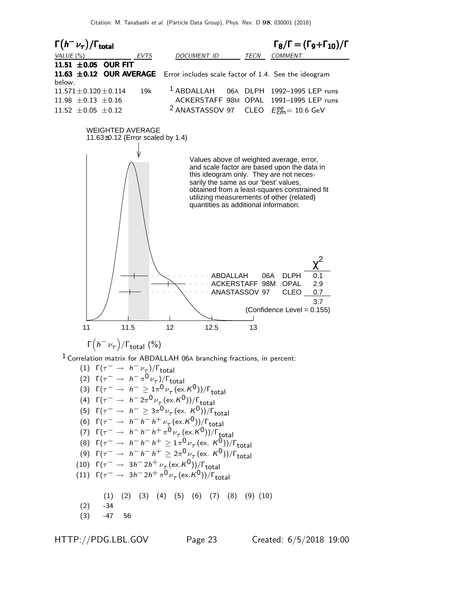

- (4)  $\Gamma(\tau^- \to h^- 2\pi^0 \nu_{\tau_c} (\text{ex. K}^0))/\Gamma_{\text{total}}$ (5)  $\Gamma(\tau^-$  →  $h^-$  ≥ 3π<sup>0</sup> ν<sub>τ</sub> (ex. K<sup>0</sup>))/Γ<sub>total</sub> (6)  $\Gamma(\tau^- \to h^- h^- h^+ \nu_\tau (\text{ex. K}^0)) / \Gamma_{\text{total}}$ (7)  $\Gamma(\tau^-$  →  $h^- h^- h^+ \pi^0 \nu_\tau$  (ex. K<sup>0</sup>))/Γ<sub>total</sub> (8)  $\Gamma(\tau^- \to h^- h^- h^+ \geq 1 \pi^0 \nu_\tau (\text{ex. } K^0)) / \Gamma_{\text{total}}$ (9)  $\Gamma(\tau^- \to h^- h^- h^+ \geq 2\pi^0 \nu_\tau (\text{ex. } K^0))/\Gamma_{\text{total}}$ (10)  $\Gamma(\tau^- \rightarrow 3h^- 2h^+ \nu_\tau (\text{ex.} K^0)) / \Gamma_{\text{total}}$ (11)  $\Gamma(\tau^- \rightarrow 3h^- 2h^+ \pi^0 \nu_\tau (\text{ex. K}^0))/\Gamma_{\text{total}}$ (1) (2) (3) (4) (5) (6) (7) (8) (9) (10)
- $(2)$   $-34$  $(3)$  -47 56

HTTP://PDG.LBL.GOV Page 23 Created: 6/5/2018 19:00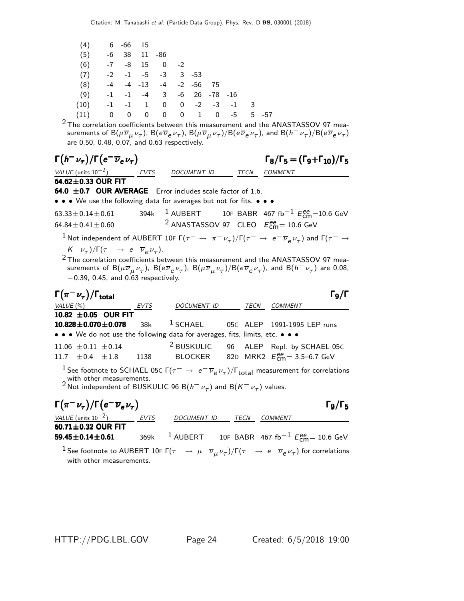| $(4)$ 6 -66 15                                 |  |  |  |  |       |
|------------------------------------------------|--|--|--|--|-------|
| $(5)$ -6 38 11 -86                             |  |  |  |  |       |
| $(6)$ -7 -8 15 0 -2                            |  |  |  |  |       |
| $(7)$ -2 -1 -5 -3 3 -53                        |  |  |  |  |       |
| $(8)$ -4 -4 -13 -4 -2 -56 75                   |  |  |  |  |       |
| $(9)$ $-1$ $-1$ $-4$ $3$ $-6$ $26$ $-78$ $-16$ |  |  |  |  |       |
| $(10)$ $-1$ $-1$ $1$ 0 0 $-2$ $-3$ $-1$ 3      |  |  |  |  |       |
| $(11)$ 0 0 0 0 0 1 0 -5                        |  |  |  |  | 5 -57 |

 $^2$ The correlation coefficients between this measurement and the ANASTASSOV 97 measurements of  ${\rm B}(\mu\overline\nu_\mu\nu_\tau)$ ,  ${\rm B}(e\overline\nu_e\nu_\tau)$ ,  ${\rm B}(\mu\overline\nu_\mu\nu_\tau)/{\rm B}(e\overline\nu_e\nu_\tau)$ , and  ${\rm B}(h^-\nu_\tau)/{\rm B}(e\overline\nu_e\nu_\tau)$ are 0.50, 0.48, 0.07, and 0.63 respectively.

| $\Gamma(h^-\nu_\tau)/\Gamma(e^-\overline{\nu}_e\nu_\tau)$                                                                                                                                                                                                                                                                                                 |                                                           |                                                                 |  |      | $\Gamma_8/\Gamma_5 = (\Gamma_9 + \Gamma_{10})/\Gamma_5$                                                                                                |  |  |  |  |  |  |
|-----------------------------------------------------------------------------------------------------------------------------------------------------------------------------------------------------------------------------------------------------------------------------------------------------------------------------------------------------------|-----------------------------------------------------------|-----------------------------------------------------------------|--|------|--------------------------------------------------------------------------------------------------------------------------------------------------------|--|--|--|--|--|--|
| VALUE (units $10^{-2}$ )                                                                                                                                                                                                                                                                                                                                  | <b>EVTS</b>                                               | DOCUMENT ID                                                     |  |      | TECN COMMENT                                                                                                                                           |  |  |  |  |  |  |
| 64.62±0.33 OUR FIT                                                                                                                                                                                                                                                                                                                                        |                                                           |                                                                 |  |      |                                                                                                                                                        |  |  |  |  |  |  |
|                                                                                                                                                                                                                                                                                                                                                           | 64.0 ±0.7 OUR AVERAGE Error includes scale factor of 1.6. |                                                                 |  |      |                                                                                                                                                        |  |  |  |  |  |  |
| • • • We use the following data for averages but not for fits. • • •                                                                                                                                                                                                                                                                                      |                                                           |                                                                 |  |      |                                                                                                                                                        |  |  |  |  |  |  |
| $63.33 \pm 0.14 \pm 0.61$                                                                                                                                                                                                                                                                                                                                 |                                                           |                                                                 |  |      | 394k <sup>1</sup> AUBERT 10F BABR 467 fb <sup>-1</sup> $E_{cm}^{ee}$ =10.6 GeV                                                                         |  |  |  |  |  |  |
| $64.84 \pm 0.41 \pm 0.60$                                                                                                                                                                                                                                                                                                                                 |                                                           | <sup>2</sup> ANASTASSOV 97 CLEO $E_{\text{cm}}^{ee}$ = 10.6 GeV |  |      |                                                                                                                                                        |  |  |  |  |  |  |
|                                                                                                                                                                                                                                                                                                                                                           |                                                           |                                                                 |  |      | <sup>1</sup> Not independent of AUBERT 10F $\Gamma(\tau^-\to\pi^-\nu_\tau)/\Gamma(\tau^-\to\,e^-\overline{\nu}_e\nu_\tau)$ and $\Gamma(\tau^-\to\tau)$ |  |  |  |  |  |  |
| $K^-\nu_\tau)/\Gamma(\tau^- \to e^-\overline{\nu}_e\nu_\tau).$                                                                                                                                                                                                                                                                                            |                                                           |                                                                 |  |      |                                                                                                                                                        |  |  |  |  |  |  |
| $2$ The correlation coefficients between this measurement and the ANASTASSOV 97 mea-<br>surements of B( $\mu \overline{\nu}_{\mu} \nu_{\tau}$ ), B( $e \overline{\nu}_{e} \nu_{\tau}$ ), B( $\mu \overline{\nu}_{\mu} \nu_{\tau}$ )/B( $e \overline{\nu}_{e} \nu_{\tau}$ ), and B( $h^- \nu_{\tau}$ ) are 0.08,<br>$-0.39$ , 0.45, and 0.63 respectively. |                                                           |                                                                 |  |      |                                                                                                                                                        |  |  |  |  |  |  |
| Го/Г                                                                                                                                                                                                                                                                                                                                                      |                                                           |                                                                 |  |      |                                                                                                                                                        |  |  |  |  |  |  |
| $\Gamma(\pi^-\nu_\tau)/\Gamma_{\rm total}$                                                                                                                                                                                                                                                                                                                |                                                           |                                                                 |  |      |                                                                                                                                                        |  |  |  |  |  |  |
| VALUE $(\% )$                                                                                                                                                                                                                                                                                                                                             | EVTS                                                      | DOCUMENT ID                                                     |  | TECN | COMMENT                                                                                                                                                |  |  |  |  |  |  |
| 10.82 $\pm$ 0.05 OUR FIT                                                                                                                                                                                                                                                                                                                                  |                                                           |                                                                 |  |      |                                                                                                                                                        |  |  |  |  |  |  |
| $10.828 \pm 0.070 \pm 0.078$                                                                                                                                                                                                                                                                                                                              | 38k                                                       | $^1$ SCHAEL                                                     |  |      | 05C ALEP 1991-1995 LEP runs                                                                                                                            |  |  |  |  |  |  |
| • • • We do not use the following data for averages, fits, limits, etc. • • •                                                                                                                                                                                                                                                                             |                                                           |                                                                 |  |      |                                                                                                                                                        |  |  |  |  |  |  |
| $11.06 \pm 0.11 \pm 0.14$                                                                                                                                                                                                                                                                                                                                 |                                                           | <sup>2</sup> BUSKULIC                                           |  |      | 96 ALEP Repl. by SCHAEL 05C                                                                                                                            |  |  |  |  |  |  |
| 11.7 $\pm$ 0.4 $\pm$ 1.8                                                                                                                                                                                                                                                                                                                                  | 1138                                                      | BLOCKER                                                         |  |      | 82D MRK2 $E_{\text{cm}}^{ee} = 3.5 - 6.7 \text{ GeV}$                                                                                                  |  |  |  |  |  |  |
| with other measurements.<br><sup>2</sup> Not independent of BUSKULIC 96 B( $h^-\nu_\tau$ ) and B( $K^-\nu_\tau$ ) values.                                                                                                                                                                                                                                 |                                                           |                                                                 |  |      | <sup>1</sup> See footnote to SCHAEL 05C $\Gamma(\tau^-\to\ e^-\overline{\nu}_e\nu_\tau)/\Gamma_{\rm total}$ measurement for correlations               |  |  |  |  |  |  |

| $\Gamma(\pi^-\nu_{\tau})/\Gamma(e^-\overline{\nu}_e\nu_{\tau})$                                                                                                                          |  |                  |         | $\Gamma_9/\Gamma_5$                                                             |
|------------------------------------------------------------------------------------------------------------------------------------------------------------------------------------------|--|------------------|---------|---------------------------------------------------------------------------------|
| VALUE (units $10^{-2}$ ) EVTS                                                                                                                                                            |  | DOCUMENT ID TECN | COMMENT |                                                                                 |
| 60.71 $\pm$ 0.32 OUR FIT                                                                                                                                                                 |  |                  |         |                                                                                 |
| $59.45 \pm 0.14 \pm 0.61$                                                                                                                                                                |  |                  |         | 369k <sup>1</sup> AUBERT 10F BABR 467 fb <sup>-1</sup> $E_{cm}^{ee}$ = 10.6 GeV |
| <sup>1</sup> See footnote to AUBERT 10F $\Gamma(\tau^-\to\mu^-\overline{\nu}_\mu \nu_\tau)/\Gamma(\tau^-\to\,e^-\overline{\nu}_e \nu_\tau)$ for correlations<br>with other measurements. |  |                  |         |                                                                                 |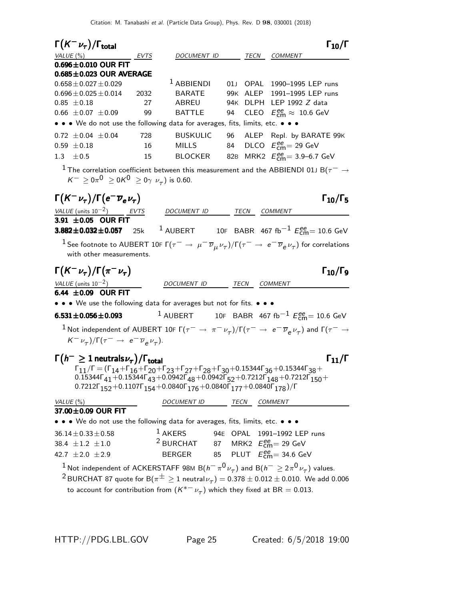Citation: M. Tanabashi et al. (Particle Data Group), Phys. Rev. D 98, 030001 (2018)

| $\Gamma(K^-\nu_\tau)/\Gamma_{\rm total}$                                                                                                                                               |            |                                                            |            |              | $\Gamma_{10}/\Gamma$                                                                                                                                                                                                                                                                                                           |
|----------------------------------------------------------------------------------------------------------------------------------------------------------------------------------------|------------|------------------------------------------------------------|------------|--------------|--------------------------------------------------------------------------------------------------------------------------------------------------------------------------------------------------------------------------------------------------------------------------------------------------------------------------------|
| VALUE (%)                                                                                                                                                                              | EVTS       | DOCUMENT ID                                                |            | TECN         | <i>COMMENT</i>                                                                                                                                                                                                                                                                                                                 |
| $0.696 \pm 0.010$ OUR FIT                                                                                                                                                              |            |                                                            |            |              |                                                                                                                                                                                                                                                                                                                                |
| $0.685 \pm 0.023$ OUR AVERAGE                                                                                                                                                          |            |                                                            |            |              |                                                                                                                                                                                                                                                                                                                                |
| $0.658 \pm 0.027 \pm 0.029$                                                                                                                                                            |            | <sup>1</sup> ABBIENDI                                      | 01J        |              | OPAL 1990-1995 LEP runs                                                                                                                                                                                                                                                                                                        |
| $0.696 \pm 0.025 \pm 0.014$<br>$0.85 \pm 0.18$                                                                                                                                         | 2032<br>27 | <b>BARATE</b><br>ABREU                                     | 99K<br>94K |              | ALEP 1991-1995 LEP runs<br>DLPH LEP 1992 Z data                                                                                                                                                                                                                                                                                |
| $0.66 \pm 0.07 \pm 0.09$                                                                                                                                                               | 99         | <b>BATTLE</b>                                              | 94         |              | CLEO $E_{\text{cm}}^{\text{ee}} \approx 10.6 \text{ GeV}$                                                                                                                                                                                                                                                                      |
| • • • We do not use the following data for averages, fits, limits, etc. • • •                                                                                                          |            |                                                            |            |              |                                                                                                                                                                                                                                                                                                                                |
|                                                                                                                                                                                        |            | <b>BUSKULIC</b>                                            |            |              |                                                                                                                                                                                                                                                                                                                                |
| $0.72 \pm 0.04 \pm 0.04$<br>$0.59 \pm 0.18$                                                                                                                                            | 728<br>16  | <b>MILLS</b>                                               | 96<br>84   |              | ALEP Repl. by BARATE 99K<br>DLCO $E_{\text{cm}}^{\text{ee}}$ = 29 GeV                                                                                                                                                                                                                                                          |
| $\pm$ 0.5<br>1.3                                                                                                                                                                       | 15         | BLOCKER                                                    |            |              | MRK2 $E_{\text{cm}}^{\text{ee}} = 3.9 - 6.7 \text{ GeV}$                                                                                                                                                                                                                                                                       |
|                                                                                                                                                                                        |            |                                                            | 82B        |              |                                                                                                                                                                                                                                                                                                                                |
| $K^{-} \ge 0 \pi^{0} \ge 0 K^{0} \ge 0 \gamma \nu_{\tau}$ ) is 0.60.                                                                                                                   |            |                                                            |            |              | $^1$ The correlation coefficient between this measurement and the ABBIENDI 01J B( $\tau^-\rightarrow$                                                                                                                                                                                                                          |
| $\Gamma(K^-\nu_\tau)/\Gamma(e^-\overline{\nu}_e\nu_\tau)$                                                                                                                              |            |                                                            |            |              | $\Gamma_{10}/\Gamma_5$                                                                                                                                                                                                                                                                                                         |
| $VALUE$ (units $10^{-2}$ ) EVTS                                                                                                                                                        |            | DOCUMENT ID TECN COMMENT                                   |            |              |                                                                                                                                                                                                                                                                                                                                |
| 3.91 ±0.05 OUR FIT                                                                                                                                                                     |            |                                                            |            |              |                                                                                                                                                                                                                                                                                                                                |
| $3.882 \pm 0.032 \pm 0.057$ 25k                                                                                                                                                        |            |                                                            |            |              | $^1$ AUBERT 10F BABR 467 fb $^{-1}$ $E_\mathrm{cm}^{ee}$ = 10.6 GeV                                                                                                                                                                                                                                                            |
| with other measurements.                                                                                                                                                               |            |                                                            |            |              | $^1$ See footnote to AUBERT 10F Г $(\tau^-\to\mu^-\overline{\nu}_\mu\overline{\nu}_\tau)/$ Г $(\tau^-\to\,e^-\overline{\nu}_e\overline{\nu}_\tau)$ for correlations                                                                                                                                                            |
| $\Gamma(K^-\nu_\tau)/\Gamma(\pi^-\nu_\tau)$                                                                                                                                            |            |                                                            |            |              | $\Gamma_{10}/\Gamma_{9}$                                                                                                                                                                                                                                                                                                       |
| VALUE (units $10^{-2}$ )                                                                                                                                                               |            | DOCUMENT ID                                                |            | TECN         | COMMENT                                                                                                                                                                                                                                                                                                                        |
| 6.44 $\pm$ 0.09 OUR FIT                                                                                                                                                                |            |                                                            |            |              |                                                                                                                                                                                                                                                                                                                                |
| • • • We use the following data for averages but not for fits. • • •                                                                                                                   |            |                                                            |            |              |                                                                                                                                                                                                                                                                                                                                |
| $6.531 \pm 0.056 \pm 0.093$                                                                                                                                                            |            |                                                            |            |              | <sup>1</sup> AUBERT 10F BABR 467 fb <sup>-1</sup> $E_{\text{cm}}^{ee}$ = 10.6 GeV                                                                                                                                                                                                                                              |
| $(K^- \nu_\tau)/\Gamma(\tau^- \to e^- \overline{\nu}_e \nu_\tau).$                                                                                                                     |            |                                                            |            |              | $^{-1}$ Not independent of AUBERT 10F $\Gamma(\tau^-\to~\pi^-\nu_\tau)/\Gamma(\tau^-\to~e^-\overline{\nu}_e\nu_\tau)$ and $\Gamma(\tau^-\to e^-$                                                                                                                                                                               |
| $\Gamma(h^{-} \geq 1$ neutrals $\nu_{\tau})/\Gamma_{\text{total}}$<br>$0.7212\Gamma_{152} + 0.1107\Gamma_{154} + 0.0840\Gamma_{176} + 0.0840\Gamma_{177} + 0.0840\Gamma_{178})/\Gamma$ |            |                                                            |            |              | $\Gamma_{11}/\Gamma$<br>$\Gamma_{11}/\Gamma = (\Gamma_{14} + \Gamma_{16} + \Gamma_{20} + \Gamma_{23} + \Gamma_{27} + \Gamma_{28} + \Gamma_{30} + 0.15344 \Gamma_{36} + 0.15344 \Gamma_{38} +$<br>$0.15344\Gamma_{41} + 0.15344\Gamma_{43} + 0.0942\Gamma_{48} + 0.0942\Gamma_{52} + 0.7212\Gamma_{148} + 0.7212\Gamma_{150} +$ |
| VALUE (%)                                                                                                                                                                              |            | <b>DOCUMENT ID</b>                                         |            | TECN COMMENT |                                                                                                                                                                                                                                                                                                                                |
| 37.00±0.09 OUR FIT                                                                                                                                                                     |            |                                                            |            |              |                                                                                                                                                                                                                                                                                                                                |
| • • • We do not use the following data for averages, fits, limits, etc. • • •                                                                                                          |            |                                                            |            |              |                                                                                                                                                                                                                                                                                                                                |
| $36.14 \pm 0.33 \pm 0.58$                                                                                                                                                              |            | $1$ AKERS                                                  |            |              | 94E OPAL 1991-1992 LEP runs                                                                                                                                                                                                                                                                                                    |
| 38.4 $\pm 1.2$ $\pm 1.0$                                                                                                                                                               |            | <sup>2</sup> BURCHAT 87 MRK2 $E_{\text{cm}}^{ee}$ = 29 GeV |            |              |                                                                                                                                                                                                                                                                                                                                |
| 42.7 $\pm 2.0 \pm 2.9$                                                                                                                                                                 |            | BERGER 85 PLUT $E_{\text{cm}}^{ee}$ = 34.6 GeV             |            |              |                                                                                                                                                                                                                                                                                                                                |
|                                                                                                                                                                                        |            |                                                            |            |              | $^1$ Not independent of ACKERSTAFF 98M B $(h^-\,\pi^0\,\nu_\tau)$ and B $(h^-\geq2\pi^0\,\nu_\tau)$ values.                                                                                                                                                                                                                    |
|                                                                                                                                                                                        |            |                                                            |            |              | $^2$ BURCHAT 87 quote for B $(\pi^\pm \geq 1$ neutral $\nu_\tau) =$ 0.378 $\pm$ 0.012 $\pm$ 0.010. We add 0.006                                                                                                                                                                                                                |
|                                                                                                                                                                                        |            |                                                            |            |              |                                                                                                                                                                                                                                                                                                                                |
| to account for contribution from $(K^{*-} \nu_{\tau})$ which they fixed at BR = 0.013.                                                                                                 |            |                                                            |            |              |                                                                                                                                                                                                                                                                                                                                |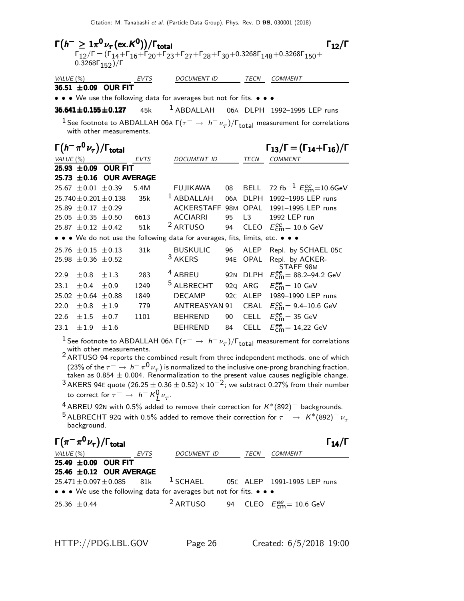|              | 0.3268 $\Gamma_{152}$ )/ $\Gamma$             | $\Gamma(h^{-} \geq 1\pi^{0}\nu_{\tau}(\text{ex.}\mathcal{K}^{0}))/\Gamma_{\text{total}}$ |             |                                                                               |                 |                | $\Gamma_{12}/\Gamma$<br>$\Gamma_{12}/\Gamma = (\Gamma_{14} + \Gamma_{16} + \Gamma_{20} + \Gamma_{23} + \Gamma_{27} + \Gamma_{28} + \Gamma_{30} + 0.3268\Gamma_{148} + 0.3268\Gamma_{150} +$                                                                                                                                       |
|--------------|-----------------------------------------------|------------------------------------------------------------------------------------------|-------------|-------------------------------------------------------------------------------|-----------------|----------------|-----------------------------------------------------------------------------------------------------------------------------------------------------------------------------------------------------------------------------------------------------------------------------------------------------------------------------------|
| VALUE $(\%)$ |                                               |                                                                                          | <u>EVTS</u> | <b>DOCUMENT ID</b>                                                            |                 | TECN           | <b>COMMENT</b>                                                                                                                                                                                                                                                                                                                    |
|              |                                               | 36.51 ±0.09 OUR FIT                                                                      |             |                                                                               |                 |                |                                                                                                                                                                                                                                                                                                                                   |
|              |                                               |                                                                                          |             | • • • We use the following data for averages but not for fits. • • •          |                 |                |                                                                                                                                                                                                                                                                                                                                   |
|              |                                               | $36.641 \pm 0.155 \pm 0.127$                                                             | 45k         | $1$ ABDALLAH                                                                  |                 |                | 06A DLPH 1992-1995 LEP runs                                                                                                                                                                                                                                                                                                       |
|              |                                               | with other measurements.                                                                 |             |                                                                               |                 |                | $^1$ See footnote to ABDALLAH 06A Г $(\tau^-\rightarrow\,h^-\,\nu_\tau)/\Gamma_{\rm total}$ measurement for correlations                                                                                                                                                                                                          |
|              | $\Gamma(h^-\pi^0\nu_\tau)/\Gamma_{\rm total}$ |                                                                                          |             |                                                                               |                 |                | $\Gamma_{13}/\Gamma = (\Gamma_{14} + \Gamma_{16})/\Gamma$                                                                                                                                                                                                                                                                         |
|              | VALUE $(\%)$                                  |                                                                                          | EVTS        | DOCUMENT ID                                                                   |                 |                | TECN COMMENT                                                                                                                                                                                                                                                                                                                      |
|              | $25.93 \pm 0.09$                              | <b>OUR FIT</b><br>$25.73 \pm 0.16$ OUR AVERAGE                                           |             |                                                                               |                 |                |                                                                                                                                                                                                                                                                                                                                   |
|              | 25.67 $\pm$ 0.01 $\pm$ 0.39                   |                                                                                          | 5.4M        | <b>FUJIKAWA</b>                                                               | 08              | <b>BELL</b>    | 72 fb <sup>-1</sup> $E_{cm}^{ee}$ =10.6GeV                                                                                                                                                                                                                                                                                        |
|              |                                               | $25.740 \pm 0.201 \pm 0.138$                                                             | 35k         | <sup>1</sup> ABDALLAH                                                         | 06A             | <b>DLPH</b>    | 1992-1995 LEP runs                                                                                                                                                                                                                                                                                                                |
|              | 25.89 $\pm$ 0.17 $\pm$ 0.29                   |                                                                                          |             | ACKERSTAFF                                                                    | 98 <sub>M</sub> | OPAL           | 1991-1995 LEP runs                                                                                                                                                                                                                                                                                                                |
|              | $25.05 \pm 0.35 \pm 0.50$                     |                                                                                          | 6613        | <b>ACCIARRI</b>                                                               | 95              | L <sub>3</sub> | 1992 LEP run                                                                                                                                                                                                                                                                                                                      |
|              | 25.87 $\pm$ 0.12 $\pm$ 0.42                   |                                                                                          | 51k         | <sup>2</sup> ARTUSO                                                           | 94              | <b>CLEO</b>    | $E_{\text{cm}}^{\text{ee}} = 10.6 \text{ GeV}$                                                                                                                                                                                                                                                                                    |
|              |                                               |                                                                                          |             | • • • We do not use the following data for averages, fits, limits, etc. • • • |                 |                |                                                                                                                                                                                                                                                                                                                                   |
|              | 25.76 $\pm$ 0.15 $\pm$ 0.13                   |                                                                                          | 31k         | <b>BUSKULIC</b>                                                               | 96              | ALEP           | Repl. by SCHAEL 05C                                                                                                                                                                                                                                                                                                               |
| 25.98        | $\pm 0.36 \pm 0.52$                           |                                                                                          |             | $3$ AKERS                                                                     | 94E             | <b>OPAL</b>    | Repl. by ACKER-                                                                                                                                                                                                                                                                                                                   |
| 22.9         | $\pm 0.8$                                     | $\pm 1.3$                                                                                | 283         | <sup>4</sup> ABREU                                                            | 92 <sub>N</sub> | <b>DLPH</b>    | STAFF <sub>98M</sub><br>$E_{\text{cm}}^{\text{ee}} = 88.2 - 94.2 \text{ GeV}$                                                                                                                                                                                                                                                     |
| 23.1         | ±0.4                                          | ±0.9                                                                                     | 1249        | <sup>5</sup> ALBRECHT                                                         | 92Q             | ARG            | $E_{\text{cm}}^{\text{ee}} = 10 \text{ GeV}$                                                                                                                                                                                                                                                                                      |
| 25.02        | $\pm 0.64 \pm 0.88$                           |                                                                                          | 1849        | <b>DECAMP</b>                                                                 | 92C             | ALEP           | 1989-1990 LEP runs                                                                                                                                                                                                                                                                                                                |
| 22.0         | $\pm 0.8$                                     | ±1.9                                                                                     | 779         | <b>ANTREASYAN 91</b>                                                          |                 | CBAL           | $E_{\text{cm}}^{\text{ee}} = 9.4 - 10.6 \text{ GeV}$                                                                                                                                                                                                                                                                              |
| 22.6         | ±1.5                                          | $\pm 0.7$                                                                                | 1101        | <b>BEHREND</b>                                                                | 90              | <b>CELL</b>    | $E_{\text{cm}}^{\text{ee}}$ = 35 GeV                                                                                                                                                                                                                                                                                              |
| 23.1         | ±1.9                                          | ±1.6                                                                                     |             | <b>BEHREND</b>                                                                | 84              | CELL           | $E_{\text{cm}}^{\text{ee}} = 14,22 \text{ GeV}$                                                                                                                                                                                                                                                                                   |
|              |                                               | with other measurements.                                                                 |             |                                                                               |                 |                | $^1$ See footnote to ABDALLAH 06A Г $(\tau^-\rightarrow\,h^-\,\nu_\tau)/\Gamma_{\rm total}$ measurement for correlations<br>$2$ ARTUSO 94 reports the combined result from three independent methods, one of which<br>(23% of the $\tau^-\to\,h^-\,\pi^0\,\nu_\tau)$ is normalized to the inclusive one-prong branching fraction, |

taken as 0.854  $\pm$  0.004. Renormalization to the present value causes negligible change.  $3$  AKERS 94E quote  $(26.25 \pm 0.36 \pm 0.52) \times 10^{-2}$ ; we subtract 0.27% from their number to correct for  $\tau^- \to h^- K^0_L \nu_\tau$ .

4 ABREU 92N with 0.5% added to remove their correction for  $K^*(892)^-$  backgrounds.

5 ALBRECHT 92Q with 0.5% added to remove their correction for  $\tau^- \rightarrow K^*(892)^- \nu_\tau$ background.

| $\Gamma(\pi^{-}\pi^{0}\nu_{\tau})/\Gamma_{\text{total}}$           | $\Gamma_{14}/\Gamma$ |                             |                                 |                  |
|--------------------------------------------------------------------|----------------------|-----------------------------|---------------------------------|------------------|
| 25.49 ±0.09 OUR FIT                                                | $\text{EVTS}$        | $\text{DOCUMENT ID}$        | $\text{TECN}$                   | $\text{COMMENT}$ |
| 25.46 ±0.12 OUR AVERAGE                                            | 1 SCHAEL             | 05C ALEP 1991-1995 LEP runs |                                 |                  |
| • • • We use the following data for averages but not for fits. • • |                      |                             |                                 |                  |
| 25.36 ±0.44                                                        | 2 ARTUSO             | 94 CLEO                     | $E_{\text{cm}}^{ee}$ = 10.6 GeV |                  |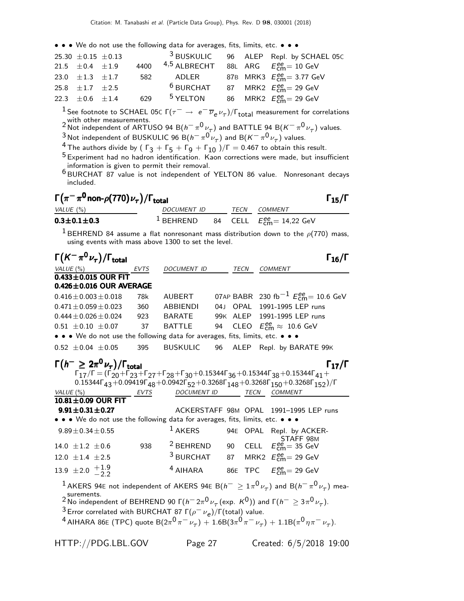• • • We do not use the following data for averages, fits, limits, etc. • • •

| 25.30 $\pm$ 0.15 $\pm$ 0.13 |     |                                                            |  | <sup>3</sup> BUSKULIC 96 ALEP Repl. by SCHAEL 05C |
|-----------------------------|-----|------------------------------------------------------------|--|---------------------------------------------------|
| 21.5 $\pm$ 0.4 $\pm$ 1.9    |     | 4400 $4.5$ ALBRECHT 88L ARG $E_{cm}^{ee} = 10$ GeV         |  |                                                   |
| 23.0 $\pm 1.3$ $\pm 1.7$    | 582 |                                                            |  | ADLER 87B MRK3 $E_{cm}^{ee} = 3.77$ GeV           |
| 25.8 $\pm 1.7$ $\pm 2.5$    |     | <sup>6</sup> BURCHAT 87 MRK2 $E_{\text{cm}}^{ee}$ = 29 GeV |  |                                                   |
| 22.3 $\pm 0.6$ $\pm 1.4$    | 629 | $^5$ YELTON                                                |  | 86 MRK2 $E_{cm}^{ee}$ = 29 GeV                    |

<sup>1</sup> See footnote to SCHAEL 05C Γ $(\tau^-\to\,e^-\overline{\nu}_e\nu_\tau)/\Gamma_{\rm total}$  measurement for correlations <sup>1</sup> See footnote to SCHAEL 05C Γ( $\tau^-$  → e<sup>-</sup>  $\overline{\nu}_e \nu_\tau$ )/Γ<sub>total</sub> measurement for correlations<br>2 Wot independent of ARTUSO 94 B( $h^- \pi^0 \nu_\tau$ ) and BATTLE 94 B( $K^- \pi^0 \nu_\tau$ ) values.

 $\frac{3}{4}$ Not independent of BUSKULIC 96 B $(h^-\pi^0\nu_\tau)$  and B $(K^-\pi^0\nu_\tau)$  values.

<sup>4</sup> The authors divide by ( Γ $_3 +$  Γ $_5 +$  Γ $_9 +$  Γ $_{10}$  )/Γ  $=$  0.467 to obtain this result.

5 Experiment had no hadron identification. Kaon corrections were made, but insufficient information is given to permit their removal.

6 BURCHAT 87 value is not independent of YELTON 86 value. Nonresonant decays included.

| $\Gamma\big(\pi^-\pi^{\mathsf{0}}$ non- $\rho(770)\,\nu_{\tau}\big)/\Gamma_{\text{total}}$ | $\Gamma_{15}/\Gamma$ |
|--------------------------------------------------------------------------------------------|----------------------|
|                                                                                            |                      |

| $\mathsf{I}$ ( $\pi$ $\pi$ non- $\rho$ (10) $\nu_{\tau}$ )/ $\mathsf{I}$ total |                    |      |                                                                      | 115/1 |
|--------------------------------------------------------------------------------|--------------------|------|----------------------------------------------------------------------|-------|
| VALUE (%)                                                                      | <i>DOCUMENT ID</i> | TECN | COMMENT                                                              |       |
| $0.3 \pm 0.1 \pm 0.3$                                                          | $1$ BEHREND        |      | 84 $\textsf{CELL}$ $E_\textsf{cm}^\textsf{ee} = 14.22 \textsf{ GeV}$ |       |

<sup>1</sup> BEHREND 84 assume a flat nonresonant mass distribution down to the  $\rho$ (770) mass, using events with mass above 1300 to set the level.

| $\Gamma(K^-\pi^0\nu_\tau)/\Gamma_{\rm total}$                                                  |      |                      |    |                   | $\Gamma_{16}/\Gamma$                                                                                                                                                                                                                                                                                                                                                           |
|------------------------------------------------------------------------------------------------|------|----------------------|----|-------------------|--------------------------------------------------------------------------------------------------------------------------------------------------------------------------------------------------------------------------------------------------------------------------------------------------------------------------------------------------------------------------------|
| VALUE $(\%)$                                                                                   | EVTS | DOCUMENT ID          |    | TECN              | <b>COMMENT</b>                                                                                                                                                                                                                                                                                                                                                                 |
| $0.433\pm0.015$ OUR FIT                                                                        |      |                      |    |                   |                                                                                                                                                                                                                                                                                                                                                                                |
| $0.426 \pm 0.016$ OUR AVERAGE                                                                  |      |                      |    |                   |                                                                                                                                                                                                                                                                                                                                                                                |
| $0.416 \pm 0.003 \pm 0.018$                                                                    | 78k  | AUBERT               |    |                   | 07AP BABR 230 fb <sup>-1</sup> $E_{\text{cm}}^{ee}$ = 10.6 GeV                                                                                                                                                                                                                                                                                                                 |
| $0.471 \pm 0.059 \pm 0.023$                                                                    | 360  | ABBIENDI             |    | 04J OPAL          | 1991-1995 LEP runs                                                                                                                                                                                                                                                                                                                                                             |
| $0.444 \pm 0.026 \pm 0.024$                                                                    | 923  | <b>BARATE</b>        |    | 99K ALEP          | 1991-1995 LEP runs                                                                                                                                                                                                                                                                                                                                                             |
| $0.51 \pm 0.10 \pm 0.07$                                                                       | 37   | <b>BATTLE</b>        | 94 |                   | CLEO $E_{\text{cm}}^{\text{ee}} \approx 10.6 \text{ GeV}$                                                                                                                                                                                                                                                                                                                      |
| • • • We do not use the following data for averages, fits, limits, etc. • • •                  |      |                      |    |                   |                                                                                                                                                                                                                                                                                                                                                                                |
| $0.52 \pm 0.04 \pm 0.05$                                                                       | 395  | <b>BUSKULIC</b>      | 96 | ALEP              | Repl. by BARATE 99K                                                                                                                                                                                                                                                                                                                                                            |
| $\Gamma(h^{-} \geq 2\pi^0 \nu_\tau)/\Gamma_{\rm total}$                                        |      |                      |    |                   | $\Gamma_{17}/\Gamma$<br>$\Gamma_{17}/\Gamma = (\Gamma_{20} + \Gamma_{23} + \Gamma_{27} + \Gamma_{28} + \Gamma_{30} + 0.15344 \Gamma_{36} + 0.15344 \Gamma_{38} + 0.15344 \Gamma_{41} +$<br>$0.15344\Gamma_{43} + 0.09419\Gamma_{48} + 0.0942\Gamma_{52} + 0.3268\Gamma_{148} + 0.3268\Gamma_{150} + 0.3268\Gamma_{152})/\Gamma$                                                |
| VALUE $(\%)$                                                                                   | EVTS | DOCUMENT ID          |    |                   | TECN COMMENT                                                                                                                                                                                                                                                                                                                                                                   |
| 10.81±0.09 OUR FIT                                                                             |      |                      |    |                   |                                                                                                                                                                                                                                                                                                                                                                                |
| $9.91 \pm 0.31 \pm 0.27$                                                                       |      |                      |    |                   | ACKERSTAFF 98M OPAL 1991-1995 LEP runs                                                                                                                                                                                                                                                                                                                                         |
| • • • We do not use the following data for averages, fits, limits, etc. • • •                  |      |                      |    |                   |                                                                                                                                                                                                                                                                                                                                                                                |
| $9.89 \pm 0.34 \pm 0.55$                                                                       |      | $1$ AKERS            |    | 94E OPAL          | Repl. by ACKER-<br>STAFF <sub>98M</sub>                                                                                                                                                                                                                                                                                                                                        |
| 14.0 $\pm 1.2$ $\pm 0.6$                                                                       | 938  | <sup>2</sup> BEHREND |    | 90                | CELL $E_{\text{cm}}^{ee} = 35 \text{ GeV}$                                                                                                                                                                                                                                                                                                                                     |
| 12.0 $\pm$ 1.4 $\pm$ 2.5                                                                       |      | <sup>3</sup> BURCHAT |    | 87                | MRK2 $E_{\text{cm}}^{\text{ee}} = 29 \text{ GeV}$                                                                                                                                                                                                                                                                                                                              |
| 13.9 ± 2.0 $\frac{+1.9}{-2.2}$                                                                 |      | $4$ AIHARA           |    | <b>TPC</b><br>86E | $E_{\text{cm}}^{\text{ee}}$ = 29 GeV                                                                                                                                                                                                                                                                                                                                           |
| surements.<br>$^3$ Error correlated with BURCHAT 87 Г $(\rho^-\,\nu_{\bm e})$ /Г(total) value. |      |                      |    |                   | $^1$ AKERS 94E not independent of AKERS 94E B( $h^- \geq 1 \pi^0 \nu_\tau)$ and B( $h^- \pi^0 \nu_\tau)$ mea-<br><sup>2</sup> No independent of BEHREND 90 $\Gamma(h^- 2\pi^0 \nu_\tau(\exp. K^0))$ and $\Gamma(h^- \geq 3\pi^0 \nu_\tau)$ .<br><sup>4</sup> AIHARA 86E (TPC) quote B $(2\pi^0\pi^-\nu_\tau)+1.6$ B $(3\pi^0\pi^-\nu_\tau)+1.1$ B $(\pi^0\eta\pi^-\nu_\tau)$ . |
| HTTP://PDG.LBL.GOV                                                                             |      | Page 27              |    |                   | Created: 6/5/2018 19:00                                                                                                                                                                                                                                                                                                                                                        |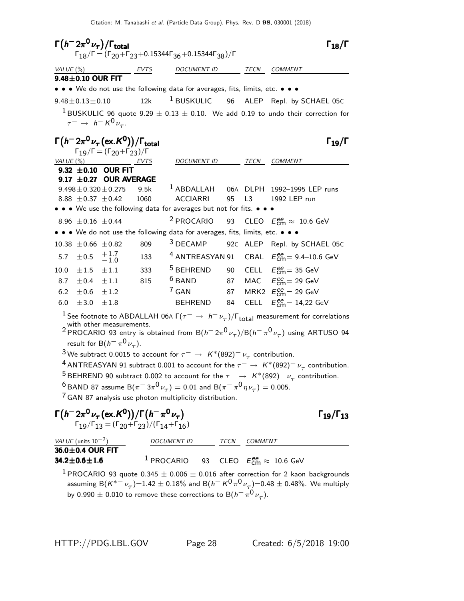| $\Gamma(h^- 2\pi^0 \nu_\tau)/\Gamma_{\rm total}$<br>$\Gamma_{18}/\Gamma$ = $(\Gamma_{20} + \Gamma_{23} + 0.15344\Gamma_{36} + 0.15344\Gamma_{38})/\Gamma$                                                                                                                                                                                                                                                                                                                                                                                                                                                                                                                                                                                                                                                                                   |                            |                                                                                                                                           |         |                                                                               |    | $\Gamma_{18}/\Gamma$ |                                                                                                     |
|---------------------------------------------------------------------------------------------------------------------------------------------------------------------------------------------------------------------------------------------------------------------------------------------------------------------------------------------------------------------------------------------------------------------------------------------------------------------------------------------------------------------------------------------------------------------------------------------------------------------------------------------------------------------------------------------------------------------------------------------------------------------------------------------------------------------------------------------|----------------------------|-------------------------------------------------------------------------------------------------------------------------------------------|---------|-------------------------------------------------------------------------------|----|----------------------|-----------------------------------------------------------------------------------------------------|
|                                                                                                                                                                                                                                                                                                                                                                                                                                                                                                                                                                                                                                                                                                                                                                                                                                             | VALUE $(\%)$               |                                                                                                                                           | __ EVTS | <b>DOCUMENT ID</b>                                                            |    | TECN                 | COMMENT                                                                                             |
|                                                                                                                                                                                                                                                                                                                                                                                                                                                                                                                                                                                                                                                                                                                                                                                                                                             | 9.48±0.10 OUR FIT          |                                                                                                                                           |         |                                                                               |    |                      |                                                                                                     |
|                                                                                                                                                                                                                                                                                                                                                                                                                                                                                                                                                                                                                                                                                                                                                                                                                                             |                            |                                                                                                                                           |         | • • • We do not use the following data for averages, fits, limits, etc. • • • |    |                      |                                                                                                     |
|                                                                                                                                                                                                                                                                                                                                                                                                                                                                                                                                                                                                                                                                                                                                                                                                                                             | $9.48 \pm 0.13 \pm 0.10$   |                                                                                                                                           | 12k     | $^1$ BUSKULIC                                                                 | 96 |                      | ALEP Repl. by SCHAEL 05C                                                                            |
|                                                                                                                                                                                                                                                                                                                                                                                                                                                                                                                                                                                                                                                                                                                                                                                                                                             |                            |                                                                                                                                           |         |                                                                               |    |                      | <sup>1</sup> BUSKULIC 96 quote 9.29 $\pm$ 0.13 $\pm$ 0.10. We add 0.19 to undo their correction for |
|                                                                                                                                                                                                                                                                                                                                                                                                                                                                                                                                                                                                                                                                                                                                                                                                                                             |                            | $\tau^ \rightarrow h^- K^0 \nu_{\tau}$ .                                                                                                  |         |                                                                               |    |                      |                                                                                                     |
|                                                                                                                                                                                                                                                                                                                                                                                                                                                                                                                                                                                                                                                                                                                                                                                                                                             |                            | $\Gamma(h^- 2\pi^0 \nu_\tau(\text{ex.}\mathcal{K}^0))/\Gamma_{\text{total}}$<br>$\Gamma_{19}/\Gamma = (\Gamma_{20} + \Gamma_{23})/\Gamma$ |         |                                                                               |    |                      | $\Gamma_{19}/\Gamma$                                                                                |
| VALUE (%)                                                                                                                                                                                                                                                                                                                                                                                                                                                                                                                                                                                                                                                                                                                                                                                                                                   |                            |                                                                                                                                           | EVTS    | <b>DOCUMENT ID</b>                                                            |    | TECN                 | COMMENT                                                                                             |
|                                                                                                                                                                                                                                                                                                                                                                                                                                                                                                                                                                                                                                                                                                                                                                                                                                             |                            | 9.32 $\pm$ 0.10 OUR FIT<br>9.17 ±0.27 OUR AVERAGE                                                                                         |         |                                                                               |    |                      |                                                                                                     |
|                                                                                                                                                                                                                                                                                                                                                                                                                                                                                                                                                                                                                                                                                                                                                                                                                                             |                            | $9.498 \pm 0.320 \pm 0.275$                                                                                                               | 9.5k    |                                                                               |    |                      | <sup>1</sup> ABDALLAH 06A DLPH 1992-1995 LEP runs                                                   |
|                                                                                                                                                                                                                                                                                                                                                                                                                                                                                                                                                                                                                                                                                                                                                                                                                                             | 8.88 $\pm$ 0.37 $\pm$ 0.42 |                                                                                                                                           | 1060    | <b>ACCIARRI</b>                                                               | 95 | L <sub>3</sub>       | 1992 LEP run                                                                                        |
|                                                                                                                                                                                                                                                                                                                                                                                                                                                                                                                                                                                                                                                                                                                                                                                                                                             |                            |                                                                                                                                           |         | • • • We use the following data for averages but not for fits. • • •          |    |                      |                                                                                                     |
|                                                                                                                                                                                                                                                                                                                                                                                                                                                                                                                                                                                                                                                                                                                                                                                                                                             | 8.96 $\pm$ 0.16 $\pm$ 0.44 |                                                                                                                                           |         | <sup>2</sup> PROCARIO                                                         | 93 |                      | CLEO $E_{\text{cm}}^{ee} \approx 10.6 \text{ GeV}$                                                  |
|                                                                                                                                                                                                                                                                                                                                                                                                                                                                                                                                                                                                                                                                                                                                                                                                                                             |                            |                                                                                                                                           |         | . . We do not use the following data for averages, fits, limits, etc. .       |    |                      |                                                                                                     |
|                                                                                                                                                                                                                                                                                                                                                                                                                                                                                                                                                                                                                                                                                                                                                                                                                                             | $10.38 \pm 0.66 \pm 0.82$  |                                                                                                                                           | 809     | <sup>3</sup> DECAMP                                                           |    |                      | 92C ALEP Repl. by SCHAEL 05C                                                                        |
| 5.7                                                                                                                                                                                                                                                                                                                                                                                                                                                                                                                                                                                                                                                                                                                                                                                                                                         | $\pm 0.5$                  | $^{+1.7}_{-1.0}$                                                                                                                          | 133     | <sup>4</sup> ANTREASYAN 91                                                    |    |                      | CBAL $E_{\text{cm}}^{ee}$ = 9.4–10.6 GeV                                                            |
| 10.0                                                                                                                                                                                                                                                                                                                                                                                                                                                                                                                                                                                                                                                                                                                                                                                                                                        | $\pm 1.5$                  | $\pm 1.1$                                                                                                                                 | 333     | <sup>5</sup> BEHREND                                                          | 90 |                      | CELL $E_{\text{cm}}^{ee}$ = 35 GeV                                                                  |
| 8.7                                                                                                                                                                                                                                                                                                                                                                                                                                                                                                                                                                                                                                                                                                                                                                                                                                         | $\pm 0.4$ $\pm 1.1$        |                                                                                                                                           | 815     | $6$ BAND                                                                      | 87 |                      | MAC $E_{\text{cm}}^{ee} = 29 \text{ GeV}$                                                           |
| 6.2                                                                                                                                                                                                                                                                                                                                                                                                                                                                                                                                                                                                                                                                                                                                                                                                                                         | $\pm 0.6 \pm 1.2$          |                                                                                                                                           |         | $7$ GAN                                                                       | 87 |                      | MRK2 $E_{\text{cm}}^{\text{ee}}$ = 29 GeV                                                           |
| 6.0                                                                                                                                                                                                                                                                                                                                                                                                                                                                                                                                                                                                                                                                                                                                                                                                                                         | $\pm 3.0$                  | $\pm 1.8$                                                                                                                                 |         | BEHREND 84                                                                    |    |                      | CELL $E_{\text{cm}}^{\text{ee}} = 14,22 \text{ GeV}$                                                |
| <sup>1</sup> See footnote to ABDALLAH 06A $\Gamma(\tau^- \to h^- \nu_\tau)/\Gamma_{\rm total}$ measurement for correlations<br>with other measurements.<br><sup>2</sup> PROCARIO 93 entry is obtained from B( $h^- 2\pi^0 \nu_\tau)/B(h^- \pi^0 \nu_\tau)$ using ARTUSO 94<br>result for B( $h^-\pi^0\nu_{\tau}$ ).<br><sup>3</sup> We subtract 0.0015 to account for $\tau^- \to K^*(892)^-\nu_\tau$ contribution.<br><sup>4</sup> ANTREASYAN 91 subtract 0.001 to account for the $\tau^- \to K^*(892)^- \nu_\tau$ contribution.<br><sup>5</sup> BEHREND 90 subtract 0.002 to account for the $\tau^- \to K^*(892)^- \nu_\tau$ contribution.<br><sup>6</sup> BAND 87 assume B $(\pi^{-}3\pi^{0}\nu_{\tau}) = 0.01$ and B $(\pi^{-}\pi^{0}\eta\nu_{\tau}) = 0.005$ .<br><sup>7</sup> GAN 87 analysis use photon multiplicity distribution. |                            |                                                                                                                                           |         |                                                                               |    |                      |                                                                                                     |
|                                                                                                                                                                                                                                                                                                                                                                                                                                                                                                                                                                                                                                                                                                                                                                                                                                             |                            |                                                                                                                                           |         |                                                                               |    |                      |                                                                                                     |

| $\Gamma(h^- 2\pi^0\nu_\tau\,(\mathrm{ex.}\mathcal{K}^0))/\Gamma(h^-\pi^0\nu_\tau)$  | $\Gamma_{19}/\Gamma_{13}$ |
|-------------------------------------------------------------------------------------|---------------------------|
| $\Gamma_{19}/\Gamma_{13} = (\Gamma_{20} + \Gamma_{23})/(\Gamma_{14} + \Gamma_{16})$ |                           |

 $Γ_{19}/Γ_{13}$ 

| VALUE (units $10^{-2}$ ) | <i>DOCUMENT ID</i> | <b>TFCN</b> | COMMENT                                                                     |
|--------------------------|--------------------|-------------|-----------------------------------------------------------------------------|
| $36.0 \pm 0.4$ OUR FIT   |                    |             |                                                                             |
| $34.2 \pm 0.6 \pm 1.6$   |                    |             | <sup>1</sup> PROCARIO 93 CLEO $E_{\text{cm}}^{ee} \approx 10.6 \text{ GeV}$ |

1 PROCARIO 93 quote  $0.345 \pm 0.006 \pm 0.016$  after correction for 2 kaon backgrounds assuming B $(\kappa^{*-}\nu_\tau)$ =1.42  $\pm$  0.18% and B $(\hbar^-\, \kappa^0\pi^0\,\nu_\tau)$ =0.48  $\pm$  0.48%. We multiply by 0.990  $\pm$  0.010 to remove these corrections to  $\mathsf{B}(h^-\,\pi^0\,\nu_\tau).$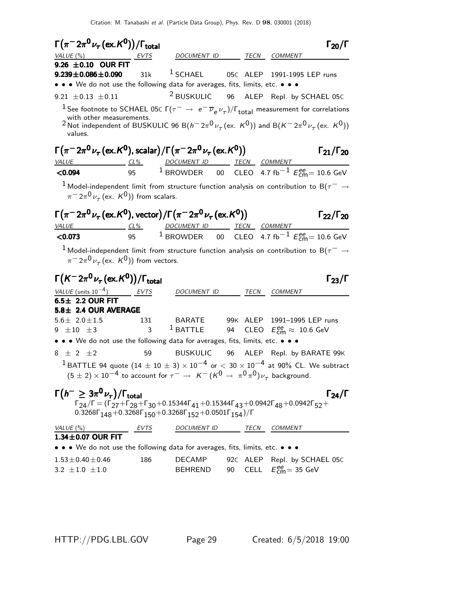| $\Gamma(\pi^- 2\pi^0 \nu_\tau (\text{ex.}\mathcal{K}^0))/\Gamma_{\text{total}}$                                                                                                 |             |                                                                                             |    |          | $\Gamma_{20}/\Gamma$                                                                                                                                                                                                                                                                           |
|---------------------------------------------------------------------------------------------------------------------------------------------------------------------------------|-------------|---------------------------------------------------------------------------------------------|----|----------|------------------------------------------------------------------------------------------------------------------------------------------------------------------------------------------------------------------------------------------------------------------------------------------------|
| VALUE (%) EVTS                                                                                                                                                                  |             | DOCUMENT ID TECN COMMENT                                                                    |    |          |                                                                                                                                                                                                                                                                                                |
| 9.26 $\pm$ 0.10 OUR FIT<br>$9.239 \pm 0.086 \pm 0.090$<br>• • • We do not use the following data for averages, fits, limits, etc. • • •                                         | 31k         | $1$ SCHAEL                                                                                  |    |          | 05C ALEP 1991-1995 LEP runs                                                                                                                                                                                                                                                                    |
|                                                                                                                                                                                 |             | <sup>2</sup> BUSKULIC 96                                                                    |    |          |                                                                                                                                                                                                                                                                                                |
| 9.21 $\pm$ 0.13 $\pm$ 0.11<br>with other measurements.<br>values.                                                                                                               |             |                                                                                             |    |          | ALEP Repl. by SCHAEL 05C<br><sup>1</sup> See footnote to SCHAEL 05c $\Gamma(\tau^-\to\,e^-\,\overline{\nu}_e\,\nu_\tau)/\Gamma_{\rm total}$ measurement for correlations<br>2 Not independent of BUSKULIC 96 B( $h^- 2\pi^0 \nu_\tau$ (ex. $K^0$ )) and B( $K^- 2\pi^0 \nu_\tau$ (ex. $K^0$ )) |
| $\Gamma(\pi^{-}2\pi^{0}\nu_{\tau}$ (ex. K <sup>0</sup> ), scalar) / $\Gamma(\pi^{-}2\pi^{0}\nu_{\tau}$ (ex. K <sup>0</sup> ))                                                   |             |                                                                                             |    |          | $\Gamma_{21}/\Gamma_{20}$                                                                                                                                                                                                                                                                      |
| VALUE CL <sup>%</sup> DOCUMENT ID TECN COMMENT                                                                                                                                  |             |                                                                                             |    |          |                                                                                                                                                                                                                                                                                                |
| < 0.094                                                                                                                                                                         | 95          |                                                                                             |    |          | <sup>1</sup> BROWDER 00 CLEO 4.7 fb <sup>-1</sup> $E_{\text{cm}}^{ee}$ = 10.6 GeV                                                                                                                                                                                                              |
| $\pi$ <sup>-</sup> $2\pi$ <sup>0</sup> $\nu$ <sub>-</sub> (ex. K <sup>0</sup> )) from scalars.                                                                                  |             |                                                                                             |    |          | $^1$ Model-independent limit from structure function analysis on contribution to B( $\tau^-\rightarrow$                                                                                                                                                                                        |
| $\Gamma(\pi^{-}2\pi^{0}\nu_{\tau}$ (ex. K <sup>0</sup> ), vector) / $\Gamma(\pi^{-}2\pi^{0}\nu_{\tau}$ (ex. K <sup>0</sup> ))<br>VALUE CL <sup>%</sup> DOCUMENT ID TECN COMMENT |             |                                                                                             |    |          | $\Gamma_{22}/\Gamma_{20}$                                                                                                                                                                                                                                                                      |
| < 0.073                                                                                                                                                                         |             |                                                                                             |    |          | 95 <sup>1</sup> BROWDER 00 CLEO 4.7 fb <sup>-1</sup> $E_{cm}^{ee}$ = 10.6 GeV                                                                                                                                                                                                                  |
| $\pi$ <sup>-</sup> $2\pi$ <sup>0</sup> $\nu$ <sub><math>\tau</math></sub> (ex. K <sup>0</sup> )) from vectors.                                                                  |             |                                                                                             |    |          | $^1$ Model-independent limit from structure function analysis on contribution to B( $\tau^-\rightarrow$                                                                                                                                                                                        |
| $\Gamma(K^- 2\pi^0 \nu_\tau (\text{ex.} K^0))/\Gamma_{\text{total}}$                                                                                                            |             |                                                                                             |    |          | $\Gamma_{23}/\Gamma$                                                                                                                                                                                                                                                                           |
| VALUE (units $10^{-4}$ )                                                                                                                                                        | <b>EVTS</b> | DOCUMENT ID                                                                                 |    | TECN     | COMMENT                                                                                                                                                                                                                                                                                        |
| $6.5 \pm 2.2$ OUR FIT<br>5.8± 2.4 OUR AVERAGE                                                                                                                                   |             |                                                                                             |    |          |                                                                                                                                                                                                                                                                                                |
| $5.6 \pm 2.0 \pm 1.5$                                                                                                                                                           | 131         | BARATE                                                                                      |    |          | 99K ALEP 1991-1995 LEP runs                                                                                                                                                                                                                                                                    |
| 9 $\pm 10$ $\pm 3$                                                                                                                                                              | 3           | $1$ BATTLE                                                                                  |    |          | 94 CLEO $E_{\text{cm}}^{ee} \approx 10.6 \text{ GeV}$                                                                                                                                                                                                                                          |
| • • • We do not use the following data for averages, fits, limits, etc. • • •                                                                                                   |             |                                                                                             |    |          |                                                                                                                                                                                                                                                                                                |
| $8 \pm 2 \pm 2$                                                                                                                                                                 | 59          | <b>BUSKULIC</b>                                                                             | 96 |          | ALEP Repl. by BARATE 99K                                                                                                                                                                                                                                                                       |
|                                                                                                                                                                                 |             |                                                                                             |    |          | $^1$ BATTLE 94 quote (14 $\pm$ 10 $\pm$ 3) $\times$ 10 $^{-4}$ or $<$ 30 $\times$ 10 $^{-4}$ at 90% CL. We subtract<br>$(5\pm2)\times10^{-4}$ to account for $\tau^-\rightarrow~$ $\mathcal{K}^-(\mathcal{K}^0\rightarrow~\pi^0\pi^0)\nu_\tau^{}$ background.                                  |
| $\Gamma(h^{-} \geq 3\pi^{0}\nu_{\tau})/\Gamma_{\text{total}}$                                                                                                                   |             | $0.3268\Gamma_{148} + 0.3268\Gamma_{150} + 0.3268\Gamma_{152} + 0.0501\Gamma_{154})/\Gamma$ |    |          | $\Gamma_{24}/\Gamma$<br>$\Gamma_{24}/\Gamma = (\Gamma_{27} + \Gamma_{28} + \Gamma_{30} + 0.15344\Gamma_{41} + 0.15344\Gamma_{43} + 0.0942\Gamma_{48} + 0.0942\Gamma_{52} +$                                                                                                                    |
| VALUE(%)                                                                                                                                                                        | $-$ EVTS    | DOCUMENT ID TECN COMMENT                                                                    |    |          |                                                                                                                                                                                                                                                                                                |
| $1.34 \pm 0.07$ OUR FIT                                                                                                                                                         |             |                                                                                             |    |          |                                                                                                                                                                                                                                                                                                |
| • • • We do not use the following data for averages, fits, limits, etc. • • •                                                                                                   |             |                                                                                             |    |          |                                                                                                                                                                                                                                                                                                |
| $1.53 \pm 0.40 \pm 0.46$                                                                                                                                                        | 186         | <b>DECAMP</b>                                                                               |    | 92C ALEP | Repl. by SCHAEL 05C                                                                                                                                                                                                                                                                            |
| $3.2 \pm 1.0 \pm 1.0$                                                                                                                                                           |             | <b>BEHREND</b>                                                                              | 90 |          | CELL $E_{\text{cm}}^{ee}$ = 35 GeV                                                                                                                                                                                                                                                             |

HTTP://PDG.LBL.GOV Page 29 Created: 6/5/2018 19:00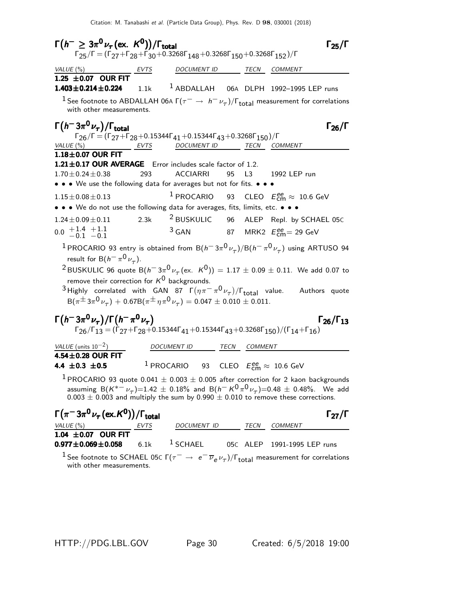| $\Gamma(h^{-} \geq 3\pi^{0}\nu_{\tau}$ (ex. $K^{0})$ )/ $\Gamma_{\text{total}}$<br>$\Gamma_{25}/\Gamma=(\Gamma_{27}+\Gamma_{28}+\Gamma_{30}+0.3268\Gamma_{148}+0.3268\Gamma_{150}+0.3268\Gamma_{152})/\Gamma$  |      |                                                                             |    |              | $\Gamma_{25}/\Gamma$                                                                                                                                                                                                                                                                                                                                                  |
|----------------------------------------------------------------------------------------------------------------------------------------------------------------------------------------------------------------|------|-----------------------------------------------------------------------------|----|--------------|-----------------------------------------------------------------------------------------------------------------------------------------------------------------------------------------------------------------------------------------------------------------------------------------------------------------------------------------------------------------------|
| VALUE $(\% )$                                                                                                                                                                                                  | EVTS | DOCUMENT ID                                                                 |    |              | TECN COMMENT                                                                                                                                                                                                                                                                                                                                                          |
| 1.25 ±0.07 OUR FIT<br>$1.403 \pm 0.214 \pm 0.224$<br>with other measurements.                                                                                                                                  | 1.1k |                                                                             |    |              | <sup>1</sup> ABDALLAH 06A DLPH 1992-1995 LEP runs<br><sup>1</sup> See footnote to ABDALLAH 06A Г $(\tau^-\to\,h^-\,\nu_\tau)/\Gamma_{\rm total}$ measurement for correlations                                                                                                                                                                                         |
| $\Gamma(h^-3\pi^0\nu_\tau)/\Gamma_{\rm total}$<br>$\Gamma_{26}/\Gamma = (\Gamma_{27} + \Gamma_{28} + 0.15344\Gamma_{41} + 0.15344\Gamma_{43} + 0.3268\Gamma_{150})/\Gamma$<br>VALUE $(\%)$<br><u>EVTS</u>      |      | DOCUMENT ID                                                                 |    |              | $\Gamma_{26}/\Gamma$<br>TECN COMMENT                                                                                                                                                                                                                                                                                                                                  |
| $1.18\pm0.07$ OUR FIT<br>1.21±0.17 OUR AVERAGE Error includes scale factor of 1.2.<br>$1.70 \pm 0.24 \pm 0.38$<br>• • • We use the following data for averages but not for fits. • • •                         | 293  | ACCIARRI                                                                    | 95 |              | L3 1992 LEP run                                                                                                                                                                                                                                                                                                                                                       |
| $1.15 \pm 0.08 \pm 0.13$                                                                                                                                                                                       |      |                                                                             |    |              | <sup>1</sup> PROCARIO 93 CLEO $E_{\text{cm}}^{ee} \approx 10.6 \text{ GeV}$                                                                                                                                                                                                                                                                                           |
| • • • We do not use the following data for averages, fits, limits, etc. • • •                                                                                                                                  |      |                                                                             |    |              |                                                                                                                                                                                                                                                                                                                                                                       |
| $1.24 \pm 0.09 \pm 0.11$                                                                                                                                                                                       | 2.3k |                                                                             |    |              | <sup>2</sup> BUSKULIC 96 ALEP Repl. by SCHAEL 05C                                                                                                                                                                                                                                                                                                                     |
| $0.0 \begin{array}{c} +1.4 \\ -0.1 \end{array} +1.1$                                                                                                                                                           |      | $3$ GAN                                                                     |    |              | 87 MRK2 $E_{\text{cm}}^{ee}$ = 29 GeV                                                                                                                                                                                                                                                                                                                                 |
| result for B( $h^-\pi^0\nu_\tau$ ).<br>remove their correction for $K^0$ backgrounds.<br>$B(\pi^{\pm}3\pi^0\nu_{\tau}) + 0.67B(\pi^{\pm}\eta\pi^0\nu_{\tau}) = 0.047 \pm 0.010 \pm 0.011.$                     |      |                                                                             |    |              | $^1$ PROCARIO 93 entry is obtained from B $(h^- \, 3\pi^0 \nu_\tau)/{\rm B} (h^- \, \pi^0 \nu_\tau)$ using ARTUSO 94<br><sup>2</sup> BUSKULIC 96 quote B $(h^-3\pi^0\nu_\tau$ (ex. $K^0$ )) = 1.17 $\pm$ 0.09 $\pm$ 0.11. We add 0.07 to<br><sup>3</sup> Highly correlated with GAN 87 $\Gamma(\eta \pi^- \pi^0 \nu_\tau)/\Gamma_{\text{total}}$ value. Authors quote |
| $\Gamma(h^- 3\pi^0 \nu_\tau)/\Gamma(h^- \pi^0 \nu_\tau)$<br>$\Gamma_{26}/\Gamma_{13} = (\Gamma_{27} + \Gamma_{28} + 0.15344\Gamma_{41} + 0.15344\Gamma_{43} + 0.3268\Gamma_{150})/(\Gamma_{14} + \Gamma_{16})$ |      |                                                                             |    |              | $\Gamma_{26}/\Gamma_{13}$                                                                                                                                                                                                                                                                                                                                             |
| VALUE $(\text{units } 10^{-2})$                                                                                                                                                                                |      | <b>DOCUMENT ID</b>                                                          |    | TECN COMMENT |                                                                                                                                                                                                                                                                                                                                                                       |
| $4.54 \pm 0.28$ OUR FIT                                                                                                                                                                                        |      |                                                                             |    |              |                                                                                                                                                                                                                                                                                                                                                                       |
| 4.4 $\pm 0.3$ $\pm 0.5$                                                                                                                                                                                        |      | <sup>1</sup> PROCARIO 93 CLEO $E_{\text{cm}}^{ee} \approx 10.6 \text{ GeV}$ |    |              |                                                                                                                                                                                                                                                                                                                                                                       |
|                                                                                                                                                                                                                |      |                                                                             |    |              | $1$ PROCARIO 93 quote 0.041 $\pm$ 0.003 $\pm$ 0.005 after correction for 2 kaon backgrounds<br>assuming B $(K^{*-}\nu_\tau)$ =1.42 $\pm$ 0.18% and B $(h^-\,K^0\,\pi^0\,\nu_\tau)$ =0.48 $\pm$ 0.48%. We add<br>$0.003 \pm 0.003$ and multiply the sum by 0.990 $\pm$ 0.010 to remove these corrections.                                                              |
| $\Gamma(\pi^-3\pi^0\nu_\tau(\text{ex.}\mathcal{K}^0))/\Gamma_{\text{total}}$<br>VALUE (%)                                                                                                                      | EVTS | DOCUMENT ID                                                                 |    | TECN         | $\Gamma_{27}/\Gamma$<br>COMMENT                                                                                                                                                                                                                                                                                                                                       |
| 1.04 $\pm$ 0.07 OUR FIT<br>$0.977 \pm 0.069 \pm 0.058$                                                                                                                                                         | 6.1k | <sup>1</sup> SCHAEL                                                         |    | 05C ALEP     | 1991-1995 LEP runs                                                                                                                                                                                                                                                                                                                                                    |

<sup>1</sup> See footnote to SCHAEL 05C Γ( $\tau^- \to e^- \overline{\nu}_e \nu_\tau$ )/Γ<sub>total</sub> measurement for correlations with other measurements.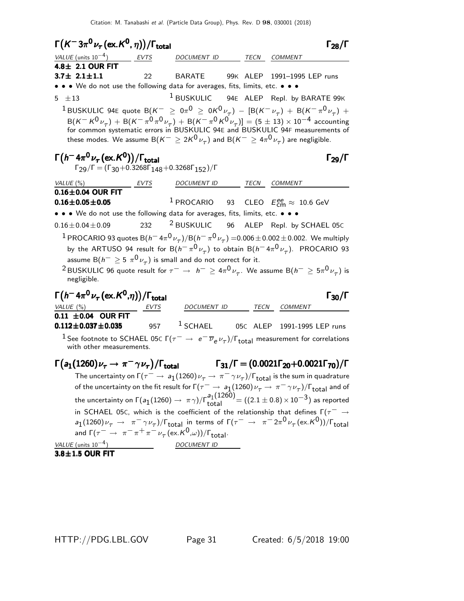| $\Gamma(K^-3\pi^0\nu_\tau\left(\text{ex.}\,K^0,\eta\right))/\Gamma_{\text{total}}$                                                                                                                                                                                                                                                                                                                                                                                                          |                     |                                                                                                                                                   |  |                                                                     | $\Gamma_{28}/\Gamma$ |
|---------------------------------------------------------------------------------------------------------------------------------------------------------------------------------------------------------------------------------------------------------------------------------------------------------------------------------------------------------------------------------------------------------------------------------------------------------------------------------------------|---------------------|---------------------------------------------------------------------------------------------------------------------------------------------------|--|---------------------------------------------------------------------|----------------------|
| VALUE (units $10^{-4}$ )                                                                                                                                                                                                                                                                                                                                                                                                                                                                    | $\frac{EVTS}{EVTS}$ | DOCUMENT ID TECN COMMENT                                                                                                                          |  |                                                                     |                      |
| $4.8 \pm 2.1$ OUR FIT                                                                                                                                                                                                                                                                                                                                                                                                                                                                       |                     |                                                                                                                                                   |  |                                                                     |                      |
| $3.7 \pm 2.1 \pm 1.1$                                                                                                                                                                                                                                                                                                                                                                                                                                                                       |                     | 22 BARATE 99K ALEP 1991-1995 LEP runs                                                                                                             |  |                                                                     |                      |
| • • • We do not use the following data for averages, fits, limits, etc. • • •                                                                                                                                                                                                                                                                                                                                                                                                               |                     |                                                                                                                                                   |  |                                                                     |                      |
| 5 $\pm 13$<br><sup>1</sup> BUSKULIC 94E quote B $(K^- \ge 0\pi^0 \ge 0K^0\nu_\tau)$ – $[{\rm B}(K^-\nu_\tau)+{\rm B}(K^-\pi^0\nu_\tau)+{\rm B}(K^+\nu_\tau)]$<br>$B(K^-K^0\nu_{\tau}) + B(K^-\pi^0\pi^0\nu_{\tau}) + B(K^-\pi^0K^0\nu_{\tau})] = (5 \pm 13) \times 10^{-4}$ accounting<br>for common systematic errors in BUSKULIC 94E and BUSKULIC 94F measurements of<br>these modes. We assume B $(K^{-} \geq 2K^{0}\nu_{\tau})$ and B $(K^{-} \geq 4\pi^{0}\nu_{\tau})$ are negligible. |                     | <sup>1</sup> BUSKULIC 94E ALEP Repl. by BARATE 99K                                                                                                |  |                                                                     |                      |
| $\Gamma(h^- 4\pi^0 \nu_\tau (\text{ex. K}^0))/\Gamma_{\text{total}}$<br>$\Gamma_{29}/\Gamma = (\Gamma_{30} + 0.3268\Gamma_{148} + 0.3268\Gamma_{152})/\Gamma$                                                                                                                                                                                                                                                                                                                               |                     |                                                                                                                                                   |  |                                                                     | $\Gamma_{29}/\Gamma$ |
| VALUE $(\%)$                                                                                                                                                                                                                                                                                                                                                                                                                                                                                | EVTS                | DOCUMENT ID TECN COMMENT                                                                                                                          |  |                                                                     |                      |
| $0.16\pm0.04$ OUR FIT                                                                                                                                                                                                                                                                                                                                                                                                                                                                       |                     |                                                                                                                                                   |  |                                                                     |                      |
| $0.16 \pm 0.05 \pm 0.05$                                                                                                                                                                                                                                                                                                                                                                                                                                                                    |                     | <sup>1</sup> PROCARIO 93 CLEO $E_{\text{cm}}^{ee} \approx 10.6 \text{ GeV}$                                                                       |  |                                                                     |                      |
| • • • We do not use the following data for averages, fits, limits, etc. • • •                                                                                                                                                                                                                                                                                                                                                                                                               |                     |                                                                                                                                                   |  |                                                                     |                      |
| $0.16 \pm 0.04 \pm 0.09$                                                                                                                                                                                                                                                                                                                                                                                                                                                                    |                     | 232 <sup>2</sup> BUSKULIC 96 ALEP Repl. by SCHAEL 05C                                                                                             |  |                                                                     |                      |
| $^1$ PROCARIO 93 quotes B $(h^-$ 4 $\pi^0\,\nu_\tau)/$ B $(h^-\,\pi^0\,\nu_\tau)$ =0.006 $\pm$ 0.002 $\pm$ 0.002. We multiply<br>by the ARTUSO 94 result for B $(h^-\pi^0\nu_\tau)$ to obtain B $(h^-\,4\pi^0\nu_\tau)$ . PROCARIO 93<br>assume B $(h^{-} \ge 5 \pi^0 \nu_{\tau})$ is small and do not correct for it.<br>$^2$ BUSKULIC 96 quote result for $\tau^-\to\,\,h^-\geq 4\pi^0\,\nu_\tau.$ We assume B $(h^-\geq 5\pi^0\,\nu_\tau)$ is<br>negligible.                             |                     |                                                                                                                                                   |  |                                                                     |                      |
| $\Gamma(h^- 4\pi^0 \nu_\tau (\text{ex.} K^0, \eta))/\Gamma_{\text{total}}$                                                                                                                                                                                                                                                                                                                                                                                                                  |                     |                                                                                                                                                   |  |                                                                     | $\Gamma_{30}/\Gamma$ |
| VALUE (%)                                                                                                                                                                                                                                                                                                                                                                                                                                                                                   |                     | DOCUMENT ID                                                                                                                                       |  | TECN COMMENT                                                        |                      |
| 0.11 $\pm$ 0.04 OUR FIT<br>$0.112 \pm 0.037 \pm 0.035$                                                                                                                                                                                                                                                                                                                                                                                                                                      |                     | 957 $1$ SCHAEL 05C ALEP 1991-1995 LEP runs                                                                                                        |  |                                                                     |                      |
| $^1$ See footnote to SCHAEL 05C $\Gamma(\tau^-\to\ e^-\overline{\nu}_e\nu_\tau)/\Gamma_{\rm total}$ measurement for correlations<br>with other measurements.                                                                                                                                                                                                                                                                                                                                |                     |                                                                                                                                                   |  |                                                                     |                      |
| $\Gamma(a_1(1260)\nu_\tau \to \pi^-\gamma\nu_\tau)/\Gamma_{\rm total}$                                                                                                                                                                                                                                                                                                                                                                                                                      |                     |                                                                                                                                                   |  | $\Gamma_{31}/\Gamma = (0.0021\Gamma_{20}+0.0021\Gamma_{70})/\Gamma$ |                      |
|                                                                                                                                                                                                                                                                                                                                                                                                                                                                                             |                     | The uncertainty on $\Gamma(\tau^-\to a_1(1260)\nu_\tau\to\pi^-\gamma\nu_\tau)/\Gamma_{\rm total}$ is the sum in quadrature                        |  |                                                                     |                      |
| of the uncertainty on the fit result for $\Gamma(\tau^-\to a_1(1260)\nu_\tau\to\pi^-\gamma\nu_\tau)/\Gamma_{\rm total}$ and of                                                                                                                                                                                                                                                                                                                                                              |                     |                                                                                                                                                   |  |                                                                     |                      |
| the uncertainty on $\Gamma(a_1(1260) \to \pi \gamma)/\Gamma_{total}^{a_1(1260)} = ((2.1 \pm 0.8) \times 10^{-3})$ as reported                                                                                                                                                                                                                                                                                                                                                               |                     |                                                                                                                                                   |  |                                                                     |                      |
| in SCHAEL 05C, which is the coefficient of the relationship that defines $\Gamma(\tau^- \rightarrow$                                                                                                                                                                                                                                                                                                                                                                                        |                     |                                                                                                                                                   |  |                                                                     |                      |
|                                                                                                                                                                                                                                                                                                                                                                                                                                                                                             |                     | $a_1(1260)\nu_\tau\to~\pi^-\gamma\nu_\tau)/\Gamma_{\rm total}$ in terms of $\Gamma(\tau^-\to~\pi^-2\pi^0\nu_\tau(\rm ex.K^0))/\Gamma_{\rm total}$ |  |                                                                     |                      |
| and $\Gamma(\tau^- \to \pi^- \pi^+ \pi^- \nu_\tau (\text{ex. } K^0,\omega))/\Gamma_{\text{total}}$ .                                                                                                                                                                                                                                                                                                                                                                                        |                     |                                                                                                                                                   |  |                                                                     |                      |
| VALUE (units $10^{-4}$ )                                                                                                                                                                                                                                                                                                                                                                                                                                                                    |                     | DOCUMENT ID                                                                                                                                       |  |                                                                     |                      |

| $3.8 \pm 1.5$ OUR FIT |  |
|-----------------------|--|
|-----------------------|--|

HTTP://PDG.LBL.GOV Page 31 Created: 6/5/2018 19:00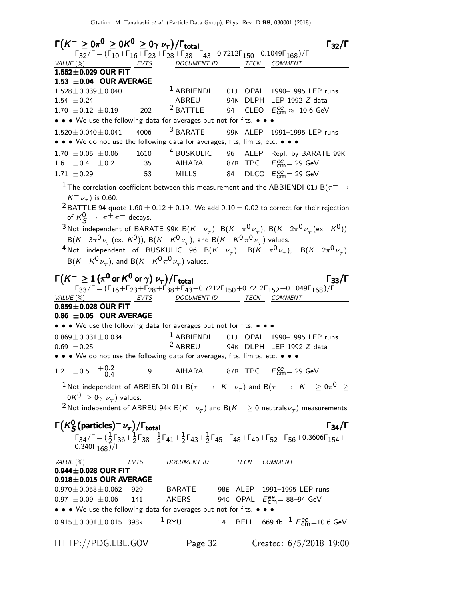| $\Gamma(K^- \geq 0\pi^{\mathbf{0}} \geq 0K^{\mathbf{0}} \geq 0\gamma \;\nu_{\tau})/\Gamma_{\text{total}}$    |     |                                                                                                                                                             |    | $\Gamma_{32}/\Gamma$                                                                                                                                                                                                                                        |
|--------------------------------------------------------------------------------------------------------------|-----|-------------------------------------------------------------------------------------------------------------------------------------------------------------|----|-------------------------------------------------------------------------------------------------------------------------------------------------------------------------------------------------------------------------------------------------------------|
|                                                                                                              |     | $\Gamma_{32}/\Gamma = (\Gamma_{10} + \Gamma_{16} + \Gamma_{23} + \Gamma_{28} + \Gamma_{38} + \Gamma_{43} + 0.7212\Gamma_{150} + 0.1049\Gamma_{168})/\Gamma$ |    |                                                                                                                                                                                                                                                             |
| VALUE (%)<br>EVTS                                                                                            |     | <b>DOCUMENT ID</b>                                                                                                                                          |    | TECN COMMENT                                                                                                                                                                                                                                                |
| 1.552±0.029 OUR FIT<br>1.53 $\pm$ 0.04 OUR AVERAGE                                                           |     |                                                                                                                                                             |    |                                                                                                                                                                                                                                                             |
| $1.528 \pm 0.039 \pm 0.040$                                                                                  |     | $^1$ ABBIENDI                                                                                                                                               | 01 | OPAL 1990-1995 LEP runs                                                                                                                                                                                                                                     |
| 1.54 $\pm$ 0.24                                                                                              |     | ABREU                                                                                                                                                       |    | 94K DLPH LEP 1992 Z data                                                                                                                                                                                                                                    |
| 1.70 $\pm$ 0.12 $\pm$ 0.19                                                                                   | 202 | $2$ BATTLE                                                                                                                                                  |    | 94 CLEO $E_{\text{cm}}^{ee} \approx 10.6 \text{ GeV}$                                                                                                                                                                                                       |
| • • • We use the following data for averages but not for fits. • • •                                         |     |                                                                                                                                                             |    |                                                                                                                                                                                                                                                             |
| $1.520 \pm 0.040 \pm 0.041$ 4006                                                                             |     | <sup>3</sup> BARATE                                                                                                                                         |    | 99K ALEP 1991-1995 LEP runs                                                                                                                                                                                                                                 |
| • • • We do not use the following data for averages, fits, limits, etc. • • •                                |     |                                                                                                                                                             |    |                                                                                                                                                                                                                                                             |
| $1.70 \pm 0.05 \pm 0.06$ 1610                                                                                |     |                                                                                                                                                             |    | <sup>4</sup> BUSKULIC 96 ALEP Repl. by BARATE 99K                                                                                                                                                                                                           |
| $1.6 \pm 0.4 \pm 0.2$                                                                                        | 35  |                                                                                                                                                             |    |                                                                                                                                                                                                                                                             |
| $1.71 \pm 0.29$                                                                                              | 53  | MILLS 84                                                                                                                                                    |    | DLCO $E_{\text{cm}}^{\text{ee}}$ = 29 GeV                                                                                                                                                                                                                   |
|                                                                                                              |     |                                                                                                                                                             |    |                                                                                                                                                                                                                                                             |
|                                                                                                              |     |                                                                                                                                                             |    | $^{-1}$ The correlation coefficient between this measurement and the ABBIENDI 01J B( $\tau^-\to$                                                                                                                                                            |
| $K^-\nu_{\tau}$ ) is 0.60.                                                                                   |     |                                                                                                                                                             |    |                                                                                                                                                                                                                                                             |
|                                                                                                              |     |                                                                                                                                                             |    | <sup>2</sup> BATTLE 94 quote 1.60 $\pm$ 0.12 $\pm$ 0.19. We add 0.10 $\pm$ 0.02 to correct for their rejection                                                                                                                                              |
| of $K^0$ $\rightarrow \pi^+\pi^-$ decays.                                                                    |     |                                                                                                                                                             |    |                                                                                                                                                                                                                                                             |
|                                                                                                              |     |                                                                                                                                                             |    | <sup>3</sup> Not independent of BARATE 99K B(K <sup>-</sup> $\nu_{\tau}$ ), B(K <sup>-</sup> $\pi^{0}\nu_{\tau}$ ), B(K <sup>-</sup> 2 $\pi^{0}\nu_{\tau}$ (ex. K <sup>0</sup> )),                                                                          |
| $B(K^- 3\pi^0 \nu_\tau (\text{ex. } K^0))$ , $B(K^- K^0 \nu_\tau)$ , and $B(K^- K^0 \pi^0 \nu_\tau)$ values. |     |                                                                                                                                                             |    |                                                                                                                                                                                                                                                             |
|                                                                                                              |     |                                                                                                                                                             |    | <sup>4</sup> Not independent of BUSKULIC 96 B( $K^-\nu_\tau$ ), B( $K^-\pi^0\nu_\tau$ ), B( $K^-2\pi^0\nu_\tau$ ),                                                                                                                                          |
| $B(K^-K^0\nu_{\tau})$ , and $B(K^-K^0\pi^0\nu_{\tau})$ values.                                               |     |                                                                                                                                                             |    |                                                                                                                                                                                                                                                             |
| $\Gamma(K^-\geq 1$ $(\pi^0$ or $K^0$ or $\gamma)$ $\nu_\tau) / \Gamma_{\rm total}$                           |     |                                                                                                                                                             |    | $\Gamma_{33}/\Gamma$                                                                                                                                                                                                                                        |
|                                                                                                              |     |                                                                                                                                                             |    | $\Gamma_{33}/\Gamma = (\Gamma_{16} + \Gamma_{23} + \Gamma_{28} + \Gamma_{38} + \Gamma_{43} + 0.7212\Gamma_{150} + 0.7212\Gamma_{152} + 0.1049\Gamma_{168})/\Gamma$                                                                                          |
| VALUE (%) EVTS                                                                                               |     | DOCUMENT ID TECN COMMENT                                                                                                                                    |    |                                                                                                                                                                                                                                                             |
| $0.859 \pm 0.028$ OUR FIT                                                                                    |     |                                                                                                                                                             |    |                                                                                                                                                                                                                                                             |
| 0.86 $\pm$ 0.05 OUR AVERAGE                                                                                  |     |                                                                                                                                                             |    |                                                                                                                                                                                                                                                             |
| • • • We use the following data for averages but not for fits. • • •                                         |     |                                                                                                                                                             |    |                                                                                                                                                                                                                                                             |
| $0.869 \pm 0.031 \pm 0.034$                                                                                  |     |                                                                                                                                                             |    | <sup>1</sup> ABBIENDI 01J OPAL 1990-1995 LEP runs                                                                                                                                                                                                           |
| $0.69 \pm 0.25$                                                                                              |     | <sup>2</sup> ABREU                                                                                                                                          |    | 94K DLPH LEP 1992 Z data                                                                                                                                                                                                                                    |
| • • • We do not use the following data for averages, fits, limits, etc. • • •                                |     |                                                                                                                                                             |    |                                                                                                                                                                                                                                                             |
| $+0.2$<br>$\pm 0.5$<br>1.2                                                                                   | 9   | AIHARA                                                                                                                                                      |    | 87B TPC $E_{\text{cm}}^{\text{ee}} = 29 \text{ GeV}$                                                                                                                                                                                                        |
|                                                                                                              |     |                                                                                                                                                             |    | $^1$ Not independent of ABBIENDI 01J B $(\tau^-\,\rightarrow\,$ $K^-\,\nu_\tau)$ and B $(\tau^-\,\rightarrow\,$ $K^-\,\geq0\pi^0$ $\,\geq\,$                                                                                                                |
| $0K^0 \geq 0\gamma \nu_\tau$ ) values.                                                                       |     |                                                                                                                                                             |    |                                                                                                                                                                                                                                                             |
|                                                                                                              |     |                                                                                                                                                             |    | <sup>2</sup> Not independent of ABREU 94 $\kappa$ B( $K^-\nu_\tau$ ) and B( $K^-\geq 0$ neutrals $\nu_\tau$ ) measurements.                                                                                                                                 |
|                                                                                                              |     |                                                                                                                                                             |    |                                                                                                                                                                                                                                                             |
| $\Gamma(K_S^0(\text{particles})^-\nu_\tau)/\Gamma_\text{total}$                                              |     |                                                                                                                                                             |    | $\Gamma_{34}/\Gamma$                                                                                                                                                                                                                                        |
|                                                                                                              |     |                                                                                                                                                             |    |                                                                                                                                                                                                                                                             |
|                                                                                                              |     |                                                                                                                                                             |    | $\Gamma_{34}/\Gamma = (\frac{1}{2}\Gamma_{36} + \frac{1}{2}\Gamma_{38} + \frac{1}{2}\Gamma_{41} + \frac{1}{2}\Gamma_{43} + \frac{1}{2}\Gamma_{45} + \Gamma_{48} + \Gamma_{49} + \Gamma_{52} + \Gamma_{56} + 0.3606\Gamma_{154} + 0.340\Gamma_{168})/\Gamma$ |
|                                                                                                              |     |                                                                                                                                                             |    |                                                                                                                                                                                                                                                             |
| VALUE (%)<br>$\frac{VALUE(%)}{0.944 \pm 0.028}$ OUR FIT                                                      |     | DOCUMENT ID TECN COMMENT                                                                                                                                    |    |                                                                                                                                                                                                                                                             |
| $0.918 \pm 0.015$ OUR AVERAGE                                                                                |     |                                                                                                                                                             |    |                                                                                                                                                                                                                                                             |
| $0.970 \pm 0.058 \pm 0.062$                                                                                  | 929 |                                                                                                                                                             |    | BARATE 98E ALEP 1991-1995 LEP runs                                                                                                                                                                                                                          |
| $0.97 \pm 0.09 \pm 0.06$ 141                                                                                 |     | AKERS                                                                                                                                                       |    | 94G OPAL $E_{\text{cm}}^{ee}$ = 88-94 GeV                                                                                                                                                                                                                   |
| • • • We use the following data for averages but not for fits. • •                                           |     |                                                                                                                                                             |    |                                                                                                                                                                                                                                                             |
| $0.915 \pm 0.001 \pm 0.015$ 398k                                                                             |     | $1$ RYU                                                                                                                                                     |    | 14 BELL 669 fb <sup>-1</sup> $E_{\text{cm}}^{ee}$ =10.6 GeV                                                                                                                                                                                                 |
|                                                                                                              |     |                                                                                                                                                             |    |                                                                                                                                                                                                                                                             |
| HTTP://PDG.LBL.GOV                                                                                           |     | Page 32                                                                                                                                                     |    | Created: 6/5/2018 19:00                                                                                                                                                                                                                                     |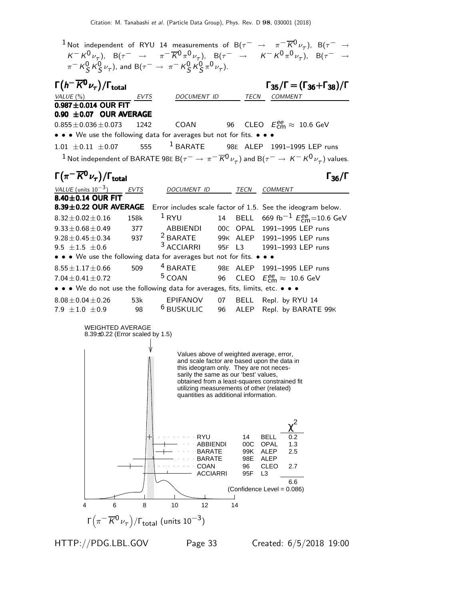$1$ Not independent of RYU 14 measurements of B( $\tau^-$  →  $\pi^ \overline{K}$ 0 $_{\nu_{\tau}}$ ), B( $\tau^-$  →  $K^- K^0 \nu_\tau$ ),  $B(\tau^- \rightarrow \pi^- \overline{K}{}^0 \pi^0 \nu_\tau)$ ,  $B(\tau^- \rightarrow K^- K^0 \pi^0 \nu_\tau)$ ,  $B(\tau^- \rightarrow$  $\pi^- K^0_S K^0_S \nu_\tau$ ), and B $(\tau^- \to \pi^- K^0_S K^0_S \pi^0 \nu_\tau)$ .  $\Gamma(h^-\overline{K^0}\nu_\tau)/\Gamma_{\rm total}$   $\Gamma_{35}/\Gamma = (\Gamma_{36} + \Gamma_{38})$  $\left(h^-\overline{K^0}\nu_\tau\right)/\Gamma_{\text{total}}$   $\Gamma_{35}/\Gamma = (\Gamma_{36} + \Gamma_{38})/\Gamma$ VALUE (%) EVTS DOCUMENT ID TECN COMMENT  $0.987 \pm 0.014$  OUR FIT **0.90**  $\pm$ **0.07 OUR AVERAGE**<br>0.855 + 0.036 + 0.073 1242  $_{\rm cm}^{ee} \approx 10.6$  GeV  $0.855 \pm 0.036 \pm 0.073$  1242 COAN • • • We use the following data for averages but not for fits. • • •  $1.01 \pm 0.11 \pm 0.07$  555 <sup>1</sup> BARATE 98E ALEP 1991-1995 LEP runs  $^1$  Not independent of BARATE 98E B $(\tau^-\to\pi^-\overline{K^0}\nu_\tau)$  and B $(\tau^-\to K^-\overline{K^0}\nu_\tau)$  values.  $\Gamma(\pi^-\overline{K^0}\nu_\tau)/\Gamma_{\rm total}$  Γ<sub>36</sub>/Γ /Γ $_{\rm total}$ Γ<sub>36</sub>/Γ VALUE (units  $10^{-3}$ ) EVTS DOCUMENT ID TECN COMMENT  $8.40 \pm 0.14$  OUR FIT<br> $8.39 \pm 0.22$  OUR AVERAGE Error includes scale factor of 1.5. See the ideogram below.<br><sup>1</sup> RYU 14 BELL 669 fb<sup>-1</sup>  $E_{cm}^{ee}$ =10.6 Ge  $8.32 \pm 0.02 \pm 0.16$  158k  $^1$  RYU 14 BELL 669 fb $^{-1}$   $E_{\text{cm}}^{\text{ee}}$ =10.6 GeV 9.33 $\pm$ 0.68 $\pm$ 0.49 377 ABBIENDI 00C OPAL 1991-1995 LEP runs<br>9.28 $\pm$ 0.45 $\pm$ 0.34 937 <sup>2</sup> BARATE 99K ALEP 1991-1995 LEP runs  $^{2}$ BARATE 99K ALEP 1991–1995 LEP runs<br> $^{3}$ ACCIARRI 95F L3 1991–1993 LEP runs  $9.5 \pm 1.5 \pm 0.6$ 1991-1993 LEP runs • • • We use the following data for averages but not for fits. • • •  $\bullet$  • 8.55 $\pm$ 1.17 $\pm$ 0.66 509 <sup>4</sup> BARATE 98E ALEP 199  $8.55 \pm 1.17 \pm 0.66$  509 <sup>4</sup> BARATE 98E ALEP 1991–1995 LEP runs<br>7.04 $\pm$ 0.41 $\pm$ 0.72 <sup>5</sup> COAN 96 CLEO  $E_{cm}^{ee} \approx 10.6$  GeV  $_{\rm cm}^{ee} \approx 10.6 \,\, \mathrm{GeV}$  $7.04 \pm 0.41 \pm 0.72$ • • • We do not use the following data for averages, fits, limits, etc. • • •  $8.08 \pm 0.04 \pm 0.26$  53k EPIFANOV 07 BELL Repl. by RYU 14<br>7.9  $\pm$ 1.0  $\pm$ 0.9 98 <sup>6</sup> BUSKULIC 96 ALEP Repl. by BARATI ALEP Repl. by BARATE 99K WEIGHTED AVERAGE 8.39±0.22 (Error scaled by 1.5) Values above of weighted average, error, and scale factor are based upon the data in this ideogram only. They are not necessarily the same as our 'best' values, obtained from a least-squares constrained fit utilizing measurements of other (related) quantities as additional information. 2 χ RYU 14 BELL ABBIENDI 00C OPAL 1.3 BARATE 99K ALEP 2.5 BARATE 98E ALEP and a state COAN 96 CLEO 2.7 ACCIARRI 95F L3 6.6 (Confidence Level = 0.086) 4 6 8 10 12 14 Γ $\bigl(\pi^- \overline{K}{}^0 \nu_\tau\bigr)/\mathsf{\Gamma}_{\mathsf{total}}$  (units  $10^{-3})$ 

HTTP://PDG.LBL.GOV Page 33 Created: 6/5/2018 19:00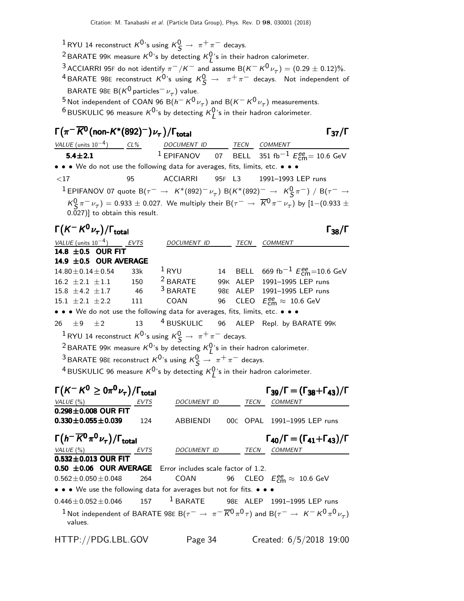$\frac{1}{2}$ RYU 14 reconstruct  $K^0$ 's using  $K^0_S \rightarrow \pi^+ \pi^-$  decays.

<sup>2</sup> BARATE 99K measure  $K^0$ 's by detecting  $K^0_L$ 's in their hadron calorimeter.

<sup>3</sup> ACCIARRI 95F do not identify  $\pi^-/K^-$  and assume B $(K^-K^0\nu_\tau)=(0.29\pm 0.12)\%.$ <sup>4</sup> BARATE 98E reconstruct  $K^0$ 's using  $K^0_S \rightarrow \pi^+ \pi^-$  decays. Not independent of BARATE 98E B $(K^0$  particles $^-\nu_\tau)$  value.

<sup>5</sup> Not independent of COAN 96 B( $h^- K^0 \nu_\tau$ ) and B( $K^- K^0 \nu_\tau$ ) measurements.

 $^6$ BUSKULIC 96 measure  $K^0$ 's by detecting  $K^0_L$ 's in their hadron calorimeter.

#### $\Gamma(\pi^-\overline{K^0}$ (non- $K^*(892)^-) \nu_\tau$ )/ $\Gamma_{\rm total}$  Γ<sub>37</sub>/Γ /Γ<sub>total</sub>Γ37/Γ

VALUE (units  $10^{-4}$ ) CL% DOCUMENT ID TECN COMMENT 5.4±2.1  $1$  EPIFANOV o7 BELL 351 fb $^{-1}$   $E_{\textsf{cm}}^{ee}$ = 10.6 GeV • • • We do not use the following data for averages, fits, limits, etc. • <17 95 ACCIARRI 95F L3 1991–1993 LEP runs  $1$  EPIFANOV 07 quote B( $\tau^-$  → K\*(892)<sup>-</sup> ν<sub>τ</sub>) B(K\*(892)<sup>-</sup> → K $^0S$ π<sup>-</sup>) / B( $\tau^-$  →  $K^0$   $\pi^ \nu_{\tau}$ ) = 0.933  $\pm$  0.027. We multiply their B( $\tau^ \rightarrow$   $\overline{K}^0$   $\pi^ \nu_{\tau}$ ) by [1–(0.933  $\pm$ 0.027)] to obtain this result.  $\Gamma(K^-K^0\nu_{\tau})/\Gamma_{\text{total}}$  Γ<sub>38</sub>/Γ

| VALUE (units $10^{-4}$ ) EVTS                                                                    |     | DOCUMENT ID |  | <b>TECN</b> | <b>COMMENT</b>                                                          |  |  |
|--------------------------------------------------------------------------------------------------|-----|-------------|--|-------------|-------------------------------------------------------------------------|--|--|
| 14.8 $\pm$ 0.5 OUR FIT                                                                           |     |             |  |             |                                                                         |  |  |
| 14.9 $\pm$ 0.5 OUR AVERAGE                                                                       |     |             |  |             |                                                                         |  |  |
| $14.80 \pm 0.14 \pm 0.54$                                                                        | 33k | $1$ RYU     |  |             | 14 BELL 669 fb <sup>-1</sup> $E_{cm}^{ee}$ =10.6 GeV                    |  |  |
| $16.2 \pm 2.1 \pm 1.1$ 150                                                                       |     |             |  |             | <sup>2</sup> BARATE 99K ALEP 1991-1995 LEP runs                         |  |  |
| $15.8 \pm 4.2 \pm 1.7$ 46                                                                        |     |             |  |             | <sup>3</sup> BARATE 98E ALEP 1991-1995 LEP runs                         |  |  |
| $15.1 \pm 2.1 \pm 2.2$ 111                                                                       |     |             |  |             | COAN 96 CLEO $E_{cm}^{ee} \approx 10.6$ GeV                             |  |  |
| • • • We do not use the following data for averages, fits, limits, etc. • • •                    |     |             |  |             |                                                                         |  |  |
|                                                                                                  |     |             |  |             | 26 $\pm$ 9 $\pm$ 2 13 <sup>4</sup> BUSKULIC 96 ALEP Repl. by BARATE 99K |  |  |
| <sup>1</sup> RYU 14 reconstruct $K^{0}$ 's using $K^{0}_{S} \rightarrow \pi^{+} \pi^{-}$ decays. |     |             |  |             |                                                                         |  |  |
| <sup>2</sup> BARATE 99K measure $K^0$ 's by detecting $K^0$ 's in their hadron calorimeter.      |     |             |  |             |                                                                         |  |  |
| <sup>3</sup> BARATE 98E reconstruct $K^0$ 's using $K^0_S \rightarrow \pi^+ \pi^-$ decays.       |     |             |  |             |                                                                         |  |  |
|                                                                                                  |     |             |  |             |                                                                         |  |  |

 $^4$ BUSKULIC 96 measure  $K^0$ 's by detecting  $K^0_L$ 's in their hadron calorimeter.

| $\Gamma(K^-K^0\geq 0\pi^0\nu_\tau)/\Gamma_{\rm total}$                          |      |             |             | $\Gamma_{39}/\Gamma = (\Gamma_{38} + \Gamma_{43})/\Gamma$                                                                                   |
|---------------------------------------------------------------------------------|------|-------------|-------------|---------------------------------------------------------------------------------------------------------------------------------------------|
| VALUE(%)                                                                        | EVTS | DOCUMENT ID | <b>TECN</b> | <b>COMMENT</b>                                                                                                                              |
| $0.298 \pm 0.008$ OUR FIT                                                       |      |             |             |                                                                                                                                             |
| $0.330 \pm 0.055 \pm 0.039$                                                     | 124  | ABBIENDI    |             | 00C OPAL 1991-1995 LEP runs                                                                                                                 |
| $\Gamma(h^- \overline{K}{}^0 \pi^0 \nu_\tau)/\Gamma_{\rm total}$                |      |             |             | $\Gamma_{40}/\Gamma = (\Gamma_{41} + \Gamma_{43})/\Gamma$                                                                                   |
| VALUE(%)                                                                        | EVTS | DOCUMENT ID | TECN        | <b>COMMENT</b>                                                                                                                              |
| $0.532 \pm 0.013$ OUR FIT                                                       |      |             |             |                                                                                                                                             |
| $0.50 \pm 0.06$ OUR AVERAGE Error includes scale factor of 1.2.                 |      |             |             |                                                                                                                                             |
| $0.562 \pm 0.050 \pm 0.048$ 264                                                 |      |             |             | COAN 96 CLEO $E_{cm}^{ee} \approx 10.6$ GeV                                                                                                 |
| • • • We use the following data for averages but not for fits. • • •            |      |             |             |                                                                                                                                             |
| $0.446 \pm 0.052 \pm 0.046$ 157 <sup>1</sup> BARATE 98E ALEP 1991-1995 LEP runs |      |             |             |                                                                                                                                             |
| values.                                                                         |      |             |             | <sup>1</sup> Not independent of BARATE 98E B( $\tau^- \to \pi^- \overline{K}^0 \pi^0 \tau$ ) and B( $\tau^- \to K^- K^0 \pi^0 \nu_{\tau}$ ) |
| HTTP://PDG.LBL.GOV                                                              |      | Page 34     |             | Created: 6/5/2018 19:00                                                                                                                     |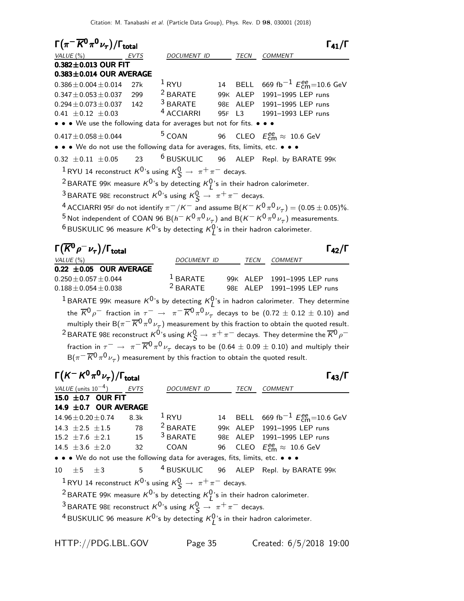| $\Gamma(\pi^- \overline{K}{}^0\pi^0\nu_\tau)/\Gamma_{\rm total}$                                           |      |                                |        |      | $\Gamma_{41}/\Gamma$                                                                                                                             |
|------------------------------------------------------------------------------------------------------------|------|--------------------------------|--------|------|--------------------------------------------------------------------------------------------------------------------------------------------------|
| VALUE $(\%)$                                                                                               | EVTS | <i>DOCUMENT ID</i>             |        | TECN | <b>COMMENT</b>                                                                                                                                   |
| $0.382 \pm 0.013$ OUR FIT                                                                                  |      |                                |        |      |                                                                                                                                                  |
| $0.383 \pm 0.014$ OUR AVERAGE                                                                              |      |                                |        |      |                                                                                                                                                  |
| $0.386 \pm 0.004 \pm 0.014$                                                                                | 27k  | $1$ RYU $14$                   |        |      | BELL 669 fb <sup>-1</sup> $E_{\text{cm}}^{ee}$ =10.6 GeV                                                                                         |
| $0.347 \pm 0.053 \pm 0.037$                                                                                | 299  |                                |        |      | <sup>2</sup> BARATE 99K ALEP 1991-1995 LEP runs<br><sup>3</sup> BARATE 98E ALEP 1991-1995 LEP runs<br><i>A</i> LECULED 100 LEP 1991-1995 LEP TUR |
| $0.294 \pm 0.073 \pm 0.037$                                                                                | 142  |                                |        |      |                                                                                                                                                  |
| $0.41 \pm 0.12 \pm 0.03$                                                                                   |      | <sup>4</sup> ACCIARRI          | 95F L3 |      | 1991–1993 LEP runs                                                                                                                               |
| • • • We use the following data for averages but not for fits. • • •                                       |      |                                |        |      |                                                                                                                                                  |
| $0.417 \pm 0.058 \pm 0.044$                                                                                |      | <sup>5</sup> COAN              |        |      | 96 CLEO $E_{\text{cm}}^{\text{ee}} \approx 10.6 \text{ GeV}$                                                                                     |
| • • • We do not use the following data for averages, fits, limits, etc. • •                                |      |                                |        |      |                                                                                                                                                  |
| $0.32 \pm 0.11 \pm 0.05$                                                                                   | 23   |                                |        |      | <sup>6</sup> BUSKULIC 96 ALEP Repl. by BARATE 99K                                                                                                |
| <sup>1</sup> RYU 14 reconstruct $K^0$ 's using $K^0_S \rightarrow \pi^+\pi^-$ decays.                      |      |                                |        |      |                                                                                                                                                  |
| <sup>2</sup> BARATE 99K measure $K^0$ 's by detecting $K^0_I$ 's in their hadron calorimeter.              |      |                                |        |      |                                                                                                                                                  |
| <sup>3</sup> BARATE 98E reconstruct $K^0$ 's using $K^0_S \rightarrow \pi^+\pi^-$ decays.                  |      |                                |        |      |                                                                                                                                                  |
|                                                                                                            |      |                                |        |      | <sup>4</sup> ACCIARRI 95F do not identify $\pi^-/K^-$ and assume B( $K^ K^0\pi^0\nu_\tau)=(0.05\pm0.05)\%$ .                                     |
|                                                                                                            |      |                                |        |      |                                                                                                                                                  |
|                                                                                                            |      |                                |        |      | <sup>5</sup> Not independent of COAN 96 B( $h^- K^0 \pi^0 \nu_\tau$ ) and B( $K^- K^0 \pi^0 \nu_\tau$ ) measurements.                            |
| <sup>6</sup> BUSKULIC 96 measure $K^{0}$ 's by detecting $K^{0}_{I}$ 's in their hadron calorimeter.       |      |                                |        |      |                                                                                                                                                  |
|                                                                                                            |      |                                |        |      |                                                                                                                                                  |
| $\Gamma(\overline{K}{}^0\rho^-\nu_\tau)/\Gamma_{\rm total}$                                                |      |                                |        |      | $\Gamma_{42}/\Gamma$                                                                                                                             |
| VALUE (%)                                                                                                  |      | DOCUMENT ID                    |        | TECN | COMMENT                                                                                                                                          |
| $0.22 \pm 0.05$ OUR AVERAGE                                                                                |      |                                |        |      |                                                                                                                                                  |
| $0.250 \pm 0.057 \pm 0.044$                                                                                |      |                                |        |      | <sup>1</sup> BARATE 99K ALEP 1991-1995 LEP runs                                                                                                  |
| $0.188 \pm 0.054 \pm 0.038$                                                                                |      |                                |        |      | <sup>2</sup> BARATE 98E ALEP 1991-1995 LEP runs                                                                                                  |
|                                                                                                            |      |                                |        |      | <sup>1</sup> BARATE 99K measure $K^0$ 's by detecting $K^0_I$ 's in hadron calorimeter. They determine                                           |
|                                                                                                            |      |                                |        |      |                                                                                                                                                  |
|                                                                                                            |      |                                |        |      | the $\overline{K}^0\rho^-$ fraction in $\tau^ \to \pi^-\overline{K}{}^0\pi^0\nu_\tau$ decays to be $(0.72\pm 0.12\pm 0.10)$ and                  |
|                                                                                                            |      |                                |        |      | multiply their $B(\pi^-\overline{K}{}^0\pi^0\nu_\tau)$ measurement by this fraction to obtain the quoted result.                                 |
|                                                                                                            |      |                                |        |      | <sup>2</sup> BARATE 98E reconstruct $K^0$ 's using $K^0_S \to \pi^+ \pi^-$ decays. They determine the $\overline{K}{}^0\rho^-$                   |
|                                                                                                            |      |                                |        |      | fraction in $\tau^-\,\rightarrow\,\,\pi^-\,\overline{K}{}^0\pi^0\,\nu_\tau$ decays to be $(0.64\,\pm\,0.09\,\pm\,0.10)$ and multiply their       |
| $B(\pi^{-} \overline{K}^{0} \pi^{0} \nu_{\tau})$ measurement by this fraction to obtain the quoted result. |      |                                |        |      |                                                                                                                                                  |
| $\Gamma(K^-K^0\pi^0\nu_\tau)/\Gamma_{\rm total}$                                                           |      |                                |        |      | $\Gamma_{43}/\Gamma$                                                                                                                             |
| VALUE (units $10^{-4}$ ) EVTS                                                                              |      | DOCUMENT ID                    |        | TECN | COMMENT                                                                                                                                          |
| 15.0 ±0.7 OUR FIT                                                                                          |      |                                |        |      |                                                                                                                                                  |
| 14.9 ±0.7 OUR AVERAGE                                                                                      |      |                                |        |      |                                                                                                                                                  |
| $14.96 \pm 0.20 \pm 0.74$                                                                                  | 8.3k | $1$ RYU<br><sup>2</sup> BARATE | 14     |      | BELL $669 \text{ fb}^{-1} E_{cm}^{ee} = 10.6 \text{ GeV}$                                                                                        |

15.2  $\pm$ 7.6  $\pm$ 2.1 15 <sup>3</sup> BARATE 98E ALEP 1991–1995 LEP runs 14.5  $\pm$ 3.6  $\pm$ 2.0 32 COAN 96 CLEO  $E_{\text{cm}}^{\text{ee}} \approx 10.6 \text{ GeV}$ 

• • • We do not use the following data for averages, fits, limits, etc. • • • •  $\pm 5$   $\pm 3$  5 <sup>4</sup> BUSKULIC 96 ALEP Repl. by BARATE 99K

 $10 \pm 5 \pm 3$  5 <sup>4</sup> BUSKULIC 96 ALEP Repl. by BARATE 99K  $1$ RYU 14 reconstruct  $K^0$ 's using  $K^0_S \rightarrow \pi^+ \pi^-$  decays. <sup>2</sup> BARATE 99K measure  $K^0$ 's by detecting  $K^0_L$ 's in their hadron calorimeter. <sup>3</sup> BARATE 98E reconstruct  $K^0$ 's using  $K^0_S \rightarrow \pi^+ \pi^-$  decays.

<sup>4</sup> BUSKULIC 96 measure  $K^{0}$ 's by detecting  $K^{0}_{L}$ 's in their hadron calorimeter.

HTTP://PDG.LBL.GOV Page 35 Created: 6/5/2018 19:00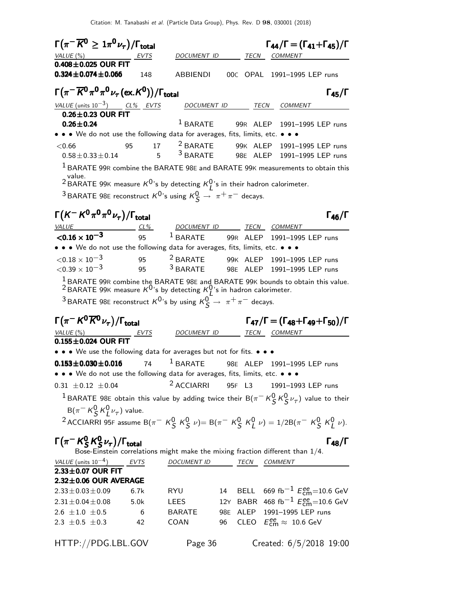| $\Gamma(\pi^- \overline{K^0} \geq 1\pi^0 \nu_\tau)/\Gamma_{\rm total}$                       |                         |                          |     |      | $\Gamma_{44}/\Gamma = (\Gamma_{41} + \Gamma_{45})/\Gamma$                                                                                                                                             |
|----------------------------------------------------------------------------------------------|-------------------------|--------------------------|-----|------|-------------------------------------------------------------------------------------------------------------------------------------------------------------------------------------------------------|
| VALUE (%)                                                                                    | EVTS                    | DOCUMENT ID              |     | TECN | <b>COMMENT</b>                                                                                                                                                                                        |
| $0.408 \pm 0.025$ OUR FIT                                                                    |                         |                          |     |      |                                                                                                                                                                                                       |
| $0.324 \pm 0.074 \pm 0.066$                                                                  | 148                     | <b>ABBIENDI</b>          |     |      | 00C OPAL 1991-1995 LEP runs                                                                                                                                                                           |
| $\Gamma(\pi^-\overline{K^0}\pi^0\pi^0\nu_\tau(\mathrm{ex.}K^0))/\Gamma_\mathrm{total}$       |                         |                          |     |      | $\Gamma_{45}/\Gamma$                                                                                                                                                                                  |
| VALUE (units $10^{-3}$ ) CL% EVTS                                                            |                         |                          |     |      | DOCUMENT ID TECN COMMENT                                                                                                                                                                              |
| $0.26 \pm 0.23$ OUR FIT<br>$0.26 \pm 0.24$                                                   |                         |                          |     |      | <sup>1</sup> BARATE 99R ALEP 1991-1995 LEP runs                                                                                                                                                       |
| • • • We do not use the following data for averages, fits, limits, etc. • • •                |                         |                          |     |      |                                                                                                                                                                                                       |
| < 0.66<br>$0.58 \pm 0.33 \pm 0.14$                                                           | 95 17<br>$\overline{5}$ | $2$ BARATE<br>$3$ BARATE |     |      | 99K ALEP 1991-1995 LEP runs<br>98E ALEP 1991-1995 LEP runs                                                                                                                                            |
|                                                                                              |                         |                          |     |      | $1$ BARATE 99R combine the BARATE 98E and BARATE 99K measurements to obtain this                                                                                                                      |
| value.                                                                                       |                         |                          |     |      |                                                                                                                                                                                                       |
| <sup>2</sup> BARATE 99K measure $K^0$ 's by detecting $K^0$ 's in their hadron calorimeter.  |                         |                          |     |      |                                                                                                                                                                                                       |
| <sup>3</sup> BARATE 98E reconstruct $K^0$ 's using $K^0_S \rightarrow \pi^+ \pi^-$ decays.   |                         |                          |     |      |                                                                                                                                                                                                       |
| $\Gamma(K^-K^0\pi^0\pi^0\nu_{\tau})/\Gamma_{\rm total}$                                      |                         |                          |     |      | $\Gamma_{46}/\Gamma$                                                                                                                                                                                  |
| <i>VALUE</i>                                                                                 | $\frac{CL\%}{95}$       | DOCUMENT ID TECN COMMENT |     |      |                                                                                                                                                                                                       |
| <u>VALUE</u><br><0.16 × 10 <sup>-3</sup>                                                     |                         |                          |     |      | <sup>1</sup> BARATE 99R ALEP 1991-1995 LEP runs                                                                                                                                                       |
| • • We do not use the following data for averages, fits, limits, etc. • • •                  |                         |                          |     |      |                                                                                                                                                                                                       |
| ${<}0.18 \times 10^{-3}$                                                                     | 95                      |                          |     |      | <sup>2</sup> BARATE 99K ALEP 1991-1995 LEP runs                                                                                                                                                       |
| ${<}0.39\times10^{-3}$                                                                       | 95                      | $3$ BARATE               |     |      | 98E ALEP 1991-1995 LEP runs                                                                                                                                                                           |
|                                                                                              |                         |                          |     |      | <sup>1</sup> BARATE 99R combine the BARATE 98E and BARATE 99K bounds to obtain this value.<br><sup>2</sup> BARATE 99K measure K <sup>0</sup> 's by detecting K <sup>0</sup> 's in hadron calorimeter. |
|                                                                                              |                         |                          |     |      |                                                                                                                                                                                                       |
| <sup>3</sup> BARATE 98E reconstruct $K^0$ 's by using $K^0_S \rightarrow \pi^+\pi^-$ decays. |                         |                          |     |      |                                                                                                                                                                                                       |
| $\Gamma(\pi^- K^0 \overline{K}{}^0 \nu_\tau)/\Gamma_{\rm total}$                             |                         |                          |     |      | $\Gamma_{47}/\Gamma = (\Gamma_{48} + \Gamma_{49} + \Gamma_{50})/\Gamma$                                                                                                                               |
| VALUE(%)                                                                                     | <u>EVTS</u>             | DOCUMENT ID              |     |      | TECN COMMENT                                                                                                                                                                                          |
| $0.155 \pm 0.024$ OUR FIT                                                                    |                         |                          |     |      |                                                                                                                                                                                                       |
| • • • We use the following data for averages but not for fits. • • •                         |                         |                          |     |      |                                                                                                                                                                                                       |
| $0.153 \pm 0.030 \pm 0.016$                                                                  | 74                      | $1$ BARATE               |     |      | 98E ALEP 1991-1995 LEP runs                                                                                                                                                                           |
| • • • We do not use the following data for averages, fits, limits, etc. • • •                |                         |                          |     |      |                                                                                                                                                                                                       |
| $0.31 \pm 0.12 \pm 0.04$                                                                     |                         | <sup>2</sup> ACCIARRI    |     |      | 95F L3 1991-1993 LEP runs                                                                                                                                                                             |
|                                                                                              |                         |                          |     |      | <sup>1</sup> BARATE 98E obtain this value by adding twice their B( $\pi^-$ K $^0_S$ K $^0_S$ $\nu_{\tau}$ ) value to their                                                                            |
| $B(\pi^- K_S^0 K_I^0 \nu_\tau)$ value.                                                       |                         |                          |     |      |                                                                                                                                                                                                       |
|                                                                                              |                         |                          |     |      | <sup>2</sup> ACCIARRI 95F assume B( $\pi^-$ K $^0_S$ K $^0_S$ $\nu$ ) = B( $\pi^-$ K $^0_S$ K $^0_I$ $\nu$ ) = 1/2B( $\pi^-$ K $^0_S$ K $^0_I$ $\nu$ ).                                               |
| $\Gamma(\pi^-{\rm K}_S^0{\rm K}_S^0\nu_\tau)/\Gamma_{\rm total}$                             |                         |                          |     |      | $\Gamma_{48}/\Gamma$<br>Bose-Einstein correlations might make the mixing fraction different than $1/4$ .                                                                                              |
| VALUE (units $10^{-4}$ )<br>EVTS                                                             |                         | DOCUMENT ID              |     | TECN | <b>COMMENT</b>                                                                                                                                                                                        |
| 2.33±0.07 OUR FIT                                                                            |                         |                          |     |      |                                                                                                                                                                                                       |
| $2.32 \pm 0.06$ OUR AVERAGE                                                                  |                         |                          |     |      |                                                                                                                                                                                                       |
| $2.33 \pm 0.03 \pm 0.09$                                                                     | 6.7k                    | RYU                      | 14  |      | BELL 669 fb <sup>-1</sup> $E_{\text{cm}}^{ee}$ =10.6 GeV                                                                                                                                              |
| $2.31 \pm 0.04 \pm 0.08$                                                                     | 5.0k                    | LEES                     | 12Y |      | BABR 468 fb <sup>-1</sup> $E_{\text{cm}}^{ee}$ =10.6 GeV                                                                                                                                              |
| $2.6 \pm 1.0 \pm 0.5$                                                                        | 6<br>42                 | <b>BARATE</b>            | 98E |      | ALEP 1991-1995 LEP runs                                                                                                                                                                               |
| 2.3 $\pm$ 0.5 $\pm$ 0.3                                                                      |                         | COAN                     | 96  |      | CLEO $E_{\text{cm}}^{ee} \approx 10.6 \text{ GeV}$                                                                                                                                                    |
| HTTP://PDG.LBL.GOV                                                                           |                         |                          |     |      |                                                                                                                                                                                                       |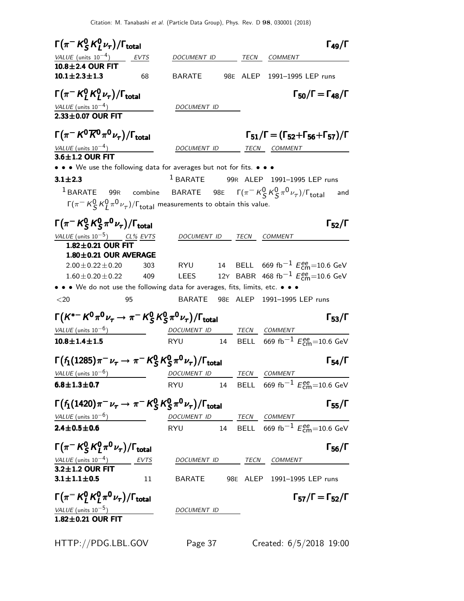| $\Gamma(\pi^- K^0_S K^0_I \nu_\tau)/\Gamma_{\rm total}$                                                  |     |                                                 |      |                                    | $\Gamma_{49}/\Gamma$                                                                                              |
|----------------------------------------------------------------------------------------------------------|-----|-------------------------------------------------|------|------------------------------------|-------------------------------------------------------------------------------------------------------------------|
| VALUE (units $10^{-4}$ ) EVTS                                                                            |     | DOCUMENT ID                                     |      | TECN COMMENT                       |                                                                                                                   |
| 10.8±2.4 OUR FIT                                                                                         |     |                                                 |      |                                    |                                                                                                                   |
| $10.1 \pm 2.3 \pm 1.3$                                                                                   | 68  | BARATE                                          |      | 98E ALEP 1991-1995 LEP runs        |                                                                                                                   |
| $\Gamma(\pi^- K^0_I K^0_I \nu_\tau)/\Gamma_{\rm total}$                                                  |     |                                                 |      |                                    | $\Gamma_{50}/\Gamma = \Gamma_{48}/\Gamma$                                                                         |
| <u>VALUE (units 10<sup>-4</sup>)</u><br>2.33±0.07 OUR FIT                                                |     | DOCUMENT ID                                     |      |                                    |                                                                                                                   |
|                                                                                                          |     |                                                 |      |                                    |                                                                                                                   |
| $\Gamma(\pi^- K^0 \overline{K}{}^0 \pi^0 \nu_\tau)/\Gamma_{\rm total}$                                   |     |                                                 |      |                                    | $\Gamma_{51}/\Gamma = (\Gamma_{52} + \Gamma_{56} + \Gamma_{57})/\Gamma$                                           |
| $VALUE$ (units $10^{-4}$ )                                                                               |     |                                                 |      | DOCUMENT ID TECN COMMENT           |                                                                                                                   |
| $3.6 \pm 1.2$ OUR FIT                                                                                    |     |                                                 |      |                                    |                                                                                                                   |
| • • • We use the following data for averages but not for fits. • • •                                     |     |                                                 |      |                                    |                                                                                                                   |
| $3.1 \pm 2.3$                                                                                            |     | <sup>1</sup> BARATE 99R ALEP 1991-1995 LEP runs |      |                                    |                                                                                                                   |
| <sup>1</sup> BARATE 99R combine BARATE 98E $\Gamma(\pi^- K^0_S K^0_S \pi^0 \nu_\tau)/\Gamma_{\rm total}$ |     |                                                 |      |                                    | and                                                                                                               |
| $\Gamma(\pi^- K^0_S K^0_I \pi^0 \nu_\tau)/\Gamma_{\text{total}}$ measurements to obtain this value.      |     |                                                 |      |                                    |                                                                                                                   |
| $\Gamma(\pi^- K^0_S K^0_S \pi^0 \nu_\tau)/\Gamma_{\rm total}$                                            |     |                                                 |      |                                    | $\Gamma_{52}/\Gamma$                                                                                              |
| <u>VALUE</u> (units $10^{-5}$ ) CL% EVTS                                                                 |     | DOCUMENT ID TECN                                |      | COMMENT                            |                                                                                                                   |
| 1.82±0.21 OUR FIT                                                                                        |     |                                                 |      |                                    |                                                                                                                   |
| 1.80±0.21 OUR AVERAGE                                                                                    |     |                                                 |      |                                    |                                                                                                                   |
| $2.00 \pm 0.22 \pm 0.20$                                                                                 | 303 |                                                 |      |                                    | RYU $14$ BELL 669 fb $^{-1}$ $E_{\rm cm}^{ee}$ =10.6 GeV                                                          |
| $1.60 \pm 0.20 \pm 0.22$                                                                                 | 409 | <b>LEES</b>                                     |      |                                    | 12Y BABR 468 fb <sup>-1</sup> $E_{\text{cm}}^{ee}$ =10.6 GeV                                                      |
| • • • We do not use the following data for averages, fits, limits, etc. • • •<br>$<$ 20                  | 95  | <b>BARATE</b>                                   |      | 98E ALEP 1991-1995 LEP runs        |                                                                                                                   |
|                                                                                                          |     |                                                 |      |                                    |                                                                                                                   |
| $\Gamma(K^{*-} K^0 \pi^0 \nu_\tau \to \pi^- K^0_S K^0_S \pi^0 \nu_\tau)/\Gamma_{\rm total}$              |     |                                                 |      |                                    | $\Gamma_{53}/\Gamma$                                                                                              |
| $VALUE$ (units $10^{-6}$ )                                                                               |     | DOCUMENT ID TECN COMMENT                        |      |                                    |                                                                                                                   |
| $10.8 \pm 1.4 \pm 1.5$                                                                                   |     |                                                 |      |                                    | RYU 14 BELL 669 fb <sup>-1</sup> $E_{cm}^{ee}$ =10.6 GeV                                                          |
| $\Gamma(f_1(1285)\pi^-\nu_\tau\to\pi^-{\rm K^0_S}{\rm K^0_S}\pi^0\nu_\tau)/\Gamma_{\rm total}$           |     |                                                 |      |                                    | $\Gamma_{54}/\Gamma$                                                                                              |
| VALUE (units $10^{-6}$ )                                                                                 |     | DOCUMENT ID                                     | TECN | COMMENT                            |                                                                                                                   |
| $6.8 \pm 1.3 \pm 0.7$                                                                                    |     | <b>RYU</b>                                      |      |                                    | 14 BELL 669 fb <sup>-1</sup> $E_{\text{cm}}^{ee}$ =10.6 GeV                                                       |
| $\Gamma(f_1(1420)\pi^-\nu_\tau\to\pi^-K^0_S\,K^0_S\pi^0\nu_\tau)/\Gamma_{\rm total}$                     |     |                                                 |      |                                    | $\Gamma_{55}/\Gamma$                                                                                              |
| $VALUE$ (units $10^{-6}$ )                                                                               |     |                                                 |      |                                    |                                                                                                                   |
| $2.4 \pm 0.5 \pm 0.6$                                                                                    |     | DOCUMENT ID TECN COMMENT                        |      |                                    | $\frac{DOCUMENT ID}{RYU} \frac{TECN}{14} \frac{COMMENT}{BELL} \frac{COMMENT}{669 fb^{-1} E_{cm}^{ee} = 10.6 GeV}$ |
|                                                                                                          |     |                                                 |      |                                    |                                                                                                                   |
| $\Gamma(\pi^- K^0_S K^0_I \pi^0 \nu_\tau)/\Gamma_{\rm total}$                                            |     |                                                 |      |                                    | $\Gamma_{56}/\Gamma$                                                                                              |
| $\frac{VALUE \text{ (units 10}^{-4})}{3.2 \pm 1.2 \text{ OUR FIT}}$ EVTS                                 |     |                                                 |      | DOCUMENT ID TECN COMMENT           |                                                                                                                   |
| $3.1 \pm 1.1 \pm 0.5$                                                                                    | 11  |                                                 |      | BARATE 98E ALEP 1991-1995 LEP runs |                                                                                                                   |
| $\Gamma(\pi^- K_l^0 K_l^0 \pi^0 \nu_\tau)/\Gamma_{\rm total}$                                            |     |                                                 |      |                                    | $\Gamma_{57}/\Gamma = \Gamma_{52}/\Gamma$                                                                         |
|                                                                                                          |     |                                                 |      |                                    |                                                                                                                   |
| $\frac{VALUE \text{ (units 10}^{-5})}{1.82 \pm 0.21 \text{ OUR FIT}}$                                    |     | DOCUMENT ID                                     |      |                                    |                                                                                                                   |
|                                                                                                          |     |                                                 |      |                                    |                                                                                                                   |
| HTTP://PDG.LBL.GOV                                                                                       |     | Page 37                                         |      |                                    | Created: 6/5/2018 19:00                                                                                           |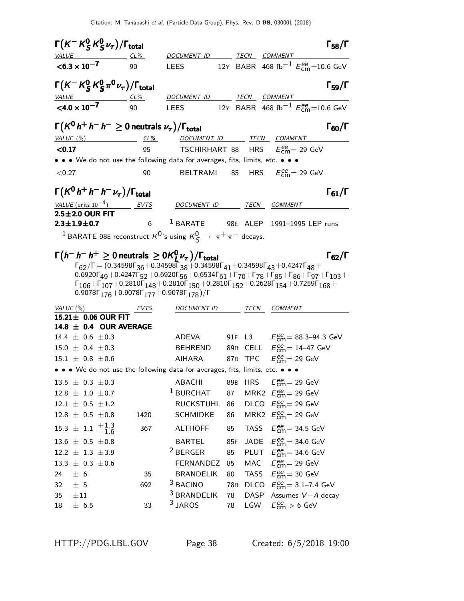|              |                          | $\Gamma(K^-K^0_S K^0_S \nu_\tau)/\Gamma_{\rm total}$     |                                                                           |                                                                                                                                                                                                                                                                                                                                                                                                                                                                                                                                                                                                                                                                          |     |                                                     | $\mathsf{\Gamma}_{58}/\mathsf{\Gamma}$                            |
|--------------|--------------------------|----------------------------------------------------------|---------------------------------------------------------------------------|--------------------------------------------------------------------------------------------------------------------------------------------------------------------------------------------------------------------------------------------------------------------------------------------------------------------------------------------------------------------------------------------------------------------------------------------------------------------------------------------------------------------------------------------------------------------------------------------------------------------------------------------------------------------------|-----|-----------------------------------------------------|-------------------------------------------------------------------|
| <u>VALUE</u> |                          | $CL\%$                                                   |                                                                           | DOCUMENT ID                                                                                                                                                                                                                                                                                                                                                                                                                                                                                                                                                                                                                                                              |     | TECN COMMENT                                        |                                                                   |
|              | $< 6.3 \times 10^{-7}$   |                                                          | 90                                                                        | <b>LEES</b>                                                                                                                                                                                                                                                                                                                                                                                                                                                                                                                                                                                                                                                              |     |                                                     | 12Y BABR 468 fb <sup>-1</sup> $E_{\text{cm}}^{ee}$ =10.6 GeV      |
|              |                          |                                                          | $\Gamma(K^-K^0_S K^0_S \pi^0 \nu_\tau)/\Gamma_{\rm total}$                |                                                                                                                                                                                                                                                                                                                                                                                                                                                                                                                                                                                                                                                                          |     |                                                     | $\Gamma_{59}/\Gamma$                                              |
|              | <u>VALUE</u>             |                                                          | $CL\%$                                                                    | DOCUMENT ID TECN COMMENT                                                                                                                                                                                                                                                                                                                                                                                                                                                                                                                                                                                                                                                 |     |                                                     |                                                                   |
|              | $< 4.0 \times 10^{-7}$   |                                                          | 90                                                                        |                                                                                                                                                                                                                                                                                                                                                                                                                                                                                                                                                                                                                                                                          |     |                                                     | LEES 12Y BABR 468 fb <sup>-1</sup> $E_{\text{cm}}^{ee}$ =10.6 GeV |
|              |                          |                                                          | $\Gamma(K^0\,h^+\,h^-\,h^-\geq 0$ neutrals $\nu_\tau)/\Gamma_{\rm total}$ |                                                                                                                                                                                                                                                                                                                                                                                                                                                                                                                                                                                                                                                                          |     |                                                     | $\Gamma_{60}/\Gamma$                                              |
|              |                          |                                                          |                                                                           | VALUE (%) CL% DOCUMENT ID TECN COMMENT                                                                                                                                                                                                                                                                                                                                                                                                                                                                                                                                                                                                                                   |     |                                                     |                                                                   |
| < 0.17       |                          |                                                          | 95                                                                        | <b>TSCHIRHART 88 HRS</b> $E_{\text{cm}}^{\text{ee}} = 29 \text{ GeV}$                                                                                                                                                                                                                                                                                                                                                                                                                                                                                                                                                                                                    |     |                                                     |                                                                   |
| < 0.27       |                          |                                                          | 90                                                                        | • • • We do not use the following data for averages, fits, limits, etc. • • •<br>BELTRAMI                                                                                                                                                                                                                                                                                                                                                                                                                                                                                                                                                                                |     |                                                     |                                                                   |
|              |                          |                                                          |                                                                           |                                                                                                                                                                                                                                                                                                                                                                                                                                                                                                                                                                                                                                                                          |     | 85 HRS $E_{\text{cm}}^{\text{ee}}$ = 29 GeV         |                                                                   |
|              |                          |                                                          | $\Gamma(K^0\,h^+\,h^-\,h^-\,\nu_\tau)/\Gamma_{\rm total}$                 |                                                                                                                                                                                                                                                                                                                                                                                                                                                                                                                                                                                                                                                                          |     |                                                     | $\Gamma_{61}/\Gamma$                                              |
|              | VALUE (units $10^{-4}$ ) |                                                          | EVTS                                                                      | DOCUMENT ID TECN COMMENT                                                                                                                                                                                                                                                                                                                                                                                                                                                                                                                                                                                                                                                 |     |                                                     |                                                                   |
|              |                          | $2.5 \pm 2.0$ OUR FIT                                    |                                                                           |                                                                                                                                                                                                                                                                                                                                                                                                                                                                                                                                                                                                                                                                          |     |                                                     |                                                                   |
|              | $2.3 \pm 1.9 \pm 0.7$    |                                                          |                                                                           | $6$ $1$ BARATE 98E ALEP 1991-1995 LEP runs                                                                                                                                                                                                                                                                                                                                                                                                                                                                                                                                                                                                                               |     |                                                     |                                                                   |
|              |                          |                                                          |                                                                           | <sup>1</sup> BARATE 98E reconstruct $K^0$ 's using $K^0_S \rightarrow \pi^+ \pi^-$ decays.                                                                                                                                                                                                                                                                                                                                                                                                                                                                                                                                                                               |     |                                                     |                                                                   |
|              |                          |                                                          |                                                                           | $\Gamma(h^- h^- h^+ \geq 0$ neutrals $\geq 0 K^0_l \nu_\tau$ )/ $\Gamma_{\rm total}$<br>$\Gamma_{62}/\Gamma = (0.34598\Gamma_{36} + 0.34598\Gamma_{38} + 0.34598\Gamma_{41} + 0.34598\Gamma_{43} + 0.4247\Gamma_{48} +$<br>$0.6920\Gamma_{49} + 0.4247\Gamma_{52} + 0.6920\Gamma_{56} + 0.6534\Gamma_{61} + \Gamma_{70} + \Gamma_{78} + \Gamma_{85} + \Gamma_{86} + \Gamma_{97} + \Gamma_{103} + \Gamma_{104}$<br>$\Gamma_{106} + \Gamma_{107} + 0.2810\Gamma_{148} + 0.2810\Gamma_{150} + 0.2810\Gamma_{152} + 0.2628\Gamma_{154} + 0.7259\Gamma_{168} +$<br>0.9078 $\Gamma$ <sub>176</sub> +0.9078 $\Gamma$ <sub>177</sub> +0.9078 $\Gamma$ <sub>178</sub> )/ $\Gamma$ |     |                                                     |                                                                   |
|              |                          | VALUE $(\%)$                                             | EVTS                                                                      | DOCUMENT ID                                                                                                                                                                                                                                                                                                                                                                                                                                                                                                                                                                                                                                                              |     | TECN COMMENT                                        |                                                                   |
|              |                          | 15.21 ± 0.06 OUR FIT                                     | 14.8 $\pm$ 0.4 OUR AVERAGE                                                |                                                                                                                                                                                                                                                                                                                                                                                                                                                                                                                                                                                                                                                                          |     |                                                     |                                                                   |
|              |                          | 14.4 $\pm$ 0.6 $\pm$ 0.3                                 |                                                                           | ADEVA                                                                                                                                                                                                                                                                                                                                                                                                                                                                                                                                                                                                                                                                    |     |                                                     | 91F L3 $E_{\text{cm}}^{ee} = 88.3 - 94.3 \text{ GeV}$             |
|              |                          | $15.0 \pm 0.4 \pm 0.3$                                   |                                                                           | BEHREND                                                                                                                                                                                                                                                                                                                                                                                                                                                                                                                                                                                                                                                                  |     |                                                     | 89B CELL $E_{\text{cm}}^{\text{ee}} = 14-47 \text{ GeV}$          |
|              |                          | $15.1 \pm 0.8 \pm 0.6$                                   |                                                                           | <b>AIHARA</b>                                                                                                                                                                                                                                                                                                                                                                                                                                                                                                                                                                                                                                                            |     | 87B TPC $E_{cm}^{ee} = 29$ GeV                      |                                                                   |
|              |                          |                                                          |                                                                           | • • • We do not use the following data for averages, fits, limits, etc. • • •                                                                                                                                                                                                                                                                                                                                                                                                                                                                                                                                                                                            |     |                                                     |                                                                   |
|              |                          | $13.5 \pm 0.3 \pm 0.3$                                   |                                                                           | <b>ABACHI</b>                                                                                                                                                                                                                                                                                                                                                                                                                                                                                                                                                                                                                                                            |     | 89B HRS $E_{\text{cm}}^{ee} = 29 \text{ GeV}$       |                                                                   |
|              |                          | $12.8 \pm 1.0 \pm 0.7$                                   |                                                                           | <sup>1</sup> BURCHAT                                                                                                                                                                                                                                                                                                                                                                                                                                                                                                                                                                                                                                                     | 87  | MRK2 $E_{\text{cm}}^{\text{ee}}$ = 29 GeV           |                                                                   |
|              |                          | $12.1 \pm 0.5 \pm 1.2$                                   |                                                                           | RUCKSTUHL                                                                                                                                                                                                                                                                                                                                                                                                                                                                                                                                                                                                                                                                | 86  | DLCO $E_{\text{cm}}^{ee} = 29 \text{ GeV}$          |                                                                   |
|              |                          | $12.8 \pm 0.5 \pm 0.8$                                   | 1420                                                                      | <b>SCHMIDKE</b>                                                                                                                                                                                                                                                                                                                                                                                                                                                                                                                                                                                                                                                          | 86  | MRK2 $E_{\text{cm}}^{\text{ee}} = 29 \text{ GeV}$   |                                                                   |
|              |                          | $15.3 \pm 1.1 \begin{array}{c} +1.3 \\ -1.6 \end{array}$ | 367                                                                       | <b>ALTHOFF</b>                                                                                                                                                                                                                                                                                                                                                                                                                                                                                                                                                                                                                                                           | 85  | TASS $E_{\text{cm}}^{\text{ee}} = 34.5 \text{ GeV}$ |                                                                   |
|              |                          | $13.6 \pm 0.5 \pm 0.8$                                   |                                                                           | <b>BARTEL</b>                                                                                                                                                                                                                                                                                                                                                                                                                                                                                                                                                                                                                                                            | 85F | JADE $E_{\text{cm}}^{ee}$ = 34.6 GeV                |                                                                   |
|              |                          | $12.2 \pm 1.3 \pm 3.9$                                   |                                                                           | <sup>2</sup> BERGER                                                                                                                                                                                                                                                                                                                                                                                                                                                                                                                                                                                                                                                      | 85  | PLUT $E_{\text{cm}}^{\text{ee}}$ = 34.6 GeV         |                                                                   |
|              |                          | $13.3 \pm 0.3 \pm 0.6$                                   |                                                                           | FERNANDEZ                                                                                                                                                                                                                                                                                                                                                                                                                                                                                                                                                                                                                                                                | 85  | MAC $E_{\text{cm}}^{ee} = 29 \text{ GeV}$           |                                                                   |
| 24           | ± 6                      |                                                          | 35                                                                        | <b>BRANDELIK</b>                                                                                                                                                                                                                                                                                                                                                                                                                                                                                                                                                                                                                                                         | 80  | TASS $E_{\text{cm}}^{ee} = 30 \text{ GeV}$          |                                                                   |
| 32           | ± 5                      |                                                          | 692                                                                       | <sup>3</sup> BACINO                                                                                                                                                                                                                                                                                                                                                                                                                                                                                                                                                                                                                                                      | 78B |                                                     | DLCO $E_{\text{cm}}^{ee} = 3.1 - 7.4 \text{ GeV}$                 |

35  $\pm$ 11 <sup>3</sup> BRANDELIK 78 DASP Assumes V-A decay<br>18  $\pm$  6.5 33 <sup>3</sup> JAROS 78 LGW  $E_{cm}^{ee} > 6$  GeV  $18 \pm 6.5$  33 <sup>3</sup> JAROS 78 LGW  $E_{\text{cm}}^{\text{ee}} > 6$  GeV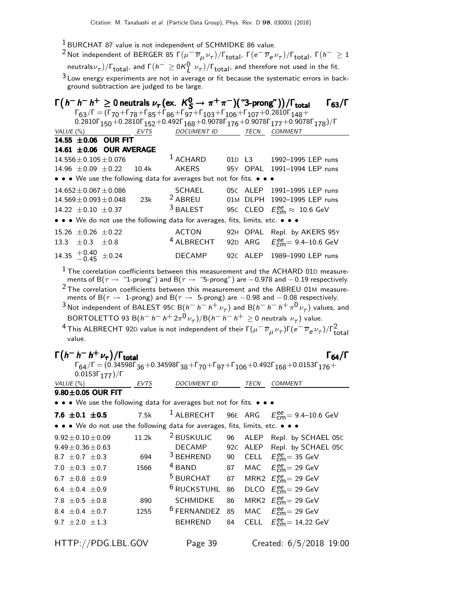1 BURCHAT 87 value is not independent of SCHMIDKE 86 value.

 $^2$ Not independent of BERGER 85 Γ $(\mu^-\,\overline{\nu}_\mu\,\nu_\tau)/$ Γ $_{\rm total}$ , Γ $(e^-\,\overline{\nu}_e\,\nu_\tau)/$ Γ $_{\rm total}$ , Γ $(h^-\geq1)$ neutrals $\nu_\tau) / \Gamma_{\rm total}$ , and  $\Gamma(h^+ \geq 0 K^0_L \; \nu_\tau) / \Gamma_{\rm total}$ , and therefore not used in the fit.

<sup>3</sup> Low energy experiments are not in average or fit because the systematic errors in background subtraction are judged to be large.

|      |                                |                                                   |                |                                                                               |                 |        | $\Gamma\big(\,h^-\,h^+\geq 0\,\text{neutrals}\;\nu_\tau\,(\text{ex.}\;\;K^0_S\to\pi^+\pi^-)(\text{ ``3-prong''}\,\big)/\Gamma_\text{total}$                                                                                                                                                                                                                                                                                                                                                                                                                                                                                                                    | $\Gamma_{63}/\Gamma$ |
|------|--------------------------------|---------------------------------------------------|----------------|-------------------------------------------------------------------------------|-----------------|--------|----------------------------------------------------------------------------------------------------------------------------------------------------------------------------------------------------------------------------------------------------------------------------------------------------------------------------------------------------------------------------------------------------------------------------------------------------------------------------------------------------------------------------------------------------------------------------------------------------------------------------------------------------------------|----------------------|
|      |                                |                                                   |                |                                                                               |                 |        | $\Gamma_{63}/\Gamma = (\Gamma_{70} + \Gamma_{78} + \Gamma_{85} + \Gamma_{86} + \Gamma_{97} + \Gamma_{103} + \Gamma_{106} + \Gamma_{107} + 0.2810\Gamma_{148} +$                                                                                                                                                                                                                                                                                                                                                                                                                                                                                                |                      |
|      |                                | $VALUE(%)$ EVTS                                   |                |                                                                               |                 |        | $0.2810 \Gamma_{150} + 0.2810 \Gamma_{152} + 0.492 \Gamma_{168} + 0.9078 \Gamma_{176} + 0.9078 \Gamma_{177} + 0.9078 \Gamma_{178})/\Gamma$<br>DOCUMENT ID TECN COMMENT                                                                                                                                                                                                                                                                                                                                                                                                                                                                                         |                      |
|      |                                | 14.55 ±0.06 OUR FIT                               |                |                                                                               |                 |        |                                                                                                                                                                                                                                                                                                                                                                                                                                                                                                                                                                                                                                                                |                      |
|      |                                | 14.61 ±0.06 OUR AVERAGE                           |                |                                                                               |                 |        |                                                                                                                                                                                                                                                                                                                                                                                                                                                                                                                                                                                                                                                                |                      |
|      |                                | $14.556 \pm 0.105 \pm 0.076$                      |                | $1$ ACHARD                                                                    |                 | 01D L3 | 1992-1995 LEP runs                                                                                                                                                                                                                                                                                                                                                                                                                                                                                                                                                                                                                                             |                      |
|      |                                | 14.96 $\pm$ 0.09 $\pm$ 0.22 10.4k                 |                | <b>AKERS</b>                                                                  |                 |        | 95Y OPAL 1991-1994 LEP runs                                                                                                                                                                                                                                                                                                                                                                                                                                                                                                                                                                                                                                    |                      |
|      |                                |                                                   |                | • • • We use the following data for averages but not for fits. • • •          |                 |        |                                                                                                                                                                                                                                                                                                                                                                                                                                                                                                                                                                                                                                                                |                      |
|      |                                | $14.652 \pm 0.067 \pm 0.086$                      |                | SCHAEL                                                                        |                 |        | 05C ALEP 1991-1995 LEP runs                                                                                                                                                                                                                                                                                                                                                                                                                                                                                                                                                                                                                                    |                      |
|      |                                | $14.569 \pm 0.093 \pm 0.048$                      | 23k            | $2$ ABREU                                                                     |                 |        | 01M DLPH 1992-1995 LEP runs                                                                                                                                                                                                                                                                                                                                                                                                                                                                                                                                                                                                                                    |                      |
|      | 14.22 $\pm$ 0.10 $\pm$ 0.37    |                                                   |                | $3$ BALEST                                                                    |                 |        | 95C CLEO $E_{\text{cm}}^{\text{ee}} \approx 10.6 \text{ GeV}$                                                                                                                                                                                                                                                                                                                                                                                                                                                                                                                                                                                                  |                      |
|      |                                |                                                   |                | • • • We do not use the following data for averages, fits, limits, etc. • • • |                 |        |                                                                                                                                                                                                                                                                                                                                                                                                                                                                                                                                                                                                                                                                |                      |
|      | $15.26 \pm 0.26 \pm 0.22$      |                                                   |                | <b>ACTON</b>                                                                  |                 |        | 92H OPAL Repl. by AKERS 95Y                                                                                                                                                                                                                                                                                                                                                                                                                                                                                                                                                                                                                                    |                      |
| 13.3 | $\pm 0.3$ $\pm 0.8$            |                                                   |                | <sup>4</sup> ALBRECHT                                                         |                 |        | 92D ARG $E_{\text{cm}}^{ee} = 9.4 - 10.6 \text{ GeV}$                                                                                                                                                                                                                                                                                                                                                                                                                                                                                                                                                                                                          |                      |
|      | 14.35 $^{+0.40}_{-0.45}$ ±0.24 |                                                   |                | DECAMP                                                                        |                 |        | 92C ALEP 1989-1990 LEP runs                                                                                                                                                                                                                                                                                                                                                                                                                                                                                                                                                                                                                                    |                      |
|      | value.                         | $\Gamma(h^- h^- h^+ \nu_\tau)/\Gamma_{\rm total}$ |                |                                                                               |                 |        | ments of B( $\tau \to -1$ -prong) and B( $\tau \to -5$ -prong) are -0.98 and -0.08 respectively.<br>$^3$ Not independent of BALEST 95C B $(h^- h^- h^+ \nu_\tau)$ and B $(h^- h^- h^+ \pi^0 \nu_\tau)$ values, and<br>BORTOLETTO 93 B( $h^- h^- h^+ 2\pi^0 \nu_\tau$ )/B( $h^- h^- h^+ \geq 0$ neutrals $\nu_\tau$ ) value.<br><sup>4</sup> This ALBRECHT 92D value is not independent of their $\Gamma(\mu^- \overline{\nu}_\mu \nu_\tau)\Gamma(e^- \overline{\nu}_e \nu_\tau)/\Gamma_{\rm total}^2$<br>$\Gamma_{64}/\Gamma = (0.34598\Gamma_{36} + 0.34598\Gamma_{38} + \Gamma_{70} + \Gamma_{97} + \Gamma_{106} + 0.492\Gamma_{168} + 0.0153\Gamma_{176} +$ | $\Gamma_{64}/\Gamma$ |
|      | VALUE (%)                      | $0.0153\Gamma_{177})/\Gamma$                      |                |                                                                               |                 |        | DOCUMENT ID TECN COMMENT                                                                                                                                                                                                                                                                                                                                                                                                                                                                                                                                                                                                                                       |                      |
|      | $9.80\pm0.05$ OUR FIT          |                                                   | <u>__ EVTS</u> |                                                                               |                 |        |                                                                                                                                                                                                                                                                                                                                                                                                                                                                                                                                                                                                                                                                |                      |
|      |                                |                                                   |                | • • • We use the following data for averages but not for fits. • • •          |                 |        |                                                                                                                                                                                                                                                                                                                                                                                                                                                                                                                                                                                                                                                                |                      |
|      | 7.6 $\pm 0.1 \pm 0.5$          |                                                   | <b>7.5k</b>    |                                                                               |                 |        | <sup>1</sup> ALBRECHT 96E ARG $E_{\text{cm}}^{\text{ee}}$ = 9.4–10.6 GeV                                                                                                                                                                                                                                                                                                                                                                                                                                                                                                                                                                                       |                      |
|      |                                |                                                   |                | • • • We do not use the following data for averages, fits, limits, etc. • • • |                 |        |                                                                                                                                                                                                                                                                                                                                                                                                                                                                                                                                                                                                                                                                |                      |
|      |                                |                                                   |                |                                                                               |                 |        | $9.92 \pm 0.10 \pm 0.09$ 11.2k <sup>2</sup> BUSKULIC 96 ALEP Repl. by SCHAEL 05C                                                                                                                                                                                                                                                                                                                                                                                                                                                                                                                                                                               |                      |
|      | $9.49 \pm 0.36 \pm 0.63$       |                                                   |                | <b>DECAMP</b>                                                                 | 92 <sub>C</sub> | ALEP   | Repl. by SCHAEL 05C                                                                                                                                                                                                                                                                                                                                                                                                                                                                                                                                                                                                                                            |                      |
|      | 8.7 $\pm$ 0.7 $\pm$ 0.3        |                                                   | 694            | <sup>3</sup> BEHREND                                                          | 90              | CELL   | $E_{\text{cm}}^{\text{ee}}$ = 35 GeV                                                                                                                                                                                                                                                                                                                                                                                                                                                                                                                                                                                                                           |                      |
|      | 7.0 $\pm$ 0.3 $\pm$ 0.7        |                                                   | 1566           | <sup>4</sup> BAND                                                             | 87              | MAC    | $E_{\text{cm}}^{\text{ee}}$ = 29 GeV                                                                                                                                                                                                                                                                                                                                                                                                                                                                                                                                                                                                                           |                      |
|      | 6.7 $\pm$ 0.8 $\pm$ 0.9        |                                                   |                | <sup>5</sup> BURCHAT                                                          | 87              |        | MRK2 $E_{\text{cm}}^{\text{ee}} = 29 \text{ GeV}$                                                                                                                                                                                                                                                                                                                                                                                                                                                                                                                                                                                                              |                      |
|      | 6.4 $\pm$ 0.4 $\pm$ 0.9        |                                                   |                | <sup>6</sup> RUCKSTUHL                                                        | 86              |        | DLCO $E_{\text{cm}}^{\text{ee}} = 29 \text{ GeV}$                                                                                                                                                                                                                                                                                                                                                                                                                                                                                                                                                                                                              |                      |
|      | 7.8 $\pm 0.5 \pm 0.8$          |                                                   | 890            | <b>SCHMIDKE</b>                                                               | 86              |        | MRK2 $E_{\text{cm}}^{ee} = 29 \text{ GeV}$                                                                                                                                                                                                                                                                                                                                                                                                                                                                                                                                                                                                                     |                      |
|      | 8.4 $\pm$ 0.4 $\pm$ 0.7        |                                                   | 1255           | <sup>6</sup> FERNANDEZ                                                        | 85              | MAC    | $E_{\text{cm}}^{\text{ee}}$ = 29 GeV                                                                                                                                                                                                                                                                                                                                                                                                                                                                                                                                                                                                                           |                      |
|      | 9.7 $\pm 2.0 \pm 1.3$          |                                                   |                | <b>BEHREND</b>                                                                | 84              | CELL   | $E_{cm}^{ee}$ = 14,22 GeV                                                                                                                                                                                                                                                                                                                                                                                                                                                                                                                                                                                                                                      |                      |
|      |                                | HTTP://PDG.LBL.GOV                                |                | Page 39                                                                       |                 |        | Created: 6/5/2018 19:00                                                                                                                                                                                                                                                                                                                                                                                                                                                                                                                                                                                                                                        |                      |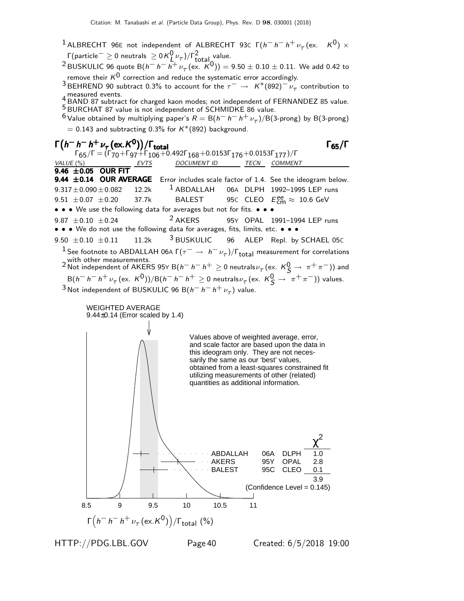- <sup>1</sup> ALBRECHT 96E not independent of ALBRECHT 93C  $\Gamma(h^{-} h^{-} h^{+} \nu_{\tau} (\text{ex.} K^{0}) \times$  $Γ$ (particle $^- \geq 0$  neutrals  $\geq$  0 K $^0_{L,^{\prime}'}$  )/ $Γ^2_{total}$  value.
- <sup>2</sup> BUSKULIC 96 quote B $(h-h-h^+ \nu_\tau~(\text{ex. } K^0)) = 9.50 \pm 0.10 \pm 0.11$ . We add 0.42 to remove their  $K^0$  correction and reduce the systematic error accordingly.
- 3 BEHREND 90 subtract 0.3% to account for the  $\tau^- \to K^*(892)^{-\nu}$  contribution to

measured events.<br>- BAND 87 subtract for charged kaon modes; not independent of FERNANDEZ 85 value. 5 BURCHAT 87 value is not independent of SCHMIDKE 86 value.

 $^6$  Value obtained by multiplying paper's  $R = \mathsf{B} (h^- \, h^- \, h^+ \, \nu_\tau) / \mathsf{B} (3\text{-prong})$  by  $\mathsf{B} (3\text{-prong})$  $= 0.143$  and subtracting 0.3% for  $K^*(892)$  background.





HTTP://PDG.LBL.GOV Page40 Created: 6/5/2018 19:00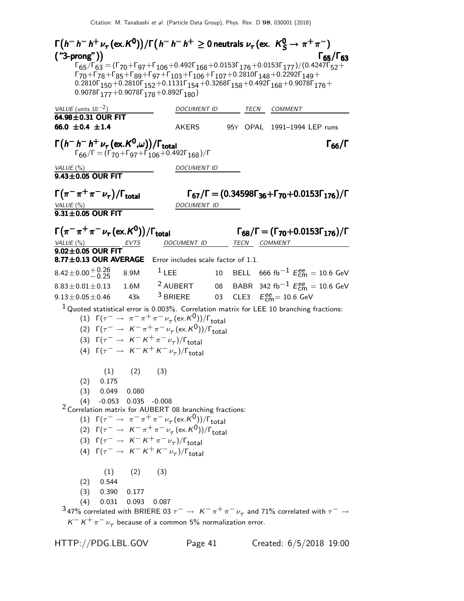Γ ¡ h − h − h <sup>+</sup> ν<sup>τ</sup> (ex.K 0 ) ¢ /Γ¡ h − h − h <sup>+</sup> ≥ 0 neutrals ν<sup>τ</sup> (ex. K 0 <sup>S</sup> → π <sup>+</sup> π −) Γ ¡h − h − h <sup>+</sup> ντ(ex.K 0 ) ¢/Γ¡h − h − h <sup>+</sup> 0 neutrals ντ(ex. K 0 <sup>S</sup> π <sup>+</sup> π −) 6563<sup>Γ</sup> ¡ h − h − h <sup>+</sup> ντ(ex.K<sup>0</sup> ) ¢ /Γ¡h − h − h <sup>+</sup> 0 ντ(ex. <sup>0</sup> <sup>S</sup>π π )("3-prong")¢Γ65/ΓΓ ¡h − h − h <sup>+</sup> ντ(ex.K<sup>0</sup> ) ¢/Γ¡h − h − h <sup>+</sup> 0 ντ(ex. <sup>0</sup> <sup>S</sup>π π ) $('3-prong")$ Γ65/Γ63  $\Gamma_{65}/\Gamma_{63} = (\Gamma_{70} + \Gamma_{97} + \Gamma_{106} + 0.492\Gamma_{168} + 0.0153\Gamma_{176} + 0.0153\Gamma_{177})/(0.4247\Gamma_{52} +$  $\Gamma_{70}$ +Γ<sub>78</sub>+Γ<sub>85</sub>+Γ<sub>89</sub>+Γ<sub>97</sub>+Γ<sub>103</sub>+Γ<sub>106</sub>+Γ<sub>107</sub>+0.2810Γ<sub>148</sub>+0.2292Γ<sub>149</sub>+  $0.2810\Gamma_{150} + 0.2810\Gamma_{152} + 0.1131\Gamma_{154} + 0.3268\Gamma_{158} + 0.492\Gamma_{168} + 0.9078\Gamma_{176} +$  $0.9078$ Γ<sub>177</sub>+0.9078Γ<sub>178</sub>+0.892Γ<sub>180</sub>) VALUE (units  $10^{-2}$ ) DOCUMENT ID TECN COMMENT 64.98 $\pm$ 0.31 OUR FIT<br>66.0  $\pm$ 0.4  $\pm$ 1.4 AKERS 95Y OPAL 1991-1994 LEP runs  $\Gamma(h^- h^- h^+ \nu_\tau(\text{ex.} K^0,\omega))/\Gamma_{\text{total}}$  Γ<sub>66</sub>/Γ  $\Gamma_{66}/\Gamma$  = (Γ<sub>70</sub>+Γ<sub>97</sub>+Γ<sub>106</sub>+0.492Γ<sub>168</sub>)/Γ VALUE (%) DOCUMENT ID  $9.43\pm0.05$  OUR FIT  $Γ(π<sup>-</sup>π<sup>+</sup>π<sup>-</sup>ν<sub>τ</sub>)$ Γ $(\pi^{-}\pi^{+}\pi^{-}\nu_{\tau})/\Gamma_{\text{total}}$  Γ<sub>67</sub>/Γ = (0.34598Γ<sub>36</sub>+Γ<sub>70</sub>+0.0153Γ<sub>176</sub>)/Γ VALUE (%) DOCUMENT ID  $9.31\pm0.05$  OUR FIT  $\Gamma(\pi^-\pi^+\pi^-\nu_\tau(\text{ex.}K^0))/\Gamma_{\text{total}}$  Γ<sub>68</sub>/Γ = (Γ<sub>70</sub>+0.0153Γ<sub>176</sub>)/Γ  $\Gamma_{68}/\Gamma = (\Gamma_{70}+0.0153\Gamma_{176})/\Gamma$ VALUE (%) **EVTS** DOCUMENT ID TECN COMMENT  $9.02 \pm 0.05$  OUR FIT 8.77±0.13 OUR AVERAGE Error includes scale factor of 1.1.  $8.42\pm0.00\genfrac{}{}{0pt}{}{+0.26}{-0.25}$  $^{+0.26}_{-0.25}$  8.9M  $^{1}$  LEE 10 BELL 666 fb $^{-1}$  Eee = 10.6 GeV  $8.83 \pm 0.01 \pm 0.13$  1.6M <sup>2</sup> AUBERT 08 BABR 342 fb<sup>-1</sup>  $E_{\text{cm}}^{ee} = 10.6$  GeV  $9.13 \pm 0.05 \pm 0.46$  43k <sup>3</sup> BRIERE 03 CLE3  $E_{\text{cm}}^{ee} = 10.6 \text{ GeV}$  $1$  Quoted statistical error is 0.003%. Correlation matrix for LEE 10 branching fractions: (1)  $\Gamma(\tau^- \to \pi^- \pi^+ \pi^- \nu_\tau (\text{ex.} K^0)) / \Gamma_{\text{total}}$ (2)  $\Gamma(\tau^- \to K^- \pi^+ \pi^- \nu_\tau (\text{ex.} K^0))/\Gamma_{\text{total}}$ (3)  $\Gamma(\tau^- \to K^- K^+ \pi^- \nu_\tau)/\Gamma_{\text{total}}$ (4)  $\Gamma(\tau^- \rightarrow K^- K^+ K^- \nu_\tau)/\Gamma_{\text{total}}$  $(1)$   $(2)$   $(3)$ (2) 0.175 (3) 0.049 0.080 (4) -0.053 0.035 -0.008  $2$  Correlation matrix for AUBERT 08 branching fractions: (1)  $\Gamma(\tau^- \to \pi^- \pi^+ \pi^- \nu_\tau (\text{ex.} K^0)) / \Gamma_{\text{total}}$ (2)  $\Gamma(\tau^- \to K^- \pi^+ \pi^- \nu_\tau (\text{ex.} K^0))/\Gamma_{\text{total}}$ (3)  $\Gamma(\tau^- \to K^- K^+ \pi^- \nu_\tau)/\Gamma_{\text{total}}$ (4)  $\Gamma(\tau^- \rightarrow K^- K^+ K^- \nu_\tau)/\Gamma_{\text{total}}$  $(1)$   $(2)$   $(3)$ (2) 0.544 (3) 0.390 0.177 (4) 0.031 0.093 0.087  $^3$ 47% correlated with BRIERE 03  $\tau^-\to~$  K $^-\pi^+\pi^-\nu_\tau^{}$  and 71% correlated with  $\tau^-\to$  $K^- K^+ \pi^- \nu_\tau$  because of a common 5% normalization error.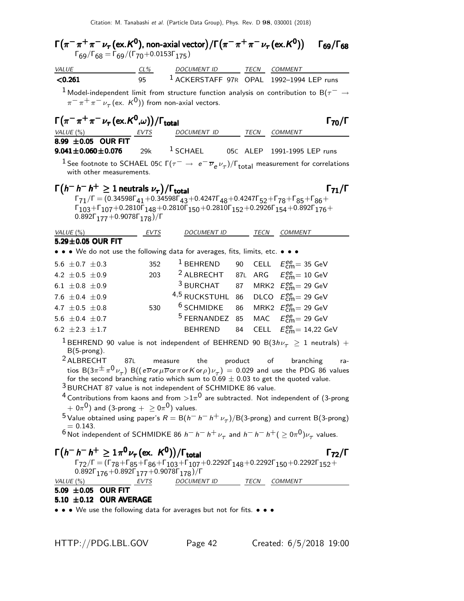| VALUE                                                                                                                                                                | $CL\%$ | DOCUMENT ID TECN COMMENT                                                                                                                                                                                                                                        |    |         |                                                   |                      |
|----------------------------------------------------------------------------------------------------------------------------------------------------------------------|--------|-----------------------------------------------------------------------------------------------------------------------------------------------------------------------------------------------------------------------------------------------------------------|----|---------|---------------------------------------------------|----------------------|
| < 0.261                                                                                                                                                              | 95     | <sup>1</sup> ACKERSTAFF 97R OPAL 1992-1994 LEP runs                                                                                                                                                                                                             |    |         |                                                   |                      |
| $^1$ Model-independent limit from structure function analysis on contribution to B( $\tau^-\rightarrow$                                                              |        |                                                                                                                                                                                                                                                                 |    |         |                                                   |                      |
| $\pi^{-} \pi^{+} \pi^{-} \nu_{\tau}$ (ex. K <sup>0</sup> )) from non-axial vectors.                                                                                  |        |                                                                                                                                                                                                                                                                 |    |         |                                                   |                      |
| $\Gamma(\pi^-\pi^+\pi^-\nu_\tau(\mathrm{ex.}K^0,\omega))/\Gamma_{\mathrm{total}}$                                                                                    |        |                                                                                                                                                                                                                                                                 |    |         |                                                   | Г <sub>70</sub> /Г   |
| VALUE $(\%)$                                                                                                                                                         | EVTS   | DOCUMENT ID                                                                                                                                                                                                                                                     |    |         | TECN COMMENT                                      |                      |
| 8.99 $\pm$ 0.05 OUR FIT                                                                                                                                              |        |                                                                                                                                                                                                                                                                 |    |         |                                                   |                      |
| $9.041 \pm 0.060 \pm 0.076$                                                                                                                                          | 29k    | $^1$ SCHAEL                                                                                                                                                                                                                                                     |    |         | 05C ALEP 1991-1995 LEP runs                       |                      |
| <sup>1</sup> See footnote to SCHAEL 05c $\Gamma(\tau^-\to\ e^-\overline{\nu}_e\nu_\tau)/\Gamma_{\rm total}$ measurement for correlations<br>with other measurements. |        |                                                                                                                                                                                                                                                                 |    |         |                                                   |                      |
|                                                                                                                                                                      |        |                                                                                                                                                                                                                                                                 |    |         |                                                   |                      |
| $\Gamma(h^{-} h^{-} h^{+} \geq 1$ neutrals $\nu_{\tau})/\Gamma_{\text{total}}$                                                                                       |        | $\Gamma_{71}/\Gamma = (0.34598\Gamma_{41} + 0.34598\Gamma_{43} + 0.4247\Gamma_{48} + 0.4247\Gamma_{52} + \Gamma_{78} + \Gamma_{85} + \Gamma_{86} + \Gamma_{10}$                                                                                                 |    |         |                                                   | $\Gamma_{71}/\Gamma$ |
|                                                                                                                                                                      |        | $\Gamma_{103} + \Gamma_{107} + 0.2810 \Gamma_{148} + 0.2810 \Gamma_{150} + 0.2810 \Gamma_{152} + 0.2926 \Gamma_{154} + 0.892 \Gamma_{176} +$                                                                                                                    |    |         |                                                   |                      |
| $0.892\Gamma_{177} + 0.9078\Gamma_{178})/\Gamma$                                                                                                                     |        |                                                                                                                                                                                                                                                                 |    |         |                                                   |                      |
| VALUE $(\%)$                                                                                                                                                         | EVTS   | DOCUMENT ID                                                                                                                                                                                                                                                     |    | TECN    | COMMENT                                           |                      |
| 5.29±0.05 OUR FIT                                                                                                                                                    |        |                                                                                                                                                                                                                                                                 |    |         |                                                   |                      |
| • • • We do not use the following data for averages, fits, limits, etc. • • •                                                                                        |        |                                                                                                                                                                                                                                                                 |    |         |                                                   |                      |
| 5.6 $\pm$ 0.7 $\pm$ 0.3                                                                                                                                              | 352    | $1$ BEHREND                                                                                                                                                                                                                                                     | 90 |         | CELL $E_{\text{cm}}^{\text{ee}} = 35 \text{ GeV}$ |                      |
| 4.2 $\pm 0.5 \pm 0.9$                                                                                                                                                | 203    | <sup>2</sup> ALBRECHT 87L                                                                                                                                                                                                                                       |    |         | ARG $E_{\text{cm}}^{ee} = 10 \text{ GeV}$         |                      |
| 6.1 $\pm$ 0.8 $\pm$ 0.9                                                                                                                                              |        | $3$ BURCHAT                                                                                                                                                                                                                                                     | 87 |         | MRK2 $E_{\text{cm}}^{\text{ee}} = 29 \text{ GeV}$ |                      |
| 7.6 $\pm$ 0.4 $\pm$ 0.9                                                                                                                                              |        | <sup>4,5</sup> RUCKSTUHL 86                                                                                                                                                                                                                                     |    |         | DLCO $E_{\text{cm}}^{ee} = 29 \text{ GeV}$        |                      |
| 4.7 $\pm 0.5 \pm 0.8$                                                                                                                                                | 530    | <sup>6</sup> SCHMIDKE                                                                                                                                                                                                                                           | 86 |         | MRK2 $E_{\text{cm}}^{\text{ee}} = 29 \text{ GeV}$ |                      |
| 5.6 $\pm$ 0.4 $\pm$ 0.7                                                                                                                                              |        | <sup>5</sup> FERNANDEZ                                                                                                                                                                                                                                          | 85 |         | MAC $E_{\text{cm}}^{\text{ee}} = 29 \text{ GeV}$  |                      |
| 6.2 $\pm 2.3 \pm 1.7$                                                                                                                                                |        | <b>BEHREND</b>                                                                                                                                                                                                                                                  | 84 |         | CELL $E_{\text{cm}}^{ee} = 14,22 \text{ GeV}$     |                      |
| $^1$ BEHREND 90 value is not independent of BEHREND 90 B(3h $\nu_{_{\cal T}}~\geq~1$ neutrals) $+$                                                                   |        |                                                                                                                                                                                                                                                                 |    |         |                                                   |                      |
| $B(5$ -prong).                                                                                                                                                       |        |                                                                                                                                                                                                                                                                 |    |         |                                                   |                      |
| <sup>2</sup> ALBRECHT                                                                                                                                                | 87L    | the<br>measure                                                                                                                                                                                                                                                  |    | product | of branching                                      | ra-                  |
|                                                                                                                                                                      |        | tios B $(3\pi^{\pm}\pi^{0}\nu_{\tau})$ B $((e\overline{\nu}\sigma_{\mu}\overline{\nu}\sigma_{\tau}\sigma_{\mu}\sigma_{\nu})\nu_{\tau})=0.029$ and use the PDG 86 values<br>for the second branching ratio which sum to $0.69 \pm 0.03$ to get the quoted value. |    |         |                                                   |                      |
| <sup>3</sup> BURCHAT 87 value is not independent of SCHMIDKE 86 value.                                                                                               |        |                                                                                                                                                                                                                                                                 |    |         |                                                   |                      |
| $^4$ Contributions from kaons and from $>\!1\pi^0$ are subtracted. Not independent of (3-prong                                                                       |        |                                                                                                                                                                                                                                                                 |    |         |                                                   |                      |
| $(1+0\pi^0)$ and (3-prong $+$ $>$ 0 $\pi^0$ ) values.                                                                                                                |        |                                                                                                                                                                                                                                                                 |    |         |                                                   |                      |
| <sup>5</sup> Value obtained using paper's $R = B(h^{-} h^{-} h^{+} \nu_{\tau})/B(3$ -prong) and current B(3-prong)<br>$= 0.143.$                                     |        |                                                                                                                                                                                                                                                                 |    |         |                                                   |                      |
| <sup>6</sup> Not independent of SCHMIDKE 86 $h^- h^- h^+ \nu_\tau$ and $h^- h^- h^+ (\geq 0\pi^0) \nu_\tau$ values.                                                  |        |                                                                                                                                                                                                                                                                 |    |         |                                                   |                      |
| $\Gamma(h^{-} h^{-} h^{+} \ge 1 \pi^{0} \nu_{\tau} (\text{ex. } K^{0})) / \Gamma_{\text{total}}$                                                                     |        |                                                                                                                                                                                                                                                                 |    |         |                                                   | $\Gamma_{72}/\Gamma$ |
|                                                                                                                                                                      |        | $\Gamma_{72}/\Gamma = (\Gamma_{78} + \Gamma_{85} + \Gamma_{86} + \Gamma_{103} + \Gamma_{107} + 0.2292\Gamma_{148} + 0.2292\Gamma_{150} + 0.2292\Gamma_{152} +$                                                                                                  |    |         |                                                   |                      |
| $0.892\Gamma_{176} + 0.892\Gamma_{177} + 0.9078\Gamma_{178})/\Gamma$                                                                                                 |        |                                                                                                                                                                                                                                                                 |    |         |                                                   |                      |
|                                                                                                                                                                      |        | DOCUMENT ID TECN COMMENT                                                                                                                                                                                                                                        |    |         |                                                   |                      |
| $VALUE(%)$ EVTS<br>5.09 ±0.05 OUR FIT                                                                                                                                |        |                                                                                                                                                                                                                                                                 |    |         |                                                   |                      |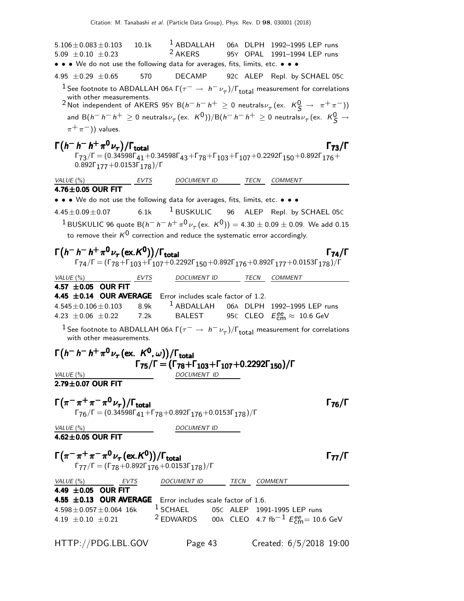$5.106 \pm 0.083 \pm 0.103$   $10.1k$  <sup>1</sup> ABDALLAH 06A DLPH 1992-1995 LEP runs<br>5.09  $\pm$  0.10  $\pm$  0.23 <sup>2</sup> AKERS 95Y OPAL 1991-1994 LEP runs 95Y OPAL 1991-1994 LEP runs • • • We do not use the following data for averages, fits, limits, etc. • • •  $4.95 \pm 0.29 \pm 0.65$  570 DECAMP 92c ALEP Repl. by SCHAEL 05c <sup>1</sup> See footnote to ABDALLAH 06A  $\Gamma(\tau^- \to h^-\nu_\tau)/\Gamma_{\rm total}$  measurement for correlations with other measurements.  $2$ Not independent of AKERS 95Y B( $h^- h^+ \geq 0$  neutrals $\nu_\tau$ (ex. K $^0S$  → π $^+ \pi^-$ )) and B $(h^- \ h^- h^+ \geq 0$  neutrals $\nu_\tau$  (ex.  $\,$  K $^0$ ))/B $(h^- \ h^- h^+ \geq 0$  neutrals $\nu_\tau$  (ex.  $\,$  K $^0_S \rightarrow$  $\pi^+\pi^-$ )) values.  $\Gamma(h^- h^+ \pi^0 \nu_\tau)/\Gamma_{\rm total}$  $(h^- h^- h^+ \pi^0 \nu_\tau)/\Gamma_{\rm total}$  Γ<sub>73</sub>/Γ  $\Gamma_{73}/\Gamma = (0.34598\Gamma_{41} + 0.34598\Gamma_{43} + \Gamma_{78} + \Gamma_{103} + \Gamma_{107} + 0.2292\Gamma_{150} + 0.892\Gamma_{176} +$  $0.892\Gamma_{177}+0.0153\Gamma_{178})/\Gamma$ VALUE (%) **EVTS** DOCUMENT ID TECN COMMENT  $4.76 \pm 0.05$  OUR FIT • • • We do not use the following data for averages, fits, limits, etc. • • •  $4.45\pm0.09\pm0.07$  6.1k <sup>1</sup> BUSKULIC 96 ALEP Repl. by SCHAEL 05C  $1$ BUSKULIC 96 quote B $(h^- h^- h^+ \pi^0 \nu_\tau (\text{ex. K}^0)) = 4.30 \pm 0.09 \pm 0.09$ . We add 0.15 to remove their  $K^0$  correction and reduce the systematic error accordingly.  $\Gamma(h^- h^+ \pi^0 \nu_\tau (\text{ex. K}^0)) / \Gamma_{\text{total}}$  Γ<sub>74</sub>/Γ /Γ<sub>total</sub>Γ/Γ  $\Gamma_{74}/\Gamma=(\Gamma_{78}+\Gamma_{103}+\Gamma_{107}+0.2292\Gamma_{150}+0.892\Gamma_{176}+0.892\Gamma_{177}+0.0153\Gamma_{178})/\Gamma$ VALUE (%) EVTS DOCUMENT ID TECN COMMENT  $4.57 \pm 0.05$  OUR FIT<br>4.45  $\pm 0.14$  OUR AVERAGE **4.45**  $\pm$ **0.14 OUR AVERAGE** Error includes scale factor of 1.2.<br>4.545 $\pm$ 0.106 $\pm$ 0.103 8.9k <sup>1</sup> ABDALLAH 06A DLPH 8.9k <sup>1</sup> ABDALLAH 06A DLPH 1992–1995 LEP runs<br>7.2k BALEST 95C CLEO  $E_{cm}^{ee} \approx 10.6$  GeV 4.23  $\pm$  0.06  $\pm$  0.22  $_{\rm cm}^{ee} \approx 10.6$  GeV <sup>1</sup> See footnote to ABDALLAH 06A  $\Gamma(\tau^- \to h^- \nu_\tau)/\Gamma_{\rm total}$  measurement for correlations with other measurements.  $\Gamma\big(h^-\,h^-\,h^+\,\pi^0\,\nu_\tau\,(\mathrm{ex.}\;\;{\cal K}^{\mathbf{0}},\omega)\big)/\Gamma_{\text{total}}$ Γ75/Γ = (Γ78+Γ103+Γ107+0.2292Γ150)/Γ Γ75/Γ = (Γ78+Γ103+Γ107+0.2292Γ150)/Γ Γ75/Γ = (Γ78+Γ103+Γ107+0.2292Γ150)/Γ Γ75/Γ = (Γ78+Γ103+Γ107+0.2292Γ150)/Γ VALUE (%) DOCUMENT ID  $2.79 \pm 0.07$  OUR FIT  $\Gamma(\pi^-\pi^+\pi^-\pi^0\nu_{\tau})/\Gamma_{\text{total}}$  $\Gamma_{76}/\Gamma = (0.34598\Gamma_{41} + \Gamma_{78} + 0.892\Gamma_{176} + 0.0153\Gamma_{178})/\Gamma$ VALUE  $(\%)$  DOCUMENT ID  $4.62\pm0.05$  OUR FIT  $\Gamma(\pi^-\pi^+\pi^-\pi^0\nu_\tau(\text{ex.}K^0))/\Gamma_{\text{total}}$  Γ<sub>77</sub>/Γ Γ<sub>77</sub>/Γ  $=(\Gamma_{78}+0.892\Gamma_{176}+0.0153\Gamma_{178})$ /Γ VALUE (%) **EVTS** DOCUMENT ID TECN COMMENT 4.49  $\pm 0.05$  OUR FIT **4.55**  $\pm$ **0.13 OUR AVERAGE** Error includes scale factor of 1.6.<br>4.598 $\pm$ 0.057 $\pm$ 0.064 16k <sup>1</sup> SCHAEL 05C ALEP 199  $4.598 \pm 0.057 \pm 0.064$  16k  $1$  SCHAEL 05C ALEP 1991-1995 LEP runs<br> $4.19 \pm 0.10 \pm 0.21$   $2$  EDWARDS 00A CLEO 4.7 fb<sup>-1</sup>  $E_{\text{em}}^{\text{eq}} = 10$ . 4.19  $\pm$ 0.10  $\pm$ 0.21 <sup>2</sup> EDWARDS 00A CLEO 4.7 fb<sup>−1</sup>  $E_{\text{cm}}^{ee}$ = 10.6 GeV HTTP://PDG.LBL.GOV Page 43 Created: 6/5/2018 19:00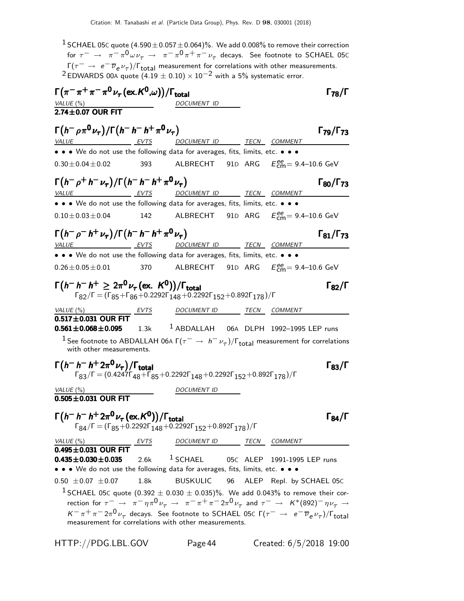<sup>1</sup> SCHAEL 05C quote  $(4.590\pm0.057\pm0.064)\%$ . We add 0.008% to remove their correction for  $\tau^-\,\to\,\,\,\pi^-\pi^0$   $\omega\nu_\tau\,\to\,\,\,\pi^-\pi^0\pi^+\pi^-\,\nu_\tau$  decays. See footnote to SCHAEL 05C  $\Gamma(\tau^- \to e^- \overline{\nu}_e \nu_\tau)/\Gamma_{\rm total}$  measurement for correlations with other measurements. <sup>2</sup> EDWARDS 00A quote (4.19  $\pm$  0.10) × 10<sup>-2</sup> with a 5% systematic error.  $\Gamma(\pi^-\pi^+\pi^-\pi^0\nu_\tau(\text{ex.}K^0,\omega))/\Gamma_{\text{total}}$  Γ<sub>78</sub>/Γ VALUE  $\frac{6}{6}$  $2.74 \pm 0.07$  OUR FIT  $\Gamma(h^-\rho\pi^0\nu_{\tau})/\Gamma(h^-\hbar^+\pi^0\nu_{\tau})$  Γ<sub>79</sub>/Γ<sub>73</sub> Γ<sub>79</sub>/Γ<sub>73</sub> VALUE EVTS DOCUMENT ID TECN COMMENT • • • We do not use the following data for averages, fits, limits, etc. • • •  $0.30 \pm 0.04 \pm 0.02$  393 ALBRECHT 91D ARG  $E_{\text{cm}}^{ee} = 9.4{\text{--}}10.6 \text{ GeV}$  $\Gamma(h^-\rho^+h^-\nu_\tau)/\Gamma(h^-h^-\hbar^+\pi^0\nu_\tau)$  Γ<sub>80</sub>/Γ<sub>73</sub> ¢Γ80/Γ VALUE EVTS DOCUMENT ID TECN COMMENT • • • We do not use the following data for averages, fits, limits, etc. • • •  $0.10 \pm 0.03 \pm 0.04$  142 ALBRECHT 91D ARG  $E_{\text{cm}}^{ee} = 9.4{\text{--}}10.6 \text{ GeV}$  $\Gamma(h^-\rho^-h^+\nu_\tau)/\Gamma(h^-\,h^+\,\pi^0\,\nu_\tau)$  Γ<sub>81</sub>/Γ<sub>73</sub>  $\Gamma_{81}/\Gamma_{73}$ VALUE  $V = VTS$  DOCUMENT ID TECN COMMENT • • • We do not use the following data for averages, fits, limits, etc. • • •  $0.26 \pm 0.05 \pm 0.01$  370 ALBRECHT 91D ARG  $E_{\text{cm}}^{ee} = 9.4{\text{--}}10.6 \text{ GeV}$  $\Gamma(h^- h^+ \geq 2\pi^0 \nu_\tau (\text{ex. } K^0))/\Gamma_{\text{total}}$  Γ<sub>82</sub>/Γ  $\Gamma_{82}/\Gamma = (\Gamma_{85} + \Gamma_{86} + 0.2292\Gamma_{148} + 0.2292\Gamma_{152} + 0.892\Gamma_{178})/\Gamma$ VALUE (%) **EVTS** DOCUMENT ID TECN COMMENT  $\overline{0.517 \pm 0.031}$  OUR FIT<br>0.561  $\pm$  0.068  $\pm$  0.095  $1.3k$   $1$  ABDALLAH 06A DLPH 1992–1995 LEP runs <sup>1</sup> See footnote to ABDALLAH 06A  $\Gamma(\tau^- \to h^- \nu_\tau)/\Gamma_{\rm total}$  measurement for correlations with other measurements.  $\Gamma(h^- h^+ 2\pi^0 \nu_\tau)/\Gamma_{\text{total}}$  Γ<sub>83</sub>/Γ  $\Gamma_{83}/\Gamma = (0.4247\Gamma_{48} + \Gamma_{85} + 0.2292\Gamma_{148} + 0.2292\Gamma_{152} + 0.892\Gamma_{178})/\Gamma$ VALUE  $(\%)$  DOCUMENT ID  $0.505 \pm 0.031$  OUR FIT  $\Gamma(h^- h^- h^+ 2\pi^0 \nu_\tau (\text{ex. } K^0)) / \Gamma_{\text{total}}$  Γ<sub>84</sub>/Γ total and the set of the set of  $\sim$  184/1  $\Gamma_{84}/\Gamma=(\Gamma_{85}+0.2292\Gamma_{148}+0.2292\Gamma_{152}+0.892\Gamma_{178})/\Gamma$ VALUE (%) **EVTS** DOCUMENT ID TECN COMMENT  $0.495 \pm 0.031$  OUR FIT<br> $0.435 \pm 0.030 \pm 0.035$  $2.6k$  <sup>1</sup> SCHAEL 05C ALEP 1991-1995 LEP runs • • • We do not use the following data for averages, fits, limits, etc. • • •  $0.50 \pm 0.07 \pm 0.07$  1.8k BUSKULIC 96 ALEP Repl. by SCHAEL 05C <sup>1</sup> SCHAEL 05C quote (0.392  $\pm$  0.030  $\pm$  0.035)%. We add 0.043% to remove their correction for  $\tau^ \rightarrow \pi^- \eta \pi^0 \nu_\tau \rightarrow \pi^- \pi^+ \pi^- 2 \pi^0 \nu_\tau$  and  $\tau^ \rightarrow$   $K^*(892)^- \eta \nu_\tau \rightarrow$ 

 $K^-\pi^+\pi^-2\pi^0\nu_\tau$  decays. See footnote to SCHAEL 05C Γ( $\tau^-\to e^-\overline{\nu}_e\nu_\tau$ )/Γ<sub>total</sub> measurement for correlations with other measurements.

HTTP://PDG.LBL.GOV Page44 Created: 6/5/2018 19:00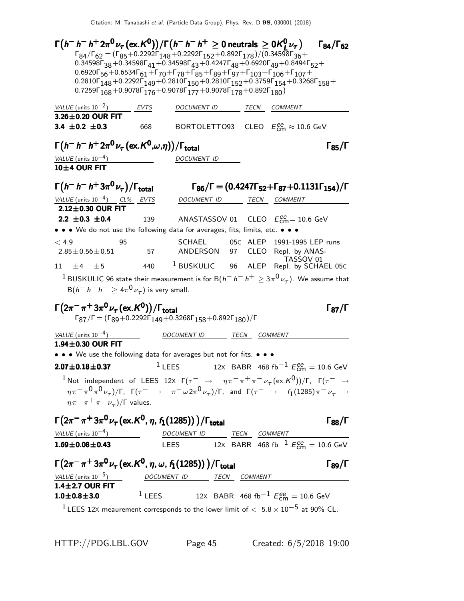| $\Gamma\big(h^- \,h^- \,h^+ \, 2\pi^{\mathbf{0}} \nu_\tau\, (\mathrm{ex.}\, \mathcal{K}^{\mathbf{0}})\big)/\Gamma\big(h^- \,h^- \,h^+ \geq 0\,\text{neutrals}\,\geq 0 \mathcal{K}^{\mathbf{0}}_L \nu_\tau\big)$                                                                                                                                                    |      |                          |  |                                                                                      | $\Gamma_{84}/\Gamma_{62}$ |
|--------------------------------------------------------------------------------------------------------------------------------------------------------------------------------------------------------------------------------------------------------------------------------------------------------------------------------------------------------------------|------|--------------------------|--|--------------------------------------------------------------------------------------|---------------------------|
| $\Gamma_{84}/\Gamma_{62} = (\Gamma_{85} + 0.2292\Gamma_{148} + 0.2292\Gamma_{152} + 0.892\Gamma_{178})/(0.34598\Gamma_{36} +$                                                                                                                                                                                                                                      |      |                          |  |                                                                                      |                           |
| 0.34598 $\Gamma$ <sub>38</sub> + 0.34598 $\Gamma$ <sub>41</sub> + 0.34598 $\Gamma$ <sub>43</sub> + 0.4247 $\Gamma$ <sub>48</sub> + 0.6920 $\Gamma$ <sub>49</sub> + 0.8494 $\Gamma$ <sub>52</sub> +<br>$0.6920\Gamma_{56} + 0.6534\Gamma_{61} + \Gamma_{70} + \Gamma_{78} + \Gamma_{85} + \Gamma_{89} + \Gamma_{97} + \Gamma_{103} + \Gamma_{106} + \Gamma_{107} +$ |      |                          |  |                                                                                      |                           |
| $0.2810\Gamma_{148} + 0.2292\Gamma_{149} + 0.2810\Gamma_{150} + 0.2810\Gamma_{152} + 0.3759\Gamma_{154} + 0.3268\Gamma_{158} +$                                                                                                                                                                                                                                    |      |                          |  |                                                                                      |                           |
| 0.7259 $\Gamma_{168}$ + 0.9078 $\Gamma_{176}$ + 0.9078 $\Gamma_{177}$ + 0.9078 $\Gamma_{178}$ + 0.892 $\Gamma_{180}$ )                                                                                                                                                                                                                                             |      |                          |  |                                                                                      |                           |
| VALUE (units $10^{-2}$ )                                                                                                                                                                                                                                                                                                                                           | EVTS | DOCUMENT ID TECN COMMENT |  |                                                                                      |                           |
| 3.26±0.20 OUR FIT                                                                                                                                                                                                                                                                                                                                                  |      |                          |  |                                                                                      |                           |
| 3.4 $\pm$ 0.2 $\pm$ 0.3                                                                                                                                                                                                                                                                                                                                            | 668  |                          |  | BORTOLETTO93 CLEO $E_{\text{cm}}^{\text{ee}} \approx 10.6 \text{ GeV}$               |                           |
| $\Gamma(h^- h^- h^+ 2\pi^0 \nu_\tau (\text{ex.}\, K^0,\omega,\eta))/\Gamma_{\text{total}}$                                                                                                                                                                                                                                                                         |      |                          |  |                                                                                      | $\Gamma_{85}/\Gamma$      |
| VALUE $(\text{units } 10^{-4})$                                                                                                                                                                                                                                                                                                                                    |      | DOCUMENT ID              |  |                                                                                      |                           |
| 10±4 OUR FIT                                                                                                                                                                                                                                                                                                                                                       |      |                          |  |                                                                                      |                           |
| $\Gamma(h^-h^-h^+3\pi^0\nu_\tau)/\Gamma_{\rm total}$                                                                                                                                                                                                                                                                                                               |      |                          |  | $\Gamma_{86}/\Gamma = (0.4247\Gamma_{52} + \Gamma_{87} + 0.1131\Gamma_{154})/\Gamma$ |                           |
| VALUE (units $10^{-4}$ ) CL% EVTS                                                                                                                                                                                                                                                                                                                                  |      |                          |  |                                                                                      |                           |
| $2.12\pm0.30$ OUR FIT                                                                                                                                                                                                                                                                                                                                              |      |                          |  | DOCUMENT ID TECN COMMENT                                                             |                           |
| $2.2 \pm 0.3 \pm 0.4$                                                                                                                                                                                                                                                                                                                                              | 139  |                          |  | ANASTASSOV 01 $\,$ CLEO $\,$ $E_{\rm cm}^{\rm ee}$ $= 10.6$ GeV                      |                           |
| • • • We do not use the following data for averages, fits, limits, etc. • • •                                                                                                                                                                                                                                                                                      |      |                          |  |                                                                                      |                           |
| < 4.9<br>95                                                                                                                                                                                                                                                                                                                                                        |      | SCHAEL                   |  | 05C ALEP 1991-1995 LEP runs                                                          |                           |
| $2.85 \pm 0.56 \pm 0.51$                                                                                                                                                                                                                                                                                                                                           | 57   |                          |  | ANDERSON 97 CLEO Repl. by ANAS-                                                      |                           |
| 11<br>$\pm 4$<br>$+5$                                                                                                                                                                                                                                                                                                                                              | 440  | $1$ BUSKULIC 96 ALEP     |  | TASSOV 01<br>Repl. by SCHAEL 05C                                                     |                           |
| $^1$ BUSKULIC 96 state their measurement is for B $(h^- \, h^- \, h^+ \geq 3 \pi^0 \nu_\tau)$ . We assume that                                                                                                                                                                                                                                                     |      |                          |  |                                                                                      |                           |
| $B(h^- h^- h^+ \ge 4\pi^0 \nu_\tau)$ is very small.                                                                                                                                                                                                                                                                                                                |      |                          |  |                                                                                      |                           |
| $\Gamma(2\pi^-\pi^+3\pi^0\nu_\tau\,(\mathrm{ex.}\mathcal{K}^0))/\Gamma_{\mathrm{total}}$                                                                                                                                                                                                                                                                           |      |                          |  |                                                                                      |                           |
| $\Gamma_{87}/\Gamma = (\Gamma_{89} + 0.2292\Gamma_{149} + 0.3268\Gamma_{158} + 0.892\Gamma_{180})/\Gamma$                                                                                                                                                                                                                                                          |      |                          |  |                                                                                      | $\Gamma_{87}/\Gamma$      |
| VALUE (units $10^{-4}$ )                                                                                                                                                                                                                                                                                                                                           |      | DOCUMENT ID TECN COMMENT |  |                                                                                      |                           |
| $1.94\pm0.30$ OUR FIT                                                                                                                                                                                                                                                                                                                                              |      |                          |  |                                                                                      |                           |
| • • • We use the following data for averages but not for fits. • • •                                                                                                                                                                                                                                                                                               |      |                          |  |                                                                                      |                           |
| $2.07 \pm 0.18 \pm 0.37$                                                                                                                                                                                                                                                                                                                                           |      | $1$ LEES                 |  | 12X BABR 468 fb <sup>-1</sup> $E_{\text{cm}}^{ee}$ = 10.6 GeV                        |                           |
| <sup>1</sup> Not independent of LEES 12X $\Gamma(\tau^- \to \eta \pi^- \pi^+ \pi^- \nu_\tau (\text{ex.} K^0))/\Gamma$ , $\Gamma(\tau^- \to \tau^+ \nu^- \nu^-)$                                                                                                                                                                                                    |      |                          |  |                                                                                      |                           |
| $\eta\pi^-\pi^0\pi^0\nu_\tau)/\Gamma$ , $\Gamma(\tau^-\to\pi^-\omega 2\pi^0\nu_\tau)/\Gamma$ , and $\Gamma(\tau^-\to\ell_1(1285)\pi^-\nu_\tau\to\ell_1(1285))$                                                                                                                                                                                                     |      |                          |  |                                                                                      |                           |
| $\eta \pi^- \pi^+ \pi^- \nu_\tau$ )/ $\Gamma$ values.                                                                                                                                                                                                                                                                                                              |      |                          |  |                                                                                      |                           |
| $\Gamma(2\pi^-\pi^+3\pi^0\nu_\tau$ (ex. K <sup>0</sup> , $\eta$ , $f_1(1285))$ )/ $\Gamma_{\rm total}$                                                                                                                                                                                                                                                             |      |                          |  |                                                                                      | $\Gamma_{88}/\Gamma$      |
| VALUE (units $10^{-4}$ )                                                                                                                                                                                                                                                                                                                                           |      |                          |  |                                                                                      |                           |
| $1.69 \pm 0.08 \pm 0.43$                                                                                                                                                                                                                                                                                                                                           |      | DOCUMENT ID TECN COMMENT |  | LEES 12X BABR 468 fb <sup>-1</sup> $E_{cm}^{ee} = 10.6$ GeV                          |                           |
|                                                                                                                                                                                                                                                                                                                                                                    |      |                          |  |                                                                                      |                           |
| $\Gamma(2\pi^-\pi^+3\pi^0\nu_{\tau}$ (ex. K <sup>0</sup> , $\eta$ , $\omega$ , $f_1(1285))$ ) / $\Gamma_{\rm total}$                                                                                                                                                                                                                                               |      |                          |  |                                                                                      | $\Gamma_{89}/\Gamma$      |
| $\frac{VALUE \text{ (units 10}^{-5})}{1.4 \pm 2.7 \text{ OUR FIT}}$ DOCUMENT ID TECN COMMENT                                                                                                                                                                                                                                                                       |      |                          |  |                                                                                      |                           |
|                                                                                                                                                                                                                                                                                                                                                                    |      |                          |  |                                                                                      |                           |
| $1.0 \pm 0.8 \pm 3.0$                                                                                                                                                                                                                                                                                                                                              |      |                          |  | <sup>1</sup> LEES 12X BABR 468 fb <sup>-1</sup> $E_{cm}^{ee}$ = 10.6 GeV             |                           |
| <sup>1</sup> LEES 12X meaurement corresponds to the lower limit of $< 5.8 \times 10^{-5}$ at 90% CL.                                                                                                                                                                                                                                                               |      |                          |  |                                                                                      |                           |

HTTP://PDG.LBL.GOV Page 45 Created: 6/5/2018 19:00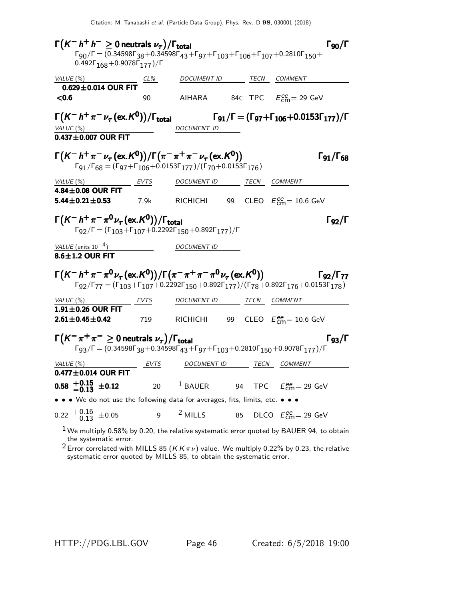$\Gamma(K^- h^+ h^- \geq 0$  neutrals  $\nu_{\tau})/\Gamma_{\text{total}}$  [50/ $\Gamma$  $\Gamma_{90}/\Gamma$  $\Gamma_{90}/\Gamma = (0.34598\Gamma_{38}+0.34598\Gamma_{43}+\Gamma_{97}+\Gamma_{103}+\Gamma_{106}+\Gamma_{107}+0.2810\Gamma_{150}+$  $0.492\Gamma_{168} + 0.9078\Gamma_{177})/\Gamma$  $VALUE$  (%)  $CL$   $CL$   $CL$   $DCUMENT$  ID TECN COMMENT  $0.629 \pm 0.014$  OUR FIT<br>  $< 0.6$  $\leq$ 0.6 90 AIHARA 84C TPC  $E_{\text{cm}}^{ee} = 29 \text{ GeV}$  $\Gamma\bigl(\mathcal{K}^-\,h^+\,\pi^-\,\nu_\tau\,(\mathrm{ex.}\,\mathcal{K}^0)\bigr)$  $\Gamma(K^- h^+ \pi^- \nu_\tau(\textsf{ex}.K^0))/\Gamma_{\textsf{total}}$  Γg1/ $\Gamma = (\Gamma_{97} + \Gamma_{106} + 0.0153 \Gamma_{177})/\Gamma$ VALUE (%) DOCUMENT ID  $0.437 + 0.007$  OUR FIT Γ $(K^- h^+ \pi^- \nu_\tau (\text{ex.} K^0))/\Gamma(\pi^- \pi^+ \pi^- \nu_\tau (\text{ex.} K^0))$  Γg1/Γ<sub>68</sub> ¢Γ91/Γ  $\Gamma_{91}/\Gamma_{68} = (\Gamma_{97} + \Gamma_{106} + 0.0153\Gamma_{177})/(\Gamma_{70} + 0.0153\Gamma_{176})$ VALUE (%) **EVTS** DOCUMENT ID TECN COMMENT  $4.84\pm0.08$  OUR FIT<br>5.44  $\pm$  0.21  $\pm$  0.53 **5.44** $\pm$ **0.21** $\pm$ **0.53** 7.9k RICHICHI 99 CLEO  $E_{\text{cm}}^{ee} = 10.6 \text{ GeV}$  $\Gamma(K^- h^+ \pi^- \pi^0 \nu_\tau (\text{ex. } K^0))/\Gamma_{\text{total}}$  Γg2/Γ  $Γ_{92}/Γ = (Γ_{103} + Γ_{107} + 0.2292Γ_{150} + 0.892Γ_{177}) / Γ$ VALUE (units  $10^{-4}$ ) DOCUMENT ID  $8.6 \pm 1.2$  OUR FIT Γ $(K^- h^+ \pi^- \pi^0 \nu_\tau (\text{ex.} K^0))/\Gamma(\pi^- \pi^+ \pi^- \pi^0 \nu_\tau (\text{ex.} K^0))$  Γg2/Γ77  $\Gamma_{92}/\Gamma_{77}$  $\Gamma_{92}/\Gamma_{77} = (\Gamma_{103} + \Gamma_{107} + 0.2292\Gamma_{150} + 0.892\Gamma_{177})/(\Gamma_{78} + 0.892\Gamma_{176} + 0.0153\Gamma_{178})$ VALUE (%) EVTS DOCUMENT ID TECN COMMENT  $1.91 \pm 0.26$  OUR FIT<br> $2.61 \pm 0.45 \pm 0.42$ **2.61** $\pm$ **0.45** $\pm$ **0.42** 719 RICHICHI 99 CLEO  $E_{\text{cm}}^{ee} = 10.6 \text{ GeV}$  $\Gamma(K^-\pi^+\pi^- \geq 0$  neutrals  $\nu_{\tau})/\Gamma_{\text{total}}$  [53/Γ  $\Gamma_{93}/\Gamma = (0.34598\Gamma_{38}+0.34598\Gamma_{43}+\Gamma_{97}+\Gamma_{103}+0.2810\Gamma_{150}+0.9078\Gamma_{177})/\Gamma$ DOCUMENT ID TECN COMMENT  $\frac{VALUE (%)}{0.477 \pm 0.014 \text{ OUR FIT}}$  $0.58 \begin{array}{r} +0.15 \\ -0.13 \end{array} \pm 0.12$ **0.58**  $\frac{+0.15}{-0.13}$   $\pm$  0.12 20 <sup>1</sup> BAUER 94 TPC  $E_{\text{cm}}^{ee}$  = 29 GeV • • • We do not use the following data for averages, fits, limits, etc. • • •  $0.22 \begin{array}{l} +0.16 \\ -0.13 \end{array} \pm 0.05$  9 <sup>2</sup> MILLS 85 DLCO *E* ee<br>cm= 29 GeV  $1$  We multiply 0.58% by 0.20, the relative systematic error quoted by BAUER 94, to obtain

the systematic error. <sup>2</sup> Error correlated with MILLS 85 (K K  $\pi \nu$ ) value. We multiply 0.22% by 0.23, the relative systematic error quoted by MILLS 85, to obtain the systematic error.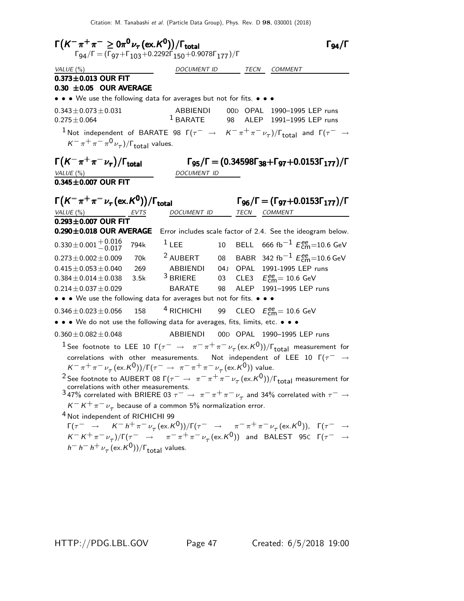Citation: M. Tanabashi et al. (Particle Data Group), Phys. Rev. D 98, 030001 (2018)

 $\Gamma(K^-\pi^+\pi^-\geq0\pi^0\nu_\tau(\text{ex.}K^0))/\Gamma_{\text{total}}$  Γg4/Γ total and the set of  $\sim$  1 94/1  $\,$  $\Gamma_{94}/\Gamma = (\Gamma_{97} + \Gamma_{103} + 0.2292\Gamma_{150} + 0.9078\Gamma_{177})/\Gamma$ VALUE (%)  $\begin{array}{ccc} \text{VALUE (%)} & \text{DOCUMENT ID} & \text{TECN} & \text{COMMENT} \end{array}$  $0.373 \pm 0.013$  OUR FIT  $0.30 \pm 0.05$  OUR AVERAGE • • • We use the following data for averages but not for fits. • • •  $0.343 \pm 0.073 \pm 0.031$ <br> $0.275 \pm 0.064$  ABBIENDI 00D OPAL 1990–1995 LEP runs<br> $1$  BARATE 98 ALEP 1991–1995 LEP runs 98 ALEP 1991-1995 LEP runs  $1$  Not independent of BARATE 98  $\Gamma(\tau^- \rightarrow K^-\pi^+\pi^-\nu_{\tau})/\Gamma_{\rm total}$  and  $\Gamma(\tau^-\rightarrow K^-\nu_{\tau})$  $K^-\pi^+\pi^-\pi^0\nu_\tau)$ / $\Gamma_{\rm total}$  values.  $\Gamma(K^-\pi^+\pi^-\nu_{\tau})$  $\Gamma\bigl(K^-\pi^+\pi^-\nu_\tau\bigr)/\Gamma_{\rm total}$  Γg5/Γ = (0.34598Г38+Γg7+0.0153Г $_1$ 77)/Γ VALUE (%) DOCUMENT ID  $0.345 \pm 0.007$  OUR FIT  $\Gamma(K^-\pi^+\pi^-\nu_\tau({\rm ex.}K^0))/\Gamma_{\rm total}$  Γg<sub>6</sub>/Γ = (Γg7+0.0153Γ<sub>177</sub>)/Γ  $\Gamma_{96}/\Gamma = (\Gamma_{97}+0.0153\Gamma_{177})/\Gamma$ VALUE (%) **EVTS** DOCUMENT ID TECN COMMENT  $0.293 \pm 0.007$  OUR FIT  $0.290\pm0.018$  OUR AVERAGE Error includes scale factor of 2.4. See the ideogram below.  $0.330\pm0.001\frac{+0.016}{-0.017}$  $^{+0.016}_{-0.017}$  794k  $^{1}$  LEE  $^{10}$  BELL 666 fb $^{-1}$   $E_{\rm cm}^{ee}$ =10.6 GeV  $0.273 \pm 0.002 \pm 0.009$  70k  $^2$  AUBERT 08 BABR 342 fb $^{-1}$   $E_{\rm cm}^{\rm ee}$ =10.6 GeV  $0.415 \pm 0.053 \pm 0.040$  269 ABBIENDI 04J OPAL 1991-1995 LEP runs<br> $0.384 + 0.014 + 0.038$  3.5k <sup>3</sup> BRIERE 03 CLE3  $E_{\text{max}}^{\text{ge}} = 10.6$  GeV  $0.384 \pm 0.014 \pm 0.038$  3.5k <sup>3</sup> BRIERE 03<br> $0.214 \pm 0.037 \pm 0.029$  BARATE 98  $_{\text{cm}}^{\text{ee}}$ = 10.6 GeV  $0.214 \pm 0.037 \pm 0.029$  BARATE 98 ALEP 1991-1995 LEP runs • • • We use the following data for averages but not for fits. • • •  $0.346 \pm 0.023 \pm 0.056$  158 <sup>4</sup> RICHICHI 99 CLEO  $E_{\rm{cm}}^{\rm{ee}} = 10.6$  GeV • • • We do not use the following data for averages, fits, limits, etc. • • • 0.360±0.082±0.048 ABBIENDI 00D OPAL 1990-1995 LEP runs  $^1$  See footnote to LEE 10 Г $(\tau^-\,\,\rightarrow\,\,\,\pi^-\pi^+\pi^-\,\nu_\tau\,(\mathrm{ex.}\mathcal{K}^0))/\Gamma_{\mathrm{total}}$  measurement for correlations with other measurements. Not independent of LEE 10  $\Gamma(\tau^- \rightarrow$  $K^-\pi^+\pi^-\nu_\tau(\text{ex.}K^0))/\Gamma(\tau^-\rightarrow \pi^-\pi^+\pi^-\nu_\tau(\text{ex.}K^0))$  value. <sup>2</sup> See footnote to AUBERT 08 Γ( $\tau^- \to \pi^- \pi^+ \pi^- \nu_\tau (\text{ex.} K^0))/\Gamma_{\text{total}}$  measurement for correlations with other measurements.<br>3 47% correlated with BRIERE 03  $\tau^- \to \pi^- \pi^+ \pi^- \nu_\tau$  and 34% correlated with  $\tau^- \to$  $K^-K^+\pi^-\nu_\tau$  because of a common 5% normalization error. 4 Not independent of RICHICHI 99  $\Gamma(\tau^- \rightarrow K^- h^+ \pi^- \nu_\tau (\text{ex.} K^0))/\Gamma(\tau^- \rightarrow \pi^- \pi^+ \pi^- \nu_\tau (\text{ex.} K^0)), \Gamma(\tau^- \rightarrow \tau^+ \nu_\tau)$  $K^- K^+ \pi^- \nu_\tau) / \Gamma(\tau^- \rightarrow \pi^- \pi^+ \pi^- \nu_\tau (\text{ex.} K^0))$  and BALEST 95 $\text{C}$   $\Gamma(\tau^- \rightarrow \tau^+ \pi^- \nu_\tau)$  $h^- h^- h^+ \nu_\tau (\mathrm{ex.} K^0))/\Gamma_{\mathrm{total}}$  values.

HTTP://PDG.LBL.GOV Page 47 Created: 6/5/2018 19:00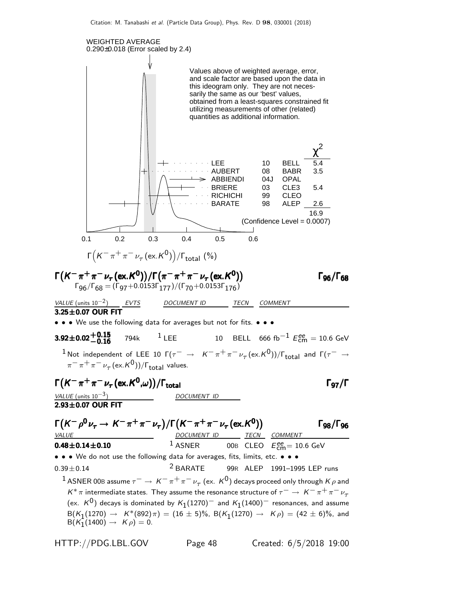

HTTP://PDG.LBL.GOV Page 48 Created: 6/5/2018 19:00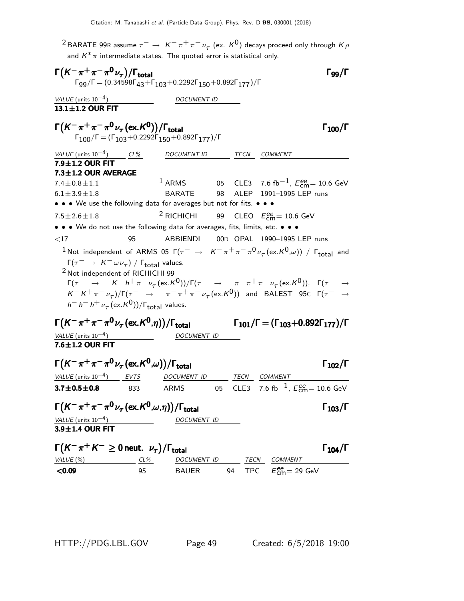$^2$ BARATE 99R assume  $\tau^-\rightarrow~$  K $^-\pi^+\pi^-\nu_\tau^{}$  (ex.  $\rm\mathit{K}^{0})$  decays proceed only through  $\rm\mathit{K}\rho$ and  $K^* \pi$  intermediate states. The quoted error is statistical only.

| $\Gamma(K^-\pi^+\pi^-\pi^0\nu_\tau)/\Gamma_{\rm total}$<br>$\Gamma$ <sub>99</sub> / $\Gamma = (0.34598\Gamma_{43} + \Gamma_{103} + 0.2292\Gamma_{150} + 0.892\Gamma_{177})/\Gamma$                                                                                                                                                                                                                  |              |                          |  |                                                                                                                | $\Gamma$ وو $\Gamma$  |
|-----------------------------------------------------------------------------------------------------------------------------------------------------------------------------------------------------------------------------------------------------------------------------------------------------------------------------------------------------------------------------------------------------|--------------|--------------------------|--|----------------------------------------------------------------------------------------------------------------|-----------------------|
| VALUE (units $10^{-4}$ )                                                                                                                                                                                                                                                                                                                                                                            |              | <i>DOCUMENT ID</i>       |  |                                                                                                                |                       |
| 13.1±1.2 OUR FIT                                                                                                                                                                                                                                                                                                                                                                                    |              |                          |  |                                                                                                                |                       |
| $\Gamma(K^-\pi^+\pi^-\pi^0\nu_{\tau}$ (ex. K <sup>0</sup> ))/ $\Gamma_{\rm total}$<br>$\Gamma_{100}/\Gamma = (\Gamma_{103} + 0.2292\Gamma_{150} + 0.892\Gamma_{177})/\Gamma$                                                                                                                                                                                                                        |              |                          |  |                                                                                                                | $\Gamma_{100}/\Gamma$ |
| VALUE (units $10^{-4}$ ) CL%                                                                                                                                                                                                                                                                                                                                                                        |              | DOCUMENT ID TECN COMMENT |  |                                                                                                                |                       |
| 7.9±1.2 OUR FIT                                                                                                                                                                                                                                                                                                                                                                                     |              |                          |  |                                                                                                                |                       |
| $7.3 \pm 1.2$ OUR AVERAGE                                                                                                                                                                                                                                                                                                                                                                           |              |                          |  |                                                                                                                |                       |
| $7.4 \pm 0.8 \pm 1.1$<br>$6.1 \pm 3.9 \pm 1.8$                                                                                                                                                                                                                                                                                                                                                      |              | BARATE                   |  | <sup>1</sup> ARMS 05 CLE3 7.6 fb <sup>-1</sup> , $E_{\text{cm}}^{ee}$ = 10.6 GeV<br>98 ALEP 1991-1995 LEP runs |                       |
| • • • We use the following data for averages but not for fits. • • •                                                                                                                                                                                                                                                                                                                                |              |                          |  |                                                                                                                |                       |
| $7.5 \pm 2.6 \pm 1.8$                                                                                                                                                                                                                                                                                                                                                                               |              |                          |  | <sup>2</sup> RICHICHI 99 CLEO $E_{\text{cm}}^{ee}$ = 10.6 GeV                                                  |                       |
| • • • We do not use the following data for averages, fits, limits, etc. • • •                                                                                                                                                                                                                                                                                                                       |              |                          |  |                                                                                                                |                       |
| ${<}17$                                                                                                                                                                                                                                                                                                                                                                                             | 95           | ABBIENDI                 |  | 00D OPAL 1990-1995 LEP runs                                                                                    |                       |
| <sup>1</sup> Not independent of ARMS 05 $\Gamma(\tau^- \to K^-\pi^+\pi^-\pi^0\nu_\tau(\text{ex.}K^0,\omega))$ / $\Gamma_{\text{total}}$ and                                                                                                                                                                                                                                                         |              |                          |  |                                                                                                                |                       |
| <sup>2</sup> Not independent of RICHICHI 99<br>$\Gamma(\tau^- \to K^- h^+ \pi^- \nu_\tau (\text{ex.} K^0))/\Gamma(\tau^- \to \pi^- \pi^+ \pi^- \nu_\tau (\text{ex.} K^0)), \Gamma(\tau^- \to$<br>$K^-K^+\pi^-\nu_\tau)/\Gamma(\tau^-\to\pi^-\pi^+\pi^-\nu_\tau(\text{ex.}K^0))$ and BALEST 95C $\Gamma(\tau^-\to\tau^+)$<br>$h^- h^- h^+ \nu_\tau (\text{ex.} K^0) / \Gamma_{\text{total}}$ values. |              |                          |  |                                                                                                                |                       |
| $\Gamma\big(\mathcal{K}^-\pi^+\pi^-\pi^0\,\nu_\tau\,(\mathrm{ex.}\mathcal{K}^0,\eta)\big)/\Gamma_{\mathrm{total}}$                                                                                                                                                                                                                                                                                  |              |                          |  | $\Gamma_{101}/\Gamma = (\Gamma_{103} + 0.892\Gamma_{177})/\Gamma$                                              |                       |
| VALUE (units $10^{-4}$ )                                                                                                                                                                                                                                                                                                                                                                            |              | DOCUMENT ID              |  |                                                                                                                |                       |
| 7.6±1.2 OUR FIT                                                                                                                                                                                                                                                                                                                                                                                     |              |                          |  |                                                                                                                |                       |
| $\Gamma(K^-\pi^+\pi^-\pi^0\nu_{\tau}(\text{ex.}K^0,\omega))/\Gamma_{\text{total}}$                                                                                                                                                                                                                                                                                                                  |              |                          |  |                                                                                                                | $\Gamma_{102}/\Gamma$ |
| <u>VALUE</u> (units $10^{-4}$ ) EVTS                                                                                                                                                                                                                                                                                                                                                                |              | DOCUMENT ID TECN COMMENT |  |                                                                                                                |                       |
| $3.7 \pm 0.5 \pm 0.8$                                                                                                                                                                                                                                                                                                                                                                               | 833          | ARMS                     |  | 05 CLE3 7.6 fb <sup>-1</sup> , $E_{\text{cm}}^{ee}$ = 10.6 GeV                                                 |                       |
| $\Gamma(K^-\pi^+\pi^-\pi^0\nu_\tau(\mathrm{ex.}K^0,\omega,\eta))/\Gamma_{\mathrm{total}}$                                                                                                                                                                                                                                                                                                           |              |                          |  |                                                                                                                | $\Gamma_{103}/\Gamma$ |
| $VALUE$ (units $10^{-4}$ )<br>3.9±1.4 OUR FIT                                                                                                                                                                                                                                                                                                                                                       |              | DOCUMENT ID              |  |                                                                                                                |                       |
| $\Gamma(K^-\pi^+K^- \geq 0$ neut. $\nu_{\tau})/\Gamma_{\text{total}}$                                                                                                                                                                                                                                                                                                                               |              |                          |  |                                                                                                                |                       |
|                                                                                                                                                                                                                                                                                                                                                                                                     |              |                          |  |                                                                                                                | $\Gamma_{104}/\Gamma$ |
| VALUE (%)<br>< 0.09                                                                                                                                                                                                                                                                                                                                                                                 | $CL\%$<br>95 | <b>BAUER</b>             |  | DOCUMENT ID TECN COMMENT<br>94 TPC $E_{cm}^{ee}$ = 29 GeV                                                      |                       |
|                                                                                                                                                                                                                                                                                                                                                                                                     |              |                          |  |                                                                                                                |                       |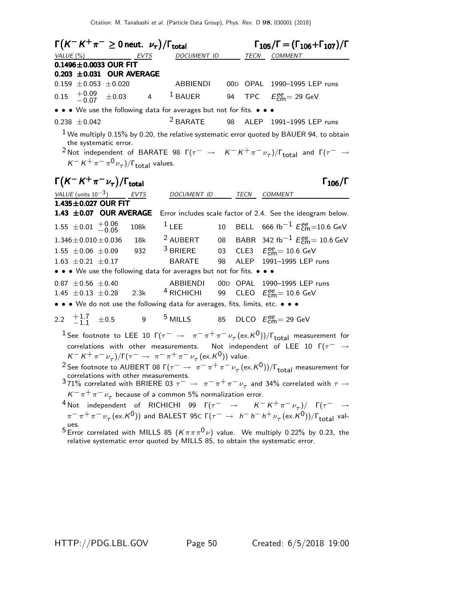| $\Gamma(K^-K^+\pi^- \geq 0$ neut. $\nu_{\tau})/\Gamma_{\text{total}}$<br>VALUE $(%)$<br>EVTS                                                                                                                                                                                                                                              | DOCUMENT ID                          |    | TECN COMMENT                                    | $\Gamma_{105}/\Gamma = (\Gamma_{106} + \Gamma_{107})/\Gamma$ |
|-------------------------------------------------------------------------------------------------------------------------------------------------------------------------------------------------------------------------------------------------------------------------------------------------------------------------------------------|--------------------------------------|----|-------------------------------------------------|--------------------------------------------------------------|
| $0.1496 \pm 0.0033$ OUR FIT                                                                                                                                                                                                                                                                                                               |                                      |    |                                                 |                                                              |
| $0.203 \pm 0.031$ OUR AVERAGE                                                                                                                                                                                                                                                                                                             |                                      |    |                                                 |                                                              |
| $0.159 \pm 0.053 \pm 0.020$                                                                                                                                                                                                                                                                                                               | ABBIENDI                             |    |                                                 | 00D OPAL 1990-1995 LEP runs                                  |
| $^{+0.09}_{-0.07}$<br>0.15<br>$\pm 0.03$<br>$\overline{4}$                                                                                                                                                                                                                                                                                | <sup>1</sup> BAUER                   | 94 | TPC $E_{\text{cm}}^{ee} = 29 \text{ GeV}$       |                                                              |
| • • • We use the following data for averages but not for fits. • • •                                                                                                                                                                                                                                                                      |                                      |    |                                                 |                                                              |
| $0.238 \pm 0.042$                                                                                                                                                                                                                                                                                                                         | $2$ BARATE                           | 98 |                                                 | ALEP 1991-1995 LEP runs                                      |
| $1$ We multiply 0.15% by 0.20, the relative systematic error quoted by BAUER 94, to obtain<br>the systematic error.<br><sup>2</sup> Not independent of BARATE 98 $\Gamma(\tau^- \to K^- K^+ \pi^- \nu_\tau)/\Gamma_{\rm total}$ and $\Gamma(\tau^- \to$<br>$K^- K^+ \pi^- \pi^0 \nu_\tau$ )/ $\Gamma_{\text{total}}$ values.              |                                      |    |                                                 |                                                              |
| $\Gamma(K^-K^+\pi^-\nu_\tau)/\Gamma_{\rm total}$                                                                                                                                                                                                                                                                                          |                                      |    |                                                 | $\Gamma_{106}/\Gamma$                                        |
| VALUE (units $10^{-3}$ ) EVTS                                                                                                                                                                                                                                                                                                             | DOCUMENT ID                          |    | <b>TECN</b><br>COMMENT                          |                                                              |
| 1.435±0.027 OUR FIT<br>1.43 ±0.07 OUR AVERAGE                                                                                                                                                                                                                                                                                             |                                      |    |                                                 | Error includes scale factor of 2.4. See the ideogram below.  |
| $1.55 \pm 0.01 + 0.06$<br>108k                                                                                                                                                                                                                                                                                                            | $1$ LEE                              |    |                                                 | 10 BELL 666 fb <sup>-1</sup> $E_{cm}^{ee}$ =10.6 GeV         |
| $1.346 \pm 0.010 \pm 0.036$<br>18k                                                                                                                                                                                                                                                                                                        | <sup>2</sup> AUBERT                  |    |                                                 | 08 BABR 342 fb <sup>-1</sup> $E_{\text{cm}}^{ee}$ = 10.6 GeV |
| 932<br>$1.55 \pm 0.06 \pm 0.09$                                                                                                                                                                                                                                                                                                           | $3$ BRIERE                           |    | 03 CLE3 $E_{\text{cm}}^{ee} = 10.6 \text{ GeV}$ |                                                              |
| $1.63 \pm 0.21 \pm 0.17$                                                                                                                                                                                                                                                                                                                  | <b>BARATE</b>                        | 98 |                                                 | ALEP 1991-1995 LEP runs                                      |
| • • • We use the following data for averages but not for fits. • • •                                                                                                                                                                                                                                                                      |                                      |    |                                                 |                                                              |
| $0.87 \pm 0.56 \pm 0.40$                                                                                                                                                                                                                                                                                                                  | ABBIENDI 00D OPAL 1990-1995 LEP runs |    |                                                 |                                                              |
| 1.45 $\pm$ 0.13 $\pm$ 0.28 2.3k <sup>4</sup> RICHICHI 99 CLEO $E_{\text{cm}}^{ee}$ = 10.6 GeV                                                                                                                                                                                                                                             |                                      |    |                                                 |                                                              |
| • • • We do not use the following data for averages, fits, limits, etc. • • •                                                                                                                                                                                                                                                             |                                      |    |                                                 |                                                              |
| 9 <sup>5</sup> MILLS<br>2.2 $\pm 1.7$ $\pm 0.5$                                                                                                                                                                                                                                                                                           |                                      |    | 85 DLCO $E_{\text{cm}}^{ee}$ = 29 GeV           |                                                              |
| <sup>1</sup> See footnote to LEE 10 $\Gamma(\tau^-\to\pi^-\pi^+\pi^-\nu_\tau(\mathrm{ex.}K^0))/\Gamma_{\mathrm{total}}$ measurement for<br>correlations with other measurements. Not independent of LEE 10 $\Gamma(\tau^- \rightarrow$<br>$K^- K^+ \pi^- \nu_\tau)/\Gamma(\tau^- \to \pi^- \pi^+ \pi^- \nu_\tau (\text{ex.} K^0))$ value. |                                      |    |                                                 |                                                              |
| <sup>2</sup> See footnote to AUBERT 08 $\Gamma(\tau^- \to \pi^- \pi^+ \pi^- \nu_\tau (\text{ex. K}^0))/\Gamma_{\text{total}}$ measurement for<br>correlations with other measurements.<br>371% correlated with BRIERE 03 $\tau^- \to \pi^- \pi^+ \pi^- \nu_\tau$ and 34% correlated with $\tau \to$                                       |                                      |    |                                                 |                                                              |
|                                                                                                                                                                                                                                                                                                                                           |                                      |    |                                                 |                                                              |
| $K^-\pi^+\pi^-\nu_\tau$ because of a common 5% normalization error.                                                                                                                                                                                                                                                                       |                                      |    |                                                 |                                                              |
| <sup>4</sup> Not independent of RICHICHI 99 $\Gamma(\tau^- \rightarrow K^-K^+\pi^-\nu_{\tau})/\Gamma(\tau^- \rightarrow$<br>$\pi^-\pi^+\pi^-\nu_\tau$ (ex. K <sup>0</sup> )) and BALEST 95C $\Gamma(\tau^-\to h^-h^-h^+\nu_\tau$ (ex. K <sup>0</sup> ))/ $\Gamma_{\text{total}}$ val-                                                     |                                      |    |                                                 |                                                              |
| ues.<br>$5$ Error correlated with MILLS 85 $(K \pi \pi \pi^0 \nu)$ value. We multiply 0.22% by 0.23, the<br>relative systematic error quoted by MILLS 85, to obtain the systematic error.                                                                                                                                                 |                                      |    |                                                 |                                                              |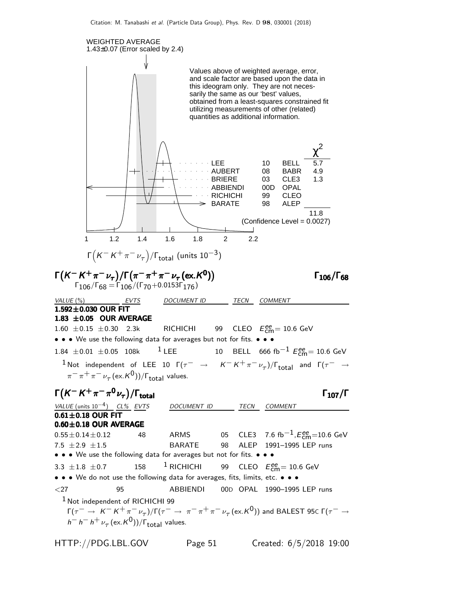

HTTP://PDG.LBL.GOV Page 51 Created: 6/5/2018 19:00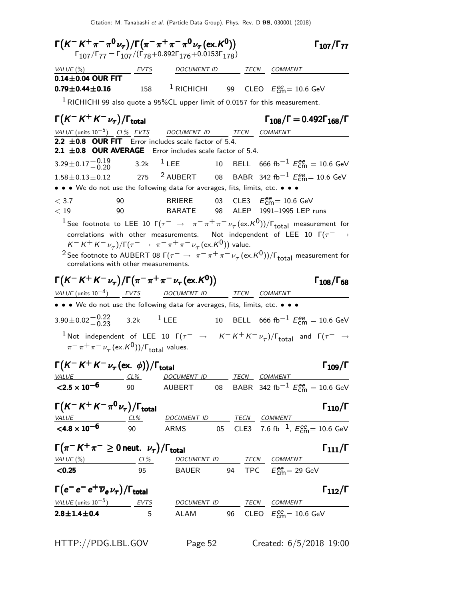Citation: M. Tanabashi et al. (Particle Data Group), Phys. Rev. D 98, 030001 (2018)

Γ(K<sup>-</sup> K<sup>+</sup> π<sup>-</sup> π<sup>0</sup>ν<sub>τ</sub>)/Γ(π<sup>-</sup> π<sup>+</sup> π<sup>-</sup> π<sup>0</sup>ν<sub>τ</sub> (ex.K<sup>0</sup>)) Γ107/Γ<sub>77</sub>  $\Gamma_{107}/\Gamma_{77}$  $\Gamma_{107}/\Gamma_{77} = \Gamma_{107}/(\Gamma_{78} + 0.892\Gamma_{176} + 0.0153\Gamma_{178})$ VALUE (%) **EVTS** DOCUMENT ID TECN COMMENT  $0.14\pm0.04$  OUR FIT  $0.79 \pm 0.44 \pm 0.16$  158 <sup>1</sup> RICHICHI  $_{\text{cm}}^{\text{ee}}$ = 10.6 GeV  $1$  RICHICHI 99 also quote a 95%CL upper limit of 0.0157 for this measurement.  $\Gamma(K^-K^+K^-\nu_\tau)/\Gamma_{\rm total}$  Γ<sub>108</sub>/Γ = 0.492Γ<sub>168</sub>/Γ VALUE (units 10<sup>-5</sup>) CL% EVTS DOCUMENT ID TECN COMMENT 2.2  $\pm$  0.8 OUR FIT Error includes scale factor of 5.4. 2.1  $\pm$ 0.8 OUR AVERAGE Error includes scale factor of 5.4.  $3.29\pm0.17^{+0.19}_{-0.20}$  $^{+0.19}_{-0.20}$  3.2k  $^{1}$  LEE 10 BELL 666 fb<sup>-1</sup>  $E_{cm}^{ee}$  = 10.6 GeV 1.58 $\pm$ 0.13 $\pm$ 0.12 275 <sup>2</sup> AUBERT 08 BABR 342 fb<sup>-1</sup>  $E_{\sf cm}^{\sf ee}$ = 10.6 GeV • • • We do not use the following data for averages, fits, limits, etc. • • •  $<$  3.7  $\qquad$  90 BRIERE 03 CLE3  $E_{\text{cm}}^{ee}$  = 10.6 GeV < 19 90 BARATE 98 ALEP 1991–1995 LEP runs  $^1$  See footnote to LEE 10 Г $(\tau^-\,\,\rightarrow\,\,\,\pi^-\pi^+\pi^-\,\nu_\tau\,(\mathrm{ex.}\mathcal{K}^0))/\Gamma_{\mathrm{total}}$  measurement for correlations with other measurements. Not independent of LEE 10  $\Gamma(\tau^- \rightarrow$  $K^- K^+ K^- \nu_\tau)/\Gamma(\tau^- \rightarrow \pi^- \pi^+ \pi^- \nu_\tau (\text{ex.} K^0))$  value. <sup>2</sup> See footnote to AUBERT 08 Г( $\tau^- \to \pi^-\pi^+\pi^-\nu_\tau$  (ex.K<sup>0</sup>))/Г<sub>total</sub> measurement for correlations with other measurements. Γ(K<sup>-</sup> K<sup>+</sup> K<sup>-</sup> ν<sub>τ</sub>)/Γ(π<sup>-</sup> π<sup>+</sup> π<sup>-</sup> ν<sub>τ</sub> (ex.K<sup>0</sup>)) Γ<sub>108</sub>/Γ<sub>68</sub> Γ108/Γ  $VALU E$  (units 10<sup>-4</sup>) EVTS DOCUMENT ID TECN COMMENT • • • We do not use the following data for averages, fits, limits, etc. • • •  $3.90\pm0.02\frac{+0.22}{0.23}$  $+0.22$  3.2k <sup>1</sup> LEE 10 BELL 666 fb<sup>-1</sup>  $E_{\text{cm}}^{ee} = 10.6$  GeV  $1$  Not independent of LEE 10  $\Gamma(\tau^- \rightarrow K^- K^+ K^- \nu_\tau)/\Gamma_{\rm total}$  and  $\Gamma(\tau^- \rightarrow$  $\pi^-\pi^+\pi^-\nu_\tau$  (ex. $\kappa^0$ ))/ $\Gamma_{\rm total}$  values.  $\Gamma(K^-K^+K^-\nu_\tau(\text{ex. }\phi))/\Gamma_{\text{total}}$  Γ<sub>109</sub>/Γ CL% DOCUMENT ID TECN COMMENT  $\frac{VALUE}{<}$  <2.5 × 10<sup>-6</sup> 90 AUBERT 08 BABR 342 fb−1 E ee cm = 10.6 GeV  $\Gamma(K^- K^+ K^- \pi^0 \nu_\tau)/\Gamma_{\rm total}$  Γ<sub>110</sub>/Γ  $\frac{VALUE}{1600}$   $\frac{CL\%}{90}$  DOCUMENT ID TECN COMMENT  $< 4.8 \times 10^{-6}$ 90 ARMS 05 CLE3 7.6 fb $^{-1}$ ,  $E_{\textsf{cm}}^{ee} = 10.6$  GeV  $\Gamma(\pi^- K^+ \pi^- \geq 0$  neut.  $\nu_\tau) / \Gamma_{\text{total}}$   $\Gamma_{\text{total}}$ total and  $111/$ VALUE (%) CL% DOCUMENT ID TECN COMMENT <0.25 95 BAUER 94 TPC E ee cm= 29 GeV  $\Gamma(e^-\,e^+\,\overline{\nu}_e\,\nu_\tau)/\Gamma_{\rm total}$  Γ<sub>112</sub>/Γ /Γ $_{\rm total}$ Γ  $VALUE$  (units 10<sup>-5</sup>) EVTS DOCUMENT ID TECN COMMENT **2.8** $\pm$ **1.4** $\pm$ **0.4** 5 ALAM 96 CLEO  $E_{\text{cm}}^{ee} = 10.6 \text{ GeV}$ HTTP://PDG.LBL.GOV Page 52 Created: 6/5/2018 19:00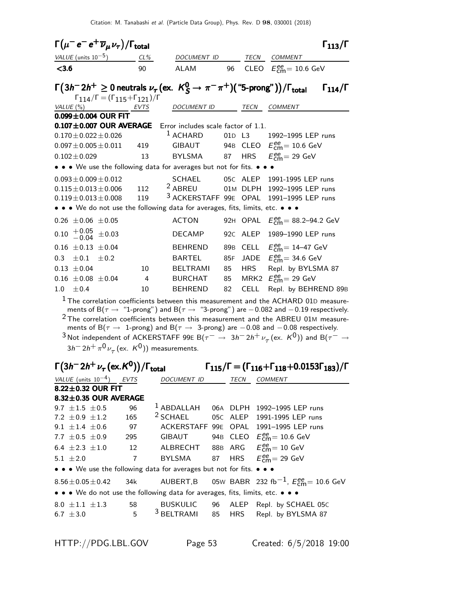| $\Gamma(\mu^- e^- e^+ \overline{\nu}_{\mu} \nu_{\tau})/\Gamma_{\rm total}$ |                                                                     |                                                                                                                                                                                                                                                                                                                                                                                                                                                                                                                     |        |              |                                                                                    | $\Gamma_{113}/\Gamma$ |
|----------------------------------------------------------------------------|---------------------------------------------------------------------|---------------------------------------------------------------------------------------------------------------------------------------------------------------------------------------------------------------------------------------------------------------------------------------------------------------------------------------------------------------------------------------------------------------------------------------------------------------------------------------------------------------------|--------|--------------|------------------------------------------------------------------------------------|-----------------------|
| VALUE (units $10^{-5}$ ) CL%                                               |                                                                     | DOCUMENT ID                                                                                                                                                                                                                                                                                                                                                                                                                                                                                                         |        | TECN         | COMMENT                                                                            |                       |
| < 3.6                                                                      | 90                                                                  | ALAM                                                                                                                                                                                                                                                                                                                                                                                                                                                                                                                | 96     |              | CLEO $E_{\text{cm}}^{\text{ee}} = 10.6 \text{ GeV}$                                |                       |
|                                                                            | $\Gamma_{114}/\Gamma = (\Gamma_{115} + \Gamma_{121})/\Gamma$        | $\Gamma(3h^-2h^+\geq 0$ neutrals $\nu_\tau$ (ex. $K^0_S\to\pi^-\pi^+)$ ("5-prong" )) / $\Gamma_{\rm total}$                                                                                                                                                                                                                                                                                                                                                                                                         |        |              |                                                                                    | $\Gamma_{114}/\Gamma$ |
| VALUE (%)                                                                  | <b>EVTS</b>                                                         | <b>DOCUMENT ID</b>                                                                                                                                                                                                                                                                                                                                                                                                                                                                                                  |        | TECN         | <b>COMMENT</b>                                                                     |                       |
| $0.099 \pm 0.004$ OUR FIT                                                  |                                                                     |                                                                                                                                                                                                                                                                                                                                                                                                                                                                                                                     |        |              |                                                                                    |                       |
| $0.107 \pm 0.007$ OUR AVERAGE                                              |                                                                     | Error includes scale factor of 1.1.                                                                                                                                                                                                                                                                                                                                                                                                                                                                                 |        |              |                                                                                    |                       |
| $0.170 \pm 0.022 \pm 0.026$                                                |                                                                     | $1$ ACHARD                                                                                                                                                                                                                                                                                                                                                                                                                                                                                                          | 01D L3 |              | 1992-1995 LEP runs                                                                 |                       |
| $0.097 \pm 0.005 \pm 0.011$                                                | 419                                                                 | GIBAUT                                                                                                                                                                                                                                                                                                                                                                                                                                                                                                              |        | 94B CLEO     | $E_{\text{cm}}^{ee}$ = 10.6 GeV                                                    |                       |
| $0.102 \pm 0.029$                                                          | 13                                                                  | <b>BYLSMA</b>                                                                                                                                                                                                                                                                                                                                                                                                                                                                                                       | 87 -   | <b>HRS</b>   | $E_{\text{cm}}^{\text{ee}}$ = 29 GeV                                               |                       |
|                                                                            |                                                                     | • • • We use the following data for averages but not for fits. • •                                                                                                                                                                                                                                                                                                                                                                                                                                                  |        |              |                                                                                    |                       |
| $0.093 \pm 0.009 \pm 0.012$                                                |                                                                     | <b>SCHAEL</b>                                                                                                                                                                                                                                                                                                                                                                                                                                                                                                       |        | 05C ALEP     | 1991-1995 LEP runs                                                                 |                       |
| $0.115 \pm 0.013 \pm 0.006$                                                | 112                                                                 | <sup>2</sup> ABREU                                                                                                                                                                                                                                                                                                                                                                                                                                                                                                  |        | 01M DLPH     | 1992-1995 LEP runs                                                                 |                       |
| $0.119 \pm 0.013 \pm 0.008$                                                | 119                                                                 | 3 ACKERSTAFF 99E OPAL                                                                                                                                                                                                                                                                                                                                                                                                                                                                                               |        |              | 1991-1995 LEP runs                                                                 |                       |
|                                                                            |                                                                     | • • We do not use the following data for averages, fits, limits, etc. • • •                                                                                                                                                                                                                                                                                                                                                                                                                                         |        |              |                                                                                    |                       |
| $0.26 \pm 0.06 \pm 0.05$                                                   |                                                                     | <b>ACTON</b>                                                                                                                                                                                                                                                                                                                                                                                                                                                                                                        |        | 92H OPAL     | $E_{\text{cm}}^{\text{ee}} = 88.2 - 94.2 \text{ GeV}$                              |                       |
| $^{+0.05}_{-0.04}$<br>±0.03<br>0.10                                        |                                                                     | <b>DECAMP</b>                                                                                                                                                                                                                                                                                                                                                                                                                                                                                                       | 92C    | ALEP         | 1989-1990 LEP runs                                                                 |                       |
| $0.16 \pm 0.13 \pm 0.04$                                                   |                                                                     | <b>BEHREND</b>                                                                                                                                                                                                                                                                                                                                                                                                                                                                                                      | 89B    | CELL         | $E_{\text{cm}}^{\text{ee}} = 14-47 \text{ GeV}$                                    |                       |
| $\pm 0.1$<br>0.3<br>$\pm 0.2$                                              |                                                                     | <b>BARTEL</b>                                                                                                                                                                                                                                                                                                                                                                                                                                                                                                       | 85F    | JADE         | $E_{\text{cm}}^{\text{ee}}$ = 34.6 GeV                                             |                       |
| $0.13 \pm 0.04$                                                            | 10                                                                  | <b>BELTRAMI</b>                                                                                                                                                                                                                                                                                                                                                                                                                                                                                                     | 85     | <b>HRS</b>   | Repl. by BYLSMA 87                                                                 |                       |
| $0.16 \pm 0.08 \pm 0.04$                                                   | 4                                                                   | <b>BURCHAT</b>                                                                                                                                                                                                                                                                                                                                                                                                                                                                                                      | 85     | MRK2         | $E_{cm}^{ee}$ = 29 GeV                                                             |                       |
| ±0.4<br>1.0                                                                | 10                                                                  | <b>BEHREND</b>                                                                                                                                                                                                                                                                                                                                                                                                                                                                                                      | 82     | <b>CELL</b>  | Repl. by BEHREND 89B                                                               |                       |
|                                                                            | $3h^- 2h^+ \pi^0 \nu_\tau$ (ex. $K^0$ )) measurements.              | $^1$ The correlation coefficients between this measurement and the ACHARD 01D measure-<br>ments of B( $\tau \to$ "1-prong") and B( $\tau \to$ "3-prong") are $-0.082$ and $-0.19$ respectively.<br>$2$ The correlation coefficients between this measurement and the ABREU 01M measure-<br>ments of B( $\tau \to 1$ -prong) and B( $\tau \to 3$ -prong) are -0.08 and -0.08 respectively.<br>$^{3}$ Not independent of ACKERSTAFF 99E B $(\tau^-\to\ 3h^-2h^+\nu_\tau$ (ex. $\kappa^0)$ ) and B $(\tau^-\to\tau^0)$ |        |              |                                                                                    |                       |
|                                                                            | $\Gamma(3h^- 2h^+ \nu_\tau (\text{ex.} K^0))/\Gamma_{\text{total}}$ |                                                                                                                                                                                                                                                                                                                                                                                                                                                                                                                     |        |              | $\Gamma_{115}/\Gamma = (\Gamma_{116} + \Gamma_{118} + 0.0153 \Gamma_{183})/\Gamma$ |                       |
| VALUE (units $10^{-4}$ ) FVTS                                              |                                                                     | DOCUMENT ID                                                                                                                                                                                                                                                                                                                                                                                                                                                                                                         |        | TECN COMMENT |                                                                                    |                       |

|               | VALUE (units $10^{-4}$ ) EVTS |                | DOCUMENT ID                                                                   |    | TECN | <b>COMMENT</b>                                                                                  |
|---------------|-------------------------------|----------------|-------------------------------------------------------------------------------|----|------|-------------------------------------------------------------------------------------------------|
|               | $8.22 \pm 0.32$ OUR FIT       |                |                                                                               |    |      |                                                                                                 |
|               | $8.32 \pm 0.35$ OUR AVERAGE   |                |                                                                               |    |      |                                                                                                 |
|               | $9.7 + 1.5 + 0.5$             | 96             | $1$ ABDALLAH                                                                  |    |      | 06A DLPH 1992-1995 LEP runs                                                                     |
|               | 7.2 $\pm$ 0.9 $\pm$ 1.2       | 165            | <sup>2</sup> SCHAEL                                                           |    |      | 05C ALEP 1991-1995 LEP runs                                                                     |
|               | 9.1 $\pm$ 1.4 $\pm$ 0.6       | 97 —           |                                                                               |    |      | ACKERSTAFF 99E OPAL 1991-1995 LEP runs                                                          |
|               | 7.7 $\pm$ 0.5 $\pm$ 0.9       | 295            | GIBAUT                                                                        |    |      | 94B CLEO $E_{\text{cm}}^{ee} = 10.6 \text{ GeV}$                                                |
|               | 6.4 $\pm 2.3 \pm 1.0$         | 12             | ALBRECHT 88B ARG $E_{\text{cm}}^{ee} = 10 \text{ GeV}$                        |    |      |                                                                                                 |
| 5.1 $\pm 2.0$ |                               | $\overline{7}$ |                                                                               |    |      | BYLSMA 87 HRS $E_{cm}^{ee} = 29$ GeV                                                            |
|               |                               |                | • • • We use the following data for averages but not for fits. • • •          |    |      |                                                                                                 |
|               |                               |                |                                                                               |    |      | $8.56 \pm 0.05 \pm 0.42$ 34k AUBERT, B 05w BABR 232 fb <sup>-1</sup> , $E_{cm}^{ee} = 10.6$ GeV |
|               |                               |                | • • • We do not use the following data for averages, fits, limits, etc. • • • |    |      |                                                                                                 |
| 6.7 $\pm$ 3.0 | 8.0 $\pm$ 1.1 $\pm$ 1.3       | 58<br>5        | <sup>3</sup> BELTRAMI                                                         | 85 |      | BUSKULIC 96 ALEP Repl. by SCHAEL 05C<br>HRS Repl. by BYLSMA 87                                  |
|               |                               |                |                                                                               |    |      |                                                                                                 |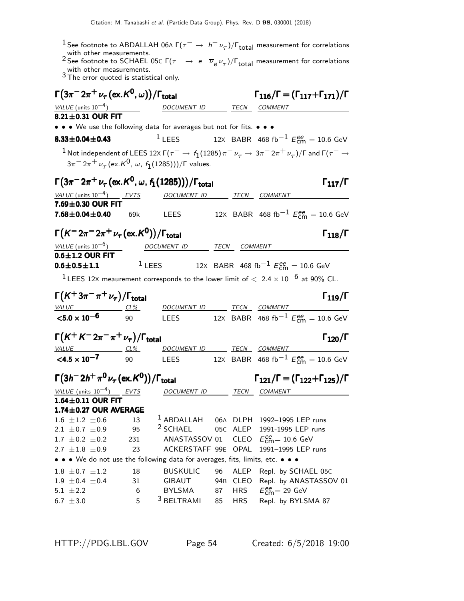- 
- <sup>1</sup> See footnote to ABDALLAH 06A  $\Gamma(\tau^- \to h^- \nu_\tau)/\Gamma_{\text{total}}$  measurement for correlations with other measurements.<br><sup>2</sup> See footnote to SCHAEL 05C  $\Gamma(\tau^- \to e^- \overline{\nu}_e \nu_\tau)/\Gamma_{\text{total}}$  measurement for correlations with other measur
- 

| $\Gamma(3\pi^- 2\pi^+ \nu_\tau\,(\mathrm{ex.}\,K^0,\omega))/\Gamma_\mathrm{total}$                          |           | $\Gamma_{116}/\Gamma = (\Gamma_{117} + \Gamma_{171})/\Gamma$                                              |           |                            |                                                                                                                             |
|-------------------------------------------------------------------------------------------------------------|-----------|-----------------------------------------------------------------------------------------------------------|-----------|----------------------------|-----------------------------------------------------------------------------------------------------------------------------|
| VALUE (units $10^{-4}$ )                                                                                    |           | DOCUMENT ID TECN COMMENT                                                                                  |           |                            |                                                                                                                             |
| 8.21±0.31 OUR FIT                                                                                           |           |                                                                                                           |           |                            |                                                                                                                             |
| • • • We use the following data for averages but not for fits. • • •                                        |           |                                                                                                           |           |                            |                                                                                                                             |
| $8.33 \pm 0.04 \pm 0.43$                                                                                    |           | $1$ LEES                                                                                                  |           |                            | 12X BABR 468 fb <sup>-1</sup> $E_{\text{cm}}^{ee}$ = 10.6 GeV                                                               |
|                                                                                                             |           |                                                                                                           |           |                            | $^{-1}$ Not independent of LEES 12x Г $(\tau^-\to f_1(1285)\pi^-\nu_\tau\to 3\pi^-2\pi^+\nu_\tau)$ /Г and Г $(\tau^-\to 1)$ |
|                                                                                                             |           | $3\pi^{-} 2\pi^{+} \nu_{\tau}$ (ex. K <sup>0</sup> , $\omega$ , f <sub>1</sub> (1285)))/ $\Gamma$ values. |           |                            |                                                                                                                             |
| $\Gamma(3\pi^{-}2\pi^{+}\nu_{\tau}$ (ex. ${\cal K}^{0}$ , $\omega$ , $f_{1}(1285))$ )/ $\Gamma_{\rm total}$ |           |                                                                                                           |           |                            | $\Gamma_{117}/\Gamma$                                                                                                       |
| VALUE (units $10^{-4}$ ) EVTS                                                                               |           | DOCUMENT ID TECN COMMENT                                                                                  |           |                            |                                                                                                                             |
| 7.69±0.30 OUR FIT                                                                                           |           |                                                                                                           |           |                            |                                                                                                                             |
| $7.68 \pm 0.04 \pm 0.40$                                                                                    | 69k       | LEES                                                                                                      |           |                            | 12X BABR 468 fb <sup>-1</sup> $E_{\text{cm}}^{ee} = 10.6 \text{ GeV}$                                                       |
| $\Gamma(K^- 2\pi^- 2\pi^+ \nu_\tau (\text{ex.} K^0))/\Gamma_{\text{total}}$                                 |           |                                                                                                           |           |                            | $\Gamma_{118}/\Gamma$                                                                                                       |
| $VALUE$ (units $10^{-6}$ )                                                                                  |           | DOCUMENT ID                                                                                               |           | TECN COMMENT               |                                                                                                                             |
| $0.6 \pm 1.2$ OUR FIT                                                                                       |           |                                                                                                           |           |                            |                                                                                                                             |
| $0.6 \pm 0.5 \pm 1.1$                                                                                       |           |                                                                                                           |           |                            | $1$ LEES 12X BABR 468 fb $^{-1}$ $E_{\text{cm}}^{ee}$ = 10.6 GeV                                                            |
|                                                                                                             |           |                                                                                                           |           |                            | $^1$ LEES 12X meaurement corresponds to the lower limit of $<~2.4\times10^{-6}$ at 90% CL.                                  |
| $\Gamma(K^+3\pi^-\pi^+\nu_\tau)/\Gamma_{\rm total}$                                                         |           |                                                                                                           |           |                            | $\Gamma_{119}/\Gamma$                                                                                                       |
| VALUE CL%                                                                                                   |           | DOCUMENT ID TECN COMMENT                                                                                  |           |                            |                                                                                                                             |
| ${<}5.0 \times 10^{-6}$                                                                                     | 90        | <b>LEES</b>                                                                                               |           |                            | 12X BABR 468 fb <sup>-1</sup> $E_{\text{cm}}^{ee}$ = 10.6 GeV                                                               |
| $\Gamma(K^+K^-2\pi^-\pi^+\nu_\tau)/\Gamma_{\rm total}$                                                      |           |                                                                                                           |           |                            | $\Gamma_{120}/\Gamma$                                                                                                       |
| $VALUE$ CL%                                                                                                 |           | DOCUMENT ID TECN COMMENT                                                                                  |           |                            |                                                                                                                             |
| $\leq 4.5 \times 10^{-7}$ 90                                                                                |           | LEES                                                                                                      |           |                            | 12X BABR 468 fb <sup>-1</sup> $E_{\text{cm}}^{ee}$ = 10.6 GeV                                                               |
| $\Gamma(3h^- 2h^+ \pi^0 \nu_\tau (\text{ex.} K^0))/\Gamma_{\text{total}}$                                   |           |                                                                                                           |           |                            | $\Gamma_{121}/\Gamma = (\Gamma_{122} + \Gamma_{125})/\Gamma$                                                                |
| VALUE (units $10^{-4}$ ) EVTS                                                                               |           | DOCUMENT ID TECN COMMENT                                                                                  |           |                            |                                                                                                                             |
| 1.64±0.11 OUR FIT                                                                                           |           |                                                                                                           |           |                            |                                                                                                                             |
| 1.74±0.27 OUR AVERAGE                                                                                       |           |                                                                                                           |           |                            |                                                                                                                             |
| $1.6 \pm 1.2 \pm 0.6$                                                                                       | 13        | <sup>1</sup> ABDALLAH                                                                                     |           |                            | 06A DLPH 1992-1995 LEP runs                                                                                                 |
| 2.1 $\pm$ 0.7 $\pm$ 0.9                                                                                     | 95        | $2$ SCHAEL                                                                                                |           | 05C ALEP                   | 1991-1995 LEP runs                                                                                                          |
| $1.7 \pm 0.2 \pm 0.2$<br>2.7 $\pm 1.8 \pm 0.9$                                                              | 231<br>23 | ANASTASSOV 01<br>ACKERSTAFF 99E OPAL                                                                      |           | <b>CLEO</b>                | $E_{\text{cm}}^{\text{ee}}$ = 10.6 GeV<br>1991-1995 LEP runs                                                                |
| • • • We do not use the following data for averages, fits, limits, etc. • • •                               |           |                                                                                                           |           |                            |                                                                                                                             |
|                                                                                                             |           |                                                                                                           |           |                            |                                                                                                                             |
| $1.8 \pm 0.7 \pm 1.2$<br>$1.9 \pm 0.4 \pm 0.4$                                                              | 18<br>31  | <b>BUSKULIC</b><br>GIBAUT                                                                                 | 96<br>94B | <b>ALEP</b><br><b>CLEO</b> | Repl. by SCHAEL 05C<br>Repl. by ANASTASSOV 01                                                                               |
| $5.1 \pm 2.2$                                                                                               | 6         | BYLSMA                                                                                                    | 87        | <b>HRS</b>                 | $E_{\text{cm}}^{\text{ee}}$ = 29 GeV                                                                                        |
| 6.7 $\pm 3.0$                                                                                               | 5         | <sup>3</sup> BELTRAMI                                                                                     | 85        | <b>HRS</b>                 | Repl. by BYLSMA 87                                                                                                          |
|                                                                                                             |           |                                                                                                           |           |                            |                                                                                                                             |

HTTP://PDG.LBL.GOV Page 54 Created: 6/5/2018 19:00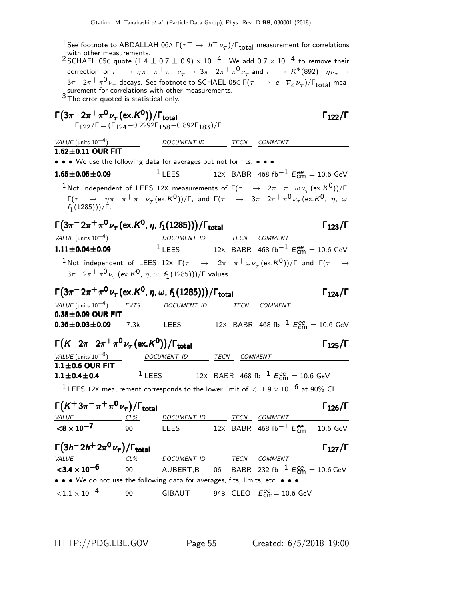Citation: M. Tanabashi et al. (Particle Data Group), Phys. Rev. D 98, 030001 (2018) <sup>1</sup> See footnote to ABDALLAH 06A  $\Gamma(\tau^- \to h^- \nu_\tau)/\Gamma_{\rm total}$  measurement for correlations with other measurements. 2 SCHAEL 05C quote  $(1.4 \pm 0.7 \pm 0.9) \times 10^{-4}$ . We add 0.7  $\times 10^{-4}$  to remove their correction for  $\tau^-\to\eta\pi^-\pi^+\pi^-\nu_\tau\to 3\pi^-2\pi^+\pi^0\nu_\tau$  and  $\tau^-\to K^*(892)^-\eta\nu_\tau\to 0$ 3π $^{-}$  2π $^{+}$  π $^{0}$   $\nu_{\tau}$  decays. See footnote to SCHAEL 05C Γ( $\tau^{-}$   $\rightarrow$   $\,$  e $^{-}$   $\overline{\nu}_{e}$   $\nu_{\tau}$ )/Γ<sub>total</sub> mea-<br>surement for correlations with other measurements.  $3$  The error quoted is statistical only.  $\Gamma(3\pi^- 2\pi^+ \pi^0 \nu_\tau (\text{ex. K}^0))/\Gamma_{\text{total}}$  Γ $_{122}/\Gamma$  $\Gamma_{122}/\Gamma$  = ( $\Gamma_{124}$ +0.2292 $\Gamma_{158}$ +0.892 $\Gamma_{183})$ / $\Gamma$ VALUE (units  $10^{-4}$ ) DOCUMENT ID TECN COMMENT  $1.62 \pm 0.11$  OUR FIT • • • We use the following data for averages but not for fits. • • • **1.65±0.05±0.09** <sup>1</sup> LEES 12x BABR 468 fb<sup>-1</sup>  $E_{\text{cm}}^{ee} = 10.6 \text{ GeV}$  $^1$ Not independent of LEES 12X measurements of Γ $(\tau^-\to~2\pi^-\pi^+\omega\nu_\tau~(\mathrm{ex.}K^0))/$ Γ,  $\Gamma(\tau^-\to\eta\pi^-\pi^+\pi^-\nu_\tau\,(\mathrm{ex.}\mathsf{K}^0))/\Gamma$ , and  $\Gamma(\tau^-\to\pi^-\pi^-\pi^0\nu_\tau\,(\mathrm{ex.}\mathsf{K}^0,\eta,\,\omega,\mathsf{K}^0)$  $f_1(1285)))/Γ.$ Γ $(3\pi^- 2\pi^+ \pi^0 \nu_\tau (\text{ex. } K^0, \eta, f_1(1285)))/\Gamma_{\text{total}}$ Γ $_{123}/\Gamma$ VALUE (units 10<sup>-4</sup>) <u>DOCUMENT ID</u> TECN COMMENT **1.11±0.04±0.09** <sup>1</sup> LEES 12x BABR 468 fb<sup>-1</sup>  $E_{\text{cm}}^{ee} = 10.6 \text{ GeV}$  $1$ Not independent of LEES 12x Γ $(τ^-\rightarrow 2π^-\pi^+\omega\nu_τ({\rm ex.}K^0))/$ Γ and Γ $(τ^-\rightarrow$  $3\pi^- \, 2\pi^+ \, \pi^0 \, \nu_\tau \, (\mathrm{ex.} K^0, \, \eta, \, \omega, \, f_1(1285)))/\Gamma$  values.  $\Gamma\big(3\pi^-2\pi^+\pi^0\nu_\tau$  (ex. ${\cal K}^0$ ,  $\eta$ ,  $\omega$ ,  $f_1(1285))\big)/\Gamma_{\rm total}$  Γ $_{124}/{\Gamma}$ VALUE (units 10<sup>-4</sup>) EVTS DOCUMENT ID TECN COMMENT  $0.38\pm0.09$  OUR FIT  $0.36\pm0.03\pm0.09$ **0.36** $\pm$ **0.03** $\pm$ **0.09** 7.3k LEES 12x BABR 468 fb<sup>-1</sup>  $E_{\text{cm}}^{\text{ee}} = 10.6 \text{ GeV}$  $\Gamma(K^- 2\pi^- 2\pi^+ \pi^0 \nu_\tau (\text{ex.} K^0)) / \Gamma_{\text{total}}$  Γ<sub>125</sub>/Γ VALUE (units 10<sup>-6</sup>) DOCUMENT ID TECN COMMENT  $1.1\pm0.6$  OUR FIT  $1$ LEES 12X BABR 468 fb $^{-1}$   $E_{\text{cm}}^{ee} = 10.6$  GeV

<sup>1</sup> LEES 12X meaurement corresponds to the lower limit of  $< 1.9 \times 10^{-6}$  at 90% CL.

| $\Gamma(K^+3\pi^-\pi^+\pi^0\nu_{\tau})/\Gamma_{\rm total}$ |     |                    |      | $\Gamma_{126}/\Gamma$                                  |
|------------------------------------------------------------|-----|--------------------|------|--------------------------------------------------------|
| <i>VALUE</i>                                               | CL% | <i>DOCUMENT ID</i> | TECN | COMMENT                                                |
| $< 8 \times 10^{-7}$                                       | ۹N  | I FFS              |      | 12X BABR 468 fb <sup>-1</sup> $E_{cm}^{ee}$ = 10.6 GeV |

| $\Gamma(3h^- 2h^+ 2\pi^0 \nu_\tau)/\Gamma_{\rm total}$                        |     |             |      | $\Gamma_{127}/\Gamma$                                           |  |
|-------------------------------------------------------------------------------|-----|-------------|------|-----------------------------------------------------------------|--|
| <u>VALUE</u>                                                                  | CL% | DOCUMENT ID | TECN | <i>COMMENT</i>                                                  |  |
| $3.4 \times 10^{-6}$                                                          | 90  |             |      | AUBERT, B 06 BABR 232 fb <sup>-1</sup> $E_{cm}^{ee} = 10.6$ GeV |  |
| • • • We do not use the following data for averages, fits, limits, etc. • • • |     |             |      |                                                                 |  |
| ${<}1.1 \times 10^{-4}$                                                       | 90  | GIBAUT      |      | 94B CLEO $E_{cm}^{ee}$ = 10.6 GeV                               |  |

HTTP://PDG.LBL.GOV Page 55 Created: 6/5/2018 19:00

 $1.1 \pm 0.4 \pm 0.4$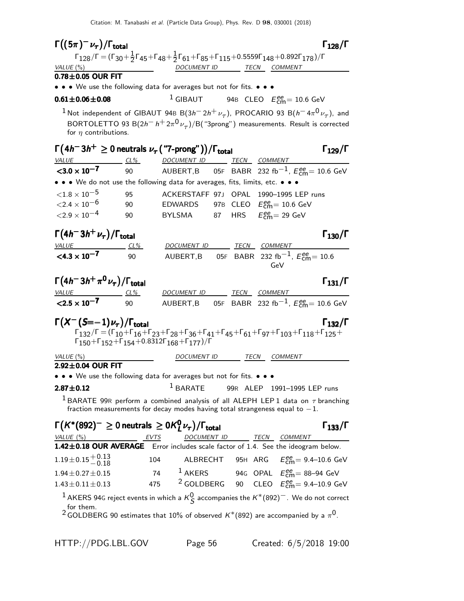$\Gamma((5\pi)^{-}\nu_{\tau})/\Gamma_{\text{total}}$   $\Gamma_{128}/\Gamma$ total 128  $\Gamma_{128}/\Gamma = (\Gamma_{30} + \frac{1}{2}\Gamma_{45} + \Gamma_{48} + \frac{1}{2}\Gamma_{61} + \Gamma_{85} + \Gamma_{115} + 0.5559\Gamma_{148} + 0.892\Gamma_{178})/\Gamma$ VALUE (%) DOCUMENT ID TECN COMMENT  $0.78 \pm 0.05$  OUR FIT • • • We use the following data for averages but not for fits. • • •  $0.61 \pm 0.06 \pm 0.08$  <sup>1</sup> GIBAUT  $_{\text{cm}}^{\text{ee}}$ = 10.6 GeV  $^1$ Not independent of GIBAUT 94B  ${\rm B}(3h^-2h^+\nu_\tau)$ , PROCARIO 93  ${\rm B}(h^-4\pi^0\nu_\tau)$ , and BORTOLETTO 93 B $(2h^- h^+ 2\pi^0 \nu_\tau)/$ B $($  "3prong") measurements. Result is corrected for  $\eta$  contributions. Γ ¡ 4h − 3h <sup>+</sup> ≥ 0 neutrals ν<sup>τ</sup> ("7-prong")¢ /Γtotal Γ129/Γ h<sup>−</sup> h<sup>+</sup> ≥<sup>τ</sup> Γ total <sup>129</sup>¡ 4h − 3h <sup>+</sup> ≥ 0 ντ("7-prong")¢/ΓtotalΓ129/Γ h<sup>−</sup> h<sup>+</sup> ≥τtotal129 VALUE CL<sup>%</sup> DOCUMENT ID TECN COMMENT  $<$ 3.0  $\times$  10<sup>-7</sup> 90 AUBERT,B 05<sup>F</sup> BABR 232 fb−1, E ee cm= 10.6 GeV • • • We do not use the following data for averages, fits, limits, etc. • • •  $\langle 1.8 \times 10^{-5}$  95 ACKERSTAFF 97J OPAL 1990–1995 LEP runs<br> $\langle 2.4 \times 10^{-6}$  90 EDWARDS 97B CLEO  $E_{cm}^{ee} = 10.6$  GeV  $\textdegree <$ 2.4  $\times$  10 $^{-6}$  90 EDWARDS 97B CLEO  $E_\textsf{cm}^{ee}$  = 10.6 GeV  $\langle 2.9 \times 10^{-4}$  90 BYLSMA 87 HRS  $_{\text{cm}}^{\text{ee}}$  = 29 GeV  $\Gamma(4h^-3h^+\nu_\tau)/\Gamma_{\rm total}$ DOCUMENT ID TECN COMMENT  $<$ 4.3  $\times$  10<sup>-7</sup> 90 AUBERT,B 05F BABR 232 fb $^{-1}$ ,  $E_{\text{cm}}^{ee} = 10.6$ GeV  $\Gamma(4h^-3h^+\pi^0\nu_\tau)/\Gamma_{\rm total}$ VALUE CL<sup>%</sup> DOCUMENT ID TECN COMMENT  $<$  2.5  $\times$  10<sup>-7</sup> 90 AUBERT,B 05<sup>F</sup> BABR 232 fb−1, E ee cm= 10.6 GeV  $\Gamma(X^-(S=-1)\nu_{\tau})/\Gamma_{\text{total}}$  Γ<sub>132</sub>/Γ Γ132/Γ = (Γ10+Γ16+Γ23+Γ28+Γ36+Γ41+Γ45+Γ61+Γ97+Γ103+Γ118+Γ125+ Γ150+Γ152+Γ154+0.8312Γ168+Γ177)/Γ VALUE (%) DOCUMENT ID TECN COMMENT  $2.92\pm0.04$  OUR FIT • • • We use the following data for averages but not for fits. • • • **2.87** $\pm$ **0.12** 1 BARATE 99R ALEP 1991-1995 LEP runs <sup>1</sup> BARATE 99R perform a combined analysis of all ALEPH LEP 1 data on  $\tau$  branching fraction measurements for decay modes having total strangeness equal to  $-1$ .  $\Gamma\bigl(\mathsf{K}^*(892)^-\geq 0$  neutrals  $\,\geq 0\mathsf{K}^0_I$  $\Gamma(K^*(892)^- \geq 0$  neutrals  $\geq 0$   $K^0_L \nu_{\tau}$ )/Γ<sub>total</sub> Γ<sub>133</sub>/Γ VALUE (%) TECN COMMENT LOCUMENT ID TECN COMMENT  $1.42\pm0.18$  OUR AVERAGE Error includes scale factor of 1.4. See the ideogram below.  $1.19\pm0.15\frac{+0.13}{-0.18}$  $^{+0.13}_{-0.18}$  104 ALBRECHT 95H ARG  $E_{\rm cm}^{\rm ee}$ = 9.4–10.6 GeV  $1.94 \pm 0.27 \pm 0.15$  74  $\frac{1}{2}$  AKERS 94G OPAL  $E_{\text{cm}}^{ee} = 88 - 94$  GeV  $1.43 \pm 0.11 \pm 0.13$   $475$   $2$  GOLDBERG 90 CLEO  $E_{\text{cm}}^{ee} = 9.4 - 10.9$  GeV <sup>1</sup> AKERS 94G reject events in which a  $K_S^0$  accompanies the  $K^*(892)^-$ . We do not correct for them.  $^2$ GOLDBERG 90 estimates that 10% of observed  $\mathsf{K}^*(892)$  are accompanied by a  $\pi^0.$ 

HTTP://PDG.LBL.GOV Page 56 Created: 6/5/2018 19:00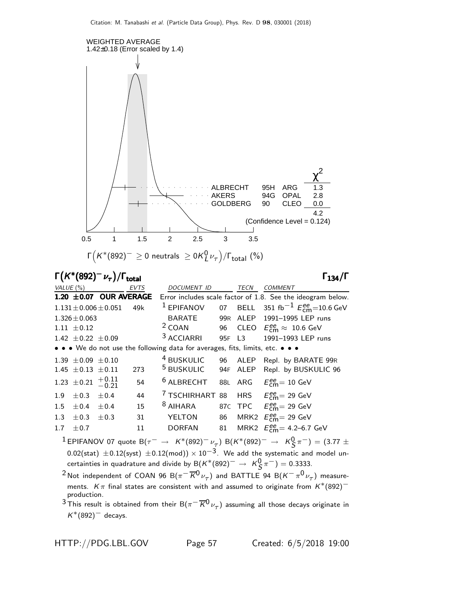

Γ $(K^*(892)^-\nu_{\tau})/\Gamma_{\text{total}}$  Γ

total 134

| VALUE $(\%)$ |                                   |                             | <b>EVTS</b> | DOCUMENT ID                                                                   |        | TECN | <b>COMMENT</b>                                                          |
|--------------|-----------------------------------|-----------------------------|-------------|-------------------------------------------------------------------------------|--------|------|-------------------------------------------------------------------------|
|              |                                   | $1.20 \pm 0.07$ OUR AVERAGE |             |                                                                               |        |      | Error includes scale factor of 1.8. See the ideogram below.             |
|              |                                   | $1.131 \pm 0.006 \pm 0.051$ | 49k         | <sup>1</sup> EPIFANOV                                                         |        |      | 07 BELL 351 fb <sup>-1</sup> $E_{\rm cm}^{\rm ee}$ =10.6 GeV            |
|              | $1.326 \pm 0.063$                 |                             |             | BARATE                                                                        |        |      | 99R ALEP 1991-1995 LEP runs                                             |
|              | $1.11 \pm 0.12$                   |                             |             |                                                                               |        |      | <sup>2</sup> COAN 96 CLEO $E_{\text{cm}}^{ee} \approx 10.6 \text{ GeV}$ |
|              | 1.42 $\pm$ 0.22 $\pm$ 0.09        |                             |             | <sup>3</sup> ACCIARRI                                                         | 95F L3 |      | 1991-1993 LEP runs                                                      |
|              |                                   |                             |             | • • • We do not use the following data for averages, fits, limits, etc. • • • |        |      |                                                                         |
|              | $1.39 \pm 0.09 \pm 0.10$          |                             |             |                                                                               |        |      | <sup>4</sup> BUSKULIC 96 ALEP Repl. by BARATE 99R                       |
|              | 1.45 $\pm$ 0.13 $\pm$ 0.11        |                             | 273         | <sup>5</sup> BUSKULIC 94F ALEP                                                |        |      | Repl. by BUSKULIC 96                                                    |
|              | 1.23 $\pm$ 0.21 $+$ 0.11 $-$ 0.21 |                             | 54          | $6$ ALBRECHT                                                                  |        |      | 88L ARG $E_{cm}^{ee} = 10$ GeV                                          |
|              | $1.9 \pm 0.3 \pm 0.4$             |                             | 44          | <sup>7</sup> TSCHIRHART 88 HRS $E_{\text{cm}}^{ee}$ = 29 GeV                  |        |      |                                                                         |
| 1.5          | $\pm 0.4 \quad \pm 0.4$           |                             | 15          | $8$ AIHARA                                                                    |        |      | 87C TPC $E_{\text{cm}}^{ee} = 29 \text{ GeV}$                           |
|              | 1.3 $\pm 0.3$                     | $\pm 0.3$                   | 31          | YELTON                                                                        |        |      | 86 MRK2 $E_{\text{cm}}^{ee}$ = 29 GeV                                   |
| 1.7          | $\pm$ 0.7                         |                             | 11          | DORFAN                                                                        |        |      | 81 MRK2 $E_{cm}^{ee}$ = 4.2–6.7 GeV                                     |
|              |                                   |                             |             |                                                                               |        |      |                                                                         |

 $^1$ EPIFANOV 07 quote B $(\tau^-\,\rightarrow\,\,$   $\mathcal{K}^*(892)^-\,\nu_{\tau}^-)$  B $(\mathcal{K}^*(892)^-\,\rightarrow\,\,\,\mathcal{K}^0_S\,\pi^-)=(3.77\,\pm\,$  $0.02$ (stat)  $\pm 0.12$ (syst)  $\pm 0.12$ (mod)) ×  $10^{-3}$ . We add the systematic and model uncertainties in quadrature and divide by B $(K^*(892)^-\rightarrow K^0_S\pi^-)=0.3333.$ 

 $^2$ Not independent of COAN 96 B $(\pi^-\overline{K^0}\nu_\tau)$  and BATTLE 94 B $(K^-\pi^0\nu_\tau)$  measurements. K $\pi$  final states are consistent with and assumed to originate from  $K^*(892)$ <sup>-</sup> production.

 $^3$ This result is obtained from their B $(\pi^-\overline{K^0}\nu_\tau)$  assuming all those decays originate in  $K^*(892)^-$  decays.

HTTP://PDG.LBL.GOV Page 57 Created: 6/5/2018 19:00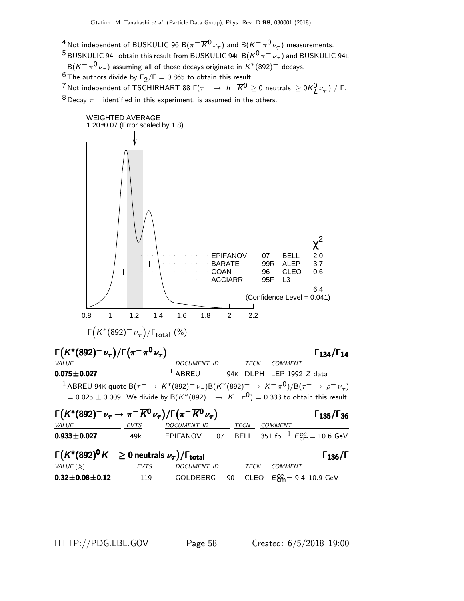$\frac{4}{\pi}$ Not independent of BUSKULIC 96 B( $\pi^-\overline{K}{}^0\nu_\tau)$  and B( $K^-\pi^0\nu_\tau)$  measurements.  $^5$ BUSKULIC 94F obtain this result from BUSKULIC 94F B $(\overline{K}^0 \pi^- \nu_\tau)$  and BUSKULIC 94E  ${\sf B}({\sf K}^-\,\pi^0\,\nu_\tau)$  assuming all of those decays originate in  ${\sf K}^*(892)^-$  decays. <sup>6</sup> The authors divide by  $\Gamma_2/\Gamma = 0.865$  to obtain this result. <sup>7</sup> Not independent of TSCHIRHART 88 Γ( $\tau^-\,\rightarrow\,$  h $^-\,\overline{K}^0\geq$  0 neutrals  $\,\geq$  0K $^0_\mu$ ν $^-\tau)$  / Γ.  $8$  Decay  $\pi^-$  identified in this experiment, is assumed in the others.



HTTP://PDG.LBL.GOV Page 58 Created: 6/5/2018 19:00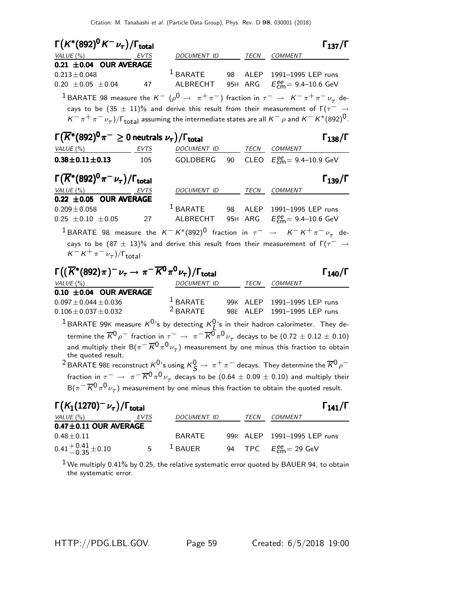| $\Gamma(K^*(892)^0 K^- \nu_\tau)/\Gamma_{\rm total}$                                                                                       |      |                                                      |                 |      |                                                        | $\Gamma_{137}/\Gamma$ |
|--------------------------------------------------------------------------------------------------------------------------------------------|------|------------------------------------------------------|-----------------|------|--------------------------------------------------------|-----------------------|
| $VALUE(%)$ EVTS                                                                                                                            |      | DOCUMENT ID TECN COMMENT                             |                 |      |                                                        |                       |
| 0.21 $\pm$ 0.04 OUR AVERAGE<br>$0.213 \pm 0.048$                                                                                           |      | $^1$ BARATE                                          |                 |      | 98 ALEP 1991-1995 LEP runs                             |                       |
| $0.20 \pm 0.05 \pm 0.04$                                                                                                                   | 47   | ALBRECHT 95H ARG $E_{\text{cm}}^{ee}$ = 9.4–10.6 GeV |                 |      |                                                        |                       |
| <sup>1</sup> BARATE 98 measure the $K^ (\rho^0 \to \pi^+ \pi^-)$ fraction in $\tau^- \to K^- \pi^+ \pi^- \nu_\tau$ de-                     |      |                                                      |                 |      |                                                        |                       |
| cays to be $(35 \pm 11)\%$ and derive this result from their measurement of $\Gamma(\tau^- \rightarrow$                                    |      |                                                      |                 |      |                                                        |                       |
| $K^-\pi^+\pi^-\nu_\tau)$ / $\Gamma_{\rm total}$ assuming the intermediate states are all $K^-\rho$ and $K^-K^*(892)^0$ .                   |      |                                                      |                 |      |                                                        |                       |
| $\Gamma(\overline{K^*}(892)^0 \pi^- \geq 0$ neutrals $\nu_{\tau})/\Gamma_{\rm total}$                                                      |      |                                                      |                 |      |                                                        |                       |
|                                                                                                                                            |      |                                                      |                 |      |                                                        | $\Gamma_{138}/\Gamma$ |
| VALUE $(\%)$<br>EVTS                                                                                                                       |      | DOCUMENT ID TECN COMMENT                             |                 |      |                                                        |                       |
| $0.38 \pm 0.11 \pm 0.13$ 105                                                                                                               |      | GOLDBERG                                             | 90              |      | CLEO $E_{\text{cm}}^{ee} = 9.4 - 10.9 \text{ GeV}$     |                       |
| $\Gamma(\overline{K}^*(892)^0 \pi^- \nu_\tau)/\Gamma_{\rm total}$                                                                          |      |                                                      |                 |      |                                                        | $\Gamma_{139}/\Gamma$ |
| VALUE(%)                                                                                                                                   | EVTS | DOCUMENT ID                                          |                 |      | TECN COMMENT                                           |                       |
| 0.22 $\pm$ 0.05 OUR AVERAGE                                                                                                                |      |                                                      |                 |      |                                                        |                       |
| $0.209 \pm 0.058$                                                                                                                          |      | $1$ BARATE                                           |                 |      | 98 ALEP 1991-1995 LEP runs                             |                       |
| $0.25 \pm 0.10 \pm 0.05$                                                                                                                   | 27   |                                                      |                 |      | ALBRECHT 95H ARG $E_{\text{cm}}^{ee} = 9.4 - 10.6$ GeV |                       |
| <sup>1</sup> BARATE 98 measure the $K^- K^*(892)^0$ fraction in $\tau^ \rightarrow$ $K^- K^+ \pi^- \nu_\tau$ de-                           |      |                                                      |                 |      |                                                        |                       |
| cays to be $(87 \pm 13)\%$ and derive this result from their measurement of $\Gamma(\tau^- \rightarrow$                                    |      |                                                      |                 |      |                                                        |                       |
| $K^- K^+ \pi^- \nu_\tau)/\Gamma_{\text{total}}$ .                                                                                          |      |                                                      |                 |      |                                                        |                       |
|                                                                                                                                            |      |                                                      |                 |      |                                                        |                       |
| $\Gamma\big((\overline{K}^*(892)\pi)^-\nu_\tau\to\pi^-\overline{K^0}\pi^0\nu_\tau\big)/\Gamma_{\rm total}$                                 |      |                                                      |                 |      |                                                        | $\Gamma_{140}/\Gamma$ |
| VALUE $(\%)$<br>$0.10 \pm 0.04$ OUR AVERAGE                                                                                                |      | DOCUMENT ID TECN COMMENT                             |                 |      |                                                        |                       |
| $0.097 \pm 0.044 \pm 0.036$                                                                                                                |      | <sup>1</sup> BARATE 99K ALEP 1991-1995 LEP runs      |                 |      |                                                        |                       |
| $0.106 \pm 0.037 \pm 0.032$                                                                                                                |      | <sup>2</sup> BARATE 98E ALEP 1991-1995 LEP runs      |                 |      |                                                        |                       |
| <sup>1</sup> BARATE 99K measure $K^{0}$ 's by detecting $K^{0}_{I}$ 's in their hadron calorimeter. They de-                               |      |                                                      |                 |      |                                                        |                       |
| termine the $\overline{K}^0\rho^-$ fraction in $\tau^-\to\pi^-\overline{K}{}^0\pi^0\nu_\tau$ decays to be $(0.72\pm0.12\pm0.10)$           |      |                                                      |                 |      |                                                        |                       |
| and multiply their B $(\pi^-\overline{K}{}^0\pi^0\nu_\tau)$ measurement by one minus this fraction to obtain                               |      |                                                      |                 |      |                                                        |                       |
| the quoted result.                                                                                                                         |      |                                                      |                 |      |                                                        |                       |
| $^2$ BARATE 98E reconstruct $K^0$ 's using $K^0_S \to \pi^+ \pi^-$ decays. They determine the $\overline{K}{}^0\rho^-$                     |      |                                                      |                 |      |                                                        |                       |
| fraction in $\tau^-\,\rightarrow\,\,\pi^-\,\overline{K}{}^0\pi^0\,\nu_\tau$ decays to be $(0.64\,\pm\,0.09\,\pm\,0.10)$ and multiply their |      |                                                      |                 |      |                                                        |                       |
| $B(\pi^-\overline{K}{}^0\pi^0\nu_\tau)$ measurement by one minus this fraction to obtain the quoted result.                                |      |                                                      |                 |      |                                                        |                       |
|                                                                                                                                            |      |                                                      |                 |      |                                                        |                       |
| $\Gamma(K_1(1270)^{-}\nu_\tau)/\Gamma_{\rm total}$                                                                                         |      |                                                      |                 |      |                                                        | $\Gamma_{141}/\Gamma$ |
| VALUE $(\%)$                                                                                                                               | EVTS | <i>DOCUMENT ID</i>                                   |                 | TECN | <i>COMMENT</i>                                         |                       |
| $0.47 \pm 0.11$ OUR AVERAGE                                                                                                                |      |                                                      |                 |      |                                                        |                       |
| $0.48 \pm 0.11$                                                                                                                            |      | <b>BARATE</b>                                        | 99 <sub>R</sub> | ALEP | 1991-1995 LEP runs                                     |                       |

 $^1$  We multiply 0.41% by 0.25, the relative systematic error quoted by BAUER 94, to obtain the systematic error.

 $0.41^{+0.41}_{-0.35}$ ±0.10 5 <sup>1</sup> BAUER 94 TPC *E* 

ee<br>cm= 29 GeV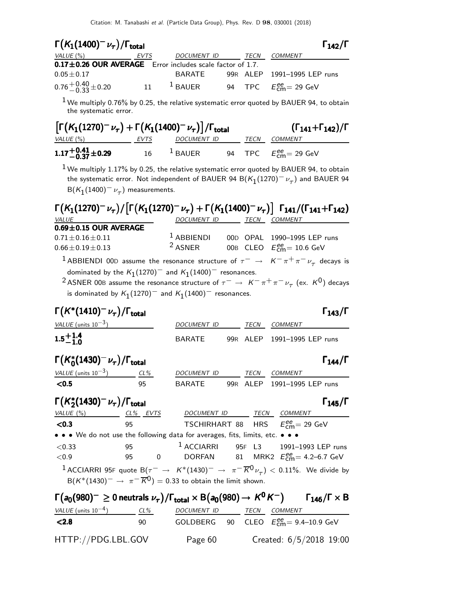| $\Gamma(K_1(1400)^{-1} \nu_{\tau})/\Gamma_{\rm total}$<br>$\Gamma_{142}/\Gamma$ |      |             |  |      |                               |  |  |  |
|---------------------------------------------------------------------------------|------|-------------|--|------|-------------------------------|--|--|--|
| VALUE (%)                                                                       | EVTS | DOCUMENT ID |  | TECN | <b>COMMENT</b>                |  |  |  |
| 0.17±0.26 OUR AVERAGE Error includes scale factor of 1.7.                       |      |             |  |      |                               |  |  |  |
| $0.05 \pm 0.17$                                                                 |      | BARATF      |  |      | 99R ALEP 1991-1995 LEP runs   |  |  |  |
| $0.76 + 0.40 + 0.20$                                                            | 11   | $1$ BAUER   |  |      | 94 TPC $E_{cm}^{ee}$ = 29 GeV |  |  |  |

 $1$  We multiply 0.76% by 0.25, the relative systematic error quoted by BAUER 94, to obtain the systematic error.

| $\left[\Gamma(K_1(1270)^{-}\nu_{\tau})+\Gamma(K_1(1400)^{-}\nu_{\tau})\right]/\Gamma_{\text{total}}$ | $(\Gamma_{141}+\Gamma_{142})/\Gamma$ |                    |      |                                      |
|------------------------------------------------------------------------------------------------------|--------------------------------------|--------------------|------|--------------------------------------|
| VALUE (%)                                                                                            | EVTS                                 | <i>DOCUMENT ID</i> | TECN | <i>COMMENT</i>                       |
| $1.17 + 0.41 + 0.29$                                                                                 | 16                                   | $1$ BAUER          |      | 94 TPC $E_{\text{cm}}^{ee}$ = 29 GeV |

 $^1$  We multiply 1.17% by 0.25, the relative systematic error quoted by BAUER 94, to obtain the systematic error. Not independent of BAUER 94 B $(\mathcal{K}_1(1270)^-\nu_\tau)$  and BAUER 94  $B(K_1(1400)^-\nu_\tau)$  measurements.

| $\Gamma(K_1(1270)^{-}\nu_{\tau})/\Gamma(K_1(1270)^{-}\nu_{\tau})+\Gamma(K_1(1400)^{-}\nu_{\tau})$ $\Gamma_{141}/(\Gamma_{141}+\Gamma_{142})$                                                |              |      |                                          |
|---------------------------------------------------------------------------------------------------------------------------------------------------------------------------------------------|--------------|------|------------------------------------------|
| VALUE                                                                                                                                                                                       | DOCUMENT ID  | TECN | <i>COMMENT</i>                           |
| $0.69 \pm 0.15$ OUR AVERAGE                                                                                                                                                                 |              |      |                                          |
| $0.71 \pm 0.16 \pm 0.11$                                                                                                                                                                    | $1$ ABBIENDI |      | 00D OPAL 1990-1995 LEP runs              |
| $0.66 \pm 0.19 \pm 0.13$                                                                                                                                                                    | $2$ ASNER    |      | 00B CLEO $E_{\text{cm}}^{ee} = 10.6$ GeV |
| <sup>1</sup> ABBIENDI 00D assume the resonance structure of $\tau^- \to K^- \pi^+ \pi^- \nu_\tau$ decays is                                                                                 |              |      |                                          |
| dominated by the $K_1(1270)^-$ and $K_1(1400)^-$ resonances.<br><sup>2</sup> ASNER 00B assume the resonance structure of $\tau^- \to K^- \pi^+ \pi^- \nu_\tau$ (ex. K <sup>0</sup> ) decays |              |      |                                          |

is dominated by  $\mathcal{K}_1(1270)^-$  and  $\mathcal{K}_1(1400)^-$  resonances.

| $\Gamma(K^*(1410)^-\nu_\tau)/\Gamma_{\rm total}$                                |    |                          |      | $\Gamma_{143}/\Gamma$                                                                                                                             |  |
|---------------------------------------------------------------------------------|----|--------------------------|------|---------------------------------------------------------------------------------------------------------------------------------------------------|--|
| VALUE (units $10^{-3}$ )                                                        |    | DOCUMENT ID              | TECN | COMMENT                                                                                                                                           |  |
| $1.5^{+1.4}_{-1.0}$                                                             |    | BARATE                   |      | 99R ALEP 1991-1995 LEP runs                                                                                                                       |  |
| $\Gamma(K_0^*(1430)^-\nu_\tau)/\Gamma_{\rm total}$                              |    |                          |      | $\Gamma_{144}/\Gamma$                                                                                                                             |  |
| VALUE (units $10^{-3}$ ) CL%                                                    |    | DOCUMENT ID TECN COMMENT |      |                                                                                                                                                   |  |
| < 0.5                                                                           | 95 |                          |      | BARATE 99R ALEP 1991-1995 LEP runs                                                                                                                |  |
| $\Gamma(K_2^*(1430)^-\nu_\tau)/\Gamma_{\rm total}$                              |    |                          |      | $\Gamma_{145}/\Gamma$                                                                                                                             |  |
| VALUE (%) CL% EVTS DOCUMENT ID TECN COMMENT                                     |    |                          |      |                                                                                                                                                   |  |
| 95<br>< 0.3                                                                     |    |                          |      | <b>TSCHIRHART 88 HRS</b> $E_{cm}^{ee} = 29$ GeV                                                                                                   |  |
| • • • We do not use the following data for averages, fits, limits, etc. • • •   |    |                          |      |                                                                                                                                                   |  |
| < 0.33                                                                          |    |                          |      | 95 <sup>1</sup> ACCIARRI 95F L3 1991-1993 LEP runs                                                                                                |  |
| ${<}0.9$                                                                        |    |                          |      | 95 0 DORFAN 81 MRK2 $E_{\text{cm}}^{\text{ee}} = 4.2 \text{--} 6.7 \text{ GeV}$                                                                   |  |
| $B(K^*(1430)^-\rightarrow \pi^-\overline{K}^0)=0.33$ to obtain the limit shown. |    |                          |      | <sup>1</sup> ACCIARRI 95F quote B $(\tau^- \to K^*(1430)^- \to \pi^- \overline{K}^0 \nu_\tau) < 0.11\%$ . We divide by                            |  |
|                                                                                 |    |                          |      | $\Gamma(a_0(980)^{-} \geq 0$ neutrals $\nu_{\tau})/\Gamma_{\text{total}} \times B(a_0(980) \rightarrow K^0 K^{-})$ $\Gamma_{146}/\Gamma \times B$ |  |
| VALUE (units $10^{-4}$ ) CL%                                                    |    | DOCUMENT ID              | TECN | <b>COMMENT</b>                                                                                                                                    |  |
| < 2.8                                                                           | 90 |                          |      | GOLDBERG 90 CLEO $E_{\text{cm}}^{ee} = 9.4{\text{--}}10.9 \text{ GeV}$                                                                            |  |
| HTTP://PDG.LBL.GOV                                                              |    | Page 60                  |      | Created: 6/5/2018 19:00                                                                                                                           |  |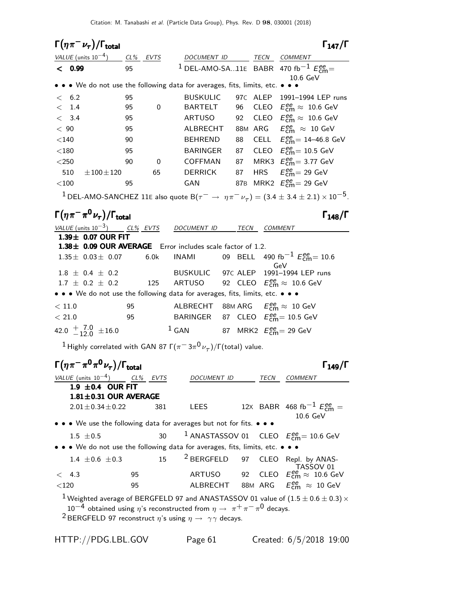| $\Gamma(\eta\pi^-\nu_\tau)/\Gamma_{\rm total}$                                                              |    |             |                                                              |    |             | $\Gamma_{147}/\Gamma$                                                                                                             |
|-------------------------------------------------------------------------------------------------------------|----|-------------|--------------------------------------------------------------|----|-------------|-----------------------------------------------------------------------------------------------------------------------------------|
| VALUE (units $10^{-4}$ ) CL% EVTS                                                                           |    |             | DOCUMENT ID TECN COMMENT                                     |    |             |                                                                                                                                   |
| < 0.99                                                                                                      | 95 |             |                                                              |    |             | <sup>1</sup> DEL-AMO-SA11E BABR 470 fb <sup>-1</sup> $E_{\text{cm}}^{ee}$                                                         |
|                                                                                                             |    |             |                                                              |    |             | 10.6 GeV                                                                                                                          |
| • • • We do not use the following data for averages, fits, limits, etc. • • •                               |    |             |                                                              |    |             |                                                                                                                                   |
| < 6.2                                                                                                       | 95 |             | <b>BUSKULIC</b>                                              |    |             | 97C ALEP 1991-1994 LEP runs                                                                                                       |
| $<$ 1.4                                                                                                     | 95 | $\mathbf 0$ | BARTELT                                                      | 96 |             | CLEO $E_{\text{cm}}^{\text{ee}} \approx 10.6 \text{ GeV}$                                                                         |
| < 3.4                                                                                                       | 95 |             | <b>ARTUSO</b>                                                | 92 |             | CLEO $E_{\text{cm}}^{ee} \approx 10.6 \text{ GeV}$                                                                                |
| < 90                                                                                                        | 95 |             | ALBRECHT                                                     |    |             | 88M ARG $E_{\text{cm}}^{ee} \approx 10 \text{ GeV}$                                                                               |
| $<$ 140                                                                                                     | 90 |             | <b>BEHREND</b>                                               | 88 |             | CELL $E_{\text{cm}}^{ee}$ = 14-46.8 GeV                                                                                           |
| $<$ 180                                                                                                     | 95 |             | <b>BARINGER</b>                                              | 87 |             | CLEO $E_{\text{cm}}^{\text{ee}} = 10.5 \text{ GeV}$                                                                               |
| $<$ 250                                                                                                     | 90 | 0           | COFFMAN                                                      | 87 |             | MRK3 $E_{\text{cm}}^{ee} = 3.77 \text{ GeV}$                                                                                      |
| 510<br>$\pm 100 \pm 120$                                                                                    |    | 65          | <b>DERRICK</b>                                               | 87 |             | HRS $E_{\text{cm}}^{ee} = 29 \text{ GeV}$                                                                                         |
| $<$ 100                                                                                                     | 95 |             | GAN                                                          |    |             | 87B MRK2 $E_{\rm cm}^{\rm ee}$ = 29 GeV                                                                                           |
|                                                                                                             |    |             |                                                              |    |             | <sup>1</sup> DEL-AMO-SANCHEZ 11E also quote B $(\tau^- \rightarrow \eta \pi^- \nu_\tau) = (3.4 \pm 3.4 \pm 2.1) \times 10^{-5}$ . |
| $\Gamma(\eta\pi^-\pi^0\nu_{\tau})/\Gamma_{\rm total}$                                                       |    |             |                                                              |    |             | $\Gamma_{148}/\Gamma$                                                                                                             |
| VALUE (units $10^{-3}$ ) CL% EVTS                                                                           |    |             | DOCUMENT ID TECN COMMENT                                     |    |             |                                                                                                                                   |
| 1.39± 0.07 OUR FIT                                                                                          |    |             |                                                              |    |             |                                                                                                                                   |
| 1.38± 0.09 OUR AVERAGE Error includes scale factor of 1.2.                                                  |    |             |                                                              |    |             |                                                                                                                                   |
| $1.35\pm 0.03\pm 0.07$                                                                                      |    | 6.0k        | <b>INAMI</b>                                                 |    |             | 09 BELL 490 fb <sup>-1</sup> $E_{\text{cm}}^{ee}$ = 10.6                                                                          |
| $1.8 \pm 0.4 \pm 0.2$                                                                                       |    |             | BUSKULIC 97C ALEP                                            |    |             | GeV<br>1991-1994 LEP runs                                                                                                         |
| $1.7 \pm 0.2 \pm 0.2$                                                                                       |    | 125         | ARTUSO                                                       |    |             | 92 CLEO $E_{\text{cm}}^{ee} \approx 10.6 \text{ GeV}$                                                                             |
| • • • We do not use the following data for averages, fits, limits, etc. • • •                               |    |             |                                                              |    |             |                                                                                                                                   |
| < 11.0                                                                                                      | 95 |             | ALBRECHT 88M ARG $E_{\text{cm}}^{ee} \approx 10 \text{ GeV}$ |    |             |                                                                                                                                   |
| < 21.0                                                                                                      | 95 |             | BARINGER 87 CLEO $E_{\text{cm}}^{ee}$ = 10.5 GeV             |    |             |                                                                                                                                   |
| 42.0 $+$ 7.0 $\pm$ 16.0                                                                                     |    |             | $^1$ GAN 87 MRK2 $E_{\rm cm}^{\rm ee}$ = 29 GeV              |    |             |                                                                                                                                   |
| <sup>1</sup> Highly correlated with GAN 87 $\Gamma(\pi^- \, 3\pi^0 \nu_\tau)/\Gamma(\mathrm{total})$ value. |    |             |                                                              |    |             |                                                                                                                                   |
|                                                                                                             |    |             |                                                              |    |             |                                                                                                                                   |
| $\Gamma(\eta\pi^-\pi^0\pi^0\nu_\tau)/\Gamma_{\rm total}$                                                    |    |             |                                                              |    |             | $\Gamma_{149}/\Gamma$                                                                                                             |
| VALUE (units $10^{-4}$ ) CL% EVTS                                                                           |    |             | DOCUMENT ID                                                  |    | TECN        | <b>COMMENT</b>                                                                                                                    |
| 1.9 $\pm$ 0.4 OUR FIT                                                                                       |    |             |                                                              |    |             |                                                                                                                                   |
| $1.81 \pm 0.31$ OUR AVERAGE                                                                                 |    |             |                                                              |    |             |                                                                                                                                   |
| $2.01 \pm 0.34 \pm 0.22$                                                                                    |    | 381         | LEES                                                         |    |             | 12X BABR 468 fb <sup>-1</sup> $E_{cm}^{ee}$ =                                                                                     |
|                                                                                                             |    |             |                                                              |    |             | 10.6 GeV                                                                                                                          |
| • We use the following data for averages but not for fits. • • •                                            |    |             |                                                              |    |             |                                                                                                                                   |
| $1.5 \pm 0.5$                                                                                               |    | 30          | <sup>1</sup> ANASTASSOV 01                                   |    |             | CLEO $E_{\rm cm}^{\rm ee}\!=10.6~{\rm GeV}$                                                                                       |
| • We do not use the following data for averages, fits, limits, etc. • • •                                   |    |             |                                                              |    |             |                                                                                                                                   |
| 1.4 $\pm 0.6 \pm 0.3$                                                                                       |    | 15          | <sup>2</sup> BERGFELD                                        | 97 | <b>CLEO</b> | Repl. by ANAS-<br>TASSOV 01                                                                                                       |
| 4.3<br>$\,<\,$                                                                                              | 95 |             | <b>ARTUSO</b>                                                | 92 | CLEO        | $E_\text{cm}^\text{ee} \approx \ 10.6 \ \text{GeV}$                                                                               |
| $<$ 120                                                                                                     | 95 |             | ALBRECHT 88M ARG                                             |    |             | $E_{\text{cm}}^{ee} \approx 10 \text{ GeV}$                                                                                       |
|                                                                                                             |    |             |                                                              |    |             | $^1$ Weighted average of BERGFELD 97 and ANASTASSOV 01 value of $(1.5 \pm 0.6 \pm 0.3) \times$                                    |
| $10^{-4}$ obtained using $\eta$ 's reconstructed from $\eta \to \pi^+ \pi^- \pi^0$ decays.                  |    |             |                                                              |    |             |                                                                                                                                   |

 $^2$ BERGFELD 97 reconstruct  $\eta$ 's using  $\eta \rightarrow \gamma \gamma$  decays.

HTTP://PDG.LBL.GOV Page 61 Created: 6/5/2018 19:00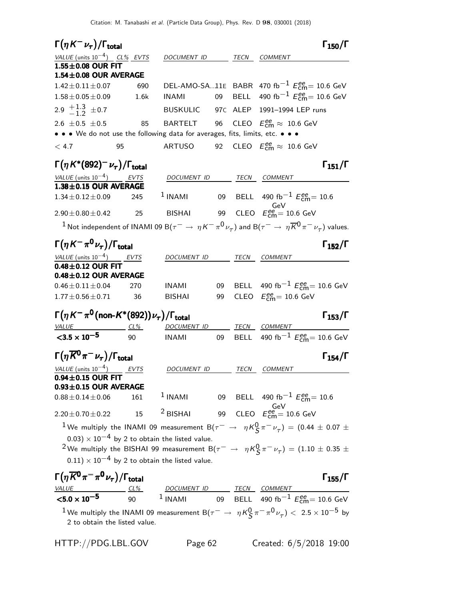Citation: M. Tanabashi et al. (Particle Data Group), Phys. Rev. D 98, 030001 (2018)

| <u>VALUE</u> (units $10^{-4}$ ) CL% EVTS<br>COMMENT<br>DOCUMENT ID<br>TECN<br>1.55±0.08 OUR FIT<br>$1.54\pm0.08$ OUR AVERAGE<br>DEL-AMO-SA11E BABR 470 fb <sup>-1</sup> $E_{\text{cm}}^{ee}$ = 10.6 GeV<br>$1.42 \pm 0.11 \pm 0.07$<br>690<br>BELL 490 fb <sup>-1</sup> $E_{\text{cm}}^{ee}$ = 10.6 GeV<br><b>INAMI</b><br>09<br>$1.58 \pm 0.05 \pm 0.09$<br>1.6k<br>2.9 $\frac{+1.3}{-1.2}$ ± 0.7<br>BUSKULIC 97C ALEP 1991-1994 LEP runs<br>BARTELT 96 CLEO $E_{\text{cm}}^{ee} \approx 10.6 \text{ GeV}$<br>2.6 $\pm$ 0.5 $\pm$ 0.5<br>85<br>$\bullet \bullet \bullet$ We do not use the following data for averages, fits, limits, etc. $\bullet \bullet$<br>92 CLEO $E_{\text{cm}}^{ee} \approx 10.6 \text{ GeV}$<br>ARTUSO<br>< 4.7<br>95<br>$\Gamma\big(\eta\, K^*(892)^-\nu_\tau\big)/\Gamma_{\rm total}$<br>$\Gamma_{151}/\Gamma$<br>VALUE (units $10^{-4}$ ) EVTS<br>DOCUMENT ID<br>TECN COMMENT<br>1.38±0.15 OUR AVERAGE<br>$1$ INAMI<br>09 BELL 490 fb <sup>-1</sup> $E_{\text{cm}}^{ee}$ = 10.6<br>$1.34 \pm 0.12 \pm 0.09$<br>245<br>GeV<br>99 CLEO $E_{\text{cm}}^{ee} = 10.6 \text{ GeV}$<br><b>BISHAI</b><br>$\overline{\phantom{1}}$ 25<br>$2.90 \pm 0.80 \pm 0.42$<br><sup>1</sup> Not independent of INAMI 09 B( $\tau^- \to \eta K^- \pi^0 \nu_\tau$ ) and B( $\tau^- \to \eta \overline{K}^0 \pi^- \nu_\tau$ ) values.<br>$\Gamma(\eta\,K^-\,\pi^0\,\nu_{\tau})/\Gamma_{\rm total}$<br>$\Gamma_{152}/\Gamma$<br>VALUE (units $10^{-4}$ ) EVTS<br>DOCUMENT ID<br>TECN<br>COMMENT<br>$0.48 \pm 0.12$ OUR FIT<br>$0.48 \pm 0.12$ OUR AVERAGE<br>BELL 490 fb <sup>-1</sup> $E_{cm}^{ee}$ = 10.6 GeV<br>09<br>$0.46 \pm 0.11 \pm 0.04$<br>270<br>INAMI<br>CLEO $E_{\text{cm}}^{\text{ee}} = 10.6 \text{ GeV}$<br>$1.77 \pm 0.56 \pm 0.71$<br>99<br>36<br><b>BISHAI</b><br>$\Gamma\big(\eta\,K^-\pi^{\mathsf{0}}\allowbreak\mathsf{(non-}K^*(892)\big)\nu_\tau\big)/\Gamma_\mathrm{total}$<br>$\Gamma_{153}/\Gamma$<br>$VALUE 2L%$<br>DOCUMENT ID<br>TECN COMMENT<br>90<br>BELL 490 fb <sup>-1</sup> $E_{cm}^{ee}$ = 10.6 GeV<br>$<$ 3.5 $\times$ 10 <sup>-5</sup><br><b>INAMI</b><br>09<br>$\Gamma(\eta \overline{K}{}^0\pi^-\nu_\tau)/\Gamma_{\rm total}$<br>$\Gamma_{154}/\Gamma$<br>$\frac{VALUE}{0.94 \pm 0.15} \frac{10^{-4}}{OWR}$ EVTS<br>TECN<br><b>COMMENT</b><br><i>DOCUMENT ID</i><br>$0.93 \pm 0.15$ OUR AVERAGE<br>$1$ INAMI<br>09 BELL 490 fb <sup>-1</sup> $E_{\text{cm}}^{ee}$ = 10.6<br>$0.88 \pm 0.14 \pm 0.06$<br>161<br>GeV<br>99 CLEO $E_{\text{cm}}^{\text{ee}} = 10.6 \text{ GeV}$<br>$2$ BISHAI<br>15<br>$2.20 \pm 0.70 \pm 0.22$<br><sup>1</sup> We multiply the INAMI 09 measurement B( $\tau^ \rightarrow$ $\eta K^0_S \pi^- \nu_\tau)$ = (0.44 $\pm$ 0.07 $\pm$<br>$(0.03) \times 10^{-4}$ by 2 to obtain the listed value.<br><sup>2</sup> We multiply the BISHAI 99 measurement B( $\tau^ \rightarrow$ $\eta K^0_S \pi^- \nu_\tau$ ) = (1.10 $\pm$ 0.35 $\pm$<br>$(0.11) \times 10^{-4}$ by 2 to obtain the listed value.<br>$\Gamma(\eta \overline{K}{}^{\mathbf{0}}\pi^- \pi^{\mathbf{0}}\nu_\tau)/\Gamma_{\text{total}}$<br>$\Gamma_{155}/\Gamma$<br>VALUE<br><b>TECN</b><br>DOCUMENT ID<br><b>COMMENT</b><br>$CL\%$<br>$1$ INAMI<br>90<br><b>BELL</b><br>09 | $\Gamma(\eta K^-\nu_\tau)/\Gamma_{\rm total}$ |  |  | $\Gamma_{150}/\Gamma$                                |
|----------------------------------------------------------------------------------------------------------------------------------------------------------------------------------------------------------------------------------------------------------------------------------------------------------------------------------------------------------------------------------------------------------------------------------------------------------------------------------------------------------------------------------------------------------------------------------------------------------------------------------------------------------------------------------------------------------------------------------------------------------------------------------------------------------------------------------------------------------------------------------------------------------------------------------------------------------------------------------------------------------------------------------------------------------------------------------------------------------------------------------------------------------------------------------------------------------------------------------------------------------------------------------------------------------------------------------------------------------------------------------------------------------------------------------------------------------------------------------------------------------------------------------------------------------------------------------------------------------------------------------------------------------------------------------------------------------------------------------------------------------------------------------------------------------------------------------------------------------------------------------------------------------------------------------------------------------------------------------------------------------------------------------------------------------------------------------------------------------------------------------------------------------------------------------------------------------------------------------------------------------------------------------------------------------------------------------------------------------------------------------------------------------------------------------------------------------------------------------------------------------------------------------------------------------------------------------------------------------------------------------------------------------------------------------------------------------------------------------------------------------------------------------------------------------------------------------------------------------------------------------------------------------------------------------------------------------------------------------------------------------------------------------------------------------------------------------------------------------------------------------------------------------------------------------------------------------------|-----------------------------------------------|--|--|------------------------------------------------------|
|                                                                                                                                                                                                                                                                                                                                                                                                                                                                                                                                                                                                                                                                                                                                                                                                                                                                                                                                                                                                                                                                                                                                                                                                                                                                                                                                                                                                                                                                                                                                                                                                                                                                                                                                                                                                                                                                                                                                                                                                                                                                                                                                                                                                                                                                                                                                                                                                                                                                                                                                                                                                                                                                                                                                                                                                                                                                                                                                                                                                                                                                                                                                                                                                                |                                               |  |  |                                                      |
|                                                                                                                                                                                                                                                                                                                                                                                                                                                                                                                                                                                                                                                                                                                                                                                                                                                                                                                                                                                                                                                                                                                                                                                                                                                                                                                                                                                                                                                                                                                                                                                                                                                                                                                                                                                                                                                                                                                                                                                                                                                                                                                                                                                                                                                                                                                                                                                                                                                                                                                                                                                                                                                                                                                                                                                                                                                                                                                                                                                                                                                                                                                                                                                                                |                                               |  |  |                                                      |
|                                                                                                                                                                                                                                                                                                                                                                                                                                                                                                                                                                                                                                                                                                                                                                                                                                                                                                                                                                                                                                                                                                                                                                                                                                                                                                                                                                                                                                                                                                                                                                                                                                                                                                                                                                                                                                                                                                                                                                                                                                                                                                                                                                                                                                                                                                                                                                                                                                                                                                                                                                                                                                                                                                                                                                                                                                                                                                                                                                                                                                                                                                                                                                                                                |                                               |  |  |                                                      |
|                                                                                                                                                                                                                                                                                                                                                                                                                                                                                                                                                                                                                                                                                                                                                                                                                                                                                                                                                                                                                                                                                                                                                                                                                                                                                                                                                                                                                                                                                                                                                                                                                                                                                                                                                                                                                                                                                                                                                                                                                                                                                                                                                                                                                                                                                                                                                                                                                                                                                                                                                                                                                                                                                                                                                                                                                                                                                                                                                                                                                                                                                                                                                                                                                |                                               |  |  |                                                      |
|                                                                                                                                                                                                                                                                                                                                                                                                                                                                                                                                                                                                                                                                                                                                                                                                                                                                                                                                                                                                                                                                                                                                                                                                                                                                                                                                                                                                                                                                                                                                                                                                                                                                                                                                                                                                                                                                                                                                                                                                                                                                                                                                                                                                                                                                                                                                                                                                                                                                                                                                                                                                                                                                                                                                                                                                                                                                                                                                                                                                                                                                                                                                                                                                                |                                               |  |  |                                                      |
|                                                                                                                                                                                                                                                                                                                                                                                                                                                                                                                                                                                                                                                                                                                                                                                                                                                                                                                                                                                                                                                                                                                                                                                                                                                                                                                                                                                                                                                                                                                                                                                                                                                                                                                                                                                                                                                                                                                                                                                                                                                                                                                                                                                                                                                                                                                                                                                                                                                                                                                                                                                                                                                                                                                                                                                                                                                                                                                                                                                                                                                                                                                                                                                                                |                                               |  |  |                                                      |
|                                                                                                                                                                                                                                                                                                                                                                                                                                                                                                                                                                                                                                                                                                                                                                                                                                                                                                                                                                                                                                                                                                                                                                                                                                                                                                                                                                                                                                                                                                                                                                                                                                                                                                                                                                                                                                                                                                                                                                                                                                                                                                                                                                                                                                                                                                                                                                                                                                                                                                                                                                                                                                                                                                                                                                                                                                                                                                                                                                                                                                                                                                                                                                                                                |                                               |  |  |                                                      |
|                                                                                                                                                                                                                                                                                                                                                                                                                                                                                                                                                                                                                                                                                                                                                                                                                                                                                                                                                                                                                                                                                                                                                                                                                                                                                                                                                                                                                                                                                                                                                                                                                                                                                                                                                                                                                                                                                                                                                                                                                                                                                                                                                                                                                                                                                                                                                                                                                                                                                                                                                                                                                                                                                                                                                                                                                                                                                                                                                                                                                                                                                                                                                                                                                |                                               |  |  |                                                      |
|                                                                                                                                                                                                                                                                                                                                                                                                                                                                                                                                                                                                                                                                                                                                                                                                                                                                                                                                                                                                                                                                                                                                                                                                                                                                                                                                                                                                                                                                                                                                                                                                                                                                                                                                                                                                                                                                                                                                                                                                                                                                                                                                                                                                                                                                                                                                                                                                                                                                                                                                                                                                                                                                                                                                                                                                                                                                                                                                                                                                                                                                                                                                                                                                                |                                               |  |  |                                                      |
|                                                                                                                                                                                                                                                                                                                                                                                                                                                                                                                                                                                                                                                                                                                                                                                                                                                                                                                                                                                                                                                                                                                                                                                                                                                                                                                                                                                                                                                                                                                                                                                                                                                                                                                                                                                                                                                                                                                                                                                                                                                                                                                                                                                                                                                                                                                                                                                                                                                                                                                                                                                                                                                                                                                                                                                                                                                                                                                                                                                                                                                                                                                                                                                                                |                                               |  |  |                                                      |
|                                                                                                                                                                                                                                                                                                                                                                                                                                                                                                                                                                                                                                                                                                                                                                                                                                                                                                                                                                                                                                                                                                                                                                                                                                                                                                                                                                                                                                                                                                                                                                                                                                                                                                                                                                                                                                                                                                                                                                                                                                                                                                                                                                                                                                                                                                                                                                                                                                                                                                                                                                                                                                                                                                                                                                                                                                                                                                                                                                                                                                                                                                                                                                                                                |                                               |  |  |                                                      |
|                                                                                                                                                                                                                                                                                                                                                                                                                                                                                                                                                                                                                                                                                                                                                                                                                                                                                                                                                                                                                                                                                                                                                                                                                                                                                                                                                                                                                                                                                                                                                                                                                                                                                                                                                                                                                                                                                                                                                                                                                                                                                                                                                                                                                                                                                                                                                                                                                                                                                                                                                                                                                                                                                                                                                                                                                                                                                                                                                                                                                                                                                                                                                                                                                |                                               |  |  |                                                      |
|                                                                                                                                                                                                                                                                                                                                                                                                                                                                                                                                                                                                                                                                                                                                                                                                                                                                                                                                                                                                                                                                                                                                                                                                                                                                                                                                                                                                                                                                                                                                                                                                                                                                                                                                                                                                                                                                                                                                                                                                                                                                                                                                                                                                                                                                                                                                                                                                                                                                                                                                                                                                                                                                                                                                                                                                                                                                                                                                                                                                                                                                                                                                                                                                                |                                               |  |  |                                                      |
|                                                                                                                                                                                                                                                                                                                                                                                                                                                                                                                                                                                                                                                                                                                                                                                                                                                                                                                                                                                                                                                                                                                                                                                                                                                                                                                                                                                                                                                                                                                                                                                                                                                                                                                                                                                                                                                                                                                                                                                                                                                                                                                                                                                                                                                                                                                                                                                                                                                                                                                                                                                                                                                                                                                                                                                                                                                                                                                                                                                                                                                                                                                                                                                                                |                                               |  |  |                                                      |
|                                                                                                                                                                                                                                                                                                                                                                                                                                                                                                                                                                                                                                                                                                                                                                                                                                                                                                                                                                                                                                                                                                                                                                                                                                                                                                                                                                                                                                                                                                                                                                                                                                                                                                                                                                                                                                                                                                                                                                                                                                                                                                                                                                                                                                                                                                                                                                                                                                                                                                                                                                                                                                                                                                                                                                                                                                                                                                                                                                                                                                                                                                                                                                                                                |                                               |  |  |                                                      |
|                                                                                                                                                                                                                                                                                                                                                                                                                                                                                                                                                                                                                                                                                                                                                                                                                                                                                                                                                                                                                                                                                                                                                                                                                                                                                                                                                                                                                                                                                                                                                                                                                                                                                                                                                                                                                                                                                                                                                                                                                                                                                                                                                                                                                                                                                                                                                                                                                                                                                                                                                                                                                                                                                                                                                                                                                                                                                                                                                                                                                                                                                                                                                                                                                |                                               |  |  |                                                      |
|                                                                                                                                                                                                                                                                                                                                                                                                                                                                                                                                                                                                                                                                                                                                                                                                                                                                                                                                                                                                                                                                                                                                                                                                                                                                                                                                                                                                                                                                                                                                                                                                                                                                                                                                                                                                                                                                                                                                                                                                                                                                                                                                                                                                                                                                                                                                                                                                                                                                                                                                                                                                                                                                                                                                                                                                                                                                                                                                                                                                                                                                                                                                                                                                                |                                               |  |  |                                                      |
|                                                                                                                                                                                                                                                                                                                                                                                                                                                                                                                                                                                                                                                                                                                                                                                                                                                                                                                                                                                                                                                                                                                                                                                                                                                                                                                                                                                                                                                                                                                                                                                                                                                                                                                                                                                                                                                                                                                                                                                                                                                                                                                                                                                                                                                                                                                                                                                                                                                                                                                                                                                                                                                                                                                                                                                                                                                                                                                                                                                                                                                                                                                                                                                                                |                                               |  |  |                                                      |
|                                                                                                                                                                                                                                                                                                                                                                                                                                                                                                                                                                                                                                                                                                                                                                                                                                                                                                                                                                                                                                                                                                                                                                                                                                                                                                                                                                                                                                                                                                                                                                                                                                                                                                                                                                                                                                                                                                                                                                                                                                                                                                                                                                                                                                                                                                                                                                                                                                                                                                                                                                                                                                                                                                                                                                                                                                                                                                                                                                                                                                                                                                                                                                                                                |                                               |  |  |                                                      |
|                                                                                                                                                                                                                                                                                                                                                                                                                                                                                                                                                                                                                                                                                                                                                                                                                                                                                                                                                                                                                                                                                                                                                                                                                                                                                                                                                                                                                                                                                                                                                                                                                                                                                                                                                                                                                                                                                                                                                                                                                                                                                                                                                                                                                                                                                                                                                                                                                                                                                                                                                                                                                                                                                                                                                                                                                                                                                                                                                                                                                                                                                                                                                                                                                |                                               |  |  |                                                      |
|                                                                                                                                                                                                                                                                                                                                                                                                                                                                                                                                                                                                                                                                                                                                                                                                                                                                                                                                                                                                                                                                                                                                                                                                                                                                                                                                                                                                                                                                                                                                                                                                                                                                                                                                                                                                                                                                                                                                                                                                                                                                                                                                                                                                                                                                                                                                                                                                                                                                                                                                                                                                                                                                                                                                                                                                                                                                                                                                                                                                                                                                                                                                                                                                                |                                               |  |  |                                                      |
|                                                                                                                                                                                                                                                                                                                                                                                                                                                                                                                                                                                                                                                                                                                                                                                                                                                                                                                                                                                                                                                                                                                                                                                                                                                                                                                                                                                                                                                                                                                                                                                                                                                                                                                                                                                                                                                                                                                                                                                                                                                                                                                                                                                                                                                                                                                                                                                                                                                                                                                                                                                                                                                                                                                                                                                                                                                                                                                                                                                                                                                                                                                                                                                                                |                                               |  |  |                                                      |
|                                                                                                                                                                                                                                                                                                                                                                                                                                                                                                                                                                                                                                                                                                                                                                                                                                                                                                                                                                                                                                                                                                                                                                                                                                                                                                                                                                                                                                                                                                                                                                                                                                                                                                                                                                                                                                                                                                                                                                                                                                                                                                                                                                                                                                                                                                                                                                                                                                                                                                                                                                                                                                                                                                                                                                                                                                                                                                                                                                                                                                                                                                                                                                                                                |                                               |  |  |                                                      |
|                                                                                                                                                                                                                                                                                                                                                                                                                                                                                                                                                                                                                                                                                                                                                                                                                                                                                                                                                                                                                                                                                                                                                                                                                                                                                                                                                                                                                                                                                                                                                                                                                                                                                                                                                                                                                                                                                                                                                                                                                                                                                                                                                                                                                                                                                                                                                                                                                                                                                                                                                                                                                                                                                                                                                                                                                                                                                                                                                                                                                                                                                                                                                                                                                |                                               |  |  |                                                      |
|                                                                                                                                                                                                                                                                                                                                                                                                                                                                                                                                                                                                                                                                                                                                                                                                                                                                                                                                                                                                                                                                                                                                                                                                                                                                                                                                                                                                                                                                                                                                                                                                                                                                                                                                                                                                                                                                                                                                                                                                                                                                                                                                                                                                                                                                                                                                                                                                                                                                                                                                                                                                                                                                                                                                                                                                                                                                                                                                                                                                                                                                                                                                                                                                                |                                               |  |  |                                                      |
|                                                                                                                                                                                                                                                                                                                                                                                                                                                                                                                                                                                                                                                                                                                                                                                                                                                                                                                                                                                                                                                                                                                                                                                                                                                                                                                                                                                                                                                                                                                                                                                                                                                                                                                                                                                                                                                                                                                                                                                                                                                                                                                                                                                                                                                                                                                                                                                                                                                                                                                                                                                                                                                                                                                                                                                                                                                                                                                                                                                                                                                                                                                                                                                                                |                                               |  |  |                                                      |
|                                                                                                                                                                                                                                                                                                                                                                                                                                                                                                                                                                                                                                                                                                                                                                                                                                                                                                                                                                                                                                                                                                                                                                                                                                                                                                                                                                                                                                                                                                                                                                                                                                                                                                                                                                                                                                                                                                                                                                                                                                                                                                                                                                                                                                                                                                                                                                                                                                                                                                                                                                                                                                                                                                                                                                                                                                                                                                                                                                                                                                                                                                                                                                                                                |                                               |  |  |                                                      |
|                                                                                                                                                                                                                                                                                                                                                                                                                                                                                                                                                                                                                                                                                                                                                                                                                                                                                                                                                                                                                                                                                                                                                                                                                                                                                                                                                                                                                                                                                                                                                                                                                                                                                                                                                                                                                                                                                                                                                                                                                                                                                                                                                                                                                                                                                                                                                                                                                                                                                                                                                                                                                                                                                                                                                                                                                                                                                                                                                                                                                                                                                                                                                                                                                |                                               |  |  |                                                      |
|                                                                                                                                                                                                                                                                                                                                                                                                                                                                                                                                                                                                                                                                                                                                                                                                                                                                                                                                                                                                                                                                                                                                                                                                                                                                                                                                                                                                                                                                                                                                                                                                                                                                                                                                                                                                                                                                                                                                                                                                                                                                                                                                                                                                                                                                                                                                                                                                                                                                                                                                                                                                                                                                                                                                                                                                                                                                                                                                                                                                                                                                                                                                                                                                                |                                               |  |  |                                                      |
|                                                                                                                                                                                                                                                                                                                                                                                                                                                                                                                                                                                                                                                                                                                                                                                                                                                                                                                                                                                                                                                                                                                                                                                                                                                                                                                                                                                                                                                                                                                                                                                                                                                                                                                                                                                                                                                                                                                                                                                                                                                                                                                                                                                                                                                                                                                                                                                                                                                                                                                                                                                                                                                                                                                                                                                                                                                                                                                                                                                                                                                                                                                                                                                                                |                                               |  |  |                                                      |
|                                                                                                                                                                                                                                                                                                                                                                                                                                                                                                                                                                                                                                                                                                                                                                                                                                                                                                                                                                                                                                                                                                                                                                                                                                                                                                                                                                                                                                                                                                                                                                                                                                                                                                                                                                                                                                                                                                                                                                                                                                                                                                                                                                                                                                                                                                                                                                                                                                                                                                                                                                                                                                                                                                                                                                                                                                                                                                                                                                                                                                                                                                                                                                                                                |                                               |  |  |                                                      |
|                                                                                                                                                                                                                                                                                                                                                                                                                                                                                                                                                                                                                                                                                                                                                                                                                                                                                                                                                                                                                                                                                                                                                                                                                                                                                                                                                                                                                                                                                                                                                                                                                                                                                                                                                                                                                                                                                                                                                                                                                                                                                                                                                                                                                                                                                                                                                                                                                                                                                                                                                                                                                                                                                                                                                                                                                                                                                                                                                                                                                                                                                                                                                                                                                |                                               |  |  |                                                      |
|                                                                                                                                                                                                                                                                                                                                                                                                                                                                                                                                                                                                                                                                                                                                                                                                                                                                                                                                                                                                                                                                                                                                                                                                                                                                                                                                                                                                                                                                                                                                                                                                                                                                                                                                                                                                                                                                                                                                                                                                                                                                                                                                                                                                                                                                                                                                                                                                                                                                                                                                                                                                                                                                                                                                                                                                                                                                                                                                                                                                                                                                                                                                                                                                                |                                               |  |  |                                                      |
|                                                                                                                                                                                                                                                                                                                                                                                                                                                                                                                                                                                                                                                                                                                                                                                                                                                                                                                                                                                                                                                                                                                                                                                                                                                                                                                                                                                                                                                                                                                                                                                                                                                                                                                                                                                                                                                                                                                                                                                                                                                                                                                                                                                                                                                                                                                                                                                                                                                                                                                                                                                                                                                                                                                                                                                                                                                                                                                                                                                                                                                                                                                                                                                                                | ${<}5.0 \times 10^{-5}$                       |  |  | 490 fb <sup>-1</sup> $E_{\text{cm}}^{ee}$ = 10.6 GeV |

<sup>1</sup> We multiply the INAMI 09 measurement B( $\tau^-$  →  $ηK^0_S\pi^-\pi^0\nu_\tau$ ) < 2.5 × 10<sup>−5</sup> by 2 to obtain the listed value.

HTTP://PDG.LBL.GOV Page 62 Created: 6/5/2018 19:00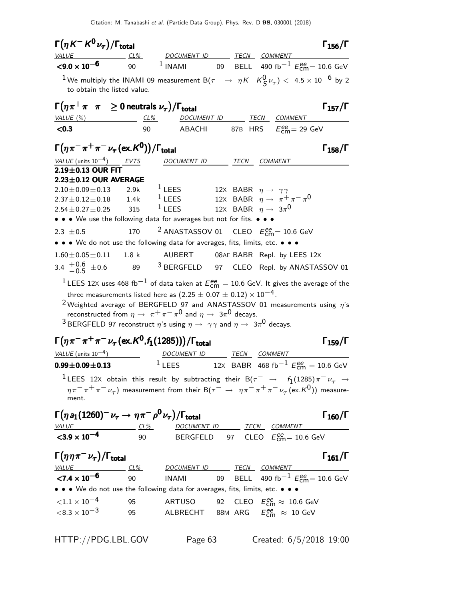| $\Gamma(\eta K^- K^0 \nu_\tau)/\Gamma_{\rm total}$                                                                                                                                                                                                                                                                         |                  |                                                                                                                                                                |      |                                                                                                                                | $\Gamma_{156}/\Gamma$ |
|----------------------------------------------------------------------------------------------------------------------------------------------------------------------------------------------------------------------------------------------------------------------------------------------------------------------------|------------------|----------------------------------------------------------------------------------------------------------------------------------------------------------------|------|--------------------------------------------------------------------------------------------------------------------------------|-----------------------|
| <i>VALUE</i><br>$<$ 9.0 $\times$ 10 <sup>-6</sup>                                                                                                                                                                                                                                                                          | $CL\%$           |                                                                                                                                                                |      | DOCUMENT ID ______ TECN COMMENT _______<br>90 <sup>1</sup> INAMI 09 BELL 490 fb <sup>-1</sup> $E_{\text{cm}}^{ee}$ = 10.6 GeV  |                       |
|                                                                                                                                                                                                                                                                                                                            |                  |                                                                                                                                                                |      |                                                                                                                                |                       |
| $^1$ We multiply the INAMI 09 measurement B $(\tau^-\,\rightarrow\,\, \eta\,K^-\,K^0_S\nu_\tau)<\,$ 4.5 $\times\,10^{-6}$ by 2<br>to obtain the listed value.                                                                                                                                                              |                  |                                                                                                                                                                |      |                                                                                                                                |                       |
| $\Gamma(\eta \pi^+ \pi^- \pi^- \geq 0$ neutrals $\nu_{\tau})/\Gamma_{\text{total}}$<br>VALUE $(\%)$                                                                                                                                                                                                                        |                  |                                                                                                                                                                |      | TECN COMMENT                                                                                                                   | $\Gamma_{157}/\Gamma$ |
| < 0.3                                                                                                                                                                                                                                                                                                                      | 90               | <u>CL% DOCUMENT ID</u><br><b>ABACHI</b>                                                                                                                        |      | 87B HRS $E_{\text{cm}}^{\text{ee}}$ = 29 GeV                                                                                   |                       |
|                                                                                                                                                                                                                                                                                                                            |                  |                                                                                                                                                                |      |                                                                                                                                |                       |
| $\Gamma(\eta \pi^- \pi^+ \pi^- \nu_\tau (\text{ex.} K^0))/\Gamma_{\text{total}}$                                                                                                                                                                                                                                           |                  |                                                                                                                                                                |      |                                                                                                                                | $\Gamma_{158}/\Gamma$ |
| VALUE (units $10^{-4}$ ) EVTS                                                                                                                                                                                                                                                                                              |                  | DOCUMENT ID                                                                                                                                                    | TECN | COMMENT                                                                                                                        |                       |
| 2.19±0.13 OUR FIT<br>$2.23 \pm 0.12$ OUR AVERAGE                                                                                                                                                                                                                                                                           |                  |                                                                                                                                                                |      |                                                                                                                                |                       |
| $2.10 \pm 0.09 \pm 0.13$                                                                                                                                                                                                                                                                                                   | 2.9k             | <sup>1</sup> LEES 12X BABR $\eta \rightarrow \gamma \gamma$                                                                                                    |      |                                                                                                                                |                       |
| $2.37 \pm 0.12 \pm 0.18$ 1.4k                                                                                                                                                                                                                                                                                              |                  | $1$ LEES                                                                                                                                                       |      | 12X BABR $\eta \rightarrow \pi^+ \pi^- \pi^0$                                                                                  |                       |
| $2.54 \pm 0.27 \pm 0.25$                                                                                                                                                                                                                                                                                                   | 315              | $1$ LEES                                                                                                                                                       |      | 12X BABR $\eta \rightarrow 3\pi^0$                                                                                             |                       |
| • • • We use the following data for averages but not for fits. • • •                                                                                                                                                                                                                                                       |                  |                                                                                                                                                                |      |                                                                                                                                |                       |
| 2.3 $\pm 0.5$                                                                                                                                                                                                                                                                                                              | 170              |                                                                                                                                                                |      | <sup>2</sup> ANASTASSOV 01 CLEO $E_{\text{cm}}^{ee}$ = 10.6 GeV                                                                |                       |
| • • • We do not use the following data for averages, fits, limits, etc. • • •                                                                                                                                                                                                                                              |                  |                                                                                                                                                                |      |                                                                                                                                |                       |
| $1.60 \pm 0.05 \pm 0.11$                                                                                                                                                                                                                                                                                                   | 1.8 <sub>k</sub> |                                                                                                                                                                |      | AUBERT 08AE BABR Repl. by LEES 12X                                                                                             |                       |
| 3.4 $^{+0.6}_{-0.5}$ ± 0.6                                                                                                                                                                                                                                                                                                 |                  |                                                                                                                                                                |      | 89 3 BERGFELD 97 CLEO Repl. by ANASTASSOV 01                                                                                   |                       |
| $^1$ LEES 12X uses 468 fb $^{-1}$ of data taken at $E_{\rm cm}^{ee} =$ 10.6 GeV. It gives the average of the<br><sup>2</sup> Weighted average of BERGFELD 97 and ANASTASSOV 01 measurements using $\eta$ 's<br><sup>3</sup> BERGFELD 97 reconstruct $\eta$ 's using $\eta \to \gamma \gamma$ and $\eta \to 3\pi^0$ decays. |                  | three measurements listed here as $(2.25 \pm 0.07 \pm 0.12) \times 10^{-4}$ .<br>reconstructed from $\eta \to \pi^+ \pi^- \pi^0$ and $\eta \to 3\pi^0$ decays. |      |                                                                                                                                |                       |
| $\Gamma(\eta \pi^- \pi^+ \pi^- \nu_\tau (\text{ex.}\, K^0, f_1(1285))) / \Gamma_{\text{total}}$                                                                                                                                                                                                                            |                  |                                                                                                                                                                |      |                                                                                                                                | $\Gamma_{159}/\Gamma$ |
| $VALUE$ (units $10^{-4}$ )                                                                                                                                                                                                                                                                                                 |                  | DOCUMENT ID TECN COMMENT                                                                                                                                       |      |                                                                                                                                |                       |
| $0.99 \pm 0.09 \pm 0.13$                                                                                                                                                                                                                                                                                                   |                  | $1$ LEES                                                                                                                                                       |      | 12X BABR 468 fb <sup>-1</sup> $E_{\text{cm}}^{ee} = 10.6 \text{ GeV}$                                                          |                       |
| $^1$ LEES 12X obtain this result by subtracting their B $(\tau^-\;\rightarrow\;\;f_1(1285)\,\pi^-\,\nu_\tau\;\rightarrow\;$                                                                                                                                                                                                |                  |                                                                                                                                                                |      |                                                                                                                                |                       |
| ment.                                                                                                                                                                                                                                                                                                                      |                  |                                                                                                                                                                |      | $\eta\pi^-\pi^+\pi^-\nu_\tau)$ measurement from their B $(\tau^-\to\eta\pi^-\pi^+\pi^-\nu_\tau$ (ex.K <sup>0</sup> )) measure- |                       |
| $\Gamma(\eta a_1(1260)^-\nu_\tau \to \eta\pi^-\rho^0\nu_\tau)/\Gamma_{\rm total}$                                                                                                                                                                                                                                          |                  |                                                                                                                                                                |      |                                                                                                                                | $\Gamma_{160}/\Gamma$ |
| $\frac{VALUE}{1000}$ $\frac{CL\%}{1000}$ $\frac{DOCUMENTID}{BERGFELD}$ $\frac{TECN}{97}$ $\frac{COMMENT}{CEE}$ $\frac{COMMENT}{EEm}$ = 10.6 GeV                                                                                                                                                                            |                  |                                                                                                                                                                |      |                                                                                                                                |                       |
|                                                                                                                                                                                                                                                                                                                            |                  |                                                                                                                                                                |      |                                                                                                                                |                       |
| $\Gamma(\eta\eta\pi^-\nu_\tau)/\Gamma_{\rm total}$                                                                                                                                                                                                                                                                         |                  |                                                                                                                                                                |      |                                                                                                                                | $\Gamma_{161}/\Gamma$ |
| $\frac{VALUE}{27.4 \times 10^{-6}}$ $\frac{CL\%}{90}$ $\frac{DOCUMENT ID}{NAMI}$ $\frac{TECN}{99}$ $\frac{COMMENT}{BELL}$ $490 fb^{-1}$                                                                                                                                                                                    |                  |                                                                                                                                                                |      |                                                                                                                                |                       |
| • • • We do not use the following data for averages, fits, limits, etc. • • •                                                                                                                                                                                                                                              |                  |                                                                                                                                                                |      | INAMI 09 BELL 490 fb $^{-1}$ $E_{\rm cm}^{ee}$ = 10.6 GeV                                                                      |                       |
| ${<}1.1 \times 10^{-4}$                                                                                                                                                                                                                                                                                                    | 95               |                                                                                                                                                                |      | ARTUSO 92 CLEO $E_{\text{cm}}^{\text{ee}} \approx 10.6 \text{ GeV}$                                                            |                       |
| $<$ 8.3 $\times$ 10 $^{-3}$                                                                                                                                                                                                                                                                                                | 95               |                                                                                                                                                                |      | ALBRECHT 88M ARG $E_{\text{cm}}^{ee} \approx 10 \text{ GeV}$                                                                   |                       |
|                                                                                                                                                                                                                                                                                                                            |                  |                                                                                                                                                                |      |                                                                                                                                |                       |

HTTP://PDG.LBL.GOV Page 63 Created: 6/5/2018 19:00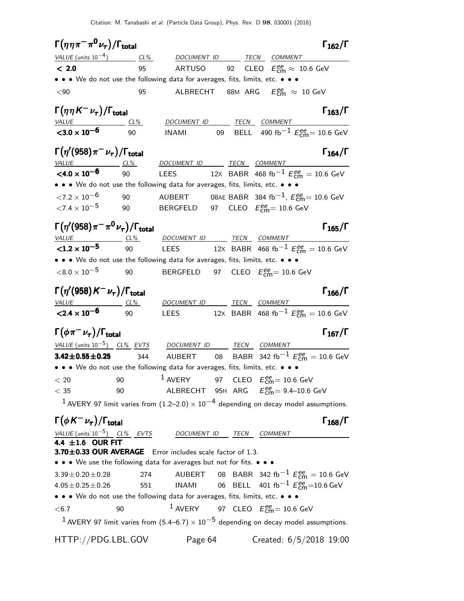| $\Gamma\big(\eta\,\eta\,\pi^-\,\pi^{\mathbf{0}}\,\nu_{\tau}\big)/\Gamma_{\mathsf{total}}$                           |     |                                                                                                                                                  |              |                                                                                         | $\Gamma_{162}/\Gamma$                                                 |
|---------------------------------------------------------------------------------------------------------------------|-----|--------------------------------------------------------------------------------------------------------------------------------------------------|--------------|-----------------------------------------------------------------------------------------|-----------------------------------------------------------------------|
|                                                                                                                     |     | $VALUE$ (units $10^{-4}$ ) $CL\%$ DOCUMENT ID TECN COMMENT                                                                                       |              |                                                                                         |                                                                       |
| < 2.0                                                                                                               | 95  | ARTUSO 92 CLEO $E_{\text{cm}}^{\text{ee}} \approx 10.6 \text{ GeV}$                                                                              |              |                                                                                         |                                                                       |
|                                                                                                                     |     | • • • We do not use the following data for averages, fits, limits, etc. • • •                                                                    |              |                                                                                         |                                                                       |
| $90$                                                                                                                | 95  | ALBRECHT                                                                                                                                         |              | 88M $\mathsf{ARG} \quad E_{\mathsf{cm}}^{\mathsf{ee}} \, \approx \, 10 \, \mathsf{GeV}$ |                                                                       |
| $\Gamma\big(\eta\hspace{0.03cm}\eta\hspace{0.03cm}\mathsf{K}^-\hspace{0.03cm}\nu_\tau\big)/\Gamma_{\mathrm{total}}$ |     |                                                                                                                                                  |              |                                                                                         | $\Gamma_{163}/\Gamma$                                                 |
| <b>VALUE</b><br>$<$ 3.0 $\times$ 10 <sup>-6</sup>                                                                   | 90  | CL% DOCUMENT ID TECN COMMENT                                                                                                                     |              |                                                                                         |                                                                       |
|                                                                                                                     |     | <b>INAMI</b>                                                                                                                                     |              |                                                                                         | 09 BELL 490 fb <sup>-1</sup> $E_{\text{cm}}^{ee}$ = 10.6 GeV          |
| $\Gamma\!\left(\eta'\mathrm{(958)}\pi^-\,\nu_\tau\right)\mathrm{/}\Gamma_\mathrm{total}$                            |     |                                                                                                                                                  |              |                                                                                         | $\Gamma_{164}/\Gamma$                                                 |
| $VALU E$ $CL\%$<br>$< 4.0 \times 10^{-6}$                                                                           | 90  | DOCUMENT ID TECN COMMENT<br>LEES 12x BABR 468 fb <sup>-1</sup> $E_{cm}^{ee}$ = 10.6 GeV                                                          |              |                                                                                         |                                                                       |
|                                                                                                                     |     | • • • We do not use the following data for averages, fits, limits, etc. • • •                                                                    |              |                                                                                         |                                                                       |
| ${<}7.2 \times 10^{-6}$                                                                                             | 90  | <code>AUBERT o</code> 8AE BABR $\,$ 384 fb $^{-1}$ , $E_{\mathsf{cm}}^{ee}$ $=$ 10.6 GeV                                                         |              |                                                                                         |                                                                       |
| ${<}7.4 \times 10^{-5}$                                                                                             | 90  | BERGFELD 97 CLEO $E_{\rm{cm}}^{ee}$ = 10.6 GeV                                                                                                   |              |                                                                                         |                                                                       |
|                                                                                                                     |     |                                                                                                                                                  |              |                                                                                         |                                                                       |
| $\Gamma\big(\eta^{\prime}(958)\pi^{-}\pi^{0}\nu_{\tau}\big)/\Gamma_{\rm total}$                                     |     |                                                                                                                                                  |              |                                                                                         | $\Gamma_{165}/\Gamma$                                                 |
| $VALUE CL%$                                                                                                         |     | DOCUMENT ID TECN COMMENT                                                                                                                         |              |                                                                                         |                                                                       |
| ${<}1.2 \times 10^{-5}$                                                                                             | 90  | <b>LEES</b>                                                                                                                                      |              |                                                                                         | 12X BABR 468 fb <sup>-1</sup> $E_{\text{cm}}^{ee} = 10.6 \text{ GeV}$ |
|                                                                                                                     |     | • • • We do not use the following data for averages, fits, limits, etc. • • •                                                                    |              |                                                                                         |                                                                       |
| $<$ 8.0 $\times$ 10 $^{-5}$                                                                                         | 90  | BERGFELD 97 CLEO $E_{\rm{cm}}^{\rm{ee}}$ = 10.6 GeV                                                                                              |              |                                                                                         |                                                                       |
| $\Gamma\big(\eta^{\prime}(958) \, {\cal K}^{-} \, \nu_{\tau}\big)/\Gamma_{\rm total}$                               |     |                                                                                                                                                  |              |                                                                                         | $\Gamma_{166}/\Gamma$                                                 |
| <u>VALUE</u> CL%                                                                                                    |     | DOCUMENT ID TECN COMMENT                                                                                                                         |              |                                                                                         |                                                                       |
| $\overline{<}$ 2.4 $\times$ 10 <sup>-6</sup>                                                                        | 90  | <b>LEES</b>                                                                                                                                      |              |                                                                                         | 12X BABR 468 fb <sup>-1</sup> $E_{\text{cm}}^{ee} = 10.6 \text{ GeV}$ |
| $\Gamma(\phi\pi^-\nu_\tau)/\Gamma_{\rm total}$                                                                      |     |                                                                                                                                                  |              |                                                                                         | $\Gamma_{167}/\Gamma$                                                 |
| VALUE (units $10^{-5}$ ) CL% EVTS DOCUMENT ID                                                                       |     |                                                                                                                                                  | TECN COMMENT |                                                                                         |                                                                       |
| $3.42 \pm 0.55 \pm 0.25$                                                                                            | 344 | AUBERT                                                                                                                                           | 08           |                                                                                         | BABR 342 fb <sup>-1</sup> $E_{\text{cm}}^{ee} = 10.6 \text{ GeV}$     |
|                                                                                                                     |     | • • • We do not use the following data for averages, fits, limits, etc. • • •                                                                    |              |                                                                                         |                                                                       |
| < 20                                                                                                                | 90  | <sup>1</sup> AVERY 97 CLEO $E_{\text{cm}}^{ee}$ = 10.6 GeV                                                                                       |              |                                                                                         |                                                                       |
| $<$ 35                                                                                                              | 90  | ALBRECHT 95H ARG $E_{\text{cm}}^{ee} = 9.4 - 10.6 \text{ GeV}$                                                                                   |              |                                                                                         |                                                                       |
|                                                                                                                     |     | <sup>1</sup> AVERY 97 limit varies from $(1.2-2.0) \times 10^{-4}$ depending on decay model assumptions.                                         |              |                                                                                         |                                                                       |
| $\Gamma(\phi K^-\nu_\tau)/\Gamma_{\rm total}$                                                                       |     |                                                                                                                                                  |              |                                                                                         | $\Gamma_{168}/\Gamma$                                                 |
| <u>VALUE (units 10<sup>-5</sup>) CL% EVTS</u><br><b>4.4 ±1.6 OUR FIT</b>                                            |     | DOCUMENT ID TECN COMMENT                                                                                                                         |              |                                                                                         |                                                                       |
|                                                                                                                     |     |                                                                                                                                                  |              |                                                                                         |                                                                       |
|                                                                                                                     |     | 3.70±0.33 OUR AVERAGE Error includes scale factor of 1.3.<br>• • • We use the following data for averages but not for fits. • • •                |              |                                                                                         |                                                                       |
| $3.39 \pm 0.20 \pm 0.28$                                                                                            | 274 |                                                                                                                                                  |              |                                                                                         |                                                                       |
| $4.05 \pm 0.25 \pm 0.26$                                                                                            | 551 | AUBERT 08 BABR 342 fb <sup>-1</sup> $E_{\text{cm}}^{ee} = 10.6 \text{ GeV}$<br>INAMI 06 BELL 401 fb <sup>-1</sup> $E_{\text{cm}}^{ee}$ =10.6 GeV |              |                                                                                         |                                                                       |
|                                                                                                                     |     | • • • We do not use the following data for averages, fits, limits, etc. • • •                                                                    |              |                                                                                         |                                                                       |
| < 6.7                                                                                                               | 90  | <sup>1</sup> AVERY 97 CLEO $E_{\text{cm}}^{ee}$ = 10.6 GeV                                                                                       |              |                                                                                         |                                                                       |
|                                                                                                                     |     | <sup>1</sup> AVERY 97 limit varies from (5.4–6.7) $\times$ 10 <sup>-5</sup> depending on decay model assumptions.                                |              |                                                                                         |                                                                       |
| HTTP://PDG.LBL.GOV                                                                                                  |     | Page 64                                                                                                                                          |              |                                                                                         | Created: 6/5/2018 19:00                                               |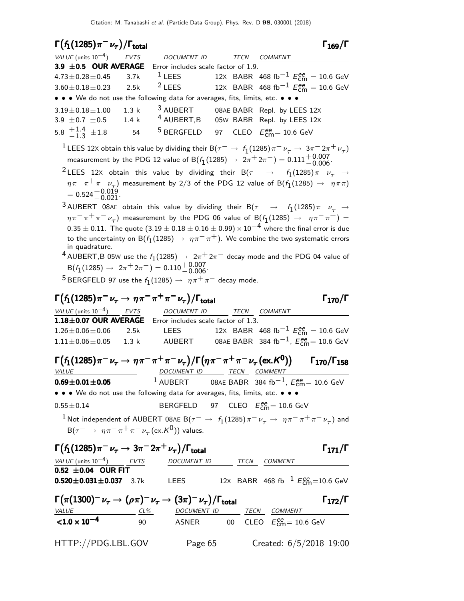| $\Gamma(f_1(1285)\pi^-\nu_\tau)/\Gamma_{\rm total}$                                                                           |       |                                                                            |             | $\Gamma_{169}/\Gamma$                                                                                                                                 |
|-------------------------------------------------------------------------------------------------------------------------------|-------|----------------------------------------------------------------------------|-------------|-------------------------------------------------------------------------------------------------------------------------------------------------------|
| <i>VALUE</i> (units $10^{-4}$ )                                                                                               | EVTS  | DOCUMENT ID                                                                | <b>TECN</b> | COMMENT                                                                                                                                               |
| 3.9 $\pm$ 0.5 OUR AVERAGE                                                                                                     |       | Error includes scale factor of 1.9.                                        |             |                                                                                                                                                       |
| $4.73 \pm 0.28 \pm 0.45$                                                                                                      | 3.7k  | $1$ LEES                                                                   |             | 12x BABR 468 fb <sup>-1</sup> $E_{\text{cm}}^{ee}$ = 10.6 GeV                                                                                         |
| $3.60 \pm 0.18 \pm 0.23$                                                                                                      | 2.5k  | $2$ LEES                                                                   |             | 12X BABR 468 fb <sup>-1</sup> $E_{cm}^{ee}$ = 10.6 GeV                                                                                                |
| • • • We do not use the following data for averages, fits, limits, etc. • • •                                                 |       |                                                                            |             |                                                                                                                                                       |
| $3.19 \pm 0.18 \pm 1.00$                                                                                                      | 1.3 k | $^3$ AUBERT                                                                |             | 08AE BABR Repl. by LEES 12X                                                                                                                           |
| 3.9 $\pm$ 0.7 $\pm$ 0.5                                                                                                       | 1.4k  |                                                                            |             | <sup>4</sup> AUBERT, B 05W BABR Repl. by LEES 12X                                                                                                     |
| 5.8 $\frac{+1.4}{-1.3}$ ± 1.8                                                                                                 | 54    | <sup>5</sup> BERGFELD                                                      | 97          | CLEO $E_{cm}^{ee} = 10.6$ GeV                                                                                                                         |
|                                                                                                                               |       |                                                                            |             | $^1$ LEES 12X obtain this value by dividing their B $(\tau^-\to\,f_1(1285)\pi^-\,\nu_\tau\to\,3\pi^-\,2\pi^+\,\nu_\tau)$                              |
|                                                                                                                               |       |                                                                            |             | measurement by the PDG 12 value of B( $f_1(1285) \rightarrow 2\pi^+ 2\pi^-) = 0.111^{+0.007}_{-0.006}$                                                |
|                                                                                                                               |       |                                                                            |             | <sup>2</sup> LEES 12X obtain this value by dividing their B $(\tau^- \rightarrow f_1(1285)\pi^- \nu_\tau \rightarrow$                                 |
| $= 0.524 + 0.019$<br>$- 0.021$                                                                                                |       |                                                                            |             | $\eta\pi^-\pi^+\pi^-\nu_\tau)$ measurement by 2/3 of the PDG 12 value of B $(f_1(1285) \rightarrow \eta\pi\pi)$                                       |
|                                                                                                                               |       |                                                                            |             |                                                                                                                                                       |
|                                                                                                                               |       |                                                                            |             | $^3$ AUBERT 08AE obtain this value by dividing their B $(\tau^-\;\rightarrow\;\;f_1(1285)\,\pi^-\,\nu_\tau\;\rightarrow\;f_2(1285))$                  |
|                                                                                                                               |       |                                                                            |             | $\eta\pi^-\pi^+\pi^-\nu_\tau)$ measurement by the PDG 06 value of B( $f_1(1285)\,\rightarrow\,\,\,\eta\pi^-\pi^+) =$                                  |
|                                                                                                                               |       |                                                                            |             | $0.35 \pm 0.11$ . The quote $(3.19 \pm 0.18 \pm 0.16 \pm 0.99) \times 10^{-4}$ where the final error is due                                           |
| in quadrature.                                                                                                                |       |                                                                            |             | to the uncertainty on B( $f_1(1285) \rightarrow \eta \pi^- \pi^+$ ). We combine the two systematic errors                                             |
|                                                                                                                               |       |                                                                            |             | <sup>4</sup> AUBERT,B 05W use the $f_1(1285) \rightarrow 2\pi^+ 2\pi^-$ decay mode and the PDG 04 value of                                            |
|                                                                                                                               |       | $B(f_1(1285) \rightarrow 2\pi^+ 2\pi^-) = 0.110^{+0.007}_{-0.006}$         |             |                                                                                                                                                       |
|                                                                                                                               |       | $^5$ BERGFELD 97 use the $f_1(1285)\rightarrow~\eta\pi^+\pi^-$ decay mode. |             |                                                                                                                                                       |
|                                                                                                                               |       |                                                                            |             |                                                                                                                                                       |
| $\Gamma(f_1(1285)\pi^-\nu_\tau\to\eta\pi^-\pi^+\pi^-\nu_\tau)/\Gamma_{\rm total}$                                             |       |                                                                            |             | $\Gamma_{170}/\Gamma$                                                                                                                                 |
| VALUE (units $10^{-4}$ ) EVTS                                                                                                 |       | DOCUMENT ID                                                                | TECN        | COMMENT                                                                                                                                               |
| 1.18±0.07 OUR AVERAGE Error includes scale factor of 1.3.                                                                     |       |                                                                            |             |                                                                                                                                                       |
| $1.26 \pm 0.06 \pm 0.06$                                                                                                      |       |                                                                            |             | 2.5k LEES 12x BABR 468 fb <sup>-1</sup> $E_{cm}^{ee}$ = 10.6 GeV                                                                                      |
| $1.11 \pm 0.06 \pm 0.05$                                                                                                      | 1.3 k | <b>AUBERT</b>                                                              |             | 08AE BABR 384 fb $^{-1}$ , $E_{\mathsf{cm}}^{ee}$ = 10.6 GeV                                                                                          |
|                                                                                                                               |       |                                                                            |             |                                                                                                                                                       |
| $\Gamma(f_1(1285)\pi^-\nu_\tau \to \eta\pi^-\pi^+\pi^-\nu_\tau)/\Gamma(\eta\pi^-\pi^+\pi^-\nu_\tau(\text{ex.}\mathcal{K}^0))$ |       |                                                                            |             | $\Gamma_{170}/\Gamma_{158}$                                                                                                                           |
| <b>VALUE</b>                                                                                                                  |       | DOCUMENT ID TECN COMMENT                                                   |             |                                                                                                                                                       |
| $0.69 \pm 0.01 \pm 0.05$                                                                                                      |       | $1$ AUBERT                                                                 |             | 08AE BABR 384 fb <sup>-1</sup> , $E_{\text{cm}}^{ee}$ = 10.6 GeV                                                                                      |
| • • • We do not use the following data for averages, fits, limits, etc. • • •                                                 |       |                                                                            |             |                                                                                                                                                       |
| $0.55 \pm 0.14$                                                                                                               |       | BERGFELD 97 CLEO $E_{\text{cm}}^{\text{ee}} = 10.6 \text{ GeV}$            |             |                                                                                                                                                       |
|                                                                                                                               |       |                                                                            |             |                                                                                                                                                       |
|                                                                                                                               |       |                                                                            |             |                                                                                                                                                       |
|                                                                                                                               |       |                                                                            |             | $^1$ Not independent of AUBERT 08AE B $(\tau^-\to~f_1(1285)\pi^-\nu_\tau^-\to~\eta\pi^-\pi^+\pi^-\nu_\tau)$ and                                       |
|                                                                                                                               |       | $B(\tau^- \to \eta \pi^- \pi^+ \pi^- \nu_\tau (\text{ex.} K^0))$ values.   |             |                                                                                                                                                       |
| $\Gamma(f_1(1285)\pi^-\nu_\tau \to 3\pi^-2\pi^+\nu_\tau)/\Gamma_{\rm total}$                                                  |       |                                                                            |             | $\Gamma_{171}/\Gamma$                                                                                                                                 |
|                                                                                                                               |       |                                                                            |             |                                                                                                                                                       |
| $\frac{VALUE \text{ (units 10}^{-4})}{0.52 \pm 0.04}$ OUR FIT                                                                 |       |                                                                            |             | DOCUMENT ID TECN COMMENT                                                                                                                              |
| $0.520 \pm 0.031 \pm 0.037$ 3.7k                                                                                              |       |                                                                            |             | LEES $12x$ BABR 468 fb $^{-1}$ $E_{\rm cm}^{ee}$ =10.6 GeV                                                                                            |
|                                                                                                                               |       |                                                                            |             |                                                                                                                                                       |
| $\Gamma(\pi(1300)^-\nu_\tau \to (\rho\pi)^-\nu_\tau \to (3\pi)^-\nu_\tau)/\Gamma_{\text{total}}$                              |       |                                                                            |             | $\Gamma_{172}/\Gamma$                                                                                                                                 |
|                                                                                                                               |       |                                                                            |             |                                                                                                                                                       |
|                                                                                                                               |       |                                                                            |             | $\frac{VALUE}{1.0 \times 10^{-4}}$ $\frac{CL\%}{90}$ $\frac{DOCUMENT ID}{ASNER}$ $\frac{TECN}{CECO}$ $\frac{COMMENT}{E_{cm}^{ee}} = 10.6 \text{ GeV}$ |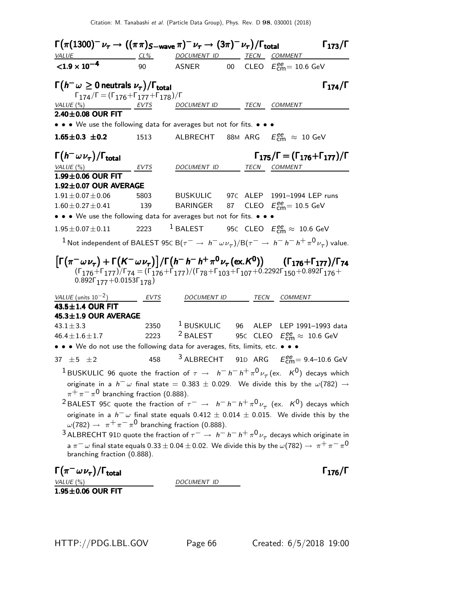$Γ(π(1300)⁻<sub>τ</sub> → ((ππ)<sub>S-wave</sub> π)⁻<sub>τ</sub> → (3π)⁻<sub>τ</sub>}/Γ<sub>total</sub>$  Γ<sub>173</sub>/Γ DOCUMENT ID TECN COMMENT  $<$ 1.9  $\times$  10 $^{-4}$ 90 ASNER 00 CLEO  $E_{\text{cm}}^{ee} = 10.6 \text{ GeV}$  $\Gamma(h^-\omega \geq 0$  neutrals  $\nu_{\tau})/\Gamma_{\text{total}}$  Γ $_{174}/\Gamma$  $\Gamma_{174}/\Gamma = (\Gamma_{176} + \Gamma_{177} + \Gamma_{178})/\Gamma$ <br>VALUE (%) EVTS DO EVTS DOCUMENT ID TECN COMMENT  $2.40\pm0.08$  OUR FIT • • • We use the following data for averages but not for fits. • • • **1.65** $\pm$ **0.3**  $\pm$ 0.2 1513 ALBRECHT 88M ARG  $E_{\text{cm}}^{ee} \approx 10 \text{ GeV}$  $\Gamma(h^- \omega \nu_\tau)$  $\Gamma(h^-\,\omega\,\nu_\tau)/\Gamma_{\rm total}$   $\Gamma_{175}/\Gamma = (\Gamma_{176}+\Gamma_{177})/\Gamma$ VALUE (%) **EVTS** DOCUMENT ID TECN COMMENT  $1.99\pm0.06$  OUR FIT **1.92±0.07 OUR AVERAGE**<br> $1.91 \pm 0.07 \pm 0.06$  5803 1.903 BUSKULIC 97C ALEP 1991–1994 LEP runs<br>1.39 BARINGER 87 CLEO  $E_{cm}^{ee} = 10.5$  GeV  $1.60 \pm 0.27 \pm 0.41$  $_{\text{cm}}^{\text{ee}}$ = 10.5 GeV • • • We use the following data for averages but not for fits. • • •  $1.95 \pm 0.07 \pm 0.11$  2223 <sup>1</sup> BALEST 95C CLEO  $E_{\textsf{cm}}^{\textsf{ee}} \approx 10.6 \text{ GeV}$  $^1$  Not independent of BALEST 95C B $(\tau^-\to\,h^-\,\omega\nu_\tau)/$ B $(\tau^-\to\,h^-\,h^-\,h^+\,\pi^0\,\nu_\tau)$  value.  $\left[\Gamma(\pi^-\omega\nu_{\tau}) + \Gamma(K^-\omega\nu_{\tau})\right] / \Gamma(h^-h^-h^+\pi^0\nu_{\tau}(\text{ex.}K^0))$   $(\Gamma_{176} + \Gamma_{177}) / \Gamma_{74}$  $(\Gamma_{176}+\Gamma_{177})/\Gamma_{74} = (\Gamma_{176}+\Gamma_{177})/(\Gamma_{78}+\Gamma_{103}+\Gamma_{107}+0.2292\Gamma_{150}+0.892\Gamma_{176}+$  $0.892\Gamma_{177}+0.0153\Gamma_{178}$ ) VALUE (units  $10^{-2}$ ) EVTS DOCUMENT ID TECN COMMENT  $43.5 \pm 1.4$  OUR FIT **45.3±1.9 OUR AVERAGE**  $43.1 \pm 3.3$ 2350 <sup>1</sup> BUSKULIC 96 ALEP LEP 1991–1993 data<br>2223 <sup>2</sup> BALEST 95c CLEO  $E_{\text{cm}}^{\text{ee}} \approx 10.6 \text{ GeV}$  $46.4 \pm 1.6 \pm 1.7$  2223 <sup>2</sup> BALEST 95c CLEO  $E_{\textsf{cm}}^{\textsf{ee}} \approx 10.6 \text{ GeV}$ • • • We do not use the following data for averages, fits, limits, etc. • • • 37  $\pm$  5  $\pm$  2 458 <sup>3</sup> ALBRECHT 91D ARG  $E_{\text{cm}}^{ee}$  = 9.4–10.6 GeV  $^1$ BUSKULIC 96 quote the fraction of  $\tau$   $\rightarrow$   $\;$   $h^ h^ h^+$   $\pi^0$   $\nu_\tau$  (ex.  $\;$  K $^0)$  decays which originate in a  $h^-$  w final state = 0.383 ± 0.029. We divide this by the  $\omega(782) \rightarrow$  $\pi^+\pi^-\pi^0$  branching fraction (0.888).  $^2$ BALEST 95C quote the fraction of  $\tau^-\,\rightarrow\,\,\,h^-\,h^-\,h^+\,\pi^0\,\nu_\tau^{}$  (ex.  $\,\mathsf{K}^0)\,$  decays which originate in a  $h^- \omega$  final state equals 0.412  $\pm$  0.014  $\pm$  0.015. We divide this by the  $\omega(782)\rightarrow\ \pi^{+}\,\pi^{-}\,\pi^{0}$  branching fraction (0.888).  $^3$  ALBRECHT 91D quote the fraction of  $\tau^-\rightarrow\,h^-\,h^-\,h^+\,\pi^0\,\nu_\tau$  decays which originate in a  $\pi^-\,\omega$  final state equals  $0.33\pm0.04\pm0.02$ . We divide this by the  $\omega(782)\to~\pi^+\,\pi^-\,\pi^0$ branching fraction (0.888).  $\Gamma(\pi^-\omega\nu_\tau)/\Gamma_{\rm total}$  Γ<sub>176</sub>/Γ total $1\,176/1$ VALUE (%) DOCUMENT ID  $1.95 \pm 0.06$  OUR FIT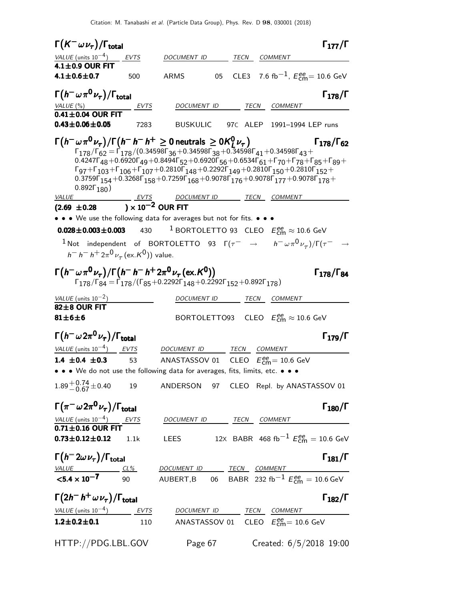|                              | $\Gamma(K^-\,\omega\,\nu_\tau)/\Gamma_{\rm total}$                                        |                                                                 |                                                                                                                                                                                                                                                                                                                                                                                                                                                                                                                                                                                                                                                                                                                 |    |              |                                                                        | $\Gamma_{177}/\Gamma$      |
|------------------------------|-------------------------------------------------------------------------------------------|-----------------------------------------------------------------|-----------------------------------------------------------------------------------------------------------------------------------------------------------------------------------------------------------------------------------------------------------------------------------------------------------------------------------------------------------------------------------------------------------------------------------------------------------------------------------------------------------------------------------------------------------------------------------------------------------------------------------------------------------------------------------------------------------------|----|--------------|------------------------------------------------------------------------|----------------------------|
|                              | VALUE (units $10^{-4}$ ) EVTS                                                             |                                                                 | DOCUMENT ID                                                                                                                                                                                                                                                                                                                                                                                                                                                                                                                                                                                                                                                                                                     |    | TECN         | <b>COMMENT</b>                                                         |                            |
| $4.1 \pm 0.9$ OUR FIT        |                                                                                           |                                                                 |                                                                                                                                                                                                                                                                                                                                                                                                                                                                                                                                                                                                                                                                                                                 |    |              |                                                                        |                            |
| 4.1 $\pm$ 0.6 $\pm$ 0.7      |                                                                                           | 500                                                             | ARMS                                                                                                                                                                                                                                                                                                                                                                                                                                                                                                                                                                                                                                                                                                            | 05 |              | CLE3 7.6 fb <sup>-1</sup> , $E_{\text{cm}}^{ee}$ = 10.6 GeV            |                            |
|                              | $\Gamma\bigl(\,h^-\,\omega\,\pi^{\mathsf{O}}\,\nu_{\tau}\bigr)/\Gamma_{\mathsf{total}}\,$ |                                                                 |                                                                                                                                                                                                                                                                                                                                                                                                                                                                                                                                                                                                                                                                                                                 |    |              |                                                                        | $\Gamma_{178}/\Gamma$      |
| VALUE (%)                    |                                                                                           | <u>EVTS</u>                                                     | DOCUMENT ID                                                                                                                                                                                                                                                                                                                                                                                                                                                                                                                                                                                                                                                                                                     |    |              | TECN COMMENT                                                           |                            |
|                              | $0.41 \pm 0.04$ OUR FIT                                                                   |                                                                 |                                                                                                                                                                                                                                                                                                                                                                                                                                                                                                                                                                                                                                                                                                                 |    |              |                                                                        |                            |
| $0.43 \pm 0.06 \pm 0.05$     |                                                                                           | 7283                                                            | <b>BUSKULIC</b>                                                                                                                                                                                                                                                                                                                                                                                                                                                                                                                                                                                                                                                                                                 |    |              | 97C ALEP 1991-1994 LEP runs                                            |                            |
|                              | 0.892 $\Gamma_{180}$ )                                                                    |                                                                 | $\Gamma(h^-\omega\pi^0\nu_{\tau})/\Gamma(h^-\,h^+\geq 0\,$ neutrals $\geq 0$ K $_1^0\nu_{\tau})$<br>$\Gamma_{178}/\Gamma_{62} = \Gamma_{178}/(0.34598\Gamma_{36} + 0.34598\Gamma_{38} + 0.34598\Gamma_{41} + 0.34598\Gamma_{43} +$<br>0.4247 $\Gamma_{48}$ +0.6920 $\Gamma_{49}$ +0.8494 $\Gamma_{52}$ +0.6920 $\Gamma_{56}$ +0.6534 $\Gamma_{61}$ + $\Gamma_{70}$ + $\Gamma_{78}$ + $\Gamma_{85}$ + $\Gamma_{89}$ +<br>$\Gamma_{97} + \Gamma_{103} + \Gamma_{106} + \Gamma_{107} + 0.2810 \Gamma_{148} + 0.2292 \Gamma_{149} + 0.2810 \Gamma_{150} + 0.2810 \Gamma_{152} +$<br>$0.3759\Gamma_{154} + 0.3268\Gamma_{158} + 0.7259\Gamma_{168} + 0.9078\Gamma_{176} + 0.9078\Gamma_{177} + 0.9078\Gamma_{178} +$ |    |              |                                                                        | $\Gamma_{178}/\Gamma_{62}$ |
| <b>VALUE</b>                 |                                                                                           | $\frac{EVTS}{EVTS}$<br>$(2.69 \pm 0.28) \times 10^{-2}$ OUR FIT |                                                                                                                                                                                                                                                                                                                                                                                                                                                                                                                                                                                                                                                                                                                 |    |              | DOCUMENT ID TECN COMMENT                                               |                            |
|                              |                                                                                           |                                                                 | • • • We use the following data for averages but not for fits. • • •                                                                                                                                                                                                                                                                                                                                                                                                                                                                                                                                                                                                                                            |    |              |                                                                        |                            |
|                              | $0.028 \pm 0.003 \pm 0.003$                                                               | 430                                                             | $^{-1}$ BORTOLETTO 93 CLEO $E_\mathsf{cm}^\mathsf{ee} \approx 10.6 \,\, \mathsf{GeV}$                                                                                                                                                                                                                                                                                                                                                                                                                                                                                                                                                                                                                           |    |              |                                                                        |                            |
|                              |                                                                                           | $h^- h^- h^+ 2\pi^0 \nu_\tau (\text{ex. K}^0)$ value.           | $^{-1}$ Not independent of BORTOLETTO 93 $\Gamma(\tau^-\rightarrow\mu^-\omega\pi^0\nu_{\tau})/\Gamma(\tau^-\rightarrow\tau^0\pi^0\nu_{\tau})$                                                                                                                                                                                                                                                                                                                                                                                                                                                                                                                                                                   |    |              |                                                                        |                            |
|                              |                                                                                           |                                                                 | $\Gamma(h^-\omega\pi^0\nu_{\tau})/\Gamma(h^-\,h^-\,h^+2\pi^0\nu_{\tau}$ (ex. K <sup>0</sup> ))<br>$\Gamma_{178}/\Gamma_{84} = \Gamma_{178}/(\Gamma_{85} + 0.2292\Gamma_{148} + 0.2292\Gamma_{152} + 0.892\Gamma_{178})$                                                                                                                                                                                                                                                                                                                                                                                                                                                                                         |    |              |                                                                        | $\Gamma_{178}/\Gamma_{84}$ |
| VALUE (units $10^{-2}$ )     |                                                                                           |                                                                 | DOCUMENT ID                                                                                                                                                                                                                                                                                                                                                                                                                                                                                                                                                                                                                                                                                                     |    | TECN         | <b>COMMENT</b>                                                         |                            |
| 82±8 OUR FIT<br>$81\pm6\pm6$ |                                                                                           |                                                                 |                                                                                                                                                                                                                                                                                                                                                                                                                                                                                                                                                                                                                                                                                                                 |    |              | BORTOLETTO93 CLEO $E_{\text{cm}}^{\text{ee}} \approx 10.6 \text{ GeV}$ |                            |
|                              | $\Gamma(h^-\omega 2\pi^0\nu_\tau)/\Gamma_{\rm total}$                                     |                                                                 |                                                                                                                                                                                                                                                                                                                                                                                                                                                                                                                                                                                                                                                                                                                 |    |              |                                                                        | $\Gamma_{179}/\Gamma$      |
|                              | VALUE (units $10^{-4}$ ) EVTS                                                             |                                                                 | DOCUMENT ID                                                                                                                                                                                                                                                                                                                                                                                                                                                                                                                                                                                                                                                                                                     |    | TECN COMMENT |                                                                        |                            |
| 1.4 $\pm$ 0.4 $\pm$ 0.3      |                                                                                           | 53                                                              | ANASTASSOV 01 CLEO $E_{\text{cm}}^{\text{ee}} = 10.6 \text{ GeV}$                                                                                                                                                                                                                                                                                                                                                                                                                                                                                                                                                                                                                                               |    |              |                                                                        |                            |
|                              |                                                                                           |                                                                 | • • • We do not use the following data for averages, fits, limits, etc. • • •                                                                                                                                                                                                                                                                                                                                                                                                                                                                                                                                                                                                                                   |    |              |                                                                        |                            |
| $1.89 + 0.74 + 0.40$         |                                                                                           | 19                                                              | ANDERSON 97 CLEO Repl. by ANASTASSOV 01                                                                                                                                                                                                                                                                                                                                                                                                                                                                                                                                                                                                                                                                         |    |              |                                                                        |                            |
|                              | $\Gamma(\pi^-\omega2\pi^0\nu_\tau)/\Gamma_{\rm total}$                                    |                                                                 |                                                                                                                                                                                                                                                                                                                                                                                                                                                                                                                                                                                                                                                                                                                 |    |              |                                                                        | $\Gamma_{180}/\Gamma$      |
|                              | <u>VALUE (units 10<sup>-4</sup>)</u> EVTS<br><b>0.71±0.16 OUR FIT</b>                     |                                                                 | DOCUMENT ID TECN COMMENT                                                                                                                                                                                                                                                                                                                                                                                                                                                                                                                                                                                                                                                                                        |    |              |                                                                        |                            |
| $0.73 \pm 0.12 \pm 0.12$     |                                                                                           | 1.1k                                                            | LEES 12x BABR 468 fb <sup>-1</sup> $E_{\text{cm}}^{ee}$ = 10.6 GeV                                                                                                                                                                                                                                                                                                                                                                                                                                                                                                                                                                                                                                              |    |              |                                                                        |                            |
|                              | $\Gamma(h^-2\omega \nu_\tau)/\Gamma_{\rm total}$                                          |                                                                 |                                                                                                                                                                                                                                                                                                                                                                                                                                                                                                                                                                                                                                                                                                                 |    |              |                                                                        | $\Gamma_{181}/\Gamma$      |
|                              |                                                                                           |                                                                 | $\frac{\text{Value}}{\text{Value}}$ $\frac{\text{CL\%}}{\text{90}}$ $\frac{DOCUMENT \quad ID}{AUBERT, B}$ $\frac{\text{TECN}}{\text{BABR}}$ $\frac{\text{COMMENT}}{\text{232 fb}^{-1} E_{cm}^{ee}} = 10.6 \text{ GeV}$                                                                                                                                                                                                                                                                                                                                                                                                                                                                                          |    |              |                                                                        |                            |
|                              | $\Gamma(2h^-h^+\,\omega\,\nu_\tau)/\Gamma_{\rm total}$                                    |                                                                 |                                                                                                                                                                                                                                                                                                                                                                                                                                                                                                                                                                                                                                                                                                                 |    |              |                                                                        | $\Gamma_{182}/\Gamma$      |
|                              | $\frac{VALUE \text{ (units 10}^{-4})}{1 \cdot 2 + 0 \cdot 2 + 0.1}$ $\frac{EVTS}{110}$    |                                                                 | DOCUMENT ID TECN COMMENT                                                                                                                                                                                                                                                                                                                                                                                                                                                                                                                                                                                                                                                                                        |    |              |                                                                        |                            |
| $1.2 \pm 0.2 \pm 0.1$        |                                                                                           |                                                                 | ANASTASSOV 01 $\,$ CLEO $\,$ $E_{\text{cm}}^{ee}$ = 10.6 GeV                                                                                                                                                                                                                                                                                                                                                                                                                                                                                                                                                                                                                                                    |    |              |                                                                        |                            |
|                              | HTTP://PDG.LBL.GOV                                                                        |                                                                 | Page 67                                                                                                                                                                                                                                                                                                                                                                                                                                                                                                                                                                                                                                                                                                         |    |              | Created: $6/5/2018$ 19:00                                              |                            |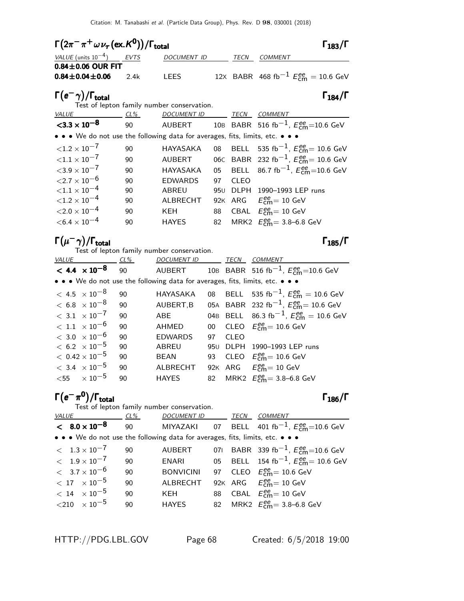| $\Gamma(2\pi^-\pi^+\omega\nu_\tau(\text{ex.}\mathcal{K}^0))/\Gamma_{\text{total}}$ |      |                                                                               |     |             | $\Gamma_{183}/\Gamma$                                    |
|------------------------------------------------------------------------------------|------|-------------------------------------------------------------------------------|-----|-------------|----------------------------------------------------------|
| VALUE (units $10^{-4}$ ) EVTS                                                      |      | DOCUMENT ID                                                                   |     | TECN        | <b>COMMENT</b>                                           |
| $0.84\pm0.06$ OUR FIT<br>$0.84 \pm 0.04 \pm 0.06$                                  | 2.4k | <b>LEES</b>                                                                   |     |             | 12X BABR 468 fb <sup>-1</sup> $E_{cm}^{ee}$ = 10.6 GeV   |
| $\Gamma(e^-\gamma)/\Gamma_{\rm total}$                                             |      | Test of lepton family number conservation.                                    |     |             | $\Gamma_{184}/\Gamma$                                    |
| $CL\%$<br><u>VALUE</u>                                                             |      | <u>DOCUMENT ID ________ TECN __ COMMENT</u>                                   |     |             |                                                          |
| $<$ 3.3 $\times$ 10 <sup>-8</sup>                                                  |      |                                                                               |     |             |                                                          |
|                                                                                    |      | • • • We do not use the following data for averages, fits, limits, etc. • • • |     |             |                                                          |
| ${1.2 \times 10^{-7}}$                                                             | 90   | HAYASAKA                                                                      |     |             | 08 BELL 535 fb <sup>-1</sup> , $E_{cm}^{ee}$ = 10.6 GeV  |
| ${<}1.1 \times 10^{-7}$                                                            | 90   | <b>AUBERT</b>                                                                 |     |             | 06C BABR 232 fb <sup>-1</sup> , $E_{cm}^{ee}$ = 10.6 GeV |
| ${<}3.9\times10^{-7}$                                                              | 90   | <b>HAYASAKA</b>                                                               | 05  |             | BELL 86.7 fb <sup>-1</sup> , $E_{cm}^{ee}$ =10.6 GeV     |
| ${<}2.7\times10^{-6}$                                                              | 90   | <b>EDWARDS</b>                                                                | 97  | <b>CLEO</b> |                                                          |
| ${<}1.1 \times 10^{-4}$                                                            | 90   | ABREU                                                                         | 95U | DLPH        | 1990-1993 LEP runs                                       |
| ${<}1.2\times10^{-4}$                                                              | 90   | ALBRECHT                                                                      |     |             | 92K ARG $E_{\text{cm}}^{\text{ee}} = 10 \text{ GeV}$     |
| ${<}2.0\times10^{-4}$                                                              | 90   | KEH                                                                           | 88  |             | CBAL $E_{\text{cm}}^{\text{ee}} = 10 \text{ GeV}$        |
| $<$ 6.4 $\times$ 10 $^{-4}$                                                        | 90   | HAYES                                                                         | 82  |             | MRK2 $E_{cm}^{ee} = 3.8 - 6.8$ GeV                       |
| $\Gamma(\mu^-\gamma)/\Gamma_{\rm total}$                                           |      |                                                                               |     |             | $1_{185}/1$                                              |

Test of lepton family number conservation.

| <b>VALUE</b>            | $CL\%$                    |    | DOCUMENT ID TECN                                                                                                      |    |             | <b>COMMENT</b>                                                    |
|-------------------------|---------------------------|----|-----------------------------------------------------------------------------------------------------------------------|----|-------------|-------------------------------------------------------------------|
|                         | $< 4.4 \times 10^{-8}$    |    |                                                                                                                       |    |             | 90 AUBERT 10B BABR 516 fb <sup>-1</sup> , $E_{cm}^{ee}$ =10.6 GeV |
|                         |                           |    | $\bullet \bullet \bullet$ We do not use the following data for averages, fits, limits, etc. $\bullet \bullet \bullet$ |    |             |                                                                   |
| $< 4.5 \times 10^{-8}$  |                           | 90 | HAYASAKA                                                                                                              |    |             | 08 BELL 535 fb <sup>-1</sup> , $E_{cm}^{ee} = 10.6$ GeV           |
| $<\,6.8\;\times10^{-8}$ |                           | 90 | AUBERT, B                                                                                                             |    |             | 05A BABR 232 fb <sup>-1</sup> , $E_{cm}^{ee}$ = 10.6 GeV          |
| $< 3.1 \times 10^{-7}$  |                           | 90 | ABE                                                                                                                   |    |             | 04B BELL 86.3 fb <sup>-1</sup> , $E_{cm}^{ee} = 10.6$ GeV         |
| $< 1.1 \times 10^{-6}$  |                           | 90 | AHMED                                                                                                                 |    |             | 00 CLEO $E_{\text{cm}}^{ee}$ = 10.6 GeV                           |
| $<\,3.0\;\times10^{-6}$ |                           | 90 | <b>EDWARDS</b>                                                                                                        | 97 | <b>CLEO</b> |                                                                   |
| $< 6.2 \times 10^{-5}$  |                           | 90 | ABREU                                                                                                                 |    |             | 950 DLPH 1990-1993 LEP runs                                       |
|                         | $<\rm~0.42\times 10^{-5}$ | 90 | <b>BEAN</b>                                                                                                           |    |             | 93 CLEO $E_{\text{cm}}^{\text{ee}} = 10.6 \text{ GeV}$            |
| $< 3.4 \times 10^{-5}$  |                           | 90 | ALBRECHT                                                                                                              |    |             | 92K ARG $E_{cm}^{ee} = 10$ GeV                                    |
|                         | $<$ 55 $\times 10^{-5}$   | 90 | <b>HAYES</b>                                                                                                          |    |             | 82 MRK2 $E_{cm}^{ee} = 3.8 - 6.8$ GeV                             |

| $\Gamma(e^-\pi^0)/\Gamma_{\rm total}$                                         |     |                                                                  |      | $\Gamma_{186}/\Gamma$                                   |
|-------------------------------------------------------------------------------|-----|------------------------------------------------------------------|------|---------------------------------------------------------|
| <b>VALUE</b>                                                                  | CL% | Test of lepton family number conservation.<br><b>DOCUMENT ID</b> | TECN | <b>COMMENT</b>                                          |
| $< 8.0 \times 10^{-8}$                                                        | 90  | MIYAZAKI                                                         |      | 07 BELL 401 fb <sup>-1</sup> , $E_{cm}^{ee}$ =10.6 GeV  |
| • • • We do not use the following data for averages, fits, limits, etc. • • • |     |                                                                  |      |                                                         |
| $< 1.3 \times 10^{-7}$                                                        | 90  | <b>AUBERT</b>                                                    |      | 071 BABR 339 fb <sup>-1</sup> , $E_{cm}^{ee}$ =10.6 GeV |
| $< 1.9 \times 10^{-7}$                                                        | 90  | ENARI                                                            |      | 05 BELL 154 fb <sup>-1</sup> , $E_{cm}^{ee}$ = 10.6 GeV |
| $< 3.7 \times 10^{-6}$                                                        | 90  | <b>BONVICINI</b>                                                 |      | 97 CLEO $E_{cm}^{ee}$ = 10.6 GeV                        |
| $< 17 \times 10^{-5}$                                                         | 90  | ALBRECHT                                                         |      | 92K ARG $E_{cm}^{ee} = 10$ GeV                          |
| $< 14$ $\times 10^{-5}$                                                       | 90  | KEH                                                              |      | 88 CBAL $E_{\text{cm}}^{ee} = 10 \text{ GeV}$           |
| ${<}210$ $\times$ $10^{-5}$                                                   | 90  | <b>HAYES</b>                                                     |      | 82 MRK2 $E_{cm}^{ee} = 3.8 - 6.8$ GeV                   |
|                                                                               |     |                                                                  |      |                                                         |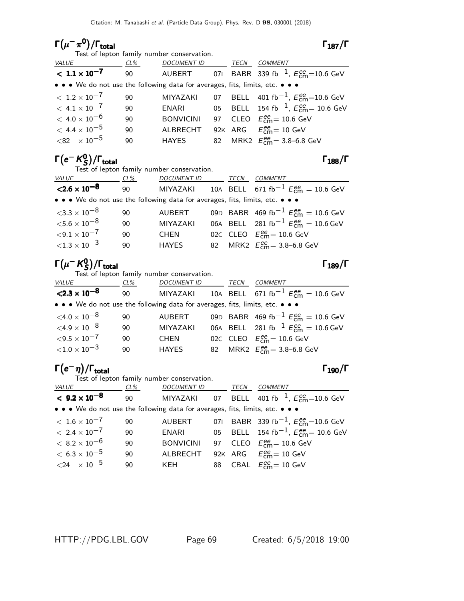# Γ $(\mu^-\pi^0)/\Gamma_{\rm total}$  Γ $_{187}/\Gamma$

Test of lepton family number conservation.

| - |  |
|---|--|
|---|--|

| <i>VALUE</i>                                                                  | CL% | <b>DOCUMENT ID</b> | TECN | <b>COMMENT</b>                                          |
|-------------------------------------------------------------------------------|-----|--------------------|------|---------------------------------------------------------|
| $< 1.1 \times 10^{-7}$                                                        | 90  | AUBERT             |      | 071 BABR 339 fb <sup>-1</sup> , $E_{cm}^{ee}$ =10.6 GeV |
| • • • We do not use the following data for averages, fits, limits, etc. • • • |     |                    |      |                                                         |
| $< 1.2 \times 10^{-7}$                                                        | 90  | MIYAZAKI           |      | 07 BELL 401 fb <sup>-1</sup> , $E_{cm}^{ee}$ =10.6 GeV  |
| $<\,4.1\times10^{-7}$                                                         | 90  | ENARI              |      | 05 BELL 154 fb <sup>-1</sup> , $E_{cm}^{ee}$ = 10.6 GeV |
| $< 4.0 \times 10^{-6}$                                                        | 90  | <b>BONVICINI</b>   |      | 97 CLEO $E_{\text{cm}}^{\text{ee}} = 10.6 \text{ GeV}$  |
| $<\,$ 4.4 $\times$ $10^{-5}$                                                  | 90  | ALBRECHT           |      | 92K ARG $E_{\text{cm}}^{\text{ee}} = 10 \text{ GeV}$    |
| $<$ 82 $\times 10^{-5}$                                                       | 90  | HAYES              |      | 82 MRK2 $E_{\text{cm}}^{ee} = 3.8 - 6.8$ GeV            |

#### Γ $(e^-$  K $^0_S$  $\Gamma(e-\frac{K_0}{S})/\Gamma_{\text{total}}$  Γ<sub>188</sub>/Γ

Test of lepton family number conservation.

| <i>VALUE</i>                                                                  | $CL\%$ | <b>DOCUMENT ID</b> | TECN | COMMENT                                                 |
|-------------------------------------------------------------------------------|--------|--------------------|------|---------------------------------------------------------|
| $<$ 2.6 $\times$ 10 <sup>-8</sup>                                             | 90     | MIYAZAKI           |      | 10A BELL 671 fb <sup>-1</sup> $E_{cm}^{ee}$ = 10.6 GeV  |
| • • • We do not use the following data for averages, fits, limits, etc. • • • |        |                    |      |                                                         |
| ${<}3.3\times10^{-8}$                                                         | 90     | AUBERT             |      | 09D BABR 469 fb <sup>-1</sup> $E_{cm}^{ee}$ = 10.6 GeV  |
| ${<}5.6\times10^{-8}$                                                         | 90     | <b>MIYAZAKI</b>    |      | 06A BELL 281 fb <sup>-1</sup> $E_{cm}^{ee} = 10.6$ GeV  |
| ${<}9.1\times10^{-7}$                                                         | 90     | <b>CHEN</b>        |      | 02C CLEO $E_{\text{cm}}^{\text{ee}} = 10.6 \text{ GeV}$ |
| ${<}1.3\times10^{-3}$                                                         | 90     | <b>HAYES</b>       |      | 82 MRK2 $E_{cm}^{ee} = 3.8 - 6.8$ GeV                   |

#### Γ $(\mu^-$  K $^0_S$  $\Gamma(\mu - K_S^0)/\Gamma_{\rm total}$  Γ<sub>189</sub>/Γ

Test of lepton family number conservation.

| VALUE                                                                         | CL% | DOCUMENT ID     | TECN | <b>COMMENT</b>                                         |
|-------------------------------------------------------------------------------|-----|-----------------|------|--------------------------------------------------------|
| $<$ 2.3 $\times$ 10 <sup>-8</sup>                                             | 90  | MIYAZAKI        |      | 10A BELL 671 fb <sup>-1</sup> $E_{cm}^{ee}$ = 10.6 GeV |
| • • • We do not use the following data for averages, fits, limits, etc. • • • |     |                 |      |                                                        |
| $<$ 4.0 $\times$ 10 $^{-8}$                                                   | 90  | AUBERT          |      | 09D BABR 469 fb <sup>-1</sup> $E_{cm}^{ee}$ = 10.6 GeV |
| $<$ 4.9 $\times$ 10 $^{-8}$                                                   | 90  | <b>MIYAZAKI</b> |      | 06A BELL 281 fb <sup>-1</sup> $E_{cm}^{ee} = 10.6$ GeV |
| $<$ 9.5 $\times$ 10 $^{-7}$                                                   | 90  | <b>CHEN</b>     |      | 02C CLEO $E_{cm}^{ee}$ = 10.6 GeV                      |
| ${<}1.0\times10^{-3}$                                                         | 90  | <b>HAYES</b>    |      | 82 MRK2 $E_{cm}^{ee} = 3.8 - 6.8$ GeV                  |
|                                                                               |     |                 |      |                                                        |

### $\Gamma(e^-\eta)/\Gamma_{\rm total}$ Γ<sub>190</sub>/Γ

| Test of lepton family number conservation. |                  |  |                    |                                                                                                                                                                                                  |  |  |  |
|--------------------------------------------|------------------|--|--------------------|--------------------------------------------------------------------------------------------------------------------------------------------------------------------------------------------------|--|--|--|
| CL%                                        |                  |  |                    | COMMENT                                                                                                                                                                                          |  |  |  |
| 90                                         |                  |  |                    |                                                                                                                                                                                                  |  |  |  |
|                                            |                  |  |                    |                                                                                                                                                                                                  |  |  |  |
| 90                                         | <b>AUBERT</b>    |  |                    | 071 BABR 339 fb <sup>-1</sup> , $E_{cm}^{ee}$ =10.6 GeV                                                                                                                                          |  |  |  |
| 90                                         | ENARI            |  |                    | 05 BELL 154 fb <sup>-1</sup> , $E_{cm}^{ee}$ = 10.6 GeV                                                                                                                                          |  |  |  |
| 90                                         | <b>BONVICINI</b> |  |                    | 97 CLEO $E_{\text{cm}}^{\text{ee}} = 10.6 \text{ GeV}$                                                                                                                                           |  |  |  |
| 90                                         | ALBRECHT         |  |                    | 92K ARG $E_{\text{cm}}^{\text{ee}} = 10 \text{ GeV}$                                                                                                                                             |  |  |  |
| 90                                         | KEH              |  |                    | 88 CBAL $E_{\text{cm}}^{\text{ee}} = 10 \text{ GeV}$                                                                                                                                             |  |  |  |
|                                            |                  |  | <i>DOCUMENT ID</i> | TECN<br>MIYAZAKI 07 BELL 401 fb <sup>-1</sup> , $E_{cm}^{ee}$ =10.6 GeV<br>$\bullet \bullet \bullet$ We do not use the following data for averages, fits, limits, etc. $\bullet \bullet \bullet$ |  |  |  |

HTTP://PDG.LBL.GOV Page 69 Created: 6/5/2018 19:00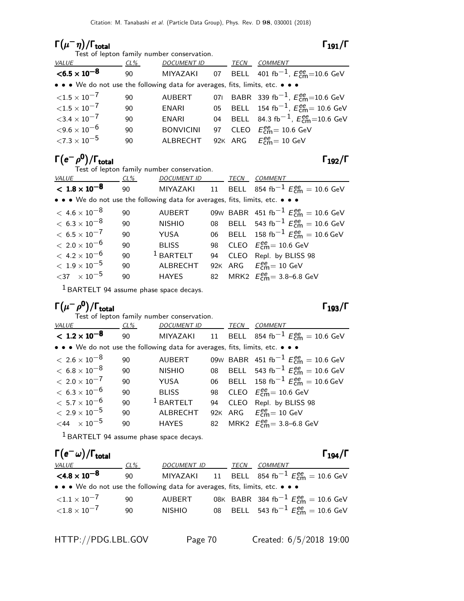#### $\Gamma(\mu^-\eta)/\Gamma_{\rm total}$  Γ<sub>191</sub>/Γ

| Test of lepton family number conservation. |  |
|--------------------------------------------|--|
|--------------------------------------------|--|

|--|--|

| VALUE                                                                         | CL% | <b>DOCUMENT ID</b> | TECN | COMMENT                                                        |
|-------------------------------------------------------------------------------|-----|--------------------|------|----------------------------------------------------------------|
| $<$ 6.5 $\times$ 10 <sup>-8</sup>                                             | 90  | MIYAZAKI           |      | 07 BELL 401 fb <sup>-1</sup> , $E_{cm}^{ee}$ =10.6 GeV         |
| • • • We do not use the following data for averages, fits, limits, etc. • • • |     |                    |      |                                                                |
| ${<}1.5\times10^{-7}$                                                         | 90  | <b>AUBERT</b>      |      | 071 BABR 339 fb <sup>-1</sup> , $E_{\text{cm}}^{ee}$ =10.6 GeV |
| ${<}1.5\times10^{-7}$                                                         | 90  | ENARI              |      | 05 BELL 154 fb <sup>-1</sup> , $E_{cm}^{ee}$ = 10.6 GeV        |
| $<$ 3.4 $\times$ 10 $^{-7}$                                                   | 90  | ENARI              |      | 04 BELL 84.3 fb <sup>-1</sup> , $E_{cm}^{ee}$ =10.6 GeV        |
| ${<}9.6\times10^{-6}$                                                         | 90  | <b>BONVICINI</b>   |      | 97 CLEO $E_{cm}^{ee}$ = 10.6 GeV                               |
| ${<}7.3\times10^{-5}$                                                         | 90  | ALBRECHT           |      | 92K ARG $E_{\text{cm}}^{\text{ee}} = 10 \text{ GeV}$           |

### $\Gamma(e^-\rho^0)/\Gamma_{\rm total}$  Γ<sub>192</sub>/Γ

Test of lepton family number conservation.

| <b>VALUE</b>                                                                  | CL% | <b>DOCUMENT ID</b> |    | TECN | <b>COMMENT</b>                                         |
|-------------------------------------------------------------------------------|-----|--------------------|----|------|--------------------------------------------------------|
| $< 1.8 \times 10^{-8}$                                                        | 90  | MIYAZAKI           |    |      | 11 BELL 854 fb <sup>-1</sup> $E_{cm}^{ee}$ = 10.6 GeV  |
| • • • We do not use the following data for averages, fits, limits, etc. • • • |     |                    |    |      |                                                        |
| $<\,4.6\times10^{-8}$                                                         | 90  | <b>AUBERT</b>      |    |      | 09W BABR 451 fb <sup>-1</sup> $E_{cm}^{ee}$ = 10.6 GeV |
| $< 6.3 \times 10^{-8}$                                                        | 90  | <b>NISHIO</b>      |    |      | 08 BELL 543 fb <sup>-1</sup> $E_{cm}^{ee}$ = 10.6 GeV  |
| $<\,6.5\times10^{-7}$                                                         | 90  | YUSA               |    |      | 06 BELL 158 fb <sup>-1</sup> $E_{cm}^{ee}$ = 10.6 GeV  |
| $< 2.0 \times 10^{-6}$                                                        | 90  | <b>BLISS</b>       |    |      | 98 CLEO $E_{cm}^{ee}$ = 10.6 GeV                       |
| $< 4.2 \times 10^{-6}$                                                        | 90  | $1$ BARTELT        | 94 |      | CLEO Repl. by BLISS 98                                 |
| $<\rm~1.9\times 10^{-5}$                                                      | 90  | <b>ALBRECHT</b>    |    |      | 92K ARG $E_{cm}^{ee} = 10$ GeV                         |
| ${<}37 \times 10^{-5}$                                                        | 90  | <b>HAYES</b>       |    |      | 82 MRK2 $E_{cm}^{ee} = 3.8 - 6.8$ GeV                  |
|                                                                               |     |                    |    |      |                                                        |

1 BARTELT 94 assume phase space decays.

# $\Gamma(\mu-\rho^{\mathbf{0}})/\Gamma_{\mathrm{total}}$  Γ<sub>193</sub>/Γ

| Test of lepton family number conservation.                                    |        |                    |    |      |                                                                |  |  |
|-------------------------------------------------------------------------------|--------|--------------------|----|------|----------------------------------------------------------------|--|--|
| VALUE                                                                         | $CL\%$ | <b>DOCUMENT ID</b> |    | TECN | <b>COMMENT</b>                                                 |  |  |
| $< 1.2 \times 10^{-8}$                                                        | 90     |                    |    |      | MIYAZAKI 11 BELL 854 fb <sup>-1</sup> $E_{cm}^{ee} = 10.6$ GeV |  |  |
| • • • We do not use the following data for averages, fits, limits, etc. • • • |        |                    |    |      |                                                                |  |  |
| $< 2.6 \times 10^{-8}$                                                        | 90     | <b>AUBERT</b>      |    |      | 09W BABR 451 fb <sup>-1</sup> $E_{cm}^{ee}$ = 10.6 GeV         |  |  |
| $<\,6.8\times10^{-8}$                                                         | 90     | <b>NISHIO</b>      |    |      | 08 BELL 543 fb <sup>-1</sup> $E_{cm}^{ee}$ = 10.6 GeV          |  |  |
| $< 2.0 \times 10^{-7}$                                                        | 90     | YUSA               |    |      | 06 BELL 158 fb <sup>-1</sup> $E_{cm}^{ee}$ = 10.6 GeV          |  |  |
| $< 6.3 \times 10^{-6}$                                                        | 90     | <b>BLISS</b>       |    |      | 98 CLEO $E_{\text{cm}}^{ee}$ = 10.6 GeV                        |  |  |
| $< 5.7 \times 10^{-6}$                                                        | 90     | $1$ BARTELT        | 94 |      | CLEO Repl. by BLISS 98                                         |  |  |
| $< 2.9 \times 10^{-5}$                                                        | 90     | ALBRECHT           |    |      | 92K ARG $E_{cm}^{ee} = 10$ GeV                                 |  |  |
| $<$ 44 $\times 10^{-5}$                                                       | 90     | <b>HAYES</b>       |    |      | 82 MRK2 $E_{cm}^{ee} = 3.8 - 6.8$ GeV                          |  |  |
|                                                                               |        |                    |    |      |                                                                |  |  |

 $<sup>1</sup>$  BARTELT 94 assume phase space decays.</sup>

| $\Gamma(e^-\omega)/\Gamma_{\rm total}$                                        |     |               |      |                                                                | $\Gamma_{194}/\Gamma$ |
|-------------------------------------------------------------------------------|-----|---------------|------|----------------------------------------------------------------|-----------------------|
| <i>VALUE</i>                                                                  | CL% | DOCUMENT ID   | TECN | <i>COMMENT</i>                                                 |                       |
| $<$ 4.8 $\times$ 10 $^{-8}$                                                   | 90  |               |      | MIYAZAKI 11 BELL 854 fb <sup>-1</sup> $E_{cm}^{ee} = 10.6$ GeV |                       |
| • • • We do not use the following data for averages, fits, limits, etc. • • • |     |               |      |                                                                |                       |
| ${<}1.1\times10^{-7}$                                                         | 90  | AUBERT        |      | 08K BABR 384 fb <sup>-1</sup> $E_{cm}^{ee} = 10.6$ GeV         |                       |
| ${<}1.8\times10^{-7}$                                                         | 90  | <b>NISHIO</b> |      | 08 BELL 543 fb <sup>-1</sup> $E_{cm}^{ee}$ = 10.6 GeV          |                       |

HTTP://PDG.LBL.GOV Page 70 Created: 6/5/2018 19:00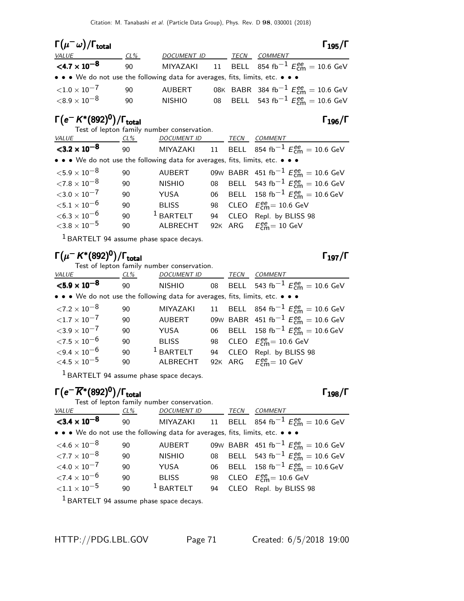| $\Gamma(\mu^-\omega)/\Gamma_{\rm total}$                                      |        |               |      |                                                                | $\Gamma_{195}/\Gamma$ |
|-------------------------------------------------------------------------------|--------|---------------|------|----------------------------------------------------------------|-----------------------|
| <i>VALUE</i>                                                                  | $CL\%$ | DOCUMENT ID   | TECN | COMMENT                                                        |                       |
| $<$ 4.7 $\times$ 10 <sup>-8</sup>                                             | 90     |               |      | MIYAZAKI 11 BELL 854 fb <sup>-1</sup> $E_{cm}^{ee}$ = 10.6 GeV |                       |
| • • • We do not use the following data for averages, fits, limits, etc. • • • |        |               |      |                                                                |                       |
| ${<}1.0\times10^{-7}$                                                         | 90     | AUBERT        |      | 08K BABR 384 fb <sup>-1</sup> $E_{cm}^{ee} = 10.6$ GeV         |                       |
| ${<}8.9\times10^{-8}$                                                         | 90     | <b>NISHIO</b> |      | 08 BELL 543 fb <sup>-1</sup> $E_{cm}^{ee}$ = 10.6 GeV          |                       |

### $\Gamma(e^- K^*(892)^0)/\Gamma_{\rm total}$ Γ $_{196}/\Gamma$

Test of lepton family number conservation.

| <i>VALUE</i>                                                                  | $CL\%$ | <b>DOCUMENT ID</b> |    | TECN | COMMENT                                                |
|-------------------------------------------------------------------------------|--------|--------------------|----|------|--------------------------------------------------------|
| $<$ 3.2 $\times$ 10 <sup>-8</sup>                                             | 90     | MIYAZAKI           |    |      | 11 BELL 854 fb <sup>-1</sup> $E_{cm}^{ee}$ = 10.6 GeV  |
| • • • We do not use the following data for averages, fits, limits, etc. • • • |        |                    |    |      |                                                        |
| ${<}5.9\times10^{-8}$                                                         | 90     | <b>AUBERT</b>      |    |      | 09W BABR 451 fb <sup>-1</sup> $E_{cm}^{ee}$ = 10.6 GeV |
| ${<}7.8\times10^{-8}$                                                         | 90     | <b>NISHIO</b>      |    |      | 08 BELL 543 fb <sup>-1</sup> $E_{cm}^{ee}$ = 10.6 GeV  |
| ${<}3.0\times10^{-7}$                                                         | 90     | YUSA               |    |      | 06 BELL 158 fb <sup>-1</sup> $E_{cm}^{ee}$ = 10.6 GeV  |
| ${<}5.1\times10^{-6}$                                                         | 90     | <b>BLISS</b>       |    |      | 98 CLEO $E_{cm}^{ee}$ = 10.6 GeV                       |
| $<$ 6.3 $\times$ 10 $^{-6}$                                                   | 90     | $1$ BARTELT        | 94 |      | CLEO Repl. by BLISS 98                                 |
| ${<}3.8\times10^{-5}$                                                         | 90     | ALBRECHT           |    |      | 92K ARG $E_{cm}^{ee} = 10$ GeV                         |
|                                                                               |        |                    |    |      |                                                        |

 $<sup>1</sup>$  BARTELT 94 assume phase space decays.</sup>

## Γ $(\mu^- K^*(892)^0)/\Gamma_{\rm total}$

Test of lepton family number conservation.

| <b>VALUE</b>                                                                                                          | $CL\%$ | <b>DOCUMENT ID</b> |    | TECN | <b>COMMENT</b>                                               |  |  |
|-----------------------------------------------------------------------------------------------------------------------|--------|--------------------|----|------|--------------------------------------------------------------|--|--|
| ${<}5.9\times10^{-8}$                                                                                                 | 90     | <b>NISHIO</b>      |    |      | 08 BELL 543 fb <sup>-1</sup> $E_{\text{cm}}^{ee}$ = 10.6 GeV |  |  |
| $\bullet \bullet \bullet$ We do not use the following data for averages, fits, limits, etc. $\bullet \bullet \bullet$ |        |                    |    |      |                                                              |  |  |
| ${<}7.2 \times 10^{-8}$                                                                                               | 90     | MIYAZAKI           |    |      | 11 BELL 854 fb <sup>-1</sup> $E_{cm}^{ee}$ = 10.6 GeV        |  |  |
| ${<}1.7\times10^{-7}$                                                                                                 | 90     | <b>AUBERT</b>      |    |      | 09W BABR 451 fb <sup>-1</sup> $E_{cm}^{ee}$ = 10.6 GeV       |  |  |
| ${<}3.9\times10^{-7}$                                                                                                 | 90     | YUSA               |    |      | 06 BELL 158 fb <sup>-1</sup> $E_{cm}^{ee}$ = 10.6 GeV        |  |  |
| ${<}7.5\times10^{-6}$                                                                                                 | 90     | <b>BLISS</b>       |    |      | 98 CLEO $E_{cm}^{ee}$ = 10.6 GeV                             |  |  |
| ${<}9.4 \times 10^{-6}$                                                                                               | 90     | $1$ BARTELT        | 94 |      | CLEO Repl. by BLISS 98                                       |  |  |
| $\leq 4.5 \times 10^{-5}$                                                                                             | 90     | <b>ALBRECHT</b>    |    |      | 92K ARG $E_{cm}^{ee} = 10$ GeV                               |  |  |

1 BARTELT 94 assume phase space decays.

## $\Gamma\bigl(\rm{e}^{-} \overline{K}{}^*(892)^0\bigr)/\Gamma_{\rm{total}}$

Test of lepton family number conservation. VALUE CL% DOCUMENT ID TECN COMMENT  $<$ 3.4  $\times$  10<sup>-8</sup> 90 MIYAZAKI 11 BELL 854 fb $^{-1}$   $E_{\textsf{cm}}^{ee} = 10.6 \text{ GeV}$ • • • We do not use the following data for averages, fits, limits, etc. • • •  $\leq 4.6 \times 10^{-8}$  90 AUBERT 09w BABR 451 fb<sup>-1</sup> E<sub>ne</sub>  $<$ 4.6 × 10<sup>-8</sup> 90 AUBERT 09W BABR 451 fb<sup>-1</sup>  $E_{\text{cm}}^{ee} = 10.6$  GeV  $\angle 7.7 \times 10^{-8}$  90 NISHIO 08 BELL 543 fb<sup>-1</sup>  $E_{\text{cm}}^{\text{ee}} = 10.6 \text{ GeV}$  $<$ 4.0 × 10<sup>-7</sup> 90 YUSA 06 BELL 158 fb<sup>-1</sup>  $E_{\textsf{cm}}^{ee} = 10.6 \text{ GeV}$  $\langle 7.4 \times 10^{-6}$  90 BLISS 98<br> $\langle 1.1 \times 10^{-5}$  90 <sup>1</sup> BARTELT 94  $_{\text{cm}}^{\text{ee}}$ = 10.6 GeV 94 CLEO Repl. by BLISS 98

 $<sup>1</sup>$  BARTELT 94 assume phase space decays.</sup>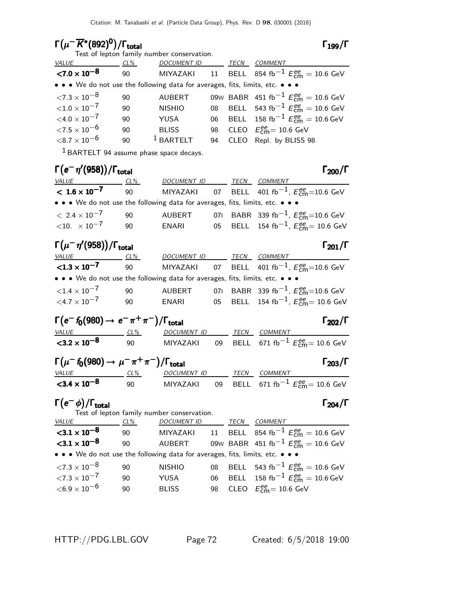Test of lepton family number conservation.

### Γ $(\mu^-\overline{K}{}^*(892)^0)/\Gamma_{\rm total}$  Γ<sub>199</sub>/Γ

|                                                                               |     | rest or reprom raminy number conservation. |    |      |                                                        |
|-------------------------------------------------------------------------------|-----|--------------------------------------------|----|------|--------------------------------------------------------|
| <i>VALUE</i>                                                                  | CL% | <b>DOCUMENT ID</b>                         |    | TECN | <b>COMMENT</b>                                         |
| ${<}7.0\times10^{-8}$                                                         | 90  | MIYAZAKI                                   | 11 |      | BELL 854 fb <sup>-1</sup> $E_{cm}^{ee}$ = 10.6 GeV     |
| • • • We do not use the following data for averages, fits, limits, etc. • • • |     |                                            |    |      |                                                        |
| $<$ 7.3 $\times$ 10 $^{-8}$                                                   | 90  | <b>AUBERT</b>                              |    |      | 09W BABR 451 fb <sup>-1</sup> $E_{cm}^{ee}$ = 10.6 GeV |
| ${<}1.0\times10^{-7}$                                                         | 90  | <b>NISHIO</b>                              |    |      | 08 BELL 543 fb <sup>-1</sup> $E_{cm}^{ee}$ = 10.6 GeV  |
| $<$ 4.0 $\times$ 10 $^{-7}$                                                   | 90  | YUSA                                       |    |      | 06 BELL 158 fb <sup>-1</sup> $E_{cm}^{ee}$ = 10.6 GeV  |
| ${<}7.5\times10^{-6}$                                                         | 90  | <b>BLISS</b>                               | 98 |      | CLEO $E_{\text{cm}}^{ee} = 10.6 \text{ GeV}$           |
| ${<}8.7\times10^{-6}$                                                         | 90  | $1$ BARTELT                                | 94 |      | CLEO Repl. by BLISS 98                                 |
|                                                                               |     |                                            |    |      |                                                        |

1 BARTELT 94 assume phase space decays.

| $\Gamma(e^-\eta'(958))/\Gamma_{\rm total}$                                    |     |                    |      |                                                                 | $\Gamma_{200}/\Gamma$ |
|-------------------------------------------------------------------------------|-----|--------------------|------|-----------------------------------------------------------------|-----------------------|
| <b>VALUE</b>                                                                  | CL% | <i>DOCUMENT ID</i> | TECN | COMMENT                                                         |                       |
| $< 1.6 \times 10^{-7}$                                                        | 90  |                    |      | MIYAZAKI 07 BELL 401 fb <sup>-1</sup> , $E_{cm}^{ee}$ =10.6 GeV |                       |
| • • • We do not use the following data for averages, fits, limits, etc. • • • |     |                    |      |                                                                 |                       |
| $< 2.4 \times 10^{-7}$                                                        | 90  | AUBERT             |      | 071 BABR 339 fb <sup>-1</sup> , $E_{cm}^{ee}$ =10.6 GeV         |                       |
| $<$ 10. $\times$ 10 $^{-7}$                                                   | 90  | ENARI              |      | 05 BELL 154 fb <sup>-1</sup> , $E_{cm}^{ee}$ = 10.6 GeV         |                       |
|                                                                               |     |                    |      |                                                                 |                       |

| $\Gamma(\mu^-\eta'(958))/\Gamma_{\rm total}$                                  |        |             |      |                                                                 | $\Gamma_{201}/\Gamma$ |
|-------------------------------------------------------------------------------|--------|-------------|------|-----------------------------------------------------------------|-----------------------|
| <i>VALUE</i>                                                                  | $CL\%$ | DOCUMENT ID | TECN | <i>COMMENT</i>                                                  |                       |
| $<$ 1.3 $\times$ 10 <sup>-7</sup>                                             | 90     |             |      | MIYAZAKI 07 BELL 401 fb <sup>-1</sup> , $E_{cm}^{ee}$ =10.6 GeV |                       |
| • • • We do not use the following data for averages, fits, limits, etc. • • • |        |             |      |                                                                 |                       |
| ${<}1.4\times10^{-7}$                                                         | 90     | AUBERT      |      | 071 BABR 339 fb <sup>-1</sup> , $E_{cm}^{ee}$ =10.6 GeV         |                       |
| $<$ 4.7 $\times$ 10 <sup>-7</sup>                                             | 90     | ENARI       |      | 05 BELL 154 fb <sup>-1</sup> , $E_{cm}^{ee}$ = 10.6 GeV         |                       |

$$
\begin{array}{cc}\n\Gamma(e^-f_0(980) \rightarrow e^-\pi^+\pi^-)/\Gamma_{\text{total}} & F_{202}/\Gamma \\
\frac{\text{value}}{\text{value}} & \frac{\text{c1\%}}{90} & \frac{\text{DOCUMENT ID}}{\text{MIYAZAKI}} & \frac{\text{TECN}}{99} & \frac{\text{COMMENT}}{\text{BELL}} & \frac{\text{COMMENT}}{671 \text{ fb}^{-1} \text{ E}_{\text{cm}}^{ee}} = 10.6 \text{ GeV}\n\end{array}
$$

| $\Gamma(\mu^-$ f <sub>0</sub> (980) $\rightarrow \mu^- \pi^+ \pi^-)/\Gamma_{\rm total}$ |     |             |  |      |                                                              |  |
|-----------------------------------------------------------------------------------------|-----|-------------|--|------|--------------------------------------------------------------|--|
| <i>VALUE</i>                                                                            | CL% | DOCUMENT ID |  | TECN | COMMENT                                                      |  |
| $<$ 3.4 $\times$ 10 <sup>-8</sup>                                                       | 90  | MIYAZAKI    |  |      | 09 BELL 671 fb <sup>-1</sup> $E_{\text{cm}}^{ee}$ = 10.6 GeV |  |

#### $\Gamma(e^-\phi)/\Gamma_{\rm total}$   $\Gamma_{204}/\Gamma$

Test of lepton family number conservation.

#### VALUE CL<sup>%</sup> DOCUMENT ID TECN COMMENT  ${<}3.1\times10^{-8}$ 90 MIYAZAKI 11 BELL 854 fb $^{-1}$   $E_{\textsf{cm}}^{ee} = 10.6 \text{ GeV}$  $<$ 3.1  $\times$  10<sup>-8</sup> 90 AUBERT 09<sup>W</sup> BABR 451 fb−1 E ee cm = 10.6 GeV • • • We do not use the following data for averages, fits, limits, etc. • • •  $\angle 7.3 \times 10^{-8}$  90 NISHIO 08 BELL 543 fb<sup>-1</sup>  $E_{\text{cm}}^{\text{ee}} = 10.6 \text{ GeV}$  $<$ 7.3 × 10<sup>-7</sup> 90 YUSA 06 BELL 158 fb<sup>-1</sup>  $E_{\textsf{cm}}^{ee} = 10.6 \text{ GeV}$  $<$ 6.9  $\times$  10<sup>-6</sup> 90 BLISS 98  $_{\text{cm}}^{ee}$ = 10.6 GeV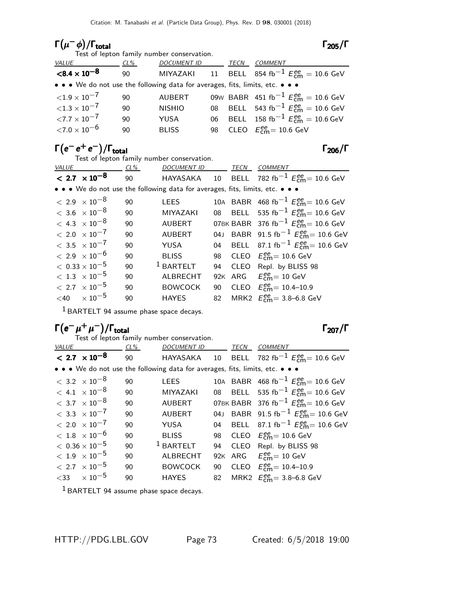## Γ $(\mu^- \phi)/\Gamma_{\rm total}$  Γ $_{205}/\Gamma$

Test of lepton family number conservation.

### $\Gamma_{205}/\Gamma$

| <i>VALUE</i>                                                                  | CL% | <b>DOCUMENT ID</b> |  | TECN | COMMENT                                                |
|-------------------------------------------------------------------------------|-----|--------------------|--|------|--------------------------------------------------------|
| ${<}8.4\times10^{-8}$                                                         | 90  | MIYAZAKI           |  |      | 11 BELL 854 fb <sup>-1</sup> $E_{cm}^{ee}$ = 10.6 GeV  |
| • • • We do not use the following data for averages, fits, limits, etc. • • • |     |                    |  |      |                                                        |
| ${<}1.9\times10^{-7}$                                                         | 90  | <b>AUBERT</b>      |  |      | 09W BABR 451 fb <sup>-1</sup> $E_{cm}^{ee}$ = 10.6 GeV |
| ${<}1.3\times10^{-7}$                                                         | 90  | <b>NISHIO</b>      |  |      | 08 BELL 543 fb <sup>-1</sup> $E_{cm}^{ee}$ = 10.6 GeV  |
| ${<}7.7\times10^{-7}$                                                         | 90  | <b>YUSA</b>        |  |      | 06 BELL 158 fb <sup>-1</sup> $E_{cm}^{ee}$ = 10.6 GeV  |
| ${<}7.0\times10^{-6}$                                                         | 90  | <b>BLISS</b>       |  |      | 98 CLEO $E_{\text{cm}}^{ee} = 10.6 \text{ GeV}$        |

## $\Gamma(e^-\,e^+\,e^-)/\Gamma_{\rm total}$  Γ<sub>206</sub>/Γ

Test of lepton family number conservation.

| <i>VALUE</i>           | CL% | DOCUMENT ID                                                                                                                   | TECN | COMMENT                                                        |
|------------------------|-----|-------------------------------------------------------------------------------------------------------------------------------|------|----------------------------------------------------------------|
| $< 2.7 \times 10^{-8}$ | 90  |                                                                                                                               |      | HAYASAKA 10 BELL 782 fb <sup>-1</sup> $E_{cm}^{ee}$ = 10.6 GeV |
|                        |     | $\bullet$ $\bullet$ $\bullet$ We do not use the following data for averages, fits, limits, etc. $\bullet$ $\bullet$ $\bullet$ |      |                                                                |
|                        |     |                                                                                                                               |      |                                                                |

| $< 2.9 \times 10^{-8}$  | 90 | LEES           |  | 10A BABR 468 fb <sup>-1</sup> $E_{cm}^{ee}$ = 10.6 GeV  |
|-------------------------|----|----------------|--|---------------------------------------------------------|
| $< 3.6 \times 10^{-8}$  | 90 | MIYAZAKI       |  | 08 BELL 535 fb <sup>-1</sup> $E_{cm}^{ee}$ = 10.6 GeV   |
| $< 4.3 \times 10^{-8}$  | 90 | <b>AUBERT</b>  |  | 07BK BABR 376 fb <sup>-1</sup> $E_{cm}^{ee}$ = 10.6 GeV |
| $< 2.0 \times 10^{-7}$  | 90 | <b>AUBERT</b>  |  | 04J BABR 91.5 fb <sup>-1</sup> $E_{cm}^{ee}$ = 10.6 GeV |
| $< 3.5 \times 10^{-7}$  | 90 | YUSA           |  | 04 BELL 87.1 fb <sup>-1</sup> $E_{cm}^{ee}$ = 10.6 GeV  |
| $< 2.9 \times 10^{-6}$  | 90 | <b>BLISS</b>   |  | 98 CLEO $E_{\text{cm}}^{ee}$ = 10.6 GeV                 |
| $<\,0.33\times10^{-5}$  | 90 | $1$ BARTELT    |  | 94 CLEO Repl. by BLISS 98                               |
| $< 1.3 \times 10^{-5}$  | 90 | ALBRECHT       |  | 92K ARG $E_{cm}^{ee} = 10$ GeV                          |
| $< 2.7 \times 10^{-5}$  | 90 | <b>BOWCOCK</b> |  | 90 CLEO $E_{\text{cm}}^{ee} = 10.4 - 10.9$              |
| $<$ 40 $\times 10^{-5}$ | 90 | HAYES          |  | 82 MRK2 $E_{cm}^{ee} = 3.8 - 6.8$ GeV                   |
|                         |    |                |  |                                                         |

1 BARTELT 94 assume phase space decays.

## $\Gamma(e^{-}\mu^{+}\mu^{-})/\Gamma_{\text{total}}$  Γ<sub>207</sub>/Γ

|              |                                  |     | Test of lepton family number conservation.                                    |     |      |                                                                |
|--------------|----------------------------------|-----|-------------------------------------------------------------------------------|-----|------|----------------------------------------------------------------|
| <b>VALUE</b> |                                  | CL% | <b>DOCUMENT ID</b>                                                            |     | TECN | <b>COMMENT</b>                                                 |
|              | $< 2.7 \times 10^{-8}$           | 90  |                                                                               |     |      | HAYASAKA 10 BELL 782 fb <sup>-1</sup> $E_{cm}^{ee}$ = 10.6 GeV |
|              |                                  |     | • • • We do not use the following data for averages, fits, limits, etc. • • • |     |      |                                                                |
|              | $< 3.2 \times 10^{-8}$           | 90  | <b>LEES</b>                                                                   |     |      | 10A BABR 468 fb <sup>-1</sup> $E_{cm}^{ee}$ = 10.6 GeV         |
|              | $< 4.1 \times 10^{-8}$           | 90  | <b>MIYAZAKI</b>                                                               |     |      | 08 BELL 535 fb <sup>-1</sup> $E_{cm}^{ee}$ = 10.6 GeV          |
|              | $< 3.7 \times 10^{-8}$           | 90  | <b>AUBERT</b>                                                                 |     |      | 07BK BABR 376 fb <sup>-1</sup> $E_{cm}^{ee}$ = 10.6 GeV        |
|              | $< 3.3 \times 10^{-7}$           | 90  | <b>AUBERT</b>                                                                 |     |      | 04J BABR 91.5 fb <sup>-1</sup> $E_{cm}^{ee}$ = 10.6 GeV        |
|              | $< 2.0 \times 10^{-7}$           | 90  | YUSA                                                                          |     |      | 04 BELL 87.1 fb <sup>-1</sup> $E_{cm}^{ee}$ = 10.6 GeV         |
|              | $<\,1.8\phantom{0}\times10^{-6}$ | 90  | <b>BLISS</b>                                                                  | 98  |      | CLEO $E_{\text{cm}}^{\text{ee}} = 10.6 \text{ GeV}$            |
|              | $< 0.36 \times 10^{-5}$          | 90  | $1$ BARTELT                                                                   | 94  | CLEO | Repl. by BLISS 98                                              |
|              | $< 1.9 \times 10^{-5}$           | 90  | <b>ALBRECHT</b>                                                               | 92K |      | ARG $E_{\text{cm}}^{ee} = 10 \text{ GeV}$                      |
|              | $< 2.7 \times 10^{-5}$           | 90  | <b>BOWCOCK</b>                                                                | 90  |      | CLEO $E_{\text{cm}}^{ee} = 10.4 - 10.9$                        |
|              | $<$ 33 $\times 10^{-5}$          | 90  | <b>HAYES</b>                                                                  | 82  |      | MRK2 $E_{\text{cm}}^{ee} = 3.8 - 6.8 \text{ GeV}$              |
|              |                                  |     |                                                                               |     |      |                                                                |

1 BARTELT 94 assume phase space decays.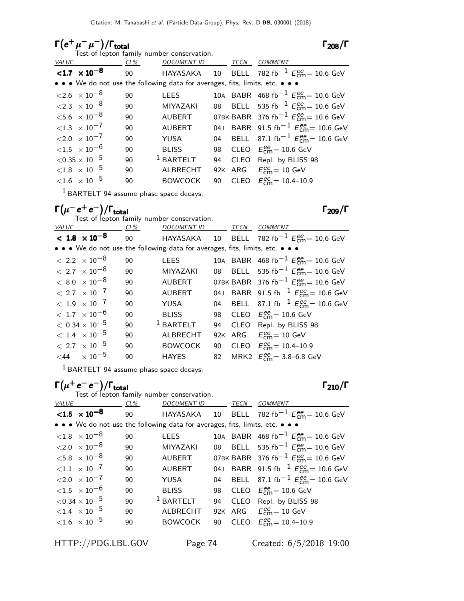# $\Gamma(e^+\mu^-\mu^-)/\Gamma_{\rm total}$  Γ<sub>208</sub>/Γ

|       |                                      |     | Test of lepton family number conservation.                                                                            |    |      |                                                                |
|-------|--------------------------------------|-----|-----------------------------------------------------------------------------------------------------------------------|----|------|----------------------------------------------------------------|
| VALUE |                                      | CL% | <b>DOCUMENT ID</b>                                                                                                    |    | TECN | <b>COMMENT</b>                                                 |
|       | $< 1.7 \times 10^{-8}$               | 90  |                                                                                                                       |    |      | HAYASAKA 10 BELL 782 fb <sup>-1</sup> $E_{cm}^{ee}$ = 10.6 GeV |
|       |                                      |     | $\bullet \bullet \bullet$ We do not use the following data for averages, fits, limits, etc. $\bullet \bullet \bullet$ |    |      |                                                                |
|       | $\langle 2.6 \times 10^{-8} \rangle$ | 90  | <b>LEES</b>                                                                                                           |    |      | 10A BABR 468 fb <sup>-1</sup> $E_{cm}^{ee}$ = 10.6 GeV         |
|       | $\langle 2.3 \times 10^{-8} \rangle$ | 90  | <b>MIYAZAKI</b>                                                                                                       |    |      | 08 BELL 535 fb <sup>-1</sup> $E_{cm}^{ee}$ = 10.6 GeV          |
|       | $<$ 5.6 $\times$ 10 <sup>-8</sup>    | 90  | <b>AUBERT</b>                                                                                                         |    |      | 07BK BABR 376 fb <sup>-1</sup> $E_{cm}^{ee}$ = 10.6 GeV        |
|       | ${<}1.3 \times 10^{-7}$              | 90  | <b>AUBERT</b>                                                                                                         |    |      | 04J BABR 91.5 fb <sup>-1</sup> $E_{cm}^{ee}$ = 10.6 GeV        |
|       | ${<}2.0 \times 10^{-7}$              | 90  | YUSA                                                                                                                  |    |      | 04 BELL 87.1 fb <sup>-1</sup> $E_{cm}^{ee}$ = 10.6 GeV         |
|       | $<$ 1.5 $\times$ 10 $^{-6}$          | 90  | <b>BLISS</b>                                                                                                          | 98 |      | CLEO $E_{\text{cm}}^{\text{ee}} = 10.6 \text{ GeV}$            |
|       | ${<}0.35\times10^{-5}$               | 90  | $1$ BARTELT                                                                                                           | 94 |      | CLEO Repl. by BLISS 98                                         |
|       | ${<}1.8$ $\times$ $10^{-5}$          | 90  | ALBRECHT                                                                                                              |    |      | 92K ARG $E_{\text{cm}}^{\text{ee}} = 10 \text{ GeV}$           |
|       | ${<}1.6 \times 10^{-5}$              | 90  | <b>BOWCOCK</b>                                                                                                        | 90 |      | CLEO $E_{cm}^{ee} = 10.4 - 10.9$                               |
|       |                                      |     |                                                                                                                       |    |      |                                                                |

1 BARTELT 94 assume phase space decays.

 $\Gamma(\mu^-e^+e^-)/\Gamma_{\rm total}$  Γ<sub>209</sub>/Γ

|       |                                   |     | Test of lepton family number conservation.                                    |     |      |                                                                |
|-------|-----------------------------------|-----|-------------------------------------------------------------------------------|-----|------|----------------------------------------------------------------|
| VALUE |                                   | CL% | <b>DOCUMENT ID</b>                                                            |     | TECN | <b>COMMENT</b>                                                 |
|       | $< 1.8 \times 10^{-8}$            | 90  |                                                                               |     |      | HAYASAKA 10 BELL 782 fb <sup>-1</sup> $E_{cm}^{ee}$ = 10.6 GeV |
|       |                                   |     | • • • We do not use the following data for averages, fits, limits, etc. • • • |     |      |                                                                |
|       | $< 2.2 \times 10^{-8}$            | 90  | <b>LEES</b>                                                                   |     |      | 10A BABR 468 fb <sup>-1</sup> $E_{cm}^{ee}$ = 10.6 GeV         |
|       | $< 2.7 \times 10^{-8}$            | 90  | <b>MIYAZAKI</b>                                                               |     |      | 08 BELL 535 fb <sup>-1</sup> $E_{cm}^{ee}$ = 10.6 GeV          |
|       | $< 8.0 \times 10^{-8}$            | 90  | <b>AUBERT</b>                                                                 |     |      | 07BK BABR 376 fb <sup>-1</sup> $E_{cm}^{ee}$ = 10.6 GeV        |
|       | $< 2.7 \times 10^{-7}$            | 90  | <b>AUBERT</b>                                                                 |     |      | 04J BABR 91.5 fb <sup>-1</sup> $E_{cm}^{ee}$ = 10.6 GeV        |
|       | $< 1.9 \times 10^{-7}$            | 90  | YUSA                                                                          | 04  |      | BELL 87.1 fb <sup>-1</sup> $E_{cm}^{ee}$ = 10.6 GeV            |
|       | $<$ 1.7 $\times$ 10 <sup>-6</sup> | 90  | <b>BLISS</b>                                                                  | 98  |      | CLEO $E_{\text{cm}}^{\text{ee}} = 10.6 \text{ GeV}$            |
|       | $< 0.34 \times 10^{-5}$           | 90  | $1$ BARTELT                                                                   | 94  |      | CLEO Repl. by BLISS 98                                         |
|       | $< 1.4 \times 10^{-5}$            | 90  | <b>ALBRECHT</b>                                                               | 92K |      | ARG $E_{\text{cm}}^{\text{ee}} = 10 \text{ GeV}$               |
|       | $< 2.7 \times 10^{-5}$            | 90  | <b>BOWCOCK</b>                                                                | 90  |      | CLEO $E_{\text{cm}}^{ee} = 10.4{\text -}10.9$                  |
|       | $<$ 44 $\times 10^{-5}$           | 90  | <b>HAYES</b>                                                                  | 82  |      | MRK2 $E_{cm}^{ee} = 3.8 - 6.8$ GeV                             |

1 BARTELT 94 assume phase space decays.

## $\Gamma(\mu^+e^-\text{e}^-)/\Gamma_\mathrm{total}$  Γ<sub>210</sub>/Γ

|       |                                      |     | Test of lepton family number conservation.                                    |    |      |                                                                |
|-------|--------------------------------------|-----|-------------------------------------------------------------------------------|----|------|----------------------------------------------------------------|
| VALUE |                                      | CL% | <b>DOCUMENT ID</b>                                                            |    | TECN | <b>COMMENT</b>                                                 |
|       | $< 1.5 \times 10^{-8}$               | 90  |                                                                               |    |      | HAYASAKA 10 BELL 782 fb <sup>-1</sup> $E_{cm}^{ee}$ = 10.6 GeV |
|       |                                      |     | • • • We do not use the following data for averages, fits, limits, etc. • • • |    |      |                                                                |
|       | ${<}1.8$ $\times$ 10 <sup>-8</sup>   | 90  | <b>LEES</b>                                                                   |    |      | 10A BABR 468 fb <sup>-1</sup> $E_{cm}^{ee}$ = 10.6 GeV         |
|       | $\langle 2.0 \times 10^{-8}$         | 90  | <b>MIYAZAKI</b>                                                               |    |      | 08 BELL 535 fb <sup>-1</sup> $E_{cm}^{ee}$ = 10.6 GeV          |
|       | $<$ 5.8 $\times$ 10 <sup>-8</sup>    | 90  | <b>AUBERT</b>                                                                 |    |      | 07BK BABR 376 fb <sup>-1</sup> $E_{cm}^{ee}$ = 10.6 GeV        |
|       | ${<}1.1 \times 10^{-7}$              | 90  | <b>AUBERT</b>                                                                 |    |      | 04J BABR 91.5 fb <sup>-1</sup> $E_{\text{cm}}^{ee}$ = 10.6 GeV |
|       | $< 2.0 \times 10^{-7}$               | 90  | YUSA                                                                          |    |      | 04 BELL 87.1 fb <sup>-1</sup> $E_{cm}^{ee}$ = 10.6 GeV         |
|       | ${<}1.5 \times 10^{-6}$              | 90  | <b>BLISS</b>                                                                  | 98 |      | CLEO $E_{\text{cm}}^{\text{ee}} = 10.6 \text{ GeV}$            |
|       | $<$ 0.34 $\times$ 10 $^{-5}$         | 90  | $1$ BARTELT                                                                   | 94 |      | CLEO Repl. by BLISS 98                                         |
|       | $\langle 1.4 \times 10^{-5} \rangle$ | 90  | <b>ALBRECHT</b>                                                               |    |      | 92K ARG $E_{cm}^{ee} = 10$ GeV                                 |
|       | ${<}1.6 \times 10^{-5}$              | 90  | <b>BOWCOCK</b>                                                                | 90 |      | CLEO $E_{cm}^{ee} = 10.4 - 10.9$                               |
|       |                                      |     |                                                                               |    |      |                                                                |

HTTP://PDG.LBL.GOV Page 74 Created: 6/5/2018 19:00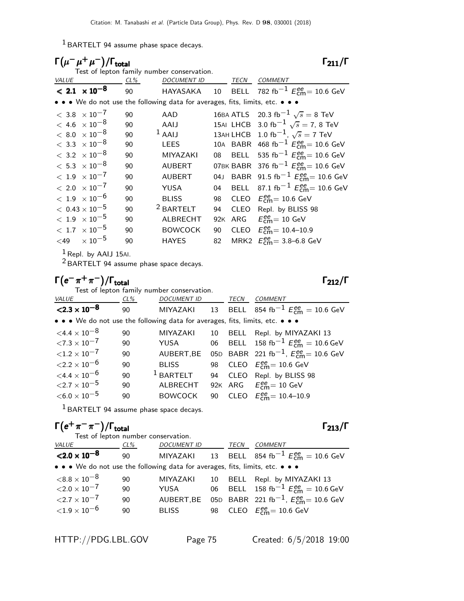$<sup>1</sup>$  BARTELT 94 assume phase space decays.</sup>

| $\Gamma(\mu^-\mu^+\mu^-)/\Gamma_{\rm total}$ |        |                                                                               |     |             | $\Gamma_{211}/\Gamma$                                          |
|----------------------------------------------|--------|-------------------------------------------------------------------------------|-----|-------------|----------------------------------------------------------------|
| <b>VALUE</b>                                 | $CL\%$ | Test of lepton family number conservation.<br><b>DOCUMENT ID</b>              |     | TECN        | <b>COMMENT</b>                                                 |
| $< 2.1 \times 10^{-8}$                       | 90     |                                                                               |     |             | HAYASAKA 10 BELL 782 fb <sup>-1</sup> $E_{cm}^{ee}$ = 10.6 GeV |
|                                              |        | • • • We do not use the following data for averages, fits, limits, etc. • • • |     |             |                                                                |
| $< 3.8 \times 10^{-7}$                       | 90     | AAD                                                                           |     |             | 16BA ATLS 20.3 fb <sup>-1</sup> $\sqrt{s}$ = 8 TeV             |
| $< 4.6 \times 10^{-8}$                       | 90     | AAIJ                                                                          |     |             | 15AI LHCB 3.0 fb <sup>-1</sup> $\sqrt{s}$ = 7, 8 TeV           |
| $< 8.0 \times 10^{-8}$                       | 90     | $1$ AAIJ                                                                      |     |             | 13AH LHCB 1.0 fb <sup>-1</sup> , $\sqrt{s}$ = 7 TeV            |
| $<\,3.3\phantom{0}\times10^{-8}$             | 90     | <b>LEES</b>                                                                   |     |             | 10A BABR 468 fb <sup>-1</sup> $E_{cm}^{ee}$ = 10.6 GeV         |
| $< 3.2 \times 10^{-8}$                       | 90     | <b>MIYAZAKI</b>                                                               | 08  | <b>BELL</b> | 535 fb <sup>-1</sup> $E_{cm}^{ee}$ = 10.6 GeV                  |
| $<\,5.3\;\times10^{-8}$                      | 90     | <b>AUBERT</b>                                                                 |     |             | 07BK BABR 376 fb <sup>-1</sup> $E_{cm}^{ee}$ = 10.6 GeV        |
| $<\,1.9\phantom{0}\times 10^{-7}$            | 90     | <b>AUBERT</b>                                                                 | 04J |             | BABR 91.5 fb <sup>-1</sup> $E_{cm}^{ee}$ = 10.6 GeV            |
| $< 2.0 \times 10^{-7}$                       | 90     | <b>YUSA</b>                                                                   | 04  | <b>BELL</b> | 87.1 fb <sup>-1</sup> $E_{cm}^{ee}$ = 10.6 GeV                 |
| $<\,1.9\phantom{0}\times10^{-6}$             | 90     | <b>BLISS</b>                                                                  | 98  |             | CLEO $E_{\text{cm}}^{\text{ee}} = 10.6 \text{ GeV}$            |
| $< 0.43 \times 10^{-5}$                      | 90     | <sup>2</sup> BARTELT                                                          | 94  | CLEO        | Repl. by BLISS 98                                              |
| $<\,1.9\phantom{0}\times10^{-5}$             | 90     | ALBRECHT                                                                      | 92K |             | ARG $E_{\text{cm}}^{\text{ee}} = 10 \text{ GeV}$               |
| $<\rm~1.7~\times 10^{-5}$                    | 90     | <b>BOWCOCK</b>                                                                | 90  |             | CLEO $E_{cm}^{ee} = 10.4 - 10.9$                               |
| $<$ 49 $\times 10^{-5}$                      | 90     | <b>HAYES</b>                                                                  | 82  |             | MRK2 $E_{cm}^{ee} = 3.8 - 6.8$ GeV                             |
|                                              |        |                                                                               |     |             |                                                                |

<sup>1</sup> Repl. by AAIJ 15AI.

2 BARTELT 94 assume phase space decays.

## $\Gamma(e^{-}\pi^{+}\pi^{-})/\Gamma_{\text{total}}$  Γ<sub>212</sub>/Γ

Test of lepton family number conservation.

| VALUE                                                                                                                 | $CL\%$ | <b>DOCUMENT ID</b> |    | TECN | COMMENT                                                  |
|-----------------------------------------------------------------------------------------------------------------------|--------|--------------------|----|------|----------------------------------------------------------|
| $<$ 2.3 $\times$ 10 <sup>-8</sup>                                                                                     | 90     | MIYAZAKI           |    |      | 13 BELL 854 fb <sup>-1</sup> $E_{cm}^{ee}$ = 10.6 GeV    |
| $\bullet \bullet \bullet$ We do not use the following data for averages, fits, limits, etc. $\bullet \bullet \bullet$ |        |                    |    |      |                                                          |
| $\langle 4.4 \times 10^{-8}$                                                                                          | 90     | <b>MIYAZAKI</b>    | 10 | BELL | Repl. by MIYAZAKI 13                                     |
| $\langle 7.3 \times 10^{-7} \rangle$                                                                                  | 90     | YUSA               |    |      | 06 BELL 158 fb <sup>-1</sup> $E_{cm}^{ee} = 10.6$ GeV    |
| ${<}1.2 \times 10^{-7}$                                                                                               | 90     | AUBERT, BE         |    |      | 05D BABR 221 fb <sup>-1</sup> , $E_{cm}^{ee}$ = 10.6 GeV |
| ${<}2.2\times10^{-6}$                                                                                                 | 90     | <b>BLISS</b>       |    |      | 98 CLEO $E_{\text{cm}}^{\text{ee}} = 10.6 \text{ GeV}$   |
| $\leq 4.4 \times 10^{-6}$                                                                                             | 90     | $1$ BARTELT        |    |      | 94 CLEO Repl. by BLISS 98                                |
| ${<}2.7\times10^{-5}$                                                                                                 | 90     | <b>ALBRECHT</b>    |    |      | 92K ARG $E_{\text{cm}}^{ee} = 10 \text{ GeV}$            |
| ${<}6.0\times10^{-5}$                                                                                                 | 90     | <b>BOWCOCK</b>     | 90 |      | CLEO $E_{cm}^{ee} = 10.4 - 10.9$                         |

1 BARTELT 94 assume phase space decays.

 $\Gamma(e^+\pi^-\pi^-)/\Gamma_{\rm total}$  Γ<sub>213</sub>/Γ Test of lepton number conservation. VALUE CL% DOCUMENT ID TECN COMMENT  ${<}2.0 \times 10^{-8}$ 90 MIYAZAKI 13 BELL 854 fb $^{-1}$   $E_{\textsf{cm}}^{ee} = 10.6 \text{ GeV}$ • • • We do not use the following data for averages, fits, limits, etc. • • •  $\langle 8.8 \times 10^{-8}$  90 MIYAZAKI 10 BELL Repl. by MIYAZAKI 13<br> $\langle 2.0 \times 10^{-7}$  90 YUSA 06 BELL 158 fb<sup>-1</sup> E<sub>cm</sub> = 10.6 (  $\angle 2.0 \times 10^{-7}$  90 YUSA 06 BELL 158 fb<sup>-1</sup>  $E_{\text{cm}}^{\text{ee}} = 10.6 \text{ GeV}$  $\langle 2.7 \times 10^{-7}$  90 AUBERT,BE 05D BABR 221 fb $^{-1}$ ,  $E_{\text{cm}}^{ee} = 10.6$  GeV  $\langle 1.9 \times 10^{-6}$  90 BLISS 98  $_{\text{cm}}^{\text{ee}}$ = 10.6 GeV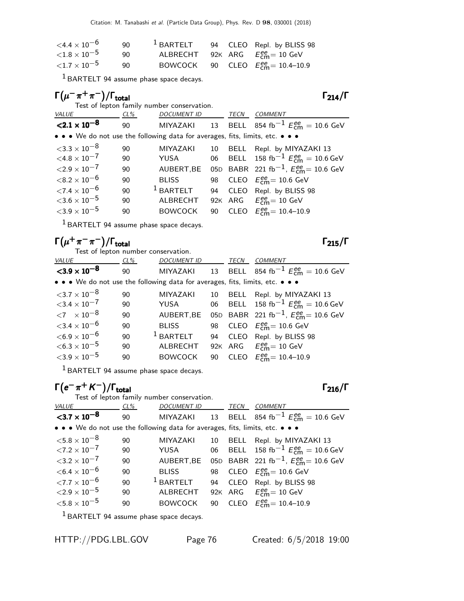| $<$ 4.4 $\times$ 10 $^{-6}$ | 90  | $1$ BARTELT |  | 94 CLEO Repl. by BLISS 98                          |
|-----------------------------|-----|-------------|--|----------------------------------------------------|
| ${<}1.8\times10^{-5}$       | 90. |             |  | ALBRECHT 92K ARG $E_{cm}^{ee} = 10$ GeV            |
| ${<}1.7\times10^{-5}$       | 90. |             |  | BOWCOCK 90 CLEO $E_{\text{cm}}^{ee} = 10.4 - 10.9$ |

 $<sup>1</sup>$  BARTELT 94 assume phase space decays.</sup>

| $\Gamma(\mu^-\pi^+\pi^-)/\Gamma_{\rm total}$ |     |                                                                               |    |             | $\Gamma_{214}/\Gamma$                                                         |
|----------------------------------------------|-----|-------------------------------------------------------------------------------|----|-------------|-------------------------------------------------------------------------------|
| VALUE                                        | CL% | Test of lepton family number conservation.<br><b>DOCUMENT ID</b>              |    | TECN        | <b>COMMENT</b>                                                                |
| $\langle 2.1 \times 10^{-8} \rangle$         | 90  |                                                                               |    |             | MIYAZAKI 13 BELL 854 fb <sup>-1</sup> $E_{\text{cm}}^{ee} = 10.6 \text{ GeV}$ |
|                                              |     | • • • We do not use the following data for averages, fits, limits, etc. • • • |    |             |                                                                               |
| $<$ 3.3 $\times$ 10 $^{-8}$                  | 90  | <b>MIYAZAKI</b>                                                               | 10 | <b>BELL</b> | Repl. by MIYAZAKI 13                                                          |
| $< 4.8 \times 10^{-7}$                       | 90  | YUSA                                                                          | 06 |             | BELL 158 fb <sup>-1</sup> $E_{cm}^{ee} = 10.6$ GeV                            |
| ${<}2.9\times10^{-7}$                        | 90  | AUBERT, BE                                                                    |    |             | 05D BABR 221 fb <sup>-1</sup> , $E_{\text{cm}}^{ee}$ = 10.6 GeV               |
| ${<}8.2\times10^{-6}$                        | 90  | <b>BLISS</b>                                                                  | 98 |             | CLEO $E_{\text{cm}}^{\text{ee}} = 10.6 \text{ GeV}$                           |
| ${<}7.4\times10^{-6}$                        | 90  | $1$ BARTELT                                                                   | 94 | <b>CLEO</b> | Repl. by BLISS 98                                                             |
| ${<}3.6\times10^{-5}$                        | 90  | ALBRECHT                                                                      |    |             | 92K ARG $E_{\text{cm}}^{ee} = 10 \text{ GeV}$                                 |
| ${<}3.9\times10^{-5}$                        | 90  | <b>BOWCOCK</b>                                                                | 90 |             | CLEO $E_{cm}^{ee} = 10.4 - 10.9$                                              |
|                                              |     |                                                                               |    |             |                                                                               |

 $<sup>1</sup>$  BARTELT 94 assume phase space decays.</sup>

### $\Gamma(\mu^+\pi^-\pi^-)/\Gamma_{\rm total}$  Γ<sub>215</sub>/Γ total and the contract of the contract of  $\sim$  1 215/1  $\,$

Test of lepton number conservation.

| VALUE                                                                         | $CL\%$ | <b>DOCUMENT ID</b> |    | TECN | <b>COMMENT</b>                                           |
|-------------------------------------------------------------------------------|--------|--------------------|----|------|----------------------------------------------------------|
| $<$ 3.9 $\times$ 10 <sup>-8</sup>                                             | 90     | MIYAZAKI           |    |      | 13 BELL 854 fb <sup>-1</sup> $E_{cm}^{ee}$ = 10.6 GeV    |
| • • • We do not use the following data for averages, fits, limits, etc. • • • |        |                    |    |      |                                                          |
| $<$ 3.7 $\times$ 10 $^{-8}$                                                   | 90     | <b>MIYAZAKI</b>    | 10 |      | BELL Repl. by MIYAZAKI 13                                |
| ${<}3.4\times10^{-7}$                                                         | 90     | YUSA               |    |      | 06 BELL 158 fb <sup>-1</sup> $E_{cm}^{ee}$ = 10.6 GeV    |
| ${11}$ $\times 10^{-8}$                                                       | 90     | AUBERT, BE         |    |      | 05D BABR 221 fb <sup>-1</sup> , $E_{cm}^{ee}$ = 10.6 GeV |
| ${<}3.4\times10^{-6}$                                                         | 90     | <b>BLISS</b>       |    |      | 98 CLEO $E_{cm}^{ee}$ = 10.6 GeV                         |
| $<$ 6.9 $\times$ 10 $^{-6}$                                                   | 90     | $1$ BARTELT        |    |      | 94 CLEO Repl. by BLISS 98                                |
| $<$ 6.3 $\times$ 10 $^{-5}$                                                   | 90     | <b>ALBRECHT</b>    |    |      | 92K ARG $E_{cm}^{ee} = 10$ GeV                           |
| ${<}3.9\times10^{-5}$                                                         | 90     | <b>BOWCOCK</b>     |    |      | 90 CLEO $E_{cm}^{ee}$ = 10.4–10.9                        |
|                                                                               |        |                    |    |      |                                                          |

1 BARTELT 94 assume phase space decays.

## $\Gamma(e^{-} \pi^{+} K^{-})/\Gamma_{\text{total}}$

Test of lepton family number conservation.<br>VALUE CL% DOCUMENT ID CL% DOCUMENT ID TECN COMMENT  $<$ 3.7  $\times$  10 $^{-8}$ 90 MIYAZAKI 13 BELL 854 fb $^{-1}$   $E_{\textsf{cm}}^{ee} = 10.6 \text{ GeV}$ • • • We do not use the following data for averages, fits, limits, etc. • • •  $<$ 5.8  $\times$  10 $^{-8}$  90 MIYAZAKI 10 BELL Repl. by MIYAZAKI 13  $\angle 7.2 \times 10^{-7}$  90 YUSA 06 BELL 158 fb<sup>-1</sup>  $E_{\text{cm}}^{ee} = 10.6$  GeV  $<$ 3.2 × 10<sup>-7</sup> 90 AUBERT,BE 05D BABR 221 fb<sup>-1</sup>,  $E_{\text{cm}}^{ee}$  = 10.6 GeV  $<$ 6.4 × 10<sup>-6</sup> 90 BLISS 98<br>  $<$ 7.7 × 10<sup>-6</sup> 90 <sup>1</sup> BARTELT 94  $_{\text{cm}}^{\text{ee}}$ = 10.6 GeV 90  $^1$  BARTELT 94 CLEO Repl. by BLISS 98<br>90 ALBRECHT 92K ARG  $E_{\text{cm}}^{\text{ee}} = 10 \text{ GeV}$  $<$  2.9  $\times$  10<sup>-5</sup> 90<br> $<$  5.8  $\times$  10<sup>-5</sup> 90 ee<br>cm= 10 GeV  $<$ 5.8  $\times$  10 $^{-5}$  90 BOWCOCK 90  $_{cm}^{ee}$  = 10.4–10.9

 $<sup>1</sup>$  BARTELT 94 assume phase space decays.</sup>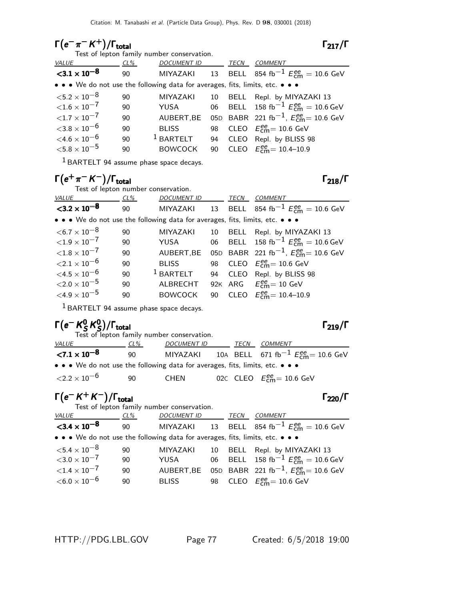# $\Gamma(e^{-}\pi^{-}K^{+})/\Gamma_{\text{total}}$   $\Gamma_{217}/\Gamma$

### $\Gamma_{217}/\Gamma$

 $\Gamma_{218}/\Gamma$ 

| Test of lepton family number conservation.                                    |     |                    |    |      |                                                                 |  |  |  |
|-------------------------------------------------------------------------------|-----|--------------------|----|------|-----------------------------------------------------------------|--|--|--|
| VALUE                                                                         | CL% | <b>DOCUMENT ID</b> |    | TECN | <b>COMMENT</b>                                                  |  |  |  |
| ${<}3.1 \times 10^{-8}$                                                       | 90  |                    |    |      | MIYAZAKI 13 BELL 854 fb <sup>-1</sup> $E_{cm}^{ee}$ = 10.6 GeV  |  |  |  |
| • • • We do not use the following data for averages, fits, limits, etc. • • • |     |                    |    |      |                                                                 |  |  |  |
| $<$ 5.2 $\times$ 10 $^{-8}$                                                   | 90  | <b>MIYAZAKI</b>    | 10 |      | BELL Repl. by MIYAZAKI 13                                       |  |  |  |
| ${<}1.6\times10^{-7}$                                                         | 90  | YUSA               |    |      | 06 BELL 158 fb <sup>-1</sup> $E_{cm}^{ee} = 10.6$ GeV           |  |  |  |
| ${<}1.7\times10^{-7}$                                                         | 90  | AUBERT, BE         |    |      | 05D BABR 221 fb <sup>-1</sup> , $E_{\text{cm}}^{ee}$ = 10.6 GeV |  |  |  |
| $<$ 3.8 $\times$ 10 $^{-6}$                                                   | 90  | <b>BLISS</b>       |    |      | 98 CLEO $E_{\text{cm}}^{\text{ee}} = 10.6 \text{ GeV}$          |  |  |  |
| $\leq 4.6 \times 10^{-6}$                                                     | 90  | $1$ BARTELT        | 94 |      | CLEO Repl. by BLISS 98                                          |  |  |  |
| ${<}5.8\times10^{-5}$                                                         | 90  | <b>BOWCOCK</b>     | 90 |      | CLEO $E_{cm}^{ee} = 10.4 - 10.9$                                |  |  |  |
|                                                                               |     |                    |    |      |                                                                 |  |  |  |

1 BARTELT 94 assume phase space decays.

## $\Gamma(e^+\pi^- K^-)/\Gamma_{\rm total}$  Γ<sub>218</sub>/Γ

Test of lepton number conservation.

| <i>VALUE</i>                                                                                                          | $CL\%$ | DOCUMENT ID     |    | TECN | <b>COMMENT</b>                                           |
|-----------------------------------------------------------------------------------------------------------------------|--------|-----------------|----|------|----------------------------------------------------------|
| $<$ 3.2 $\times$ 10 <sup>-8</sup>                                                                                     | 90     | MIYAZAKI        |    |      | 13 BELL 854 fb <sup>-1</sup> $E_{cm}^{ee}$ = 10.6 GeV    |
| $\bullet \bullet \bullet$ We do not use the following data for averages, fits, limits, etc. $\bullet \bullet \bullet$ |        |                 |    |      |                                                          |
| $<$ 6.7 $\times$ 10 $^{-8}$                                                                                           | 90     | <b>MIYAZAKI</b> | 10 | BELL | Repl. by MIYAZAKI 13                                     |
| ${<}1.9\times10^{-7}$                                                                                                 | 90     | YUSA            |    |      | 06 BELL 158 fb <sup>-1</sup> $E_{cm}^{ee}$ = 10.6 GeV    |
| ${<}1.8\times10^{-7}$                                                                                                 | 90     | AUBERT, BE      |    |      | 05D BABR 221 fb <sup>-1</sup> , $E_{cm}^{ee}$ = 10.6 GeV |
| ${<}2.1\times10^{-6}$                                                                                                 | 90     | <b>BLISS</b>    |    |      | 98 CLEO $E_{cm}^{ee} = 10.6$ GeV                         |
| ${<}4.5\times10^{-6}$                                                                                                 | 90     | $1$ BARTELT     | 94 |      | CLEO Repl. by BLISS 98                                   |
| ${<}2.0\times10^{-5}$                                                                                                 | 90     | ALBRECHT        |    |      | 92K ARG $E_{\text{cm}}^{ee} = 10 \text{ GeV}$            |
| ${<}4.9\times10^{-5}$                                                                                                 | 90     | <b>BOWCOCK</b>  |    |      | 90 CLEO $E_{cm}^{ee} = 10.4 - 10.9$                      |

1 BARTELT 94 assume phase space decays.

### Γ $(e^-$  K $^0_S$  $^{\mathbf{0}}$  K $^{\mathbf{0}}$ s

| $\Gamma(e^- K^0_S K^0_S)/\Gamma_{\rm total}$ |     | Test of lepton family number conservation.                                                                            |      |                                                                 | $\Gamma_{219}/\Gamma$ |
|----------------------------------------------|-----|-----------------------------------------------------------------------------------------------------------------------|------|-----------------------------------------------------------------|-----------------------|
| <i>VALUE</i>                                 | CL% | <b>DOCUMENT ID</b>                                                                                                    | TECN | COMMENT                                                         |                       |
| ${<}7.1 \times 10^{-8}$                      | 90  |                                                                                                                       |      | MIYAZAKI 10A BELL 671 fb <sup>-1</sup> $E_{cm}^{ee}$ = 10.6 GeV |                       |
|                                              |     | $\bullet \bullet \bullet$ We do not use the following data for averages, fits, limits, etc. $\bullet \bullet \bullet$ |      |                                                                 |                       |
| ${<}2.2\times10^{-6}$                        | 90  | CHEN                                                                                                                  |      | 02C CLEO $E_{\text{cm}}^{\text{ee}} = 10.6 \text{ GeV}$         |                       |

# $\Gamma(e^- K^+ K^-)/\Gamma_{\rm total}$  Γ<sub>220</sub>/Γ

| Test of lepton family number conservation.                                                                            |        |              |      |                                                                     |
|-----------------------------------------------------------------------------------------------------------------------|--------|--------------|------|---------------------------------------------------------------------|
| <i>VALUE</i>                                                                                                          | $CL\%$ | DOCUMENT ID  | TECN | COMMENT                                                             |
| $<$ 3.4 $\times$ 10 <sup>-8</sup>                                                                                     | 90     |              |      | MIYAZAKI 13 BELL 854 fb <sup>-1</sup> $E_{cm}^{ee} = 10.6$ GeV      |
| $\bullet \bullet \bullet$ We do not use the following data for averages, fits, limits, etc. $\bullet \bullet \bullet$ |        |              |      |                                                                     |
| ${<}5.4\times10^{-8}$                                                                                                 | 90     |              |      | MIYAZAKI 10 BELL Repl. by MIYAZAKI 13                               |
| $<$ 3.0 $\times$ 10 $^{-7}$                                                                                           | 90     | YUSA         |      | 06 BELL 158 fb <sup>-1</sup> $E_{cm}^{ee} = 10.6$ GeV               |
| ${<}1.4\times10^{-7}$                                                                                                 | 90     |              |      | AUBERT, BE 05D BABR 221 fb <sup>-1</sup> , $E_{cm}^{ee}$ = 10.6 GeV |
| $<$ 6.0 $\times$ 10 $^{-6}$                                                                                           | 90     | <b>BLISS</b> |      | 98 CLEO $E_{\text{cm}}^{\text{ee}} = 10.6 \text{ GeV}$              |
|                                                                                                                       |        |              |      |                                                                     |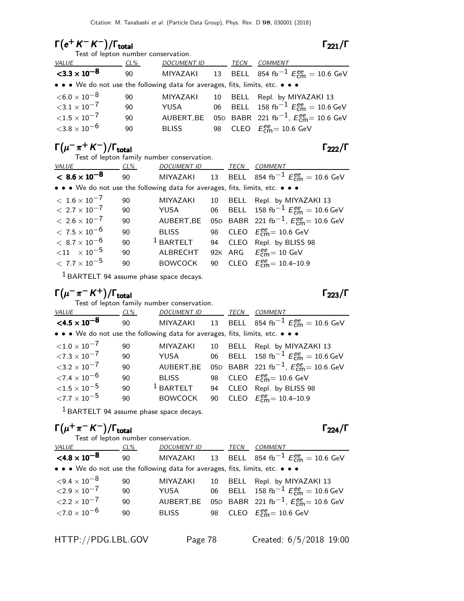# $\Gamma(e^+ K^- K^-)/\Gamma_{\rm total}$  Γ<sub>221</sub>/Γ

| Test of lepton number conservation.                                           |     |                    |      |                                                          |
|-------------------------------------------------------------------------------|-----|--------------------|------|----------------------------------------------------------|
| <i>VALUE</i>                                                                  | CL% | <b>DOCUMENT ID</b> | TECN | <b>COMMENT</b>                                           |
| $<$ 3.3 $\times$ 10 <sup>-8</sup>                                             | 90  | MIYAZAKI           |      | 13 BELL 854 fb <sup>-1</sup> $E_{cm}^{ee}$ = 10.6 GeV    |
| • • • We do not use the following data for averages, fits, limits, etc. • • • |     |                    |      |                                                          |
| $<$ 6.0 $\times$ 10 $^{-8}$                                                   | 90  | <b>MIYAZAKI</b>    |      | 10 BELL Repl. by MIYAZAKI 13                             |
| ${<}3.1\times10^{-7}$                                                         | 90  | YUSA               |      | 06 BELL 158 fb <sup>-1</sup> $E_{cm}^{ee}$ = 10.6 GeV    |
| ${<}1.5\times10^{-7}$                                                         | 90  | AUBERT, BE         |      | 05D BABR 221 fb <sup>-1</sup> , $E_{cm}^{ee}$ = 10.6 GeV |
| ${<}3.8\times10^{-6}$                                                         | 90  | <b>BLISS</b>       |      | 98 CLEO $E_{cm}^{ee}$ = 10.6 GeV                         |
|                                                                               |     |                    |      |                                                          |

# $\Gamma(\mu^-\pi^+K^-)/\Gamma_{\rm total}$  Γ<sub>222</sub>/Γ

|                                                                               | Test of lepton family number conservation. |                    |    |      |                                                          |  |  |  |  |
|-------------------------------------------------------------------------------|--------------------------------------------|--------------------|----|------|----------------------------------------------------------|--|--|--|--|
| VALUE                                                                         | $CL\%$                                     | <b>DOCUMENT ID</b> |    | TECN | COMMENT                                                  |  |  |  |  |
| $< 8.6 \times 10^{-8}$                                                        | 90                                         | MIYAZAKI           |    |      | 13 BELL 854 fb <sup>-1</sup> $E_{cm}^{ee}$ = 10.6 GeV    |  |  |  |  |
| • • • We do not use the following data for averages, fits, limits, etc. • • • |                                            |                    |    |      |                                                          |  |  |  |  |
| $<\,1.6\times10^{-7}$                                                         | 90                                         | <b>MIYAZAKI</b>    | 10 |      | BELL Repl. by MIYAZAKI 13                                |  |  |  |  |
| $< 2.7 \times 10^{-7}$                                                        | 90                                         | YUSA               |    |      | 06 BELL 158 fb <sup>-1</sup> $E_{cm}^{ee}$ = 10.6 GeV    |  |  |  |  |
| $< 2.6 \times 10^{-7}$                                                        | 90                                         | AUBERT, BE         |    |      | 05D BABR 221 fb <sup>-1</sup> , $E_{cm}^{ee}$ = 10.6 GeV |  |  |  |  |
| $< 7.5 \times 10^{-6}$                                                        | 90                                         | <b>BLISS</b>       |    |      | 98 CLEO $E_{\text{cm}}^{ee} = 10.6$ GeV                  |  |  |  |  |
| $<\,8.7\times10^{-6}$                                                         | 90                                         | $1$ BARTELT        | 94 |      | CLEO Repl. by BLISS 98                                   |  |  |  |  |
| $< 11$ $\times 10^{-5}$                                                       | 90                                         | ALBRECHT           |    |      | 92K ARG $E_{\text{cm}}^{ee} = 10 \text{ GeV}$            |  |  |  |  |
| $< 7.7 \times 10^{-5}$                                                        | 90                                         | <b>BOWCOCK</b>     |    |      | 90 CLEO $E_{\text{cm}}^{ee} = 10.4 - 10.9$               |  |  |  |  |
|                                                                               |                                            |                    |    |      |                                                          |  |  |  |  |

1 BARTELT 94 assume phase space decays.

## $\Gamma(\mu^-\pi^-K^+)$ /Γ<sub>total</sub> $\Gamma_{223}/\Gamma$

Test of lepton family number conservation.

| <b>VALUE</b>                                                                  | $CL\%$ | <b>DOCUMENT ID</b> |    | TECN | <b>COMMENT</b>                                           |
|-------------------------------------------------------------------------------|--------|--------------------|----|------|----------------------------------------------------------|
| $\leq 4.5 \times 10^{-8}$                                                     | 90     | MIYAZAKI           |    |      | 13 BELL 854 fb <sup>-1</sup> $E_{cm}^{ee}$ = 10.6 GeV    |
| • • • We do not use the following data for averages, fits, limits, etc. • • • |        |                    |    |      |                                                          |
| ${<}1.0\times10^{-7}$                                                         | 90     | <b>MIYAZAKI</b>    | 10 | BELL | Repl. by MIYAZAKI 13                                     |
| ${<}7.3\times10^{-7}$                                                         | 90     | YUSA               |    |      | 06 BELL 158 fb <sup>-1</sup> $E_{cm}^{ee}$ = 10.6 GeV    |
| $3.2 \times 10^{-7}$                                                          | 90     | AUBERT, BE         |    |      | 05D BABR 221 fb <sup>-1</sup> , $E_{cm}^{ee}$ = 10.6 GeV |
| $\langle 7.4 \times 10^{-6} \rangle$                                          | 90     | <b>BLISS</b>       |    |      | 98 CLEO $E_{\text{cm}}^{ee}$ = 10.6 GeV                  |
| ${<}1.5\times10^{-5}$                                                         | 90     | $1$ BARTELT        | 94 |      | CLEO Repl. by BLISS 98                                   |
| ${<}7.7\times10^{-5}$                                                         | 90     | <b>BOWCOCK</b>     | 90 |      | CLEO $E_{cm}^{ee} = 10.4 - 10.9$                         |

1 BARTELT 94 assume phase space decays.

## $\Gamma(\mu^+\pi^- K^-)/\Gamma_{\rm total}$  Γ<sub>224</sub>/Γ

| Test of lepton number conservation.                                           |        |              |      |                                                                |
|-------------------------------------------------------------------------------|--------|--------------|------|----------------------------------------------------------------|
| VALUE                                                                         | $CL\%$ | DOCUMENT ID  | TECN | COMMENT                                                        |
| $< 4.8 \times 10^{-8}$                                                        | 90     |              |      | MIYAZAKI 13 BELL 854 fb <sup>-1</sup> $E_{cm}^{ee} = 10.6$ GeV |
| • • • We do not use the following data for averages, fits, limits, etc. • • • |        |              |      |                                                                |
| $<$ 9.4 $\times$ 10 $^{-8}$                                                   | 90     | MIYAZAKI     |      | 10 BELL Repl. by MIYAZAKI 13                                   |
| ${<}2.9\times10^{-7}$                                                         | 90     | YUSA         |      | 06 BELL 158 fb <sup>-1</sup> $E_{cm}^{ee}$ = 10.6 GeV          |
| $<$ 2.2 $\times$ 10 <sup>-7</sup>                                             | 90     | AUBERT, BE   |      | 05D BABR 221 fb <sup>-1</sup> , $E_{cm}^{ee}$ = 10.6 GeV       |
| ${<}7.0\times10^{-6}$                                                         | 90     | <b>BLISS</b> |      | 98 CLEO $E_{\text{cm}}^{\text{ee}} = 10.6 \text{ GeV}$         |
|                                                                               |        |              |      |                                                                |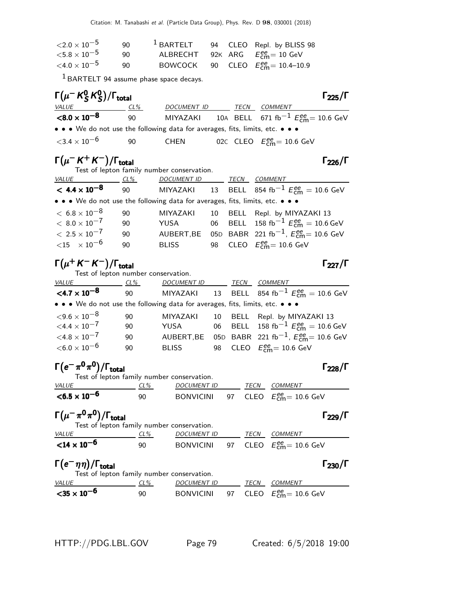| $<$ 2.0 $\times$ 10 $^{-5}$ | 90  | $1$ BARTELT |  | 94 CLEO Repl. by BLISS 98                   |
|-----------------------------|-----|-------------|--|---------------------------------------------|
| $<$ 5.8 $\times$ 10 $^{-5}$ | 90. |             |  | ALBRECHT 92K ARG $E_{cm}^{ee} = 10$ GeV     |
| $<$ 4.0 $\times$ 10 $^{-5}$ | 90  |             |  | BOWCOCK 90 CLEO $E_{cm}^{ee} = 10.4 - 10.9$ |

 $<sup>1</sup>$  BARTELT 94 assume phase space decays.</sup>

| $\Gamma(\mu^- K^0_S K^0_S)/\Gamma_{\rm total}$                                |        |             |      |                                                                 | $\Gamma_{225}/\Gamma$ |
|-------------------------------------------------------------------------------|--------|-------------|------|-----------------------------------------------------------------|-----------------------|
| <i>VALUE</i>                                                                  | $CL\%$ | DOCUMENT ID | TECN | <i>COMMENT</i>                                                  |                       |
| $<$ 8.0 $\times$ 10 $^{-8}$                                                   | 90     |             |      | MIYAZAKI 10A BELL 671 fb <sup>-1</sup> $E_{cm}^{ee}$ = 10.6 GeV |                       |
| • • • We do not use the following data for averages, fits, limits, etc. • • • |        |             |      |                                                                 |                       |
| ${<}3.4\times10^{-6}$                                                         | -90    | CHEN        |      | 02C CLEO $E_{cm}^{ee}$ = 10.6 GeV                               |                       |

 $\sim$ 

 $\Gamma(\mu^- K^+ K^-)/\Gamma_{\rm total}$  Γ<sub>226</sub>/Γ Test of lepton family number conservation. VALUE CL% DOCUMENT ID TECN COMMENT  $< 4.4 \times 10^{-8}$ 90 MIYAZAKI 13 BELL 854 fb $^{-1}$   $E_{\mathsf{cm}}^{ee} = 10.6$  GeV • • • We do not use the following data for averages, fits, limits, etc. • • •  $< 6.8 \times 10^{-8}$  90 MIYAZAKI 10 BELL Repl. by MIYAZAKI 13<br>  $< 8.0 \times 10^{-7}$  90 YUSA 06 BELL 158 fb<sup>-1</sup> Eem = 10.6 (  $< 8.0 \times 10^{-7}$  90 YUSA 06 BELL 158 fb $^{-1}$   $E_{\rm cm}^{\rm ee} = 10.6$  GeV  $< 2.5 \times 10^{-7}$  90 AUBERT,BE 05D BABR 221 fb $^{-1}$ ,  $E_{\rm CMB}^{\rm ee} = 10.6$  GeV  $<$ 15  $\times$  10 $^{-6}$  90 BLISS 98 CLEO  $E_{\rm cm}^{ee}$ = 10.6 GeV

## $\Gamma(\mu^+ K^- K^-)/\Gamma_{\rm total}$  Γ<sub>227</sub>/Γ

Test of lepton number conservation. VALUE CL% DOCUMENT ID TECN COMMENT

| VALUE                                                                         | CL 70 | <u>DOCOMENTID</u> TECN COMMENT |  |                                                                            |
|-------------------------------------------------------------------------------|-------|--------------------------------|--|----------------------------------------------------------------------------|
| $<$ 4.7 $\times$ 10 <sup>-8</sup>                                             | 90    | MIYAZAKI                       |  | 13 BELL 854 fb <sup>-1</sup> $E_{cm}^{ee}$ = 10.6 GeV                      |
| • • • We do not use the following data for averages, fits, limits, etc. • • • |       |                                |  |                                                                            |
| ${<}9.6\times10^{-8}$                                                         | 90    | MIYAZAKI                       |  | 10 BELL Repl. by MIYAZAKI 13                                               |
| $<$ 4.4 $\times$ 10 $^{-7}$                                                   | 90    | YUSA                           |  | 06 BELL 158 fb <sup>-1</sup> $E_{cm}^{ee} = 10.6$ GeV                      |
| $<$ 4.8 $\times$ 10 $^{-7}$                                                   | 90    |                                |  | AUBERT, BE 05D BABR 221 fb <sup>-1</sup> , $E_{\text{cm}}^{ee}$ = 10.6 GeV |
| $<$ 6.0 $\times$ 10 $^{-6}$                                                   | 90    | <b>BLISS</b>                   |  | 98 CLEO $E_{\text{cm}}^{\text{ee}} = 10.6 \text{ GeV}$                     |
|                                                                               |       |                                |  |                                                                            |

 $\Gamma(e^-\pi^0\pi^0)/\Gamma_{\rm total}$  Γ<sub>228</sub>/Γ

| Test of lepton family number conservation. |     |             |             |                                            |
|--------------------------------------------|-----|-------------|-------------|--------------------------------------------|
| <i>VALUE</i>                               | CL% | DOCUMENT ID | <b>TECN</b> | COMMENT                                    |
| $<$ 6.5 $\times$ 10 <sup>-6</sup>          | 90  |             |             | BONVICINI 97 CLEO $E_{cm}^{ee} = 10.6$ GeV |

Γ $(\mu^-\pi^0\pi^0)/\Gamma_{\rm total}$ 

| Test of lepton family number conservation. |     |                  |  |                                                        |
|--------------------------------------------|-----|------------------|--|--------------------------------------------------------|
| <i>VALUE</i>                               | CL% | DOCUMENT ID      |  | TECN COMMENT                                           |
| ${14 \times 10^{-6}}$                      | 90  | <b>BONVICINI</b> |  | 97 CLEO $E_{\text{cm}}^{\text{ee}} = 10.6 \text{ GeV}$ |

# $\Gamma(e^-\eta\eta)/\Gamma_{\rm total}$  Γ<sub>230</sub>/Γ

| $\Gamma(e^-\eta\eta)/\Gamma_{\rm total}$<br>Test of lepton family number conservation. |     |                    |      | $\Gamma_{230}/\Gamma$                                         |
|----------------------------------------------------------------------------------------|-----|--------------------|------|---------------------------------------------------------------|
| <i>VALUE</i>                                                                           | CL% | <b>DOCUMENT ID</b> | TECN | COMMENT                                                       |
| ${<}35 \times 10^{-6}$                                                                 | 90  | <b>BONVICINI</b>   |      | 97 $\,$ CLEO $\,$ $E^{\text{ee}}_{\text{cm}}$ $= 10.6 \,$ GeV |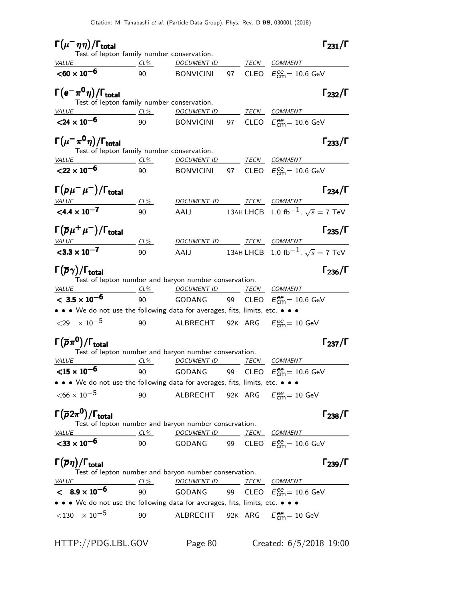| $\Gamma(\mu^-\eta\eta)/\Gamma_{\rm total}$                                                                              |            |                                                               |            |         | $\Gamma_{231}/\Gamma$                                       |
|-------------------------------------------------------------------------------------------------------------------------|------------|---------------------------------------------------------------|------------|---------|-------------------------------------------------------------|
| Test of lepton family number conservation.<br>VALUE<br>$CL\%$                                                           |            | <u>DOCUMENT ID</u>                                            |            |         | TECN COMMENT                                                |
| $<$ 60 $\times$ 10 <sup>-6</sup>                                                                                        | 90         | <b>BONVICINI</b>                                              | 97         |         | CLEO $E_{\text{cm}}^{\text{ee}} = 10.6 \text{ GeV}$         |
| $\Gamma(e^-\pi^0\eta)/\Gamma_{\rm total}$<br>Test of lepton family number conservation.                                 |            |                                                               |            |         | $\Gamma_{232}/\Gamma$                                       |
| <i>VALUE</i><br>$CL\%$                                                                                                  |            | <u>DOCUMENT ID</u>                                            |            |         | TECN COMMENT                                                |
| $<$ 24 $\times$ 10 <sup>-6</sup>                                                                                        | 90         | <b>BONVICINI</b>                                              |            |         | 97 CLEO $E_{\text{cm}}^{\text{ee}} = 10.6 \text{ GeV}$      |
| $\Gamma(\mu^-\pi^0\eta)/\Gamma_{\rm total}$<br>Test of lepton family number conservation.<br><b>VALUE</b><br>$CL\%$     |            | <b>DOCUMENT ID</b>                                            |            |         | $\Gamma_{233}/\Gamma$<br><u>TECN COMMENT</u>                |
| ${22 \times 10^{-6}}$                                                                                                   | 90         | <b>BONVICINI</b>                                              |            |         | 97 CLEO $E_{\text{cm}}^{ee}$ = 10.6 GeV                     |
| $\Gamma(\rho\mu^-\mu^-)/\Gamma_{\rm total}$                                                                             | $CL\%$     | <b>DOCUMENT ID</b>                                            |            | TECN    | $\Gamma_{234}/\Gamma$<br>COMMENT                            |
| VALUE<br>$<$ 4.4 $\times$ 10 <sup>-7</sup>                                                                              | 90         | AAIJ                                                          |            |         | 13АН LHCB 1.0 $\text{fb}^{-1}$ , $\sqrt{s} = 7 \text{ TeV}$ |
| $\Gamma(\overline{p}\mu^+\mu^-)/\Gamma_{\rm total}$                                                                     |            |                                                               |            |         | $\Gamma_{235}/\Gamma$                                       |
| <u>VALUE</u><br>$<$ 3.3 $\times$ 10 <sup>-7</sup>                                                                       | $CL\%$     |                                                               |            |         | DOCUMENT ID TECN COMMENT                                    |
|                                                                                                                         | 90         | AAIJ                                                          |            |         | 13AH LHCB 1.0 fb <sup>-1</sup> , $\sqrt{s}$ = 7 TeV         |
| $\Gamma(\overline{\rho}\gamma)/\Gamma_{\rm total}$<br>Test of lepton number and baryon number conservation.             |            |                                                               |            |         | $\Gamma_{236}/\Gamma$                                       |
| <i>VALUE</i>                                                                                                            | $CL\%$     | <u>DOCUMENT ID</u>                                            |            |         | <b>TECN COMMENT</b>                                         |
| $< 3.5 \times 10^{-6}$                                                                                                  | 90         | GODANG                                                        |            |         | 99 CLEO $E_{\text{cm}}^{ee}$ = 10.6 GeV                     |
| • • • We do not use the following data for averages, fits, limits, etc. • • •                                           |            |                                                               |            |         |                                                             |
| ${<}29 \times 10^{-5}$                                                                                                  | 90         | ALBRECHT 92K ARG $E_{\text{cm}}^{\text{ee}} = 10 \text{ GeV}$ |            |         |                                                             |
| $\Gamma(\overline{p}\pi^{\mathbf{0}})/\Gamma_{\mathbf{total}}$<br>Test of lepton number and baryon number conservation. |            |                                                               |            |         | $\Gamma_{237}/\Gamma$                                       |
| <i>VALUE</i><br>$CL\%$                                                                                                  |            | <b>DOCUMENT ID</b>                                            |            |         | TECN COMMENT                                                |
| ${<}15 \times 10^{-6}$                                                                                                  | 90         | GODANG                                                        | 99         |         | CLEO $E_{\text{cm}}^{\text{ee}} = 10.6 \text{ GeV}$         |
| • • • We do not use the following data for averages, fits, limits, etc. • • •                                           |            |                                                               |            |         |                                                             |
| $<$ 66 $\times$ 10 $^{-5}$                                                                                              | 90         | ALBRECHT 92K ARG $E_{cm}^{ee} = 10$ GeV                       |            |         |                                                             |
| $\Gamma(\overline{p}2\pi^0)/\Gamma_{\rm total}$<br>Test of lepton number and baryon number conservation.                |            |                                                               |            |         | $\Gamma_{238}/\Gamma$                                       |
| <b>VALUE</b>                                                                                                            | <u>CL%</u> | <b>DOCUMENT ID</b>                                            |            |         | <b>TECN COMMENT</b>                                         |
| $<$ 33 $\times$ 10 <sup>-6</sup>                                                                                        | 90         | GODANG                                                        |            |         | 99 CLEO $E_{\text{cm}}^{ee}$ = 10.6 GeV                     |
| $\Gamma(\overline{p}\eta)/\Gamma_{\rm total}$<br>Test of lepton number and baryon number conservation.                  |            |                                                               |            |         | $\Gamma_{239}/\Gamma$                                       |
| <i>VALUE</i>                                                                                                            | $CL\%$     | <b>DOCUMENT ID</b>                                            | $\sim$ $-$ |         | <b>TECN COMMENT</b>                                         |
| $< 8.9 \times 10^{-6}$                                                                                                  | 90         | GODANG                                                        |            |         | 99 CLEO $E_{\text{cm}}^{ee}$ = 10.6 GeV                     |
| • • • We do not use the following data for averages, fits, limits, etc. • • •                                           |            |                                                               |            |         |                                                             |
| $\times$ 10 $^{-5}$<br>$<$ 130                                                                                          | 90         | ALBRECHT                                                      |            | 92K ARG | $E_{\rm cm}^{\rm ee}$ = 10 GeV                              |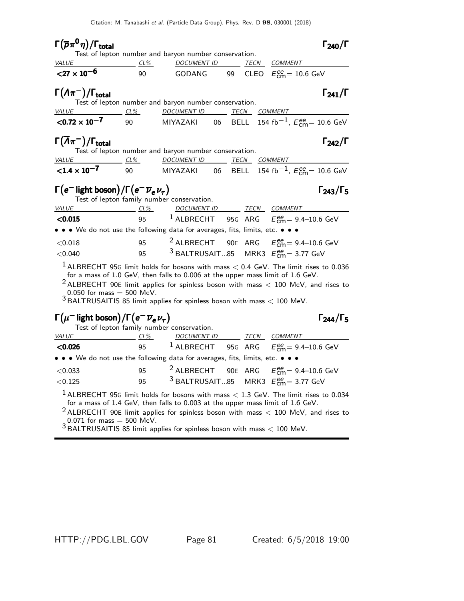| $\Gamma(\overline{p}\pi^0\eta)/\Gamma_{\rm total}$                                                                                                                                                                     |                                                                                |  | $\Gamma_{240}/\Gamma$   |
|------------------------------------------------------------------------------------------------------------------------------------------------------------------------------------------------------------------------|--------------------------------------------------------------------------------|--|-------------------------|
|                                                                                                                                                                                                                        | Test of lepton number and baryon number conservation.                          |  |                         |
| <u>VALUE CL% DOCUMENT ID TECN COMMENT</u>                                                                                                                                                                              |                                                                                |  |                         |
| ${27 \times 10^{-6}}$                                                                                                                                                                                                  |                                                                                |  |                         |
| $\Gamma(\Lambda \pi^{-})/\Gamma_{\text{total}}$                                                                                                                                                                        |                                                                                |  | $\Gamma_{241}/\Gamma$   |
|                                                                                                                                                                                                                        | Test of lepton number and baryon number conservation.                          |  |                         |
| VALUE CL% DOCUMENT ID TECN COMMENT                                                                                                                                                                                     |                                                                                |  |                         |
| $\leq$ 0.72 $\times$ 10 <sup>-7</sup> 90 MIYAZAKI 06 BELL 154 fb <sup>-1</sup> , $E_{cm}^{ee}$ = 10.6 GeV                                                                                                              |                                                                                |  |                         |
| $\Gamma(\overline{\Lambda}\pi^-)/\Gamma_{\rm total}$                                                                                                                                                                   | Test of lepton number and baryon number conservation.                          |  | $\Gamma_{242}/\Gamma$   |
| VALUE CL% DOCUMENT ID TECN COMMENT                                                                                                                                                                                     |                                                                                |  |                         |
| $\leq$ 1.4 $\times$ 10 <sup>-7</sup> 90 MIYAZAKI 06 BELL 154 fb <sup>-1</sup> , $E_{cm}^{ee}$ = 10.6 GeV                                                                                                               |                                                                                |  |                         |
| $\Gamma(e^{-}$ light boson) / $\Gamma(e^{-}\overline{\nu}_{e}\nu_{\tau})$                                                                                                                                              | Test of lepton family number conservation.                                     |  | $\Gamma_{243}/\Gamma_5$ |
| VALUE                                                                                                                                                                                                                  | <u>CL% DOCUMENT ID TECN COMMENT</u>                                            |  |                         |
| < 0.015                                                                                                                                                                                                                |                                                                                |  |                         |
| • • • We do not use the following data for averages, fits, limits, etc. • • •                                                                                                                                          |                                                                                |  |                         |
| < 0.018                                                                                                                                                                                                                | 95 <sup>2</sup> ALBRECHT 90E ARG $E_{\text{cm}}^{\text{ee}}$ = 9.4–10.6 GeV    |  |                         |
| < 0.040                                                                                                                                                                                                                | 95 <sup>3</sup> BALTRUSAIT85 MRK3 $E_{\rm CMB}^{\rm ee} = 3.77$ GeV            |  |                         |
| $1$ ALBRECHT 95G limit holds for bosons with mass $<$ 0.4 GeV. The limit rises to 0.036<br>$2$ ALBRECHT 90E limit applies for spinless boson with mass $<$ 100 MeV, and rises to<br>$0.050$ for $m = 25$ $500$ $M = V$ | for a mass of 1.0 GeV, then falls to 0.006 at the upper mass limit of 1.6 GeV. |  |                         |

 $\frac{1}{3}$ 0.050 for mass = 500 MeV.<br> $\frac{1}{3}$ BALTRUSAITIS 85 limit applies for spinless boson with mass  $< 100$  MeV.

## $\Gamma(\mu^-$  light boson $)/\Gamma(\mathrm{e}^-\,\overline{\nu}_\mathrm{e}\,\nu_\tau)$  Γ<sub>244</sub>/Γ<sub>5</sub>

 $\Gamma$ <sub>244</sub>/Γ<sub>5</sub>

| Test of lepton family number conservation.                                    |     |                                                         |             |                                                                                          |
|-------------------------------------------------------------------------------|-----|---------------------------------------------------------|-------------|------------------------------------------------------------------------------------------|
| VALUE                                                                         | CL% | <i>DOCUMENT ID</i>                                      | <b>TECN</b> | COMMENT                                                                                  |
| $<$ 0.026                                                                     |     |                                                         |             | 95 <sup>1</sup> ALBRECHT 95G ARG $E_{\text{cm}}^{\text{ee}}$ 9.4-10.6 GeV                |
| • • • We do not use the following data for averages, fits, limits, etc. • • • |     |                                                         |             |                                                                                          |
| < 0.033                                                                       | 95  |                                                         |             | <sup>2</sup> ALBRECHT 90E ARG $E_{\text{cm}}^{ee}$ = 9.4–10.6 GeV                        |
| < 0.125                                                                       | 95  | <sup>3</sup> BALTRUSAIT85 MRK3 $E_{cm}^{ee}$ = 3.77 GeV |             |                                                                                          |
|                                                                               |     |                                                         |             | I ALDDECHT OFC limit holds for becaus with mose $\leq 1.2$ CoV. The limit rises to 0.02/ |

 $^{\rm 1}$  ALBRECHT 95G limit holds for bosons with mass  $<$  1.3 GeV. The limit rises to 0.034 for a mass of 1.4 GeV, then falls to 0.003 at the upper mass limit of 1.6 GeV.

 $2$  ALBRECHT 90E limit applies for spinless boson with mass  $<$  100 MeV, and rises to  $0.071$  for mass  $=$  500 MeV.

 $3$  BALTRUSAITIS 85 limit applies for spinless boson with mass  $<$  100 MeV.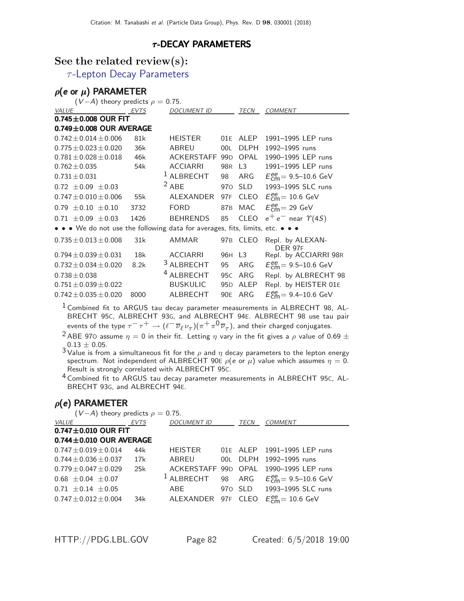### $\tau$ -DECAY PARAMETERS

### See the related review(s):

 $\tau$ [-Lepton Decay Parameters](http://pdg.lbl.gov/2018/reviews/rpp2018-rev-tau-lepton-decay-param.pdf)

## $ρ$ (e or  $μ$ ) PARAMETER

| $(V-A)$ theory predicts $\rho = 0.75$ .                                                                               |      |                       |                 |                |                                                      |
|-----------------------------------------------------------------------------------------------------------------------|------|-----------------------|-----------------|----------------|------------------------------------------------------|
| VALUE                                                                                                                 | EVTS | <b>DOCUMENT ID</b>    |                 | TECN           | <b>COMMENT</b>                                       |
| $0.745 \pm 0.008$ OUR FIT                                                                                             |      |                       |                 |                |                                                      |
| $0.749 \pm 0.008$ OUR AVERAGE                                                                                         |      |                       |                 |                |                                                      |
| $0.742 \pm 0.014 \pm 0.006$                                                                                           | 81k  | <b>HEISTER</b>        | 01F             | <b>ALEP</b>    | 1991-1995 LEP runs                                   |
| $0.775 \pm 0.023 \pm 0.020$                                                                                           | 36k  | ABREU                 | 00L             | <b>DLPH</b>    | 1992-1995 runs                                       |
| $0.781 \pm 0.028 \pm 0.018$                                                                                           | 46k  | ACKERSTAFF 99D        |                 | OPAL           | 1990-1995 LEP runs                                   |
| $0.762 \pm 0.035$                                                                                                     | 54k  | <b>ACCIARRI</b>       | 98 <sub>R</sub> | L <sub>3</sub> | 1991-1995 LEP runs                                   |
| $0.731 \pm 0.031$                                                                                                     |      | ALBRECHT              | 98              | ARG            | $E_{\text{cm}}^{\text{ee}} = 9.5 - 10.6 \text{ GeV}$ |
| $0.72 \pm 0.09 \pm 0.03$                                                                                              |      | $2$ ABE               | 970             | <b>SLD</b>     | 1993-1995 SLC runs                                   |
| $0.747 \pm 0.010 \pm 0.006$                                                                                           | 55k  | ALEXANDER             | 97F             | <b>CLEO</b>    | $E_{\text{cm}}^{\text{ee}} = 10.6 \text{ GeV}$       |
| $0.79 \pm 0.10 \pm 0.10$                                                                                              | 3732 | <b>FORD</b>           | 87 <sub>B</sub> | <b>MAC</b>     | $E_{\text{cm}}^{\text{ee}}$ = 29 GeV                 |
| $0.71 \pm 0.09 \pm 0.03$                                                                                              | 1426 | <b>BEHRENDS</b>       | 85              | <b>CLEO</b>    | $e^+e^-$ near $\Upsilon(4S)$                         |
| $\bullet \bullet \bullet$ We do not use the following data for averages, fits, limits, etc. $\bullet \bullet \bullet$ |      |                       |                 |                |                                                      |
| $0.735 \pm 0.013 \pm 0.008$                                                                                           | 31k  | <b>AMMAR</b>          |                 | 97B CLEO       | Repl. by ALEXAN-<br>DER 97F                          |
| $0.794 \pm 0.039 \pm 0.031$                                                                                           | 18k  | <b>ACCIARRI</b>       | 96H L3          |                | Repl. by ACCIARRI 98R                                |
| $0.732 \pm 0.034 \pm 0.020$                                                                                           | 8.2k | <sup>3</sup> ALBRECHT | 95              | ARG            | $E_{\text{cm}}^{\text{ee}} = 9.5 - 10.6 \text{ GeV}$ |
| $0.738 \pm 0.038$                                                                                                     |      | <b>ALBRECHT</b>       | 95 <sub>C</sub> | ARG            | Repl. by ALBRECHT 98                                 |
| $0.751 \pm 0.039 \pm 0.022$                                                                                           |      | <b>BUSKULIC</b>       | 95 <sub>D</sub> | ALEP           | Repl. by HEISTER 01E                                 |
| $0.742 \pm 0.035 \pm 0.020$                                                                                           | 8000 | <b>ALBRECHT</b>       | 90 <sub>E</sub> | ARG            | $E_{cm}^{ee}$ = 9.4–10.6 GeV                         |

 $1$  Combined fit to ARGUS tau decay parameter measurements in ALBRECHT 98, AL-BRECHT 95C, ALBRECHT 93G, and ALBRECHT 94E. ALBRECHT 98 use tau pair events of the type  $\tau^-\tau^+\to(\ell^-\overline{\nu}_\ell\nu_\tau)(\pi^+\pi^0\overline{\nu}_\tau)$ , and their charged conjugates.

- <sup>2</sup> ABE 970 assume  $\eta = 0$  in their fit. Letting  $\eta$  vary in the fit gives a  $\rho$  value of 0.69  $\pm$  $0.13 \pm 0.05$ .
- $3$  Value is from a simultaneous fit for the  $\rho$  and  $\eta$  decay parameters to the lepton energy spectrum. Not independent of ALBRECHT 90E  $\rho$ (e or  $\mu$ ) value which assumes  $\eta = 0$ . Result is strongly correlated with ALBRECHT 95C.
- <sup>4</sup> Combined fit to ARGUS tau decay parameter measurements in ALBRECHT 95C, AL-BRECHT 93G, and ALBRECHT 94E.

### $\rho(e)$  PARAMETER  $(V - A)$  theory predicts  $\rho = 0.75$

| $\mathbf{v} - \mathbf{A}$ ) theory predicts $\mathbf{v} = \mathbf{v} \cdot \mathbf{v}$ . |                 |              |      |                                                            |
|------------------------------------------------------------------------------------------|-----------------|--------------|------|------------------------------------------------------------|
| <i>VALUE</i>                                                                             | EVTS            | DOCUMENT ID  | TECN | <b>COMMENT</b>                                             |
| $0.747 \pm 0.010$ OUR FIT                                                                |                 |              |      |                                                            |
| $0.744 \pm 0.010$ OUR AVERAGE                                                            |                 |              |      |                                                            |
| $0.747 \pm 0.019 \pm 0.014$                                                              | 44k             | HEISTER      |      | 01E ALEP 1991-1995 LEP runs                                |
| $0.744 \pm 0.036 \pm 0.037$ 17k                                                          |                 |              |      | ABREU 00L DLPH 1992-1995 runs                              |
| $0.779 \pm 0.047 \pm 0.029$                                                              | 25k             |              |      | ACKERSTAFF 99D OPAL 1990-1995 LEP runs                     |
| $0.68 \pm 0.04 \pm 0.07$                                                                 |                 | $1$ ALBRECHT |      | 98 ARG $E_{cm}^{ee} = 9.5 - 10.6$ GeV                      |
| $0.71 \pm 0.14 \pm 0.05$                                                                 |                 | ABE          |      | 970 SLD 1993-1995 SLC runs                                 |
| $0.747 \pm 0.012 \pm 0.004$                                                              | 34k <b>1986</b> |              |      | ALEXANDER 97F CLEO $E_{\text{cm}}^{ee} = 10.6 \text{ GeV}$ |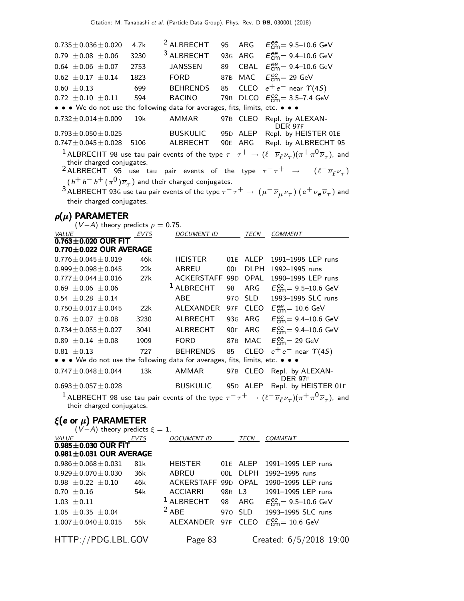| $0.735$ $\pm$ $0.036$ $\pm$ $0.020$                                                          | 4.7k | <sup>2</sup> ALBRECHT | 95              | ARG         | $E_{\text{cm}}^{\text{ee}} = 9.5 - 10.6 \text{ GeV}$                                                                                                                                                                                                                                     |
|----------------------------------------------------------------------------------------------|------|-----------------------|-----------------|-------------|------------------------------------------------------------------------------------------------------------------------------------------------------------------------------------------------------------------------------------------------------------------------------------------|
| $0.79 \pm 0.08 \pm 0.06$                                                                     | 3230 | <sup>3</sup> ALBRECHT | 93G ARG         |             | $E_{cm}^{ee} = 9.4 - 10.6$ GeV                                                                                                                                                                                                                                                           |
| $0.64 \pm 0.06 \pm 0.07$                                                                     | 2753 | JANSSEN               | 89              | CBAL        | $E_{\text{cm}}^{ee} = 9.4 - 10.6 \text{ GeV}$                                                                                                                                                                                                                                            |
| $0.62 \pm 0.17 \pm 0.14$                                                                     | 1823 | <b>FORD</b>           | 87 <sub>B</sub> | MAC         | $E_{\text{cm}}^{\text{ee}}$ = 29 GeV                                                                                                                                                                                                                                                     |
| $0.60 \pm 0.13$                                                                              | 699  | <b>BEHRENDS</b>       | 85              | CLEO        | $e^+e^-$ near $\Upsilon(4S)$                                                                                                                                                                                                                                                             |
| $0.72 \pm 0.10 \pm 0.11$                                                                     | 594  | <b>BACINO</b>         | 79 <sub>B</sub> | <b>DLCO</b> | $E_{\text{cm}}^{ee}$ = 3.5–7.4 GeV                                                                                                                                                                                                                                                       |
| • • • We do not use the following data for averages, fits, limits, etc. • • •                |      |                       |                 |             |                                                                                                                                                                                                                                                                                          |
| $0.732 \pm 0.014 \pm 0.009$                                                                  | 19k  | <b>AMMAR</b>          | 97 <sub>B</sub> | <b>CLEO</b> | Repl. by ALEXAN-<br><b>DER 97F</b>                                                                                                                                                                                                                                                       |
| $0.793 \pm 0.050 \pm 0.025$                                                                  |      | <b>BUSKULIC</b>       | 95 <sub>D</sub> | ALEP        | Repl. by HEISTER 01E                                                                                                                                                                                                                                                                     |
| $0.747 \pm 0.045 \pm 0.028$                                                                  | 5106 | ALBRECHT              | 90E ARG         |             | Repl. by ALBRECHT 95                                                                                                                                                                                                                                                                     |
| their charged conjugates.                                                                    |      |                       |                 |             | $^1$ ALBRECHT 98 use tau pair events of the type $\tau^-\tau^+\to(\ell^-\,\overline{\nu}_\ell\,\nu_\tau)(\pi^+\,\pi^0\,\overline{\nu}_\tau)$ , and<br><sup>2</sup> ALBRECHT 95 use tau pair events of the type $\tau^- \tau^+$ $\rightarrow$ $(\ell^- \overline{\nu}_{\ell} \nu_{\tau})$ |
|                                                                                              |      |                       |                 |             |                                                                                                                                                                                                                                                                                          |
| $(h^+ h^- h^+ (\pi^0) \overline{\nu}_{\tau})$ and their charged conjugates.                  |      |                       |                 |             |                                                                                                                                                                                                                                                                                          |
| their charged conjugates.                                                                    |      |                       |                 |             | $^3$ ALBRECHT 93G use tau pair events of the type $\tau^-\tau^+\to (\mu^-\overline{\nu}_\mu \nu_\tau)$ ( $e^+\nu_e\overline{\nu}_\tau$ ) and                                                                                                                                             |
|                                                                                              |      |                       |                 |             |                                                                                                                                                                                                                                                                                          |
| $\rho(\mu)$ PARAMETER<br>$(V-A)$ theory predicts $\rho = 0.75$ .                             |      |                       |                 |             |                                                                                                                                                                                                                                                                                          |
| <i>VALUE</i>                                                                                 | EVTS | <u>DOCUMENT ID</u>    |                 | TECN        | COMMENT                                                                                                                                                                                                                                                                                  |
| $0.763 + 0.020$ OUR FIT                                                                      |      |                       |                 |             |                                                                                                                                                                                                                                                                                          |
| $0.770 \pm 0.022$ OUR AVERAGE                                                                |      |                       |                 |             |                                                                                                                                                                                                                                                                                          |
| $0.776 \pm 0.045 \pm 0.019$                                                                  | 46k  | <b>HEISTER</b>        | 01E             | ALEP        | 1991-1995 LEP runs                                                                                                                                                                                                                                                                       |
| $0.999 \pm 0.098 \pm 0.045$                                                                  | 22k  | ABREU                 | 00L             | <b>DLPH</b> | 1992-1995 runs                                                                                                                                                                                                                                                                           |
| $0.777 \pm 0.044 \pm 0.016$                                                                  | 27k  | ACKERSTAFF            | 99 <sub>D</sub> | OPAL        | 1990-1995 LEP runs                                                                                                                                                                                                                                                                       |
| $0.69 \pm 0.06 \pm 0.06$                                                                     |      | $1$ ALBRECHT          | 98              | ARG         | $E_{\text{cm}}^{\text{ee}} = 9.5 - 10.6 \text{ GeV}$                                                                                                                                                                                                                                     |
| $0.54 \pm 0.28 \pm 0.14$                                                                     |      | <b>ABE</b>            | 970             | <b>SLD</b>  | 1993-1995 SLC runs                                                                                                                                                                                                                                                                       |
| $0.750 \pm 0.017 \pm 0.045$                                                                  | 22k  | ALEXANDER             | 97F             | <b>CLEO</b> | $E_{\text{cm}}^{\text{ee}}$ = 10.6 GeV                                                                                                                                                                                                                                                   |
| $0.76 \pm 0.07 \pm 0.08$                                                                     | 3230 | ALBRECHT              | 93 <sub>G</sub> | ARG         | $E_{cm}^{ee}$ = 9.4-10.6 GeV                                                                                                                                                                                                                                                             |
| $0.734 \pm 0.055 \pm 0.027$                                                                  | 3041 | ALBRECHT              | 90 <sub>E</sub> | ARG         | $E_{\text{cm}}^{\text{ee}} = 9.4 - 10.6 \text{ GeV}$                                                                                                                                                                                                                                     |
| $0.89 \pm 0.14 \pm 0.08$                                                                     | 1909 | <b>FORD</b>           | 87 <sub>B</sub> | <b>MAC</b>  | $E_{cm}^{ee}$ = 29 GeV                                                                                                                                                                                                                                                                   |
| $0.81 \pm 0.13$<br>• • • We do not use the following data for averages, fits, limits, etc. • | 727  | <b>BEHRENDS</b>       | 85              | <b>CLEO</b> | $e^+e^-$ near $\Upsilon(4S)$                                                                                                                                                                                                                                                             |
| $0.747 \pm 0.048 \pm 0.044$                                                                  | 13k  | AMMAR                 | 97B             | CLEO        | Repl. by ALEXAN-                                                                                                                                                                                                                                                                         |
|                                                                                              |      |                       |                 |             | <b>DER 97F</b>                                                                                                                                                                                                                                                                           |
| $0.693 \pm 0.057 \pm 0.028$                                                                  |      | <b>BUSKULIC</b>       |                 | 95D ALEP    | Repl. by HEISTER 01E                                                                                                                                                                                                                                                                     |
| their charged conjugates.                                                                    |      |                       |                 |             | <sup>1</sup> ALBRECHT 98 use tau pair events of the type $\tau^-\tau^+\to(\ell^-\overline{\nu}_\ell\nu_\tau)(\pi^+\pi^0\overline{\nu}_\tau)$ , and                                                                                                                                       |

### ξ(e or  $\mu$ ) PARAMETER  $(V-A)$  theory predicts  $\xi = 1$ .<br><u>EVTS</u> DOCUMENT ID VALUE EVTS DOCUMENT ID TECN COMMENT  $0.985 \pm 0.030$  OUR FIT **0.981±0.031 OUR AVERAGE**  $0.986 \pm 0.068 \pm 0.031$  81k  $0.986 \pm 0.068 \pm 0.031$  81k HEISTER 01E ALEP 1991-1995 LEP runs<br> $0.929 \pm 0.070 \pm 0.030$  36k ABREU 00L DLPH 1992-1995 runs  $0.929 \pm 0.070 \pm 0.030$  36k ABREU 00L DLPH 1992-1995 runs<br> $0.98 \pm 0.22 \pm 0.10$  46k ACKERSTAFF 99D OPAL 1990-1995 LEP runs  $0.98 \pm 0.22 \pm 0.10$  46k ACKERSTAFF 99D OPAL <br> $0.70 \pm 0.16$  54k ACCIARRI 98R L3  $0.70 \pm 0.16$  54k ACCIARRI 98R L3 1991–1995 LEP runs<br>1.03  $\pm$  0.11 <sup>1</sup> ALBRECHT 98 ARG  $E_{cm}^{ee}$  = 9.5–10.6 GeV  $1.03 \pm 0.11$   $1 \text{ ALBRECHT}$  98 ARG<br>  $1.05 \pm 0.35 \pm 0.04$   $2 \text{ ABE}$  970 SLD  $_{\text{cm}}^{\text{ee}}$ = 9.5–10.6 GeV <sup>2</sup> ABE 970 SLD 1993–1995 SLC runs<br>55k ALEXANDER 97F CLEO  $E_{\text{cm}}^{\text{ee}} = 10.6 \text{ GeV}$  $1.007 \pm 0.040 \pm 0.015$  $_{\text{cm}}^{\text{ee}}$ = 10.6 GeV HTTP://PDG.LBL.GOV Page 83 Created: 6/5/2018 19:00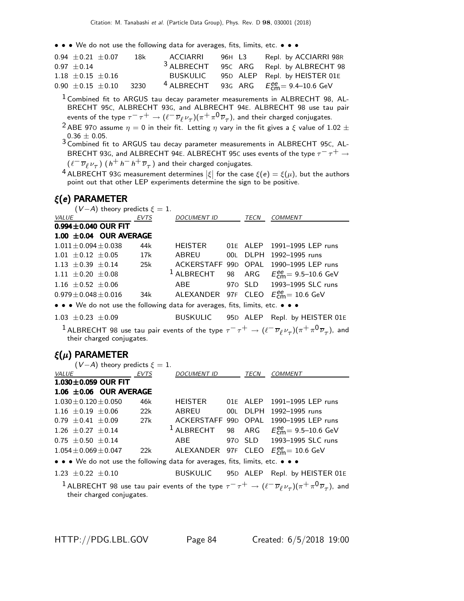• • • We do not use the following data for averages, fits, limits, etc. • • •

| $0.94 \pm 0.21 \pm 0.07$ | 18k  | ACCIARRI              | 96H L3 | Repl. by ACCIARRI 98R                  |
|--------------------------|------|-----------------------|--------|----------------------------------------|
| $0.97 + 0.14$            |      | <sup>3</sup> ALBRECHT |        | 95C ARG Repl. by ALBRECHT 98           |
| $1.18 \pm 0.15 \pm 0.16$ |      | <b>BUSKULIC</b>       |        | 95D ALEP Repl. by HEISTER 01E          |
| $0.90 \pm 0.15 \pm 0.10$ | 3230 | $4$ ALBRECHT          |        | 93G ARG $E_{cm}^{ee} = 9.4 - 10.6$ GeV |

 $^1$  Combined fit to ARGUS tau decay parameter measurements in ALBRECHT 98, AL-BRECHT 95C, ALBRECHT 93G, and ALBRECHT 94E. ALBRECHT 98 use tau pair events of the type  $\tau^-\tau^+\to(\ell^-\overline{\nu}_\ell\nu_\tau)(\pi^+\pi^0\overline{\nu}_\tau)$ , and their charged conjugates.

<sup>2</sup> ABE 970 assume  $\eta = 0$  in their fit. Letting  $\eta$  vary in the fit gives a  $\xi$  value of 1.02  $\pm$  $0.36 \pm 0.05$ .

3 Combined fit to ARGUS tau decay parameter measurements in ALBRECHT 95C, AL-BRECHT 93G, and ALBRECHT 94E. ALBRECHT 95C uses events of the type  $\tau^- \tau^+ \to$  $(\ell^- \overline{\nu}_{\ell} \nu_{\tau})$   $(\,h^+ \,h^- \,h^+ \, \overline{\nu}_{\tau} \,)$  and their charged conjugates.

<sup>4</sup> ALBRECHT 93G measurement determines  $|\xi|$  for the case  $\xi(e) = \xi(\mu)$ , but the authors point out that other LEP experiments determine the sign to be positive.

### ξ(e) PARAMETER

| $(V-A)$ theory predicts $\xi = 1$ .                                           |      |                     |             |                                                            |
|-------------------------------------------------------------------------------|------|---------------------|-------------|------------------------------------------------------------|
| <i>VALUE</i>                                                                  | EVTS | <b>DOCUMENT ID</b>  | <b>TECN</b> | <b>COMMENT</b>                                             |
| $0.994 \pm 0.040$ OUR FIT                                                     |      |                     |             |                                                            |
| 1.00 $\pm$ 0.04 OUR AVERAGE                                                   |      |                     |             |                                                            |
| $1.011 \pm 0.094 \pm 0.038$                                                   | 44k  |                     |             | HEISTER 01E ALEP 1991-1995 LEP runs                        |
| $1.01 \pm 0.12 \pm 0.05$                                                      | 17k  | ABREU               |             | 00L DLPH 1992-1995 runs                                    |
| $1.13 \pm 0.39 \pm 0.14$                                                      | 25k  | ACKERSTAFF 99D OPAL |             | 1990–1995 LEP runs                                         |
| $1.11 \pm 0.20 \pm 0.08$                                                      |      | $1$ ALBRECHT        |             | 98 ARG $E_{\text{cm}}^{ee} = 9.5{\text -}10.6 \text{ GeV}$ |
| 1.16 $\pm$ 0.52 $\pm$ 0.06                                                    |      | ABE                 |             | 970 SLD 1993-1995 SLC runs                                 |
| $0.979 \pm 0.048 \pm 0.016$                                                   | 34k  |                     |             | ALEXANDER 97F CLEO $E_{\text{cm}}^{ee}$ = 10.6 GeV         |
| • • • We do not use the following data for averages, fits, limits, etc. • • • |      |                     |             |                                                            |

1.03  $\pm$ 0.23  $\pm$ 0.09 BUSKULIC 95D ALEP Repl. by HEISTER 01E  $^1$  ALBRECHT 98 use tau pair events of the type  $\tau^-\tau^+\to(\ell^-\,\overline{\nu}_\ell\,\nu_\tau)(\pi^+\,\pi^0\,\overline{\nu}_\tau)$ , and

### their charged conjugates.

### ξ(µ) PARAMETER

| $(V-A)$ theory predicts $\xi = 1$ .                                                               |     |  |                                                                  |
|---------------------------------------------------------------------------------------------------|-----|--|------------------------------------------------------------------|
| <u>VALUE EVTS</u> DOCUMENT ID TECN                                                                |     |  | <b>COMMENT</b>                                                   |
| $1.030 \pm 0.059$ OUR FIT                                                                         |     |  |                                                                  |
| 1.06 $\pm$ 0.06 OUR AVERAGE                                                                       |     |  |                                                                  |
| $1.030 + 0.120 + 0.050$                                                                           | 46k |  | HEISTER 01E ALEP 1991-1995 LEP runs                              |
| 1.16 $\pm$ 0.19 $\pm$ 0.06 22k ABREU 00L DLPH 1992-1995 runs                                      |     |  |                                                                  |
| $0.79 \pm 0.41 \pm 0.09$ 27k ACKERSTAFF 99D OPAL 1990-1995 LEP runs                               |     |  |                                                                  |
| 1.26 $\pm$ 0.27 $\pm$ 0.14                                                                        |     |  | <sup>1</sup> ALBRECHT 98 ARG $E_{\text{cm}}^{ee}$ = 9.5–10.6 GeV |
| $0.75 \pm 0.50 \pm 0.14$                                                                          |     |  | ABE 970 SLD 1993-1995 SLC runs                                   |
| $1.054 \pm 0.069 \pm 0.047$ 22k ALEXANDER 97F CLEO $E_{\text{em}}^{\text{ee}} = 10.6 \text{ GeV}$ |     |  |                                                                  |
| • • • We do not use the following data for averages, fits, limits, etc. • • •                     |     |  |                                                                  |
| $1.23 \pm 0.22 \pm 0.10$                                                                          |     |  | BUSKULIC 95D ALEP Repl. by HEISTER 01E                           |
|                                                                                                   |     |  |                                                                  |

 $^1$  ALBRECHT 98 use tau pair events of the type  $\tau^-\tau^+\to(\ell^-\overline{\nu}_\ell \nu_\tau)(\pi^+\pi^0\overline{\nu}_\tau)$ , and their charged conjugates.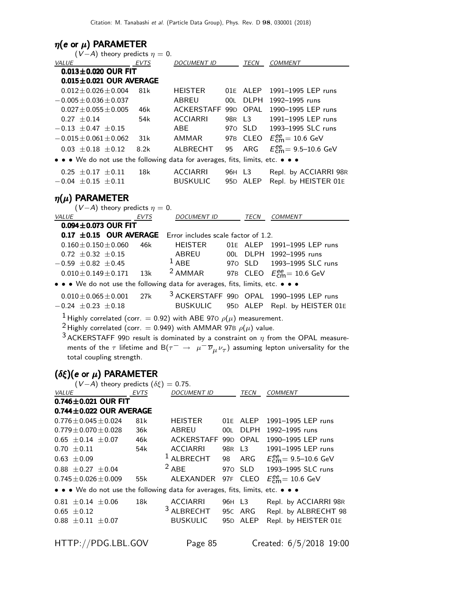| $\eta(e \text{ or } \mu)$ PARAMETER<br>$(V-A)$ theory predicts $\eta = 0$ .                                                                                                             |             |                                            |         |             |                                                                                                                                                                                                                          |
|-----------------------------------------------------------------------------------------------------------------------------------------------------------------------------------------|-------------|--------------------------------------------|---------|-------------|--------------------------------------------------------------------------------------------------------------------------------------------------------------------------------------------------------------------------|
| <b>VALUE</b>                                                                                                                                                                            | EVTS        | <b>DOCUMENT ID</b>                         |         | TECN        | <b>COMMENT</b>                                                                                                                                                                                                           |
| $0.013 \pm 0.020$ OUR FIT                                                                                                                                                               |             |                                            |         |             |                                                                                                                                                                                                                          |
| $0.015 \pm 0.021$ OUR AVERAGE                                                                                                                                                           |             |                                            |         |             |                                                                                                                                                                                                                          |
| $0.012 \pm 0.026 \pm 0.004$                                                                                                                                                             | 81k         | <b>HEISTER</b>                             |         | 01E ALEP    | 1991-1995 LEP runs                                                                                                                                                                                                       |
| $-0.005 \pm 0.036 \pm 0.037$                                                                                                                                                            |             | ABREU                                      | 00L .   |             | DLPH 1992-1995 runs                                                                                                                                                                                                      |
| $0.027 \pm 0.055 \pm 0.005$                                                                                                                                                             | 46k         | ACKERSTAFF 99D                             |         | OPAL        | 1990-1995 LEP runs                                                                                                                                                                                                       |
| $0.27 \pm 0.14$                                                                                                                                                                         | 54k         | <b>ACCIARRI</b>                            | 98R     | L3          | 1991-1995 LEP runs                                                                                                                                                                                                       |
| $-0.13 \pm 0.47 \pm 0.15$                                                                                                                                                               |             | ABE                                        |         | 970 SLD     | 1993-1995 SLC runs                                                                                                                                                                                                       |
| $-0.015 \pm 0.061 \pm 0.062$                                                                                                                                                            | 31k         | AMMAR                                      |         |             | 97B CLEO $E_{\text{cm}}^{\text{ee}} = 10.6 \text{ GeV}$                                                                                                                                                                  |
| $0.03 \pm 0.18 \pm 0.12$                                                                                                                                                                | 8.2k        | ALBRECHT                                   | 95      | <b>ARG</b>  | $E_{\text{cm}}^{\text{ee}} = 9.5 - 10.6 \text{ GeV}$                                                                                                                                                                     |
| • • • We do not use the following data for averages, fits, limits, etc. • • •                                                                                                           |             |                                            |         |             |                                                                                                                                                                                                                          |
| $0.25 \pm 0.17 \pm 0.11$                                                                                                                                                                | 18k         | <b>ACCIARRI</b>                            | 96H L3  |             | Repl. by ACCIARRI 98R                                                                                                                                                                                                    |
| $-0.04 \pm 0.15 \pm 0.11$                                                                                                                                                               |             | <b>BUSKULIC</b>                            |         | 95D ALEP    | Repl. by HEISTER 01E                                                                                                                                                                                                     |
| $\eta(\mu)$ PARAMETER<br>$(V-A)$ theory predicts $\eta = 0$ .                                                                                                                           |             |                                            |         |             |                                                                                                                                                                                                                          |
| VALUE                                                                                                                                                                                   | <u>EVTS</u> | DOCUMENT ID                                |         |             | TECN COMMENT                                                                                                                                                                                                             |
| $0.094 \pm 0.073$ OUR FIT                                                                                                                                                               |             |                                            |         |             |                                                                                                                                                                                                                          |
| $0.17 \pm 0.15$ OUR AVERAGE                                                                                                                                                             |             | Error includes scale factor of 1.2.        |         |             |                                                                                                                                                                                                                          |
| $0.160 \pm 0.150 \pm 0.060$                                                                                                                                                             | 46k         | <b>HEISTER</b>                             |         |             | 01E ALEP 1991-1995 LEP runs                                                                                                                                                                                              |
| $0.72 \pm 0.32 \pm 0.15$                                                                                                                                                                |             | ABREU                                      |         |             | 00L DLPH 1992-1995 runs                                                                                                                                                                                                  |
| $-0.59 \pm 0.82 \pm 0.45$                                                                                                                                                               |             | $1$ ABE                                    |         | 970 SLD     | 1993-1995 SLC runs                                                                                                                                                                                                       |
| $0.010 \pm 0.149 \pm 0.171$                                                                                                                                                             | 13k         | <sup>2</sup> AMMAR                         |         | 97B CLEO    | $E_{\text{cm}}^{\text{ee}} = 10.6 \text{ GeV}$                                                                                                                                                                           |
| • • • We do not use the following data for averages, fits, limits, etc. • • •                                                                                                           |             |                                            |         |             |                                                                                                                                                                                                                          |
| $0.010 \pm 0.065 \pm 0.001$<br>$-0.24 \pm 0.23 \pm 0.18$                                                                                                                                | 27k         | $3$ ACKERSTAFF 99D OPAL<br><b>BUSKULIC</b> |         |             | 1990-1995 LEP runs<br>95D ALEP Repl. by HEISTER 01E                                                                                                                                                                      |
| $^1$ Highly correlated (corr. $=$ 0.92) with ABE 970 $\rho(\mu)$ measurement.<br>$^2$ Highly correlated (corr. $=$ 0.949) with AMMAR 97B $\rho(\mu)$ value.<br>total coupling strength. |             |                                            |         |             | $^3$ ACKERSTAFF 99D result is dominated by a constraint on $\eta$ from the OPAL measure-<br>ments of the $\tau$ lifetime and B $(\tau^- \to \mu^- \overline{\nu}_{\mu} \nu_{\tau})$ assuming lepton universality for the |
|                                                                                                                                                                                         |             |                                            |         |             |                                                                                                                                                                                                                          |
| $(\delta \xi)(e \text{ or } \mu)$ PARAMETER                                                                                                                                             |             |                                            |         |             |                                                                                                                                                                                                                          |
| $(V-A)$ theory predicts $(\delta \xi) = 0.75$ .<br><b>VALUE</b>                                                                                                                         |             |                                            |         |             |                                                                                                                                                                                                                          |
| $0.746 \pm 0.021$ OUR FIT                                                                                                                                                               | EVTS        | DOCUMENT ID                                |         | TECN        | COMMENT                                                                                                                                                                                                                  |
| $0.744 \pm 0.022$ OUR AVERAGE                                                                                                                                                           |             |                                            |         |             |                                                                                                                                                                                                                          |
| $0.776 \pm 0.045 \pm 0.024$                                                                                                                                                             | 81k         | <b>HEISTER</b>                             |         | 01E ALEP    | 1991-1995 LEP runs                                                                                                                                                                                                       |
| $0.779 \pm 0.070 \pm 0.028$                                                                                                                                                             | 36k         | ABREU                                      | 00L     | <b>DLPH</b> | 1992-1995 runs                                                                                                                                                                                                           |
| $0.65 \pm 0.14 \pm 0.07$                                                                                                                                                                | 46k         | ACKERSTAFF 99D OPAL                        |         |             | 1990-1995 LEP runs                                                                                                                                                                                                       |
| $0.70 \pm 0.11$                                                                                                                                                                         | 54k         | ACCIARRI                                   | 98R L3  |             | 1991-1995 LEP runs                                                                                                                                                                                                       |
| $0.63 \pm 0.09$                                                                                                                                                                         |             | <sup>1</sup> ALBRECHT                      | 98      | ARG         | $E_{\text{cm}}^{\text{ee}} = 9.5 - 10.6 \text{ GeV}$                                                                                                                                                                     |
| $0.88 \pm 0.27 \pm 0.04$                                                                                                                                                                |             | $2$ ABE                                    | 970 SLD |             | 1993-1995 SLC runs                                                                                                                                                                                                       |
| $0.745 \pm 0.026 \pm 0.009$                                                                                                                                                             | 55k         | <b>ALEXANDER</b>                           | 97F     | <b>CLEO</b> | $E_{\text{cm}}^{\text{ee}} = 10.6 \text{ GeV}$                                                                                                                                                                           |
| • • • We do not use the following data for averages, fits, limits, etc. • • •                                                                                                           |             |                                            |         |             |                                                                                                                                                                                                                          |
| $0.81 \pm 0.14 \pm 0.06$                                                                                                                                                                | 18k         | <b>ACCIARRI</b>                            | 96H L3  |             | Repl. by ACCIARRI 98R                                                                                                                                                                                                    |
| $0.65 \pm 0.12$                                                                                                                                                                         |             | <sup>3</sup> ALBRECHT                      |         | 95C ARG     | Repl. by ALBRECHT 98                                                                                                                                                                                                     |
| $0.88 \pm 0.11 \pm 0.07$                                                                                                                                                                |             | <b>BUSKULIC</b>                            |         | 95D ALEP    | Repl. by HEISTER 01E                                                                                                                                                                                                     |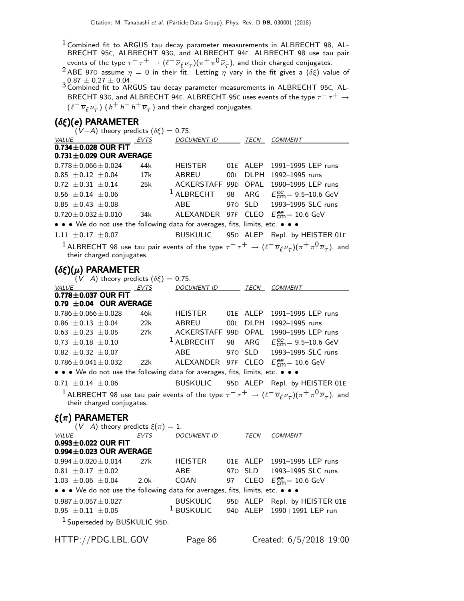$1$  Combined fit to ARGUS tau decay parameter measurements in ALBRECHT 98, AL-BRECHT 95C, ALBRECHT 93G, and ALBRECHT 94E. ALBRECHT 98 use tau pair events of the type  $\tau^-\tau^+\to(\ell^-\overline{\nu}_\ell\nu_\tau)(\pi^+\pi^0\overline{\nu}_\tau)$ , and their charged conjugates.

<sup>2</sup> ABE 970 assume  $\eta = 0$  in their fit. Letting  $\eta$  vary in the fit gives a ( $\delta \xi$ ) value of  $3\,\rm 0.87 \pm 0.27 \pm 0.04.$  3 Combined fit to ARGUS tau decay parameter measurements in ALBRECHT 95C, AL-

BRECHT 93G, and ALBRECHT 94E. ALBRECHT 95C uses events of the type  $\tau^- \tau^+ \to$  $(\ell^- \overline{\nu}_{\ell} \nu_{\tau})$   $(\,h^+ \,h^- \,h^+ \, \overline{\nu}_{\tau} \,)$  and their charged conjugates.

### (δξ)(e) PARAMETER

|                                                                               | $(V-A)$ theory predicts $(\delta \xi) = 0.75$ .         |                       |     |             |                                                                                                                                                     |
|-------------------------------------------------------------------------------|---------------------------------------------------------|-----------------------|-----|-------------|-----------------------------------------------------------------------------------------------------------------------------------------------------|
| $\frac{VALUE}{0.734 \pm 0.028}$ OUR FIT                                       | <b>EVTS</b>                                             | <b>DOCUMENT ID</b>    |     | TECN        | COMMENT                                                                                                                                             |
|                                                                               |                                                         |                       |     |             |                                                                                                                                                     |
| $0.731 \pm 0.029$ OUR AVERAGE                                                 |                                                         |                       |     |             |                                                                                                                                                     |
| $0.778 \pm 0.066 \pm 0.024$                                                   | 44k                                                     | HEISTER               |     | 01E ALEP    | 1991-1995 LEP runs                                                                                                                                  |
| $0.85 \pm 0.12 \pm 0.04$                                                      | 17k                                                     | ABREU                 | 00L | DLPH        | 1992-1995 runs                                                                                                                                      |
| $0.72 \pm 0.31 \pm 0.14$                                                      | 25k                                                     |                       |     |             | ACKERSTAFF 99D OPAL 1990-1995 LEP runs                                                                                                              |
| $0.56 \pm 0.14 \pm 0.06$                                                      |                                                         | <sup>1</sup> ALBRECHT |     |             | 98 ARG $E_{\text{cm}}^{ee} = 9.5{\text -}10.6 \text{ GeV}$                                                                                          |
| $0.85 \pm 0.43 \pm 0.08$                                                      |                                                         | <b>ABE</b>            |     | 970 SLD     | 1993-1995 SLC runs                                                                                                                                  |
| $0.720 \pm 0.032 \pm 0.010$                                                   | 34k                                                     | ALEXANDER 97F CLEO    |     |             | $E_{\text{cm}}^{\text{ee}}$ = 10.6 GeV                                                                                                              |
| • • • We do not use the following data for averages, fits, limits, etc. •     |                                                         |                       |     |             |                                                                                                                                                     |
| $1.11 \pm 0.17 \pm 0.07$                                                      |                                                         | <b>BUSKULIC</b>       |     |             | 95D ALEP Repl. by HEISTER 01E                                                                                                                       |
| their charged conjugates.                                                     |                                                         |                       |     |             | <sup>1</sup> ALBRECHT 98 use tau pair events of the type $\tau^-\tau^+\to(\ell^-\overline{\nu}_\ell \nu_\tau)(\pi^+\pi^0\overline{\nu}_\tau)$ , and |
| $(\delta \xi)(\mu)$ PARAMETER                                                 | $\tilde{V}(-A)$ theory predicts $(\delta \xi) = 0.75$ . |                       |     |             |                                                                                                                                                     |
| VALUE                                                                         | <b>EVTS</b>                                             | <b>DOCUMENT ID</b>    |     | TECN        | COMMENT                                                                                                                                             |
| $0.778 \pm 0.037$ OUR FIT                                                     |                                                         |                       |     |             |                                                                                                                                                     |
| 0.79 $\pm$ 0.04 OUR AVERAGE                                                   |                                                         |                       |     |             |                                                                                                                                                     |
| $0.786 \pm 0.066 \pm 0.028$                                                   | 46k                                                     | <b>HEISTER</b>        |     | 01E ALEP    | 1991-1995 LEP runs                                                                                                                                  |
| $0.86 \pm 0.13 \pm 0.04$                                                      | 22k                                                     | ABREU                 | 00L | <b>DLPH</b> | 1992-1995 runs                                                                                                                                      |
| $0.63 \pm 0.23 \pm 0.05$                                                      | 27k                                                     | ACKERSTAFF 99D        |     | OPAL        | 1990-1995 LEP runs                                                                                                                                  |
| $0.73 \pm 0.18 \pm 0.10$                                                      |                                                         | $1$ ALBRECHT          | 98  | ARG         | $E_{cm}^{ee}$ = 9.5–10.6 GeV                                                                                                                        |
| $0.82 \pm 0.32 \pm 0.07$                                                      |                                                         | ABE                   | 970 | SLD         | 1993-1995 SLC runs                                                                                                                                  |
| $0.786 \pm 0.041 \pm 0.032$                                                   | 22k                                                     | ALEXANDER 97F CLEO    |     |             | $E_{cm}^{ee}$ = 10.6 GeV                                                                                                                            |
| • • • We do not use the following data for averages, fits, limits, etc. • • • |                                                         |                       |     |             |                                                                                                                                                     |
| $0.71 \pm 0.14 \pm 0.06$                                                      |                                                         | <b>BUSKULIC</b>       |     |             | 95D ALEP Repl. by HEISTER 01E                                                                                                                       |
| their charged conjugates.                                                     |                                                         |                       |     |             | $^1$ ALBRECHT 98 use tau pair events of the type $\tau^-\tau^+\to(\ell^-\overline{\nu}_\ell \nu_\tau)(\pi^+\pi^0\overline{\nu}_\tau)$ , and         |
| $\xi(\pi)$ PARAMETER                                                          |                                                         |                       |     |             |                                                                                                                                                     |
|                                                                               | $(V-A)$ theory predicts $\xi(\pi) = 1$ .                |                       |     |             |                                                                                                                                                     |
| $\frac{VALUE}{0.993 + 0.022}$ OUR FIT                                         |                                                         | <b>DOCUMENT ID</b>    |     | <b>TECN</b> | <b>COMMENT</b>                                                                                                                                      |

| VALUL                                                                         | <b>LVIJ</b> | <i>D</i> UCUMLIVI ID | 1 L U V | CUMMENT                                                |
|-------------------------------------------------------------------------------|-------------|----------------------|---------|--------------------------------------------------------|
| $0.993 \pm 0.022$ OUR FIT                                                     |             |                      |         |                                                        |
| $0.994 \pm 0.023$ OUR AVERAGE                                                 |             |                      |         |                                                        |
| $0.994 \pm 0.020 \pm 0.014$                                                   | 27k         | <b>HEISTER</b>       |         | 01E ALEP 1991-1995 LEP runs                            |
| $0.81 \pm 0.17 \pm 0.02$                                                      |             | ABE                  |         | 970 SLD 1993-1995 SLC runs                             |
| $1.03 \pm 0.06 \pm 0.04$ 2.0k                                                 |             | COAN                 |         | 97 CLEO $E_{\text{cm}}^{\text{ee}} = 10.6 \text{ GeV}$ |
| • • • We do not use the following data for averages, fits, limits, etc. • • • |             |                      |         |                                                        |
| $0.987 \pm 0.057 \pm 0.027$                                                   |             | <b>BUSKULIC</b>      |         | 95D ALEP Repl. by HEISTER 01E                          |
| $0.95 \pm 0.11 \pm 0.05$                                                      |             |                      |         | $1$ BUSKULIC 94D ALEP 1990+1991 LEP run                |
| <sup>1</sup> Superseded by BUSKULIC 95D.                                      |             |                      |         |                                                        |
|                                                                               |             |                      |         |                                                        |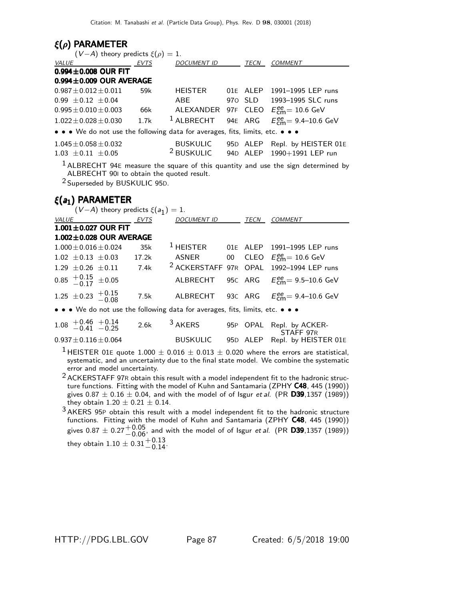### ξ(ρ) PARAMETER

| $(V-A)$ theory predicts $\xi(\rho) = 1$ .                                     |      |                       |  |                                                                   |
|-------------------------------------------------------------------------------|------|-----------------------|--|-------------------------------------------------------------------|
| <b>EVTS</b><br><i>VALUE</i>                                                   |      | DOCUMENT ID TECN      |  | <b>COMMENT</b>                                                    |
| $0.994 \pm 0.008$ OUR FIT                                                     |      |                       |  |                                                                   |
| $0.994 \pm 0.009$ OUR AVERAGE                                                 |      |                       |  |                                                                   |
| $0.987 \pm 0.012 \pm 0.011$ 59k                                               |      | HEISTER               |  | 01E ALEP 1991-1995 LEP runs                                       |
| $0.99 \pm 0.12 \pm 0.04$                                                      |      | ABE                   |  | 970 SLD 1993-1995 SLC runs                                        |
| $0.995 \pm 0.010 \pm 0.003$                                                   | 66k  |                       |  | ALEXANDER 97F CLEO $E_{\text{cm}}^{\text{ee}} = 10.6 \text{ GeV}$ |
| $1.022 \pm 0.028 \pm 0.030$                                                   | 1.7k | $1$ ALBRECHT          |  | 94E ARG $E_{cm}^{ee} = 9.4 - 10.6$ GeV                            |
| • • • We do not use the following data for averages, fits, limits, etc. • • • |      |                       |  |                                                                   |
| $1.045 \pm 0.058 \pm 0.032$                                                   |      | <b>BUSKULIC</b>       |  | 95D ALEP Repl. by HEISTER 01E                                     |
| $1.03 \pm 0.11 \pm 0.05$                                                      |      | <sup>2</sup> BUSKULIC |  | 94D ALEP 1990+1991 LEP run                                        |
|                                                                               |      |                       |  |                                                                   |

 $<sup>1</sup>$  ALBRECHT 94E measure the square of this quantity and use the sign determined by</sup> ALBRECHT 90I to obtain the quoted result.

2 Superseded by BUSKULIC 95D.

### $\xi(a_1)$  PARAMETER

|                                                            | $(V-A)$ theory predicts $\xi(a_1)=1$ . |      |                  |  |                                                                     |
|------------------------------------------------------------|----------------------------------------|------|------------------|--|---------------------------------------------------------------------|
|                                                            | VALUE EVTS                             |      | DOCUMENT ID TECN |  | COMMENT                                                             |
|                                                            | $1.001 \pm 0.027$ OUR FIT              |      |                  |  |                                                                     |
|                                                            | $1.002 \pm 0.028$ OUR AVERAGE          |      |                  |  |                                                                     |
|                                                            | $1.000 \pm 0.016 \pm 0.024$            | 35k  |                  |  | $1$ HEISTER 01E ALEP 1991-1995 LEP runs                             |
|                                                            | $1.02 \pm 0.13 \pm 0.03$ 17.2k         |      |                  |  | ASNER 00 CLEO $E_{\text{cm}}^{ee} = 10.6 \text{ GeV}$               |
|                                                            | $1.29 \pm 0.26 \pm 0.11$ 7.4k          |      |                  |  | <sup>2</sup> ACKERSTAFF 97R OPAL 1992-1994 LEP runs                 |
| $0.85 \begin{array}{l} +0.15 \\ 0.17 \end{array} \pm 0.05$ |                                        |      |                  |  | ALBRECHT 95C ARG $E_{\text{cm}}^{\text{ee}} = 9.5-10.6 \text{ GeV}$ |
| 1.25 $\pm$ 0.23 $\pm$ 0.15 0.8                             |                                        | 7.5k |                  |  | ALBRECHT 93C ARG $E_{\text{cm}}^{\text{ee}}$ 9.4-10.6 GeV           |

• • • We do not use the following data for averages, fits, limits, etc. • • •  $\bullet$ 

| $1.08$ $+0.46$ $+0.14$<br>$-0.41$ $-0.25$ | 2.6k | $3$ AKERS | 95P OPAL Repl. by ACKER-                   |
|-------------------------------------------|------|-----------|--------------------------------------------|
| $0.937 \pm 0.116 \pm 0.064$               |      | BUSKULIC  | STAFF 97R<br>95D ALEP Repl. by HEISTER 01E |

<sup>1</sup> HEISTER 01E quote 1.000  $\pm$  0.016  $\pm$  0.013  $\pm$  0.020 where the errors are statistical, systematic, and an uncertainty due to the final state model. We combine the systematic error and model uncertainty.

- $2$  ACKERSTAFF 97R obtain this result with a model independent fit to the hadronic structure functions. Fitting with the model of Kuhn and Santamaria (ZPHY C48, 445 (1990)) gives  $0.87 \pm 0.16 \pm 0.04$ , and with the model of of Isgur et al. (PR D39,1357 (1989)) they obtain  $1.20 \pm 0.21 \pm 0.14$ .
- 3 AKERS 95<sup>P</sup> obtain this result with a model independent fit to the hadronic structure functions. Fitting with the model of Kuhn and Santamaria (ZPHY C48, 445 (1990)) gives  $0.87 \pm 0.27 {+0.05 \atop -0.06}$ , and with the model of of Isgur et al. (PR **D39**,1357 (1989)) they obtain  $1.10 \pm 0.31^{+0.13}_{-0.14}$ .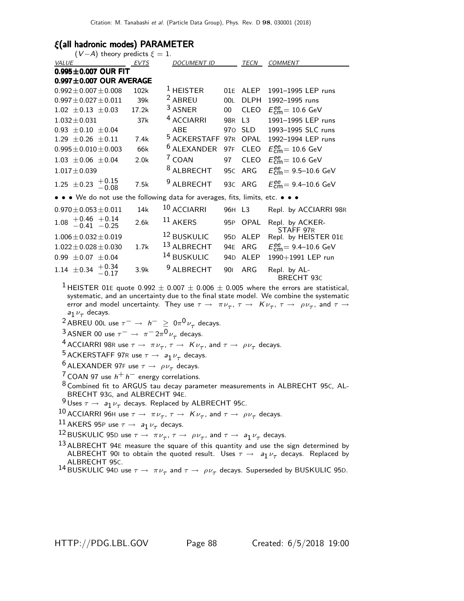### ξ(all hadronic modes) PARAMETER

| $(V-A)$ theory predicts $\xi = 1$ .                                           |                  |                        |                 |             |                                                      |
|-------------------------------------------------------------------------------|------------------|------------------------|-----------------|-------------|------------------------------------------------------|
| VALUE                                                                         | EVTS             | <b>DOCUMENT ID</b>     |                 | TECN        | <b>COMMENT</b>                                       |
| $0.995 \pm 0.007$ OUR FIT                                                     |                  |                        |                 |             |                                                      |
| $0.997 \pm 0.007$ OUR AVERAGE                                                 |                  |                        |                 |             |                                                      |
| $0.992 \pm 0.007 \pm 0.008$                                                   | 102k             | $1$ HEISTER            |                 | 01E ALEP    | 1991-1995 LEP runs                                   |
| $0.997 \pm 0.027 \pm 0.011$                                                   | 39k              | <sup>2</sup> ABREU     | 00L             | <b>DLPH</b> | 1992-1995 runs                                       |
| $1.02 \pm 0.13 \pm 0.03$                                                      | 17.2k            | <sup>3</sup> ASNER     | $00\,$          | <b>CLEO</b> | $E_{\text{cm}}^{\text{ee}}$ = 10.6 GeV               |
| $1.032 \pm 0.031$                                                             | 37k              | <sup>4</sup> ACCIARRI  | 98 <sub>R</sub> | L3          | 1991-1995 LEP runs                                   |
| $0.93 \pm 0.10 \pm 0.04$                                                      |                  | ABE                    |                 | 970 SLD     | 1993-1995 SLC runs                                   |
| $1.29 \pm 0.26 \pm 0.11$                                                      | 7.4k             | $5$ ACKERSTAFF         | 97 <sub>R</sub> | OPAL        | 1992-1994 LEP runs                                   |
| $0.995 \pm 0.010 \pm 0.003$                                                   | 66k              | <sup>6</sup> ALEXANDER | 97F             | <b>CLEO</b> | $E_{\text{cm}}^{\text{ee}} = 10.6 \text{ GeV}$       |
| $1.03 \pm 0.06 \pm 0.04$                                                      | 2.0 <sub>k</sub> | <sup>7</sup> COAN      | 97              | <b>CLEO</b> | $E_{\text{cm}}^{\text{ee}} = 10.6 \text{ GeV}$       |
| $1.017 \pm 0.039$                                                             |                  | <sup>8</sup> ALBRECHT  | 95C             | ARG         | $E_{\text{cm}}^{\text{ee}} = 9.5 - 10.6 \text{ GeV}$ |
| 1.25 $\pm$ 0.23 $\frac{+0.15}{-0.08}$                                         | 7.5k             | <sup>9</sup> ALBRECHT  |                 | 93C ARG     | $E_{cm}^{ee}$ = 9.4–10.6 GeV                         |
| • • • We do not use the following data for averages, fits, limits, etc. • • • |                  |                        |                 |             |                                                      |
| $0.970 \pm 0.053 \pm 0.011$                                                   | 14k              | 10 ACCIARRI            | 96H L3          |             | Repl. by ACCIARRI 98R                                |
| $1.08$ + 0.46 + 0.14<br>-0.41 -0.25                                           | 2.6k             | $11$ AKERS             | 95P             | OPAL        | Repl. by ACKER-<br>STAFF 97R                         |
| $1.006 \pm 0.032 \pm 0.019$                                                   |                  | 12 BUSKULIC            |                 | 95D ALEP    | Repl. by HEISTER 01E                                 |
| $1.022 \pm 0.028 \pm 0.030$                                                   | 1.7k             | 13 ALBRECHT            | 94E             | ARG         | $E_{\text{cm}}^{ee} = 9.4 - 10.6 \text{ GeV}$        |
| $0.99 \pm 0.07 \pm 0.04$                                                      |                  | <sup>14</sup> BUSKULIC | 94 <sub>D</sub> | ALEP        | 1990+1991 LEP run                                    |
| 1.14 $\pm$ 0.34 $+$ 0.34<br>-0.17                                             | 3.9k             | <sup>9</sup> ALBRECHT  | 901             | <b>ARG</b>  | Repl. by AL-<br>BRECHT 93C                           |

<sup>1</sup> HEISTER 01E quote 0.992  $\pm$  0.007  $\pm$  0.006  $\pm$  0.005 where the errors are statistical, systematic, and an uncertainty due to the final state model. We combine the systematic error and model uncertainty. They use  $\tau \to \pi \nu_\tau$ ,  $\tau \to K \nu_\tau$ ,  $\tau \to \rho \nu_\tau$ , and  $\tau \to \tau$  $a_1 \nu_\tau$  decays.

 $^2$  ABREU 00L use  $\tau^-$  →  $h^ \geq$  0π<sup>0</sup> $\nu_{\tau}$  decays.

 $\frac{3}{4}$  ASNER 00 use  $\tau^- \to \pi^- 2\pi^0 \nu_\tau$  decays.

 $^4$  ACCIARRI 98R use  $\tau \to \pi \nu_\tau$ ,  $\tau \to K \nu_\tau$ , and  $\tau \to \rho \nu_\tau$  decays.

<sup>5</sup> ACKERSTAFF 97R use  $\tau \rightarrow a_1 \nu_\tau$  decays.

<sup>6</sup> ALEXANDER 97F use  $\tau \rightarrow \rho \nu_{\tau}$  decays.

 $7$  COAN 97 use  $h^+ h^-$  energy correlations.

 $^8$  Combined fit to ARGUS tau decay parameter measurements in ALBRECHT 95C, AL-BRECHT 93G, and ALBRECHT 94E.

 $\frac{9}{2}$ Uses  $\tau \to a_1 \nu_\tau$  decays. Replaced by ALBRECHT 95C.

10 ACCIARRI 96H use  $\tau \to \pi \nu_{\tau}$ ,  $\tau \to K \nu_{\tau}$ , and  $\tau \to \rho \nu_{\tau}$  decays.

 $\frac{11}{12}$ AKERS 95P use  $\tau \rightarrow a_1 \nu_\tau$  decays.

 $^{12}$ BUSKULIC 95D use  $\tau \rightarrow \pi \nu_{\tau}, \tau \rightarrow \rho \nu_{\tau},$  and  $\tau \rightarrow \; a_{1} \nu_{\tau}$  decays.

 $13$  ALBRECHT 94E measure the square of this quantity and use the sign determined by ALBRECHT 901 to obtain the quoted result. Uses  $\tau \to a_1 \nu_\tau$  decays. Replaced by ALBRECHT 95C.

```
^{14}BUSKULIC 94D use \tau \to~\pi \nu_\tau and \tau \to~\rho \nu_\tau decays. Superseded by BUSKULIC 95D.
```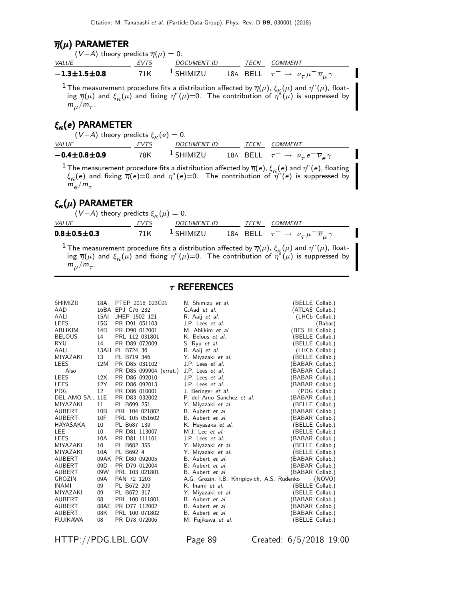### $\overline{\eta}(\mu)$  PARAMETER

| $(V-A)$ theory predicts $\overline{\eta}(\mu)=0.$ |      |                      |      |                                                                        |
|---------------------------------------------------|------|----------------------|------|------------------------------------------------------------------------|
| <i>VALUE</i>                                      | EVTS | DOCUMENT ID          | TECN | COMMENT                                                                |
| $-1.3 \pm 1.5 \pm 0.8$                            | 71K  | <sup>1</sup> SHIMIZU |      | 18A BELL $\tau^- \rightarrow \nu_\tau \mu^- \overline{\nu}_\mu \gamma$ |

<sup>1</sup> The measurement procedure fits a distribution affected by  $\overline{\eta}(\mu)$ ,  $\xi_{\kappa}(\mu)$  and  $\eta''(\mu)$ , floating  $\overline{\eta}(\mu)$  and  $\xi_{\kappa}(\mu)$  and fixing  $\eta^{\prime\prime}(\mu)$ =0. The contribution of  $\eta^{\prime\prime}(\mu)$  is suppressed by  $m_\mu/m_\tau$ .

# $\xi_{\kappa}(e)$  PARAMETER

| $(V-A)$ theory predicts $\xi_{\kappa}(e) = 0$ . |       |                      |  |                                                                    |
|-------------------------------------------------|-------|----------------------|--|--------------------------------------------------------------------|
| <i>VALUE</i>                                    | EVTS  | DOCUMENT ID          |  | TECN COMMENT                                                       |
| $-0.4 \pm 0.8 \pm 0.9$                          | 78K - | <sup>1</sup> SHIMIZU |  | 18A BELL $\tau^- \rightarrow \nu_\tau e^- \overline{\nu}_e \gamma$ |
| $\overline{\phantom{a}}$                        |       |                      |  |                                                                    |

<sup>1</sup> The measurement procedure fits a distribution affected by  $\overline{\eta}(e)$ ,  $\xi_{\kappa}(e)$  and  $\eta''(e)$ , floating  $\xi_{\kappa}(e)$  and fixing  $\overline{\eta}(e){=}0$  and  $\eta^{\prime\prime}(e){=}0.$  The contribution of  $\eta^{\prime\prime}(e)$  is suppressed by  $m_e/m_\tau$ .

## $\xi_{\kappa}(\mu)$  parameter

| $(V-A)$ theory predicts $\xi_{\kappa}(\mu)=0$ . |      |                      |      |                                                                        |
|-------------------------------------------------|------|----------------------|------|------------------------------------------------------------------------|
| <i>VALUE</i>                                    | EVTS | DOCUMENT ID          | TECN | COMMENT                                                                |
| $0.8 \pm 0.5 \pm 0.3$                           | 71K  | <sup>1</sup> SHIMIZU |      | 18A BELL $\tau^- \rightarrow \nu_\tau \mu^- \overline{\nu}_\mu \gamma$ |

<sup>1</sup> The measurement procedure fits a distribution affected by  $\overline{\eta}(\mu)$ ,  $\xi_{\kappa}(\mu)$  and  $\eta''(\mu)$ , floating  $\overline{\eta}(\mu)$  and  $\xi_{\kappa}(\mu)$  and fixing  $\eta^{\prime\prime}(\mu)$ =0. The contribution of  $\eta^{\prime\prime}(\mu)$  is suppressed by  $m_\mu/m_\tau$ .

### $\tau$  REFERENCES

| SHIMIZU        | 18A             | PTEP 2018 023C01                        | N. Shimizu et al.                           |                   | (BELLE Collab.) |  |
|----------------|-----------------|-----------------------------------------|---------------------------------------------|-------------------|-----------------|--|
| AAD            |                 | 16BA EPJ C76 232                        | G.Aad et al.                                | (ATLAS Collab.)   |                 |  |
| AAIJ           | 15AI            | JHEP 1502 121                           | R. Aaij et al.                              |                   | (LHCb Collab.)  |  |
| LEES           | 15G             | PR D91 051103                           | J.P. Lees et al.                            |                   | (Babar)         |  |
| ABLIKIM        | 14D             | PR D90 012001                           | M. Ablikim et al.                           | (BES III Collab.) |                 |  |
| <b>BELOUS</b>  | 14              | PRL 112 031801                          | K. Belous <i>et al.</i>                     |                   | BELLE Collab.)  |  |
| RYU            | 14              | PR D89 072009                           | S. Ryu et al.                               | (BELLE Collab.)   |                 |  |
| AAIJ           |                 | 13AH PL B724 36                         | R. Aaij et al.                              |                   | (LHCb Collab.)  |  |
| MIYAZAKI       | 13              | PL B719 346                             | Y. Miyazaki et al.                          | (BELLE Collab.)   |                 |  |
| LEES           | 12M             | PR D85 031102                           | J.P. Lees et al.                            | (BABAR Collab.)   |                 |  |
| Also           |                 | PR D85 099904 (errat.) J.P. Lees et al. |                                             | BABAR Collab.)    |                 |  |
| LEES           | 12X             | PR D86 092010                           | J.P. Lees et al.                            | BABAR Collab.)    |                 |  |
| LEES           | 12Y             | PR D86 092013                           | J.P. Lees <i>et al.</i>                     | (BABAR Collab.)   |                 |  |
| PDG            | 12              | PR D86 010001                           | J. Beringer et al.                          |                   | (PDG Collab.)   |  |
| DEL-AMO-SA 11E |                 | PR D83 032002                           | P. del Amo Sanchez et al.                   | (BABAR Collab.)   |                 |  |
| MIYAZAKI       | 11              | PL B699 251                             | Y. Miyazaki et al.                          | (BELLE Collab.)   |                 |  |
| AUBERT         | 10B             | PRL 104 021802                          | B. Aubert et al.                            | (BABAR Collab.)   |                 |  |
| AUBERT         | 10F             | PRL 105 051602                          | B. Aubert et al.                            | (BABAR Collab.)   |                 |  |
| HAYASAKA       | 10              | PL B687 139                             | K. Hayasaka et al.                          | (BELLE Collab.)   |                 |  |
| LEE            | 10              | PR D81 113007                           | M.J. Lee et al.                             | (BELLE Collab.)   |                 |  |
| LEES           | 10A             | PR D81 111101                           | J.P. Lees <i>et al.</i>                     | (BABAR Collab.)   |                 |  |
| MIYAZAKI       | 10              | PL B682 355                             | Y. Miyazaki et al.                          | (BELLE Collab.)   |                 |  |
| MIYAZAKI       | 10A             | PL B692 4                               | Y. Miyazaki et al.                          | (BELLE Collab.)   |                 |  |
| AUBERT         |                 | 09AK PR D80 092005                      | B. Aubert et al.                            | (BABAR Collab.)   |                 |  |
| AUBERT         | 09 <sub>D</sub> | PR D79 012004                           | B. Aubert et al.                            | BABAR Collab.)    |                 |  |
| AUBERT         | 09W             | PRL 103 021801                          | B. Aubert et al.                            | (BABAR Collab.)   |                 |  |
| GROZIN         | 09A             | PAN 72 1203                             | A.G. Grozin, I.B. Khriplovich, A.S. Rudenko |                   | (NOVO)          |  |
| <b>INAMI</b>   | 09              | PL B672 209                             | K. Inami et al.                             | (BELLE Collab.)   |                 |  |
| MIYAZAKI       | 09              | PL B672 317                             | Y. Miyazaki <i>et al.</i>                   |                   | BELLE Collab.)  |  |
| AUBERT         | 08              | PRL 100 011801                          | B. Aubert et al.                            | (BABAR Collab.)   |                 |  |
| AUBERT         |                 | 08AE PR D77 112002                      | B. Aubert et al.                            | (BABAR Collab.)   |                 |  |
| AUBERT         | 08K             | PRL 100 071802                          | B. Aubert et al.                            | (BABAR Collab.)   |                 |  |
| FUJIKAWA       | 08              | PR D78 072006                           | M. Fujikawa et al.                          |                   | (BELLE Collab.) |  |
|                |                 |                                         |                                             |                   |                 |  |

HTTP://PDG.LBL.GOV Page 89 Created: 6/5/2018 19:00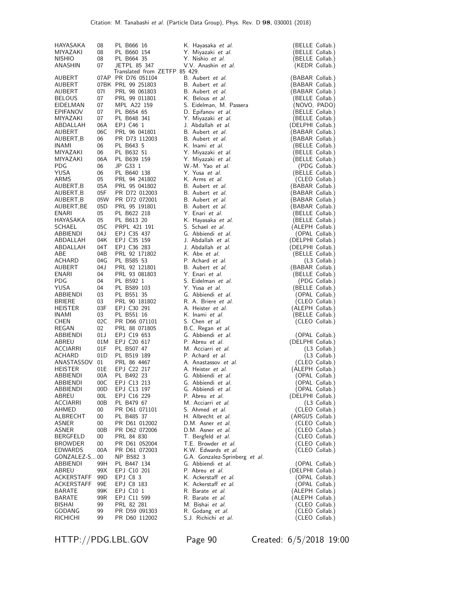| HAYASAKA<br>MIYAZAKI<br><b>NISHIO</b><br>ANASHIN | 08<br>08<br>08<br>07 | PL B666 16<br>PL B660 154<br>PL B664 35<br>JETPL 85 347 | K. Hayasaka <i>et al.</i><br>Y. Miyazaki et al.<br>Y. Nishio et al.<br>V.V. Anashin et al. | (BELLE Collab.)<br>(BELLE Collab.)<br>(BELLE Collab.)<br>(KEDR Collab.) |
|--------------------------------------------------|----------------------|---------------------------------------------------------|--------------------------------------------------------------------------------------------|-------------------------------------------------------------------------|
|                                                  |                      | Translated from ZETFP 85 429.                           |                                                                                            |                                                                         |
| AUBERT                                           |                      | 07AP PR D76 051104                                      | B. Aubert et al.                                                                           | (BABAR Collab.)                                                         |
| AUBERT                                           |                      | 07BK PRL 99 251803                                      | B. Aubert et al.                                                                           | (BABAR Collab.)                                                         |
| AUBERT<br><b>BELOUS</b>                          | 071<br>07            | PRL 98 061803<br>PRL 99 011801                          | B. Aubert et al.<br>K. Belous et al.                                                       | (BABAR Collab.)<br>(BELLE Collab.)                                      |
| EIDELMAN                                         | 07                   | MPL A22 159                                             | S. Eidelman, M. Passera                                                                    | (NOVO, PADO)                                                            |
| EPIFANOV                                         | 07                   | PL B654 65                                              | D. Epifanov et al.                                                                         | (BELLE Collab.)                                                         |
| MIYAZAKI                                         | 07                   | PL B648 341                                             | Y. Miyazaki et al.                                                                         | (BELLE Collab.)                                                         |
| ABDALLAH                                         | 06A                  | EPJ C46 1                                               | J. Abdallah et al.                                                                         | (DELPHI Collab.)                                                        |
| AUBERT                                           | 06C                  | PRL 96 041801                                           | B. Aubert et al.                                                                           | (BABAR Collab.)                                                         |
| AUBERT,B<br>INAMI                                | 06<br>06             | PR D73 112003<br>PL B643 5                              | B. Aubert et al.<br>K. Inami et al.                                                        | (BABAR Collab.)<br>(BELLE Collab.)                                      |
| MIYAZAKI                                         | 06                   | PL B632 51                                              | Y. Miyazaki et al.                                                                         | (BELLE Collab.)                                                         |
| MIYAZAKI                                         | 06A                  | PL B639 159                                             | Y. Miyazaki <i>et al.</i>                                                                  | (BELLE Collab.)                                                         |
| <b>PDG</b>                                       | 06                   | JP G33 1                                                | W.-M. Yao et al.                                                                           | (PDG Collab.)                                                           |
| YUSA                                             | 06                   | PL B640 138                                             | Y. Yusa et al.                                                                             | (BELLE Collab.)                                                         |
| ARMS                                             | 05                   | PRL 94 241802                                           | K. Arms et al.                                                                             | (CLEO Collab.)                                                          |
| AUBERT, B<br>AUBERT, B                           | 05A<br>05F           | PRL 95 041802<br>PR D72 012003                          | B. Aubert et al.<br>B. Aubert et al.                                                       | (BABAR Collab.)<br>(BABAR Collab.)                                      |
| AUBERT, B                                        | 05W                  | PR D72 072001                                           | B. Aubert et al.                                                                           | (BABAR Collab.)                                                         |
| AUBERT, BE                                       | 05D                  | PRL 95 191801                                           | B. Aubert et al.                                                                           | (BABAR Collab.)                                                         |
| ENARI                                            | 05                   | PL B622 218                                             | Y. Enari et al.                                                                            | (BELLE Collab.)                                                         |
| HAYASAKA                                         | 05                   | PL B613 20                                              | K. Hayasaka et al.                                                                         | (BELLE Collab.)                                                         |
| <b>SCHAEL</b>                                    | 05C                  | PRPL 421 191                                            | S. Schael et al.                                                                           | (ALEPH Collab.)                                                         |
| ABBIENDI<br>ABDALLAH                             | 04 J<br>04K          | EPJ C35 437<br>EPJ C35 159                              | G. Abbiendi et al.<br>J. Abdallah et al.                                                   | (OPAL Collab.)<br>(DELPHI Collab.)                                      |
| ABDALLAH                                         | 04T                  | EPJ C36 283                                             | J. Abdallah et al.                                                                         | (DELPHI Collab.)                                                        |
| ABE                                              | 04B                  | PRL 92 171802                                           | K. Abe et al.                                                                              | (BELLE Collab.)                                                         |
| ACHARD                                           | 04G                  | PL B585 53                                              | P. Achard et al.                                                                           | $(L3$ Collab.)                                                          |
| AUBERT                                           | 04 J                 | PRL 92 121801                                           | B. Aubert et al.                                                                           | (BABAR Collab.)                                                         |
| ENARI                                            | 04                   | PRL 93 081803                                           | Y. Enari et al.                                                                            | (BELLE Collab.)                                                         |
| <b>PDG</b><br>YUSA                               | 04<br>04             | PL B592 1<br>PL B589 103                                | S. Eidelman et al.<br>Y. Yusa et al.                                                       | (PDG Collab.)<br>(BELLE Collab.)                                        |
| ABBIENDI                                         | 03                   | PL B551 35                                              | G. Abbiendi et al.                                                                         | (OPAL Collab.)                                                          |
| <b>BRIERE</b>                                    | 03                   | PRL 90 181802                                           | R. A. Briere et al.                                                                        | (CLEO Collab.)                                                          |
| <b>HEISTER</b>                                   | 03F                  | EPJ C30 291                                             | A. Heister et al.                                                                          | (ALEPH Collab.)                                                         |
| INAMI                                            | 03                   | PL B551 16                                              | K. Inami et al.                                                                            | (BELLE Collab.)                                                         |
| <b>CHEN</b>                                      | 02C                  | PR D66 071101                                           | S. Chen et al.                                                                             | (CLEO Collab.)                                                          |
| REGAN<br>ABBIENDI                                | $02\,$<br>01J        | PRL 88 071805<br>EPJ C19 653                            | B.C. Regan et al.<br>G. Abbiendi et al.                                                    | (OPAL Collab.)                                                          |
| ABREU                                            | 01M                  | EPJ C20 617                                             | P. Abreu et al.                                                                            | (DELPHI Collab.)                                                        |
| ACCIARRI                                         | 01F                  | PL B507 47                                              | M. Acciarri et al.                                                                         | $(L3$ Collab.)                                                          |
| ACHARD                                           | 01D                  | PL B519 189                                             | P. Achard et al.                                                                           | $(L3$ Collab.)                                                          |
| ANASTASSOV 01                                    |                      | PRL 86 4467                                             | A. Anastassov et al.                                                                       | (CLEO Collab.)                                                          |
| <b>HEISTER</b><br><b>ABBIENDI</b>                | 01E<br>00A           | EPJ C22 217<br>PL B492 23                               | A. Heister et al.<br>G. Abbiendi et al.                                                    | (ALEPH Collab.)                                                         |
| ABBIENDI                                         | 00C                  | EPJ C13 213                                             | G. Abbiendi <i>et al.</i>                                                                  | (OPAL Collab.)<br>(OPAL Collab.)                                        |
| ABBIENDI                                         | 00D                  | EPJ C13 197                                             | G. Abbiendi et al.                                                                         | (OPAL Collab.)                                                          |
| ABREU                                            | 00L                  | EPJ C16 229                                             | P. Abreu et al.                                                                            | (DELPHI Collab.)                                                        |
| ACCIARRI                                         | 00B                  | PL B479 67                                              | M. Acciarri et al.                                                                         | $(L3$ Collab.)                                                          |
| AHMED                                            | 00                   | PR D61 071101                                           | S. Ahmed et al.                                                                            | (CLEO Collab.)                                                          |
| ALBRECHT<br>ASNER                                | 00<br>$00\,$         | PL B485 37<br>PR D61 012002                             | H. Albrecht et al.<br>D.M. Asner et al.                                                    | (ARGUS Collab.)<br>(CLEO Collab.)                                       |
| ASNER                                            | 00B                  | PR D62 072006                                           | D.M. Asner et al.                                                                          | (CLEO Collab.)                                                          |
| <b>BERGFELD</b>                                  | $00\,$               | PRL 84 830                                              | T. Bergfeld et al.                                                                         | (CLEO Collab.)                                                          |
| <b>BROWDER</b>                                   | $00\,$               | PR D61 052004                                           | T.E. Browder et al.                                                                        | (CLEO Collab.)                                                          |
| EDWARDS                                          | 00A                  | PR D61 072003                                           | K.W. Edwards et al.                                                                        | (CLEO Collab.)                                                          |
| GONZALEZ-S00<br>ABBIENDI                         | 99H                  | NP B582 3<br>PL B447 134                                | G.A. Gonzalez-Sprinberg et al.<br>G. Abbiendi et al.                                       | (OPAL Collab.)                                                          |
| ABREU                                            | 99X                  | EPJ C10 201                                             | P. Abreu et al.                                                                            | (DELPHI Collab.)                                                        |
| <b>ACKERSTAFF</b>                                | 99 <sub>D</sub>      | EPJ C8 3                                                | K. Ackerstaff et al.                                                                       | (OPAL Collab.)                                                          |
| ACKERSTAFF                                       | 99E                  | EPJ C8 183                                              | K. Ackerstaff et al.                                                                       | (OPAL Collab.)                                                          |
| BARATE                                           | 99K                  | EPJ C10 1                                               | R. Barate et al.                                                                           | (ALEPH Collab.)                                                         |
| BARATE                                           | 99R                  | EPJ C11 599                                             | R. Barate et al.                                                                           | (ALEPH Collab.)                                                         |
| BISHAI<br>GODANG                                 | 99<br>99             | PRL 82 281<br>PR D59 091303                             | M. Bishai et al.<br>R. Godang et al.                                                       | (CLEO Collab.)<br>(CLEO Collab.)                                        |
| RICHICHI                                         | 99                   | PR D60 112002                                           | S.J. Richichi et al.                                                                       | (CLEO Collab.)                                                          |

HTTP://PDG.LBL.GOV Page 90 Created: 6/5/2018 19:00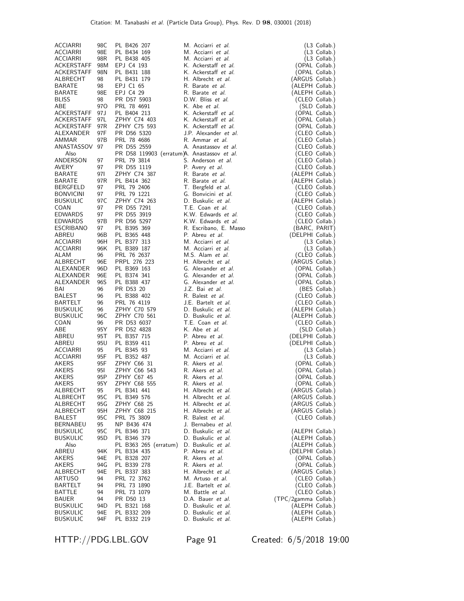| <b>ACCIARRI</b>  | 98C  | PL B426 207           | M. Acciarri et al.                          | (L3 Collab.)                       |
|------------------|------|-----------------------|---------------------------------------------|------------------------------------|
| <b>ACCIARRI</b>  | 98E  | PL B434 169           | M. Acciarri et al.                          | (L3 Collab.)                       |
| <b>ACCIARRI</b>  | 98R  | PL B438 405           | M. Acciarri et al.                          | (L3 Collab.)                       |
| ACKERSTAFF       | 98M  | EPJ C4 193            | K. Ackerstaff et al.                        | (OPAL Collab.)                     |
| ACKERSTAFF       | 98N  | PL B431 188           | K. Ackerstaff et al.                        | (OPAL Collab.)                     |
| ALBRECHT         | 98   | PL B431 179           | H. Albrecht et al.                          | (ARGUS Collab.)                    |
| <b>BARATE</b>    | 98   | EPJ C1 65             | R. Barate et al.                            |                                    |
| <b>BARATE</b>    | 98E  | EPJ C4 29             | R. Barate et al.                            | (ALEPH Collab.)<br>(ALEPH Collab.) |
| <b>BLISS</b>     | 98   | PR D57 5903           | D.W. Bliss et al.                           |                                    |
| ABE              | 97O  | PRL 78 4691           | K. Abe et al.                               | (CLEO Collab.)                     |
| ACKERSTAFF       | 97 J |                       | K. Ackerstaff et al.                        | (SLD Collab.)<br>(OPAL Collab.)    |
|                  |      | PL B404 213           | K. Ackerstaff et al.                        |                                    |
| ACKERSTAFF       | 97L  | ZPHY C74 403          | K. Ackerstaff et al.                        | (OPAL Collab.)                     |
| ACKERSTAFF       | 97R  | ZPHY C75 593          |                                             | (OPAL Collab.)                     |
| ALEXANDER        | 97F  | PR D56 5320           | J.P. Alexander et al.                       | (CLEO Collab.)                     |
| AMMAR            | 97B  | PRL 78 4686           | R. Ammar et al.                             | (CLEO Collab.)                     |
| ANASTASSOV 97    |      | PR D55 2559           | A. Anastassov et al.                        | (CLEO Collab.)                     |
| Also             |      |                       | PR D58 119903 (erratum)A. Anastassov et al. | (CLEO Collab.)                     |
| ANDERSON         | 97   | PRL 79 3814           | S. Anderson et al.                          | (CLEO Collab.)                     |
| AVERY            | 97   | PR D55 1119           | P. Avery et al.                             | (CLEO Collab.)                     |
| <b>BARATE</b>    | 971  | ZPHY C74 387          | R. Barate et al.                            | (ALEPH Collab.)                    |
| <b>BARATE</b>    | 97R  | PL B414 362           | R. Barate et al.                            | (ALEPH Collab.)                    |
| <b>BERGFELD</b>  | 97   | PRL 79 2406           | T. Bergfeld et al.                          | (CLEO Collab.)                     |
| <b>BONVICINI</b> | 97   | PRL 79 1221           | G. Bonvicini et al.                         | (CLEO Collab.)                     |
| <b>BUSKULIC</b>  | 97C  | ZPHY C74 263          | D. Buskulic et al.                          | (ALEPH Collab.)                    |
| COAN             | 97   | PR D55 7291           | T.E. Coan et al.                            | (CLEO Collab.)                     |
| <b>EDWARDS</b>   | 97   | PR D55 3919           | K.W. Edwards et al.                         | (CLEO Collab.)                     |
| <b>EDWARDS</b>   | 97B  | PR D56 5297           | K.W. Edwards et al.                         | (CLEO Collab.)                     |
| <b>ESCRIBANO</b> | 97   | PL B395 369           | R. Escribano, E. Masso                      | (BARC, PARIT)                      |
| ABREU            | 96B  | PL B365 448           | P. Abreu et al.                             | (DELPHI Collab.)                   |
| ACCIARRI         | 96H  | PL B377 313           | M. Acciarri et al.                          | (L3 Collab.)                       |
| <b>ACCIARRI</b>  | 96K  | PL B389 187           | M. Acciarri et al.                          | (L3 Collab.)                       |
| ALAM             | 96   | PRL 76 2637           | M.S. Alam et al.                            | (CLEO Collab.)                     |
| ALBRECHT         | 96E  | PRPL 276 223          | H. Albrecht et al.                          | (ARGUS Collab.)                    |
| ALEXANDER        | 96D  | PL B369 163           | G. Alexander et al.                         | (OPAL Collab.)                     |
| ALEXANDER        | 96E  | PL B374 341           | G. Alexander et al.                         | (OPAL Collab.)                     |
| ALEXANDER        | 96S  | PL B388 437           | G. Alexander et al.                         | (OPAL Collab.)                     |
| BAI              | 96   | PR D53 20             | J.Z. Bai et al.                             | (BES Collab.)                      |
| BALEST           | 96   | PL B388 402           | R. Balest et al.                            | (CLEO Collab.)                     |
| BARTELT          | 96   | PRL 76 4119           | J.E. Bartelt et al.                         | (CLEO Collab.)                     |
| <b>BUSKULIC</b>  | 96   | ZPHY C70 579          | D. Buskulic et al.                          | (ALEPH Collab.)                    |
| <b>BUSKULIC</b>  | 96C  | ZPHY C70 561          | D. Buskulic et al.                          | (ALEPH Collab.)                    |
| COAN             | 96   | PR D53 6037           | T.E. Coan et al.                            | (CLEO Collab.)                     |
| ABE              | 95Y  | PR D52 4828           | K. Abe et al.                               | (SLD Collab.)                      |
| ABREU            | 95T  | PL B357 715           | P. Abreu et al.                             | (DELPHI Collab.)                   |
| ABREU            | 95U  | PL B359 411           | P. Abreu et al.                             | (DELPHI Collab.)                   |
| <b>ACCIARRI</b>  | 95   | PL B345 93            | M. Acciarri et al.                          | (L3 Collab.)                       |
| <b>ACCIARRI</b>  | 95F  | PL B352 487           | M. Acciarri et al.                          | (L3 Collab.)                       |
| AKERS            | 95F  | ZPHY C66 31           | R. Akers et al.                             | (OPAL Collab.)                     |
| <b>AKERS</b>     | 95I  | ZPHY C66 543          | R. Akers et al.                             | (OPAL Collab.)                     |
| AKERS            | 95P  | ZPHY C67 45           | R. Akers et al.                             | (OPAL Collab.)                     |
| AKERS            | 95 Y | ZPHY C68 555          | R. Akers <i>et al.</i>                      | (OPAL Collab.)                     |
| ALBRECHT         | 95   | PL B341 441           | H. Albrecht et al.                          | (ARGUS Collab.)                    |
| ALBRECHT         | 95 C | PL B349 576           | H. Albrecht et al.                          | (ARGUS Collab.)                    |
| ALBRECHT         | 95G  | ZPHY C68 25           | H. Albrecht et al.                          | (ARGUS Collab.)                    |
| ALBRECHT         | 95H  | ZPHY C68 215          | H. Albrecht et al.                          | (ARGUS Collab.)                    |
| BALEST           | 95C  | PRL 75 3809           | R. Balest et al.                            | (CLEO Collab.)                     |
| <b>BERNABEU</b>  | 95   | NP B436 474           | J. Bernabeu et al.                          |                                    |
| <b>BUSKULIC</b>  | 95C  | PL B346 371           | D. Buskulic et al.                          | (ALEPH Collab.)                    |
| <b>BUSKULIC</b>  | 95D  | PL B346 379           | D. Buskulic et al.                          | (ALEPH Collab.)                    |
| Also             |      | PL B363 265 (erratum) | D. Buskulic et al.                          | (ALEPH Collab.)                    |
| ABREU            | 94K  | PL B334 435           | P. Abreu et al.                             | (DELPHI Collab.)                   |
| AKERS            | 94E  | PL B328 207           | R. Akers et al.                             | (OPAL Collab.)                     |
| AKERS            | 94G  | PL B339 278           | R. Akers <i>et al.</i>                      | (OPAL Collab.)                     |
| ALBRECHT         | 94E  | PL B337 383           | H. Albrecht et al.                          | (ARGUS Collab.)                    |
| ARTUSO           | 94   | PRL 72 3762           | M. Artuso et al.                            | (CLEO Collab.)                     |
| BARTELT          | 94   | PRL 73 1890           | J.E. Bartelt <i>et al.</i>                  | (CLEO Collab.)                     |
| BATTLE           | 94   | PRL 73 1079           | M. Battle et al.                            | (CLEO Collab.)                     |
| BAUER            | 94   | PR D50 13             | D.A. Bauer et al.                           | (TPC/2gamma Collab.)               |
| <b>BUSKULIC</b>  | 94D  | PL B321 168           | D. Buskulic et al.                          | (ALEPH Collab.)                    |
| <b>BUSKULIC</b>  | 94E  | PL B332 209           | D. Buskulic et al.                          | (ALEPH Collab.)                    |
| <b>BUSKULIC</b>  | 94F  | PL B332 219           | D. Buskulic et al.                          | (ALEPH Collab.)                    |

HTTP://PDG.LBL.GOV Page 91 Created: 6/5/2018 19:00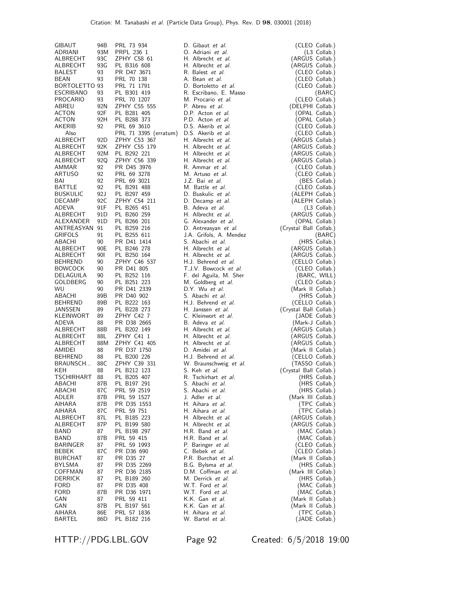| GIBAUT          | 94B             | PRL 73 934            | D. Gibaut et al.        | (CLEO Collab.)         |
|-----------------|-----------------|-----------------------|-------------------------|------------------------|
| ADRIANI         | 93M             | PRPL 236 1            | O. Adriani et al.       | $(L3$ Collab.)         |
|                 |                 |                       |                         |                        |
| ALBRECHT        | 93C             | ZPHY C58 61           | H. Albrecht et al.      | (ARGUS Collab.)        |
| ALBRECHT        | 93G             | PL B316 608           | H. Albrecht et al.      | (ARGUS Collab.)        |
| BALEST          | 93              | PR D47 3671           | R. Balest et al.        | (CLEO Collab.)         |
|                 |                 |                       |                         |                        |
| BEAN            | 93              | PRL 70 138            | A. Bean et al.          | (CLEO Collab.)         |
| BORTOLETTO 93   |                 | PRL 71 1791           | D. Bortoletto et al.    | (CLEO Collab.)         |
| ESCRIBANO       | 93              | PL B301 419           | R. Escribano, E. Masso  | (BARC)                 |
|                 | 93              |                       |                         |                        |
| <b>PROCARIO</b> |                 | PRL 70 1207           | M. Procario et al.      | (CLEO Collab.)         |
| ABREU           | 92N             | ZPHY C55 555          | P. Abreu et al.         | (DELPHI Collab.)       |
| <b>ACTON</b>    | 92F             | PL B281 405           | D.P. Acton et al.       | (OPAL Collab.)         |
| ACTON           | 92H             | PL B288 373           | P.D. Acton et al.       | (OPAL Collab.)         |
|                 |                 |                       |                         |                        |
| AKERIB          | 92              | PRL 69 3610           | D.S. Akerib et al.      | (CLEO Collab.)         |
| Also            |                 | PRL 71 3395 (erratum) | D.S. Akerib et al.      | (CLEO Collab.)         |
| ALBRECHT        | 92D             | ZPHY C53 367          | H. Albrecht et al.      | (ARGUS Collab.)        |
|                 |                 |                       |                         |                        |
| ALBRECHT        | 92K             | ZPHY C55 179          | H. Albrecht et al.      | (ARGUS Collab.)        |
| ALBRECHT        | 92M             | PL B292 221           | H. Albrecht et al.      | (ARGUS Collab.)        |
| ALBRECHT        | 92Q             | ZPHY C56 339          | H. Albrecht et al.      | (ARGUS Collab.)        |
|                 |                 |                       |                         |                        |
| AMMAR           | 92              | PR D45 3976           | R. Ammar et al.         | (CLEO Collab.)         |
| ARTUSO          | 92              | PRL 69 3278           | M. Artuso et al.        | (CLEO Collab.)         |
| BAI             | 92              | PRL 69 3021           | J.Z. Bai et al.         | (BES Collab.)          |
| BATTLE          | 92              | PL B291 488           | M. Battle et al.        | (CLEO Collab.)         |
| <b>BUSKULIC</b> | 92J             | PL B297 459           | D. Buskulic et al.      | (ALEPH Collab.)        |
|                 |                 |                       |                         |                        |
| DECAMP          | 92C             | ZPHY C54 211          | D. Decamp et al.        | (ALEPH Collab.)        |
| <b>ADEVA</b>    | 91F             | PL B265 451           | B. Adeva et al.         | $(L3$ Collab.)         |
| ALBRECHT        | 91D             | PL B260 259           | H. Albrecht et al.      | (ARGUS Collab.)        |
| ALEXANDER       | 91 <sub>D</sub> | PL B266 201           | G. Alexander et al.     | (OPAL Collab.)         |
|                 |                 |                       |                         |                        |
| ANTREASYAN 91   |                 | PL B259 216           | D. Antreasyan et al.    | (Crystal Ball Collab.) |
| <b>GRIFOLS</b>  | 91              | PL B255 611           | J.A. Grifols, A. Mendez | (BARC)                 |
| ABACHI          | 90              | PR D41 1414           | S. Abachi et al.        | (HRS Collab.)          |
| ALBRECHT        | 90E             | PL B246 278           | H. Albrecht et al.      | (ARGUS Collab.)        |
| ALBRECHT        | 90I             | PL B250 164           | H. Albrecht et al.      | (ARGUS Collab.)        |
|                 |                 |                       |                         |                        |
| BEHREND         | 90              | ZPHY C46 537          | H.J. Behrend et al.     | (CELLO Collab.)        |
| <b>BOWCOCK</b>  | 90              | PR D41 805            | T.J.V. Bowcock et al.   | (CLEO Collab.)         |
| DELAGUILA       | 90              | PL B252 116           | F. del Aguila, M. Sher  | (BARC, WILL)           |
| GOLDBERG        | 90              | PL B251 223           | M. Goldberg et al.      | (CLEO Collab.)         |
| <b>WU</b>       | 90              | PR D41 2339           | D.Y. Wu et al.          | (Mark II Collab.)      |
|                 |                 |                       |                         |                        |
| ABACHI          | 89B             | PR D40 902            | S. Abachi et al.        | (HRS Collab.)          |
| <b>BEHREND</b>  | 89B             | PL B222 163           | H.J. Behrend et al.     | (CELLO Collab.)        |
| JANSSEN         | 89              | PL B228 273           | H. Janssen et al.       | (Crystal Ball Collab.) |
| KLEINWORT       | 89              | ZPHY C42 7            | C. Kleinwort et al.     | (JADE Collab.)         |
|                 |                 |                       | B. Adeva et al.         |                        |
| ADEVA           | 88              | PR D38 2665           |                         | (Mark-J Collab.)       |
| ALBRECHT        |                 | PL B202 149           | H. Albrecht et al.      | (ARGUS Collab.)        |
| ALBRECHT        | 88B             |                       |                         |                        |
| ALBRECHT        | 88L             | ZPHY C41 1            | H. Albrecht et al.      | (ARGUS Collab.)        |
| AMIDEI          |                 |                       |                         |                        |
|                 | 88M             | ZPHY C41 405          | H. Albrecht et al.      | (ARGUS Collab.)        |
| <b>BEHREND</b>  | 88              | PR D37 1750           | D. Amidei et al.        | (Mark II Collab.)      |
| BRAUNSCH        | 88              | PL B200 226           | H.J. Behrend et al.     | (CELLO Collab.)        |
| KEH             | 88C             | ZPHY C39 331          | W. Braunschweig et al.  | (TASSO Collab.)        |
|                 | 88              | PL B212 123           | S. Keh <i>et al.</i>    | (Crystal Ball Collab.) |
|                 |                 |                       |                         |                        |
| TSCHIRHART      | 88              | PL B205 407           | R. Tschirhart et al.    | (HRS Collab.)          |
| ABACHI          | 87B             | PL B197 291           | S. Abachi et al.        | (HRS Collab.)          |
| ABACHI          | 87 C            | PRL 59 2519           | S. Abachi et al.        | (HRS Collab.)          |
| ADLER           | 87B             | PRL 59 1527           | J. Adler <i>et al.</i>  | (Mark III Collab.)     |
|                 |                 |                       |                         |                        |
| AIHARA          | 87B             | PR D35 1553           | H. Aihara et al.        | (TPC Collab.)          |
| AIHARA          | 87 C            | PRL 59 751            | H. Aihara et al.        | (TPC Collab.)          |
| ALBRECHT        | 87L             | PL B185 223           | H. Albrecht et al.      | (ARGUS Collab.)        |
| ALBRECHT        | 87P             | PL B199 580           | H. Albrecht et al.      | (ARGUS Collab.)        |
| BAND            | 87              | PL B198 297           | H.R. Band et al.        |                        |
|                 |                 |                       |                         | (MAC Collab.)          |
| BAND            | 87B             | PRL 59 415            | H.R. Band et al.        | (MAC Collab.)          |
| <b>BARINGER</b> | 87              | PRL 59 1993           | P. Baringer et al.      | (CLEO Collab.)         |
| BEBEK           | 87 C            | PR D36 690            | C. Bebek <i>et al.</i>  | (CLEO Collab.)         |
| <b>BURCHAT</b>  | 87              | PR D35 27             | P.R. Burchat et al.     | (Mark II Collab.)      |
| BYLSMA          | 87              | PR D35 2269           | B.G. Bylsma et al.      | (HRS Collab.)          |
|                 | 87              |                       | D.M. Coffman et al.     |                        |
| COFFMAN         |                 | PR D36 2185           |                         | (Mark III Collab.)     |
| <b>DERRICK</b>  | 87              | PL B189 260           | M. Derrick et al.       | (HRS Collab.)          |
| <b>FORD</b>     | 87              | PR D35 408            | W.T. Ford et al.        | (MAC Collab.)          |
| <b>FORD</b>     | 87B             | PR D36 1971           | W.T. Ford et al.        | (MAC Collab.)          |
| GAN             | 87              | PRL 59 411            | K.K. Gan et al.         | (Mark II Collab.)      |
| GAN             | 87B             | PL B197 561           | K.K. Gan et al.         | (Mark II Collab.)      |
| AIHARA          | 86E             | PRL 57 1836           | H. Aihara et al.        | (TPC Collab.)          |

HTTP://PDG.LBL.GOV Page 92 Created: 6/5/2018 19:00